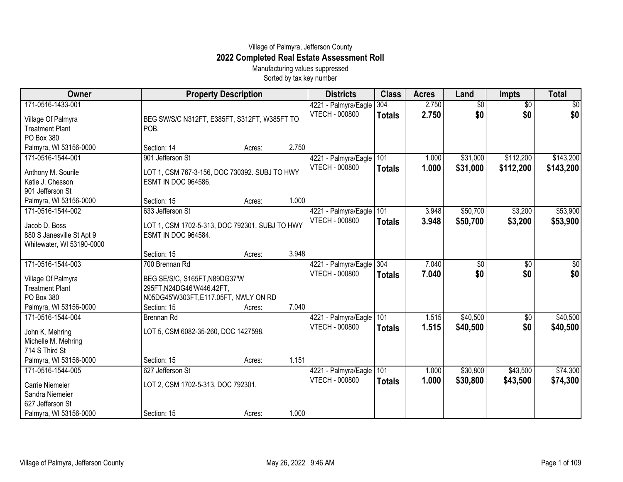## Village of Palmyra, Jefferson County **2022 Completed Real Estate Assessment Roll**

Manufacturing values suppressed Sorted by tax key number

| 171-0516-1433-001<br>2.750<br>$\overline{50}$<br>$\overline{50}$<br>4221 - Palmyra/Eagle<br>304<br>\$0<br>2.750<br>\$0<br><b>VTECH - 000800</b><br><b>Totals</b><br>Village Of Palmyra<br>BEG SW/S/C N312FT, E385FT, S312FT, W385FT TO<br><b>Treatment Plant</b><br>POB.<br>PO Box 380<br>Palmyra, WI 53156-0000<br>2.750<br>Section: 14<br>Acres:<br>\$31,000<br>\$112,200<br>171-0516-1544-001<br>901 Jefferson St<br>101<br>4221 - Palmyra/Eagle<br>1.000<br>1.000<br>\$31,000<br>\$112,200<br><b>VTECH - 000800</b><br><b>Totals</b><br>Anthony M. Sourile<br>LOT 1, CSM 767-3-156, DOC 730392. SUBJ TO HWY<br>Katie J. Chesson<br><b>ESMT IN DOC 964586.</b><br>901 Jefferson St<br>Palmyra, WI 53156-0000<br>1.000<br>Section: 15<br>Acres: | Owner             | <b>Property Description</b> | <b>Districts</b>     | <b>Class</b> | <b>Acres</b> | Land     | <b>Impts</b> | <b>Total</b> |
|---------------------------------------------------------------------------------------------------------------------------------------------------------------------------------------------------------------------------------------------------------------------------------------------------------------------------------------------------------------------------------------------------------------------------------------------------------------------------------------------------------------------------------------------------------------------------------------------------------------------------------------------------------------------------------------------------------------------------------------------------|-------------------|-----------------------------|----------------------|--------------|--------------|----------|--------------|--------------|
|                                                                                                                                                                                                                                                                                                                                                                                                                                                                                                                                                                                                                                                                                                                                                   |                   |                             |                      |              |              |          |              | $\sqrt{30}$  |
|                                                                                                                                                                                                                                                                                                                                                                                                                                                                                                                                                                                                                                                                                                                                                   |                   |                             |                      |              |              |          |              | \$0          |
|                                                                                                                                                                                                                                                                                                                                                                                                                                                                                                                                                                                                                                                                                                                                                   |                   |                             |                      |              |              |          |              |              |
|                                                                                                                                                                                                                                                                                                                                                                                                                                                                                                                                                                                                                                                                                                                                                   |                   |                             |                      |              |              |          |              |              |
|                                                                                                                                                                                                                                                                                                                                                                                                                                                                                                                                                                                                                                                                                                                                                   |                   |                             |                      |              |              |          |              |              |
|                                                                                                                                                                                                                                                                                                                                                                                                                                                                                                                                                                                                                                                                                                                                                   |                   |                             |                      |              |              |          |              | \$143,200    |
|                                                                                                                                                                                                                                                                                                                                                                                                                                                                                                                                                                                                                                                                                                                                                   |                   |                             |                      |              |              |          |              | \$143,200    |
|                                                                                                                                                                                                                                                                                                                                                                                                                                                                                                                                                                                                                                                                                                                                                   |                   |                             |                      |              |              |          |              |              |
|                                                                                                                                                                                                                                                                                                                                                                                                                                                                                                                                                                                                                                                                                                                                                   |                   |                             |                      |              |              |          |              |              |
|                                                                                                                                                                                                                                                                                                                                                                                                                                                                                                                                                                                                                                                                                                                                                   |                   |                             |                      |              |              |          |              |              |
|                                                                                                                                                                                                                                                                                                                                                                                                                                                                                                                                                                                                                                                                                                                                                   | 171-0516-1544-002 | 633 Jefferson St            | 4221 - Palmyra/Eagle | 101          | 3.948        | \$50,700 | \$3,200      | \$53,900     |
| 3.948<br>\$50,700<br><b>VTECH - 000800</b><br>\$3,200<br><b>Totals</b>                                                                                                                                                                                                                                                                                                                                                                                                                                                                                                                                                                                                                                                                            |                   |                             |                      |              |              |          |              | \$53,900     |
| Jacob D. Boss<br>LOT 1, CSM 1702-5-313, DOC 792301. SUBJ TO HWY                                                                                                                                                                                                                                                                                                                                                                                                                                                                                                                                                                                                                                                                                   |                   |                             |                      |              |              |          |              |              |
| 880 S Janesville St Apt 9<br><b>ESMT IN DOC 964584.</b>                                                                                                                                                                                                                                                                                                                                                                                                                                                                                                                                                                                                                                                                                           |                   |                             |                      |              |              |          |              |              |
| Whitewater, WI 53190-0000<br>3.948<br>Section: 15<br>Acres:                                                                                                                                                                                                                                                                                                                                                                                                                                                                                                                                                                                                                                                                                       |                   |                             |                      |              |              |          |              |              |
| 171-0516-1544-003<br>700 Brennan Rd<br>304<br>7.040<br>\$0                                                                                                                                                                                                                                                                                                                                                                                                                                                                                                                                                                                                                                                                                        |                   |                             |                      |              |              |          |              | $\sqrt{50}$  |
| 4221 - Palmyra/Eagle<br>$\sqrt{6}$<br>\$0<br>\$0<br><b>VTECH - 000800</b>                                                                                                                                                                                                                                                                                                                                                                                                                                                                                                                                                                                                                                                                         |                   |                             |                      |              |              |          |              |              |
| 7.040<br><b>Totals</b><br>Village Of Palmyra<br>BEG SE/S/C, S165FT, N89DG37'W                                                                                                                                                                                                                                                                                                                                                                                                                                                                                                                                                                                                                                                                     |                   |                             |                      |              |              |          |              | \$0          |
| <b>Treatment Plant</b><br>295FT, N24DG46'W446.42FT,                                                                                                                                                                                                                                                                                                                                                                                                                                                                                                                                                                                                                                                                                               |                   |                             |                      |              |              |          |              |              |
| PO Box 380<br>N05DG45'W303FT,E117.05FT, NWLY ON RD                                                                                                                                                                                                                                                                                                                                                                                                                                                                                                                                                                                                                                                                                                |                   |                             |                      |              |              |          |              |              |
| 7.040<br>Palmyra, WI 53156-0000<br>Section: 15<br>Acres:                                                                                                                                                                                                                                                                                                                                                                                                                                                                                                                                                                                                                                                                                          |                   |                             |                      |              |              |          |              |              |
| \$40,500<br>171-0516-1544-004<br>4221 - Palmyra/Eagle<br>101<br><b>Brennan Rd</b><br>1.515<br>\$0                                                                                                                                                                                                                                                                                                                                                                                                                                                                                                                                                                                                                                                 |                   |                             |                      |              |              |          |              | \$40,500     |
| <b>VTECH - 000800</b><br>1.515<br>\$40,500<br>\$0<br><b>Totals</b><br>LOT 5, CSM 6082-35-260, DOC 1427598.<br>John K. Mehring                                                                                                                                                                                                                                                                                                                                                                                                                                                                                                                                                                                                                     |                   |                             |                      |              |              |          |              | \$40,500     |
| Michelle M. Mehring                                                                                                                                                                                                                                                                                                                                                                                                                                                                                                                                                                                                                                                                                                                               |                   |                             |                      |              |              |          |              |              |
| 714 S Third St                                                                                                                                                                                                                                                                                                                                                                                                                                                                                                                                                                                                                                                                                                                                    |                   |                             |                      |              |              |          |              |              |
| 1.151<br>Palmyra, WI 53156-0000<br>Section: 15<br>Acres:                                                                                                                                                                                                                                                                                                                                                                                                                                                                                                                                                                                                                                                                                          |                   |                             |                      |              |              |          |              |              |
| \$30,800<br>\$43,500<br>171-0516-1544-005<br>101<br>627 Jefferson St<br>4221 - Palmyra/Eagle<br>1.000                                                                                                                                                                                                                                                                                                                                                                                                                                                                                                                                                                                                                                             |                   |                             |                      |              |              |          |              | \$74,300     |
| <b>VTECH - 000800</b><br>1.000<br>\$30,800<br>\$43,500<br><b>Totals</b>                                                                                                                                                                                                                                                                                                                                                                                                                                                                                                                                                                                                                                                                           |                   |                             |                      |              |              |          |              | \$74,300     |
| <b>Carrie Niemeier</b><br>LOT 2, CSM 1702-5-313, DOC 792301.                                                                                                                                                                                                                                                                                                                                                                                                                                                                                                                                                                                                                                                                                      |                   |                             |                      |              |              |          |              |              |
| Sandra Niemeier<br>627 Jefferson St                                                                                                                                                                                                                                                                                                                                                                                                                                                                                                                                                                                                                                                                                                               |                   |                             |                      |              |              |          |              |              |
| 1.000<br>Palmyra, WI 53156-0000<br>Section: 15<br>Acres:                                                                                                                                                                                                                                                                                                                                                                                                                                                                                                                                                                                                                                                                                          |                   |                             |                      |              |              |          |              |              |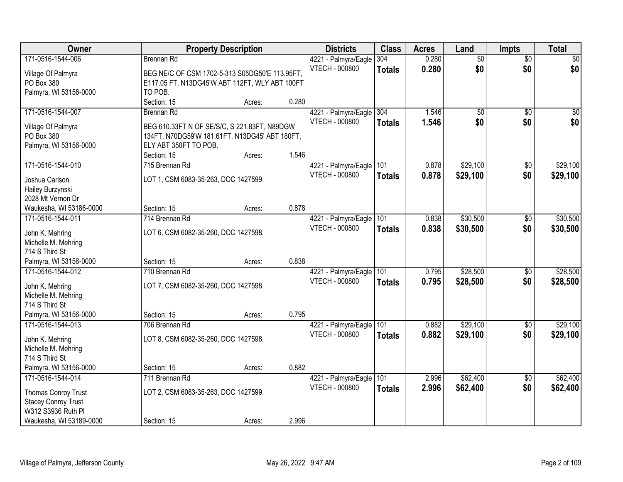| Owner                      |                                                | <b>Property Description</b> |       | <b>Districts</b>         | <b>Class</b>  | <b>Acres</b> | Land            | <b>Impts</b>    | <b>Total</b>    |
|----------------------------|------------------------------------------------|-----------------------------|-------|--------------------------|---------------|--------------|-----------------|-----------------|-----------------|
| 171-0516-1544-006          | Brennan Rd                                     |                             |       | 4221 - Palmyra/Eagle     | 304           | 0.280        | $\overline{50}$ | $\overline{50}$ | $\overline{30}$ |
| Village Of Palmyra         | BEG NE/C OF CSM 1702-5-313 S05DG50'E 113.95FT, |                             |       | <b>VTECH - 000800</b>    | <b>Totals</b> | 0.280        | \$0             | \$0             | \$0             |
| PO Box 380                 | E117.05 FT, N13DG45'W ABT 112FT, WLY ABT 100FT |                             |       |                          |               |              |                 |                 |                 |
| Palmyra, WI 53156-0000     | TO POB.                                        |                             |       |                          |               |              |                 |                 |                 |
|                            | Section: 15                                    | Acres:                      | 0.280 |                          |               |              |                 |                 |                 |
| 171-0516-1544-007          | <b>Brennan Rd</b>                              |                             |       | 4221 - Palmyra/Eagle     | 304           | 1.546        | $\overline{50}$ | $\overline{50}$ | $\sqrt{50}$     |
| Village Of Palmyra         | BEG 610.33FT N OF SE/S/C, S 221.83FT, N89DGW   |                             |       | <b>VTECH - 000800</b>    | <b>Totals</b> | 1.546        | \$0             | \$0             | \$0             |
| PO Box 380                 | 134FT, N70DG59'W 181.61FT, N13DG45' ABT 180FT, |                             |       |                          |               |              |                 |                 |                 |
| Palmyra, WI 53156-0000     | ELY ABT 350FT TO POB.                          |                             |       |                          |               |              |                 |                 |                 |
|                            | Section: 15                                    | Acres:                      | 1.546 |                          |               |              |                 |                 |                 |
| 171-0516-1544-010          | 715 Brennan Rd                                 |                             |       | 4221 - Palmyra/Eagle 101 |               | 0.878        | \$29,100        | \$0             | \$29,100        |
|                            |                                                |                             |       | <b>VTECH - 000800</b>    | Totals        | 0.878        | \$29,100        | \$0             | \$29,100        |
| Joshua Carlson             | LOT 1, CSM 6083-35-263, DOC 1427599.           |                             |       |                          |               |              |                 |                 |                 |
| Hailey Burzynski           |                                                |                             |       |                          |               |              |                 |                 |                 |
| 2028 Mt Vernon Dr          |                                                |                             |       |                          |               |              |                 |                 |                 |
| Waukesha, WI 53186-0000    | Section: 15                                    | Acres:                      | 0.878 |                          |               |              |                 |                 |                 |
| 171-0516-1544-011          | 714 Brennan Rd                                 |                             |       | 4221 - Palmyra/Eagle     | 101           | 0.838        | \$30,500        | $\sqrt[6]{3}$   | \$30,500        |
| John K. Mehring            | LOT 6, CSM 6082-35-260, DOC 1427598.           |                             |       | <b>VTECH - 000800</b>    | <b>Totals</b> | 0.838        | \$30,500        | \$0             | \$30,500        |
| Michelle M. Mehring        |                                                |                             |       |                          |               |              |                 |                 |                 |
| 714 S Third St             |                                                |                             |       |                          |               |              |                 |                 |                 |
| Palmyra, WI 53156-0000     | Section: 15                                    | Acres:                      | 0.838 |                          |               |              |                 |                 |                 |
| 171-0516-1544-012          | 710 Brennan Rd                                 |                             |       | 4221 - Palmyra/Eagle     | 101           | 0.795        | \$28,500        | \$0             | \$28,500        |
| John K. Mehring            | LOT 7, CSM 6082-35-260, DOC 1427598.           |                             |       | <b>VTECH - 000800</b>    | <b>Totals</b> | 0.795        | \$28,500        | \$0             | \$28,500        |
| Michelle M. Mehring        |                                                |                             |       |                          |               |              |                 |                 |                 |
| 714 S Third St             |                                                |                             |       |                          |               |              |                 |                 |                 |
| Palmyra, WI 53156-0000     | Section: 15                                    | Acres:                      | 0.795 |                          |               |              |                 |                 |                 |
| 171-0516-1544-013          | 706 Brennan Rd                                 |                             |       | 4221 - Palmyra/Eagle 101 |               | 0.882        | \$29,100        | \$0             | \$29,100        |
|                            |                                                |                             |       | VTECH - 000800           | <b>Totals</b> | 0.882        | \$29,100        | \$0             | \$29,100        |
| John K. Mehring            | LOT 8, CSM 6082-35-260, DOC 1427598.           |                             |       |                          |               |              |                 |                 |                 |
| Michelle M. Mehring        |                                                |                             |       |                          |               |              |                 |                 |                 |
| 714 S Third St             |                                                |                             |       |                          |               |              |                 |                 |                 |
| Palmyra, WI 53156-0000     | Section: 15                                    | Acres:                      | 0.882 |                          |               |              |                 |                 |                 |
| 171-0516-1544-014          | 711 Brennan Rd                                 |                             |       | 4221 - Palmyra/Eagle     | 101           | 2.996        | \$62,400        | $\overline{30}$ | \$62,400        |
| Thomas Conroy Trust        | LOT 2, CSM 6083-35-263, DOC 1427599.           |                             |       | <b>VTECH - 000800</b>    | <b>Totals</b> | 2.996        | \$62,400        | \$0             | \$62,400        |
| <b>Stacey Conroy Trust</b> |                                                |                             |       |                          |               |              |                 |                 |                 |
| W312 S3936 Ruth Pl         |                                                |                             |       |                          |               |              |                 |                 |                 |
| Waukesha, WI 53189-0000    | Section: 15                                    | Acres:                      | 2.996 |                          |               |              |                 |                 |                 |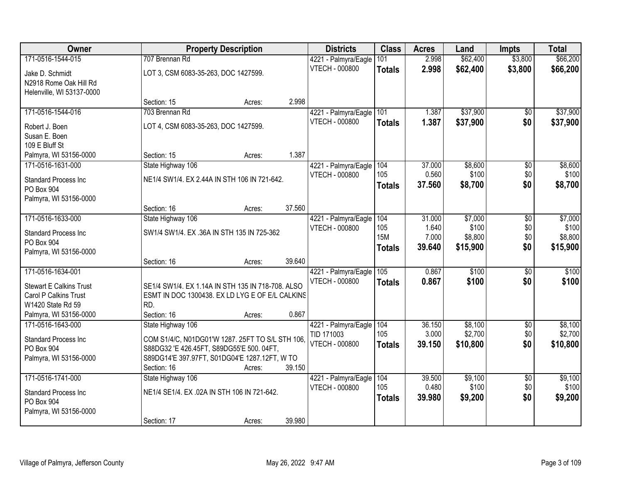| <b>Owner</b>                         |                                                   | <b>Property Description</b> |        | <b>Districts</b>                              | <b>Class</b>  | <b>Acres</b>    | Land             | <b>Impts</b>           | <b>Total</b>     |
|--------------------------------------|---------------------------------------------------|-----------------------------|--------|-----------------------------------------------|---------------|-----------------|------------------|------------------------|------------------|
| 171-0516-1544-015                    | 707 Brennan Rd                                    |                             |        | 4221 - Palmyra/Eagle                          | 101           | 2.998           | \$62,400         | \$3,800                | \$66,200         |
| Jake D. Schmidt                      | LOT 3, CSM 6083-35-263, DOC 1427599.              |                             |        | <b>VTECH - 000800</b>                         | <b>Totals</b> | 2.998           | \$62,400         | \$3,800                | \$66,200         |
| N2918 Rome Oak Hill Rd               |                                                   |                             |        |                                               |               |                 |                  |                        |                  |
| Helenville, WI 53137-0000            |                                                   |                             |        |                                               |               |                 |                  |                        |                  |
|                                      | Section: 15                                       | Acres:                      | 2.998  |                                               |               |                 |                  |                        |                  |
| 171-0516-1544-016                    | 703 Brennan Rd                                    |                             |        | 4221 - Palmyra/Eagle                          | 101           | 1.387           | \$37,900         | \$0                    | \$37,900         |
| Robert J. Boen                       | LOT 4, CSM 6083-35-263, DOC 1427599.              |                             |        | <b>VTECH - 000800</b>                         | <b>Totals</b> | 1.387           | \$37,900         | \$0                    | \$37,900         |
| Susan E. Boen                        |                                                   |                             |        |                                               |               |                 |                  |                        |                  |
| 109 E Bluff St                       |                                                   |                             |        |                                               |               |                 |                  |                        |                  |
| Palmyra, WI 53156-0000               | Section: 15                                       | Acres:                      | 1.387  |                                               |               |                 |                  |                        |                  |
| 171-0516-1631-000                    | State Highway 106                                 |                             |        | 4221 - Palmyra/Eagle<br><b>VTECH - 000800</b> | 104<br>105    | 37.000<br>0.560 | \$8,600<br>\$100 | $\overline{50}$<br>\$0 | \$8,600<br>\$100 |
| <b>Standard Process Inc</b>          | NE1/4 SW1/4. EX 2.44A IN STH 106 IN 721-642.      |                             |        |                                               | <b>Totals</b> | 37.560          | \$8,700          | \$0                    | \$8,700          |
| PO Box 904                           |                                                   |                             |        |                                               |               |                 |                  |                        |                  |
| Palmyra, WI 53156-0000               | Section: 16                                       | Acres:                      | 37.560 |                                               |               |                 |                  |                        |                  |
| 171-0516-1633-000                    | State Highway 106                                 |                             |        | 4221 - Palmyra/Eagle                          | 104           | 31.000          | \$7,000          | \$0                    | \$7,000          |
|                                      |                                                   |                             |        | <b>VTECH - 000800</b>                         | 105           | 1.640           | \$100            | \$0                    | \$100            |
| <b>Standard Process Inc</b>          | SW1/4 SW1/4. EX .36A IN STH 135 IN 725-362        |                             |        |                                               | <b>15M</b>    | 7.000           | \$8,800          | \$0                    | \$8,800          |
| PO Box 904<br>Palmyra, WI 53156-0000 |                                                   |                             |        |                                               | <b>Totals</b> | 39.640          | \$15,900         | \$0                    | \$15,900         |
|                                      | Section: 16                                       | Acres:                      | 39.640 |                                               |               |                 |                  |                        |                  |
| 171-0516-1634-001                    |                                                   |                             |        | 4221 - Palmyra/Eagle                          | 105           | 0.867           | \$100            | $\overline{50}$        | \$100            |
| <b>Stewart E Calkins Trust</b>       | SE1/4 SW1/4. EX 1.14A IN STH 135 IN 718-708. ALSO |                             |        | <b>VTECH - 000800</b>                         | <b>Totals</b> | 0.867           | \$100            | \$0                    | \$100            |
| Carol P Calkins Trust                | ESMT IN DOC 1300438. EX LD LYG E OF E/L CALKINS   |                             |        |                                               |               |                 |                  |                        |                  |
| W1420 State Rd 59                    | RD.                                               |                             |        |                                               |               |                 |                  |                        |                  |
| Palmyra, WI 53156-0000               | Section: 16                                       | Acres:                      | 0.867  |                                               |               |                 |                  |                        |                  |
| 171-0516-1643-000                    | State Highway 106                                 |                             |        | 4221 - Palmyra/Eagle                          | 104           | 36.150          | \$8,100          | $\sqrt{$0}$            | \$8,100          |
| <b>Standard Process Inc</b>          | COM S1/4/C, N01DG01'W 1287. 25FT TO S/L STH 106,  |                             |        | TID 171003                                    | 105           | 3.000           | \$2,700          | \$0                    | \$2,700          |
| PO Box 904                           | S88DG32 'E 426.45FT, S89DG55'E 500.04FT,          |                             |        | <b>VTECH - 000800</b>                         | <b>Totals</b> | 39.150          | \$10,800         | \$0                    | \$10,800         |
| Palmyra, WI 53156-0000               | S89DG14'E 397.97FT, S01DG04'E 1287.12FT, W TO     |                             |        |                                               |               |                 |                  |                        |                  |
|                                      | Section: 16                                       | Acres:                      | 39.150 |                                               |               |                 |                  |                        |                  |
| 171-0516-1741-000                    | State Highway 106                                 |                             |        | 4221 - Palmyra/Eagle                          | 104           | 39.500          | \$9,100          | $\overline{30}$        | \$9,100          |
| <b>Standard Process Inc</b>          | NE1/4 SE1/4, EX .02A IN STH 106 IN 721-642.       |                             |        | <b>VTECH - 000800</b>                         | 105           | 0.480           | \$100            | \$0                    | \$100            |
| PO Box 904                           |                                                   |                             |        |                                               | <b>Totals</b> | 39.980          | \$9,200          | \$0                    | \$9,200          |
| Palmyra, WI 53156-0000               |                                                   |                             |        |                                               |               |                 |                  |                        |                  |
|                                      | Section: 17                                       | Acres:                      | 39.980 |                                               |               |                 |                  |                        |                  |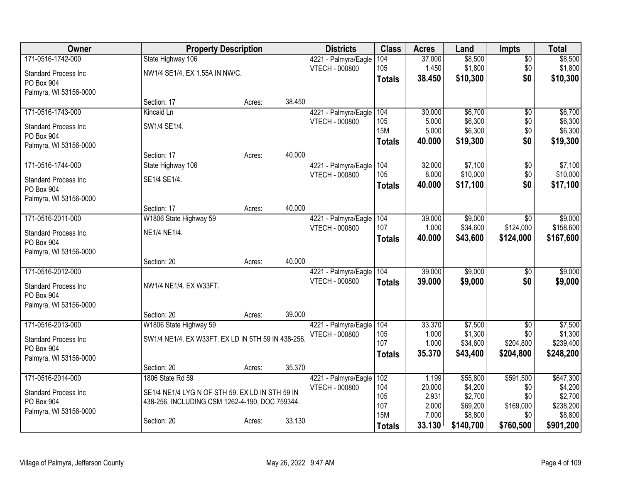| <b>Owner</b>                              | <b>Property Description</b>                        |        |        | <b>Districts</b>                                  | <b>Class</b>  | <b>Acres</b>    | Land                 | <b>Impts</b>     | <b>Total</b>         |
|-------------------------------------------|----------------------------------------------------|--------|--------|---------------------------------------------------|---------------|-----------------|----------------------|------------------|----------------------|
| 171-0516-1742-000                         | State Highway 106                                  |        |        | 4221 - Palmyra/Eagle                              | 104           | 37.000          | \$8,500              | $\sqrt{$0}$      | \$8,500              |
| <b>Standard Process Inc</b>               | NW1/4 SE1/4. EX 1.55A IN NW/C.                     |        |        | VTECH - 000800                                    | 105           | 1.450           | \$1,800              | \$0              | \$1,800              |
| PO Box 904                                |                                                    |        |        |                                                   | <b>Totals</b> | 38.450          | \$10,300             | \$0              | \$10,300             |
| Palmyra, WI 53156-0000                    |                                                    |        |        |                                                   |               |                 |                      |                  |                      |
|                                           | Section: 17                                        | Acres: | 38.450 |                                                   |               |                 |                      |                  |                      |
| 171-0516-1743-000                         | Kincaid Ln                                         |        |        | 4221 - Palmyra/Eagle                              | 104           | 30.000          | \$6,700              | $\overline{50}$  | \$6,700              |
| <b>Standard Process Inc.</b>              | SW1/4 SE1/4.                                       |        |        | <b>VTECH - 000800</b>                             | 105<br>15M    | 5.000<br>5.000  | \$6,300<br>\$6,300   | \$0<br>\$0       | \$6,300<br>\$6,300   |
| PO Box 904                                |                                                    |        |        |                                                   | <b>Totals</b> | 40.000          | \$19,300             | \$0              | \$19,300             |
| Palmyra, WI 53156-0000                    |                                                    |        |        |                                                   |               |                 |                      |                  |                      |
|                                           | Section: 17                                        | Acres: | 40.000 |                                                   |               |                 |                      |                  |                      |
| 171-0516-1744-000                         | State Highway 106                                  |        |        | 4221 - Palmyra/Eagle                              | 104<br>105    | 32.000          | \$7,100              | $\overline{50}$  | \$7,100              |
| <b>Standard Process Inc.</b>              | SE1/4 SE1/4.                                       |        |        | <b>VTECH - 000800</b>                             |               | 8.000<br>40.000 | \$10,000<br>\$17,100 | \$0<br>\$0       | \$10,000<br>\$17,100 |
| PO Box 904                                |                                                    |        |        |                                                   | <b>Totals</b> |                 |                      |                  |                      |
| Palmyra, WI 53156-0000                    |                                                    |        |        |                                                   |               |                 |                      |                  |                      |
|                                           | Section: 17                                        | Acres: | 40.000 |                                                   |               |                 |                      |                  |                      |
| 171-0516-2011-000                         | W1806 State Highway 59                             |        |        | 4221 - Palmyra/Eagle 104<br><b>VTECH - 000800</b> | 107           | 39.000<br>1.000 | \$9,000<br>\$34,600  | \$0<br>\$124,000 | \$9,000<br>\$158,600 |
| <b>Standard Process Inc</b>               | NE1/4 NE1/4.                                       |        |        |                                                   | <b>Totals</b> | 40.000          | \$43,600             | \$124,000        | \$167,600            |
| PO Box 904                                |                                                    |        |        |                                                   |               |                 |                      |                  |                      |
| Palmyra, WI 53156-0000                    |                                                    |        |        |                                                   |               |                 |                      |                  |                      |
| 171-0516-2012-000                         | Section: 20                                        | Acres: | 40.000 |                                                   |               | 39.000          | \$9,000              |                  | \$9,000              |
|                                           |                                                    |        |        | 4221 - Palmyra/Eagle 104<br><b>VTECH - 000800</b> |               | 39.000          | \$9,000              | \$0<br>\$0       | \$9,000              |
| Standard Process Inc                      | NW1/4 NE1/4. EX W33FT.                             |        |        |                                                   | <b>Totals</b> |                 |                      |                  |                      |
| PO Box 904                                |                                                    |        |        |                                                   |               |                 |                      |                  |                      |
| Palmyra, WI 53156-0000                    | Section: 20                                        |        | 39.000 |                                                   |               |                 |                      |                  |                      |
| 171-0516-2013-000                         | W1806 State Highway 59                             | Acres: |        | 4221 - Palmyra/Eagle                              | 104           | 33.370          | \$7,500              | $\overline{50}$  | \$7,500              |
|                                           |                                                    |        |        | <b>VTECH - 000800</b>                             | 105           | 1.000           | \$1,300              | \$0              | \$1,300              |
| <b>Standard Process Inc</b>               | SW1/4 NE1/4. EX W33FT. EX LD IN 5TH 59 IN 438-256. |        |        |                                                   | 107           | 1.000           | \$34,600             | \$204,800        | \$239,400            |
| PO Box 904                                |                                                    |        |        |                                                   | <b>Totals</b> | 35.370          | \$43,400             | \$204,800        | \$248,200            |
| Palmyra, WI 53156-0000                    | Section: 20                                        | Acres: | 35.370 |                                                   |               |                 |                      |                  |                      |
| 171-0516-2014-000                         | 1806 State Rd 59                                   |        |        | 4221 - Palmyra/Eagle                              | 102           | 1.199           | \$55,800             | \$591,500        | \$647,300            |
|                                           |                                                    |        |        | <b>VTECH - 000800</b>                             | 104           | 20.000          | \$4,200              | \$0              | \$4,200              |
| <b>Standard Process Inc</b><br>PO Box 904 | SE1/4 NE1/4 LYG N OF STH 59. EX LD IN STH 59 IN    |        |        |                                                   | 105           | 2.931           | \$2,700              | \$0              | \$2,700              |
| Palmyra, WI 53156-0000                    | 438-256. INCLUDING CSM 1262-4-190, DOC 759344.     |        |        |                                                   | 107           | 2.000           | \$69,200             | \$169,000        | \$238,200            |
|                                           | Section: 20                                        | Acres: | 33.130 |                                                   | <b>15M</b>    | 7.000           | \$8,800              | \$0              | \$8,800              |
|                                           |                                                    |        |        |                                                   | <b>Totals</b> | 33.130          | \$140,700            | \$760,500        | \$901,200            |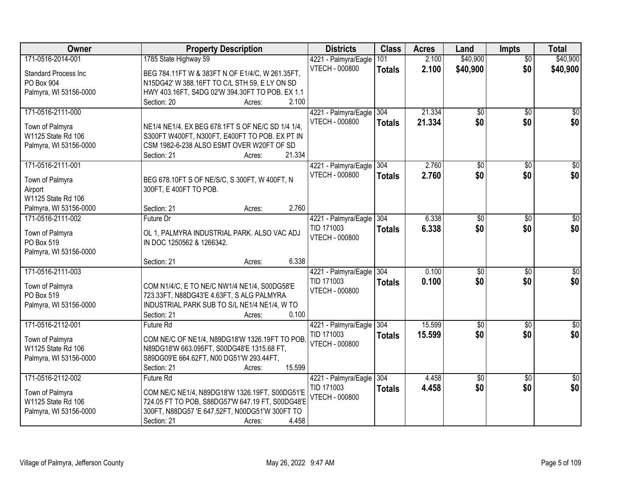| Owner                       | <b>Property Description</b>                                                 | <b>Districts</b>                    | <b>Class</b>  | <b>Acres</b> | Land            | <b>Impts</b>    | <b>Total</b>     |
|-----------------------------|-----------------------------------------------------------------------------|-------------------------------------|---------------|--------------|-----------------|-----------------|------------------|
| 171-0516-2014-001           | 1785 State Highway 59                                                       | 4221 - Palmyra/Eagle                | 101           | 2.100        | \$40,900        | $\overline{50}$ | \$40,900         |
| <b>Standard Process Inc</b> | BEG 784.11FT W & 383FT N OF E1/4/C, W 261.35FT,                             | VTECH - 000800                      | <b>Totals</b> | 2.100        | \$40,900        | \$0             | \$40,900         |
| PO Box 904                  | N15DG42' W 388.16FT TO C/L STH 59, E LY ON SD                               |                                     |               |              |                 |                 |                  |
| Palmyra, WI 53156-0000      | HWY 403.16FT, S4DG 02'W 394.30FT TO POB. EX 1.1                             |                                     |               |              |                 |                 |                  |
|                             | 2.100<br>Section: 20<br>Acres:                                              |                                     |               |              |                 |                 |                  |
| 171-0516-2111-000           |                                                                             | 4221 - Palmyra/Eagle                | 304           | 21.334       | $\overline{50}$ | $\overline{50}$ | \$0              |
| Town of Palmyra             | NE1/4 NE1/4. EX BEG 678.1FT S OF NE/C SD 1/4 1/4,                           | <b>VTECH - 000800</b>               | <b>Totals</b> | 21.334       | \$0             | \$0             | \$0              |
| W1125 State Rd 106          | S300FT W400FT, N300FT, E400FT TO POB. EX PT IN                              |                                     |               |              |                 |                 |                  |
| Palmyra, WI 53156-0000      | CSM 1982-6-238 ALSO ESMT OVER W20FT OF SD                                   |                                     |               |              |                 |                 |                  |
|                             | 21.334<br>Section: 21<br>Acres:                                             |                                     |               |              |                 |                 |                  |
| 171-0516-2111-001           |                                                                             | 4221 - Palmyra/Eagle 304            |               | 2.760        | $\overline{50}$ | \$0             | $\overline{\$0}$ |
|                             |                                                                             | <b>VTECH - 000800</b>               | Totals        | 2.760        | \$0             | \$0             | \$0              |
| Town of Palmyra             | BEG 678.10FT S OF NE/S/C, S 300FT, W 400FT, N                               |                                     |               |              |                 |                 |                  |
| Airport                     | 300FT, E 400FT TO POB.                                                      |                                     |               |              |                 |                 |                  |
| W1125 State Rd 106          | 2.760                                                                       |                                     |               |              |                 |                 |                  |
| Palmyra, WI 53156-0000      | Section: 21<br>Acres:                                                       |                                     |               |              |                 |                 |                  |
| 171-0516-2111-002           | Future Dr                                                                   | 4221 - Palmyra/Eagle                | 304           | 6.338        | $\overline{50}$ | $\sqrt[6]{}$    | $\overline{30}$  |
| Town of Palmyra             | OL 1, PALMYRA INDUSTRIAL PARK. ALSO VAC ADJ                                 | TID 171003<br><b>VTECH - 000800</b> | <b>Totals</b> | 6.338        | \$0             | \$0             | \$0              |
| PO Box 519                  | IN DOC 1250562 & 1266342.                                                   |                                     |               |              |                 |                 |                  |
| Palmyra, WI 53156-0000      |                                                                             |                                     |               |              |                 |                 |                  |
|                             | 6.338<br>Section: 21<br>Acres:                                              |                                     |               |              |                 |                 |                  |
| 171-0516-2111-003           |                                                                             | 4221 - Palmyra/Eagle                | 304           | 0.100        | \$0             | $\overline{50}$ | $\overline{30}$  |
| Town of Palmyra             | COM N1/4/C, E TO NE/C NW1/4 NE1/4, S00DG58'E                                | TID 171003                          | Totals        | 0.100        | \$0             | \$0             | \$0              |
| PO Box 519                  | 723.33FT, N88DG43'E 4.63FT, S ALG PALMYRA                                   | <b>VTECH - 000800</b>               |               |              |                 |                 |                  |
| Palmyra, WI 53156-0000      | INDUSTRIAL PARK SUB TO S/L NE1/4 NE1/4, W TO                                |                                     |               |              |                 |                 |                  |
|                             | Section: 21<br>0.100<br>Acres:                                              |                                     |               |              |                 |                 |                  |
| 171-0516-2112-001           | Future Rd                                                                   | 4221 - Palmyra/Eagle                | 304           | 15.599       | $\overline{50}$ | $\overline{30}$ | $\overline{\$0}$ |
|                             |                                                                             | TID 171003                          | <b>Totals</b> | 15.599       | \$0             | \$0             | \$0              |
| Town of Palmyra             | COM NE/C OF NE1/4, N89DG18'W 1326.19FT TO POB.                              | <b>VTECH - 000800</b>               |               |              |                 |                 |                  |
| W1125 State Rd 106          | N89DG18'W 663.095FT, S00DG48'E 1315.68 FT,                                  |                                     |               |              |                 |                 |                  |
| Palmyra, WI 53156-0000      | S89DG09'E 664.62FT, N00 DG51'W 293.44FT,<br>15.599<br>Section: 21<br>Acres: |                                     |               |              |                 |                 |                  |
| 171-0516-2112-002           | <b>Future Rd</b>                                                            | 4221 - Palmyra/Eagle                | 304           | 4.458        | $\overline{50}$ | $\overline{50}$ | $\overline{30}$  |
|                             |                                                                             | TID 171003                          |               | 4.458        | \$0             | \$0             | \$0              |
| Town of Palmyra             | COM NE/C NE1/4, N89DG18'W 1326.19FT, S00DG51'E                              | <b>VTECH - 000800</b>               | <b>Totals</b> |              |                 |                 |                  |
| W1125 State Rd 106          | 724.05 FT TO POB, S88DG57'W 647.19 FT, S00DG48'E                            |                                     |               |              |                 |                 |                  |
| Palmyra, WI 53156-0000      | 300FT, N88DG57 'E 647.52FT, N00DG51'W 300FT TO                              |                                     |               |              |                 |                 |                  |
|                             | 4.458<br>Section: 21<br>Acres:                                              |                                     |               |              |                 |                 |                  |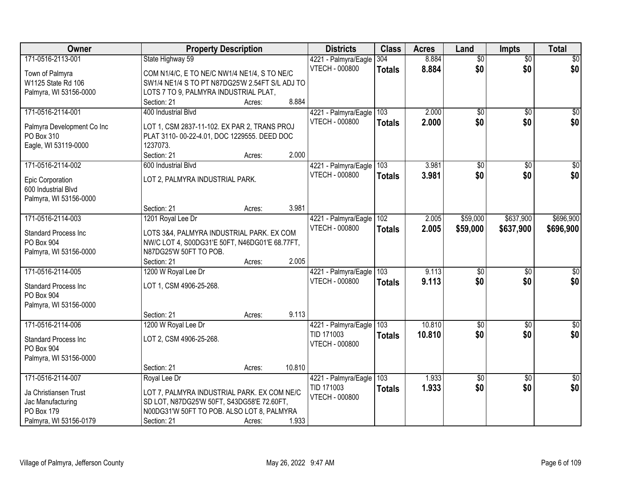| Owner                       | <b>Property Description</b>                     |        |        | <b>Districts</b>         | <b>Class</b>     | <b>Acres</b> | Land            | <b>Impts</b>    | <b>Total</b>     |
|-----------------------------|-------------------------------------------------|--------|--------|--------------------------|------------------|--------------|-----------------|-----------------|------------------|
| 171-0516-2113-001           | State Highway 59                                |        |        | 4221 - Palmyra/Eagle     | 304              | 8.884        | $\overline{60}$ | $\overline{50}$ | \$0              |
| Town of Palmyra             | COM N1/4/C, E TO NE/C NW1/4 NE1/4, S TO NE/C    |        |        | <b>VTECH - 000800</b>    | <b>Totals</b>    | 8.884        | \$0             | \$0             | \$0              |
| W1125 State Rd 106          | SW1/4 NE1/4 S TO PT N87DG25'W 2.54FT S/L ADJ TO |        |        |                          |                  |              |                 |                 |                  |
| Palmyra, WI 53156-0000      | LOTS 7 TO 9, PALMYRA INDUSTRIAL PLAT,           |        |        |                          |                  |              |                 |                 |                  |
|                             | Section: 21                                     | Acres: | 8.884  |                          |                  |              |                 |                 |                  |
| 171-0516-2114-001           | 400 Industrial Blvd                             |        |        | 4221 - Palmyra/Eagle     | 103              | 2.000        | $\overline{50}$ | $\overline{50}$ | \$0              |
|                             |                                                 |        |        | <b>VTECH - 000800</b>    | <b>Totals</b>    | 2.000        | \$0             | \$0             | \$0              |
| Palmyra Development Co Inc  | LOT 1, CSM 2837-11-102. EX PAR 2, TRANS PROJ    |        |        |                          |                  |              |                 |                 |                  |
| PO Box 310                  | PLAT 3110-00-22-4.01, DOC 1229555. DEED DOC     |        |        |                          |                  |              |                 |                 |                  |
| Eagle, WI 53119-0000        | 1237073.                                        |        |        |                          |                  |              |                 |                 |                  |
|                             | Section: 21                                     | Acres: | 2.000  |                          |                  |              |                 |                 |                  |
| 171-0516-2114-002           | 600 Industrial Blvd                             |        |        | 4221 - Palmyra/Eagle 103 |                  | 3.981        | \$0             | \$0             | $\overline{\$0}$ |
| Epic Corporation            | LOT 2, PALMYRA INDUSTRIAL PARK.                 |        |        | <b>VTECH - 000800</b>    | <b>Totals</b>    | 3.981        | \$0             | \$0             | \$0              |
| 600 Industrial Blvd         |                                                 |        |        |                          |                  |              |                 |                 |                  |
| Palmyra, WI 53156-0000      |                                                 |        |        |                          |                  |              |                 |                 |                  |
|                             | Section: 21                                     | Acres: | 3.981  |                          |                  |              |                 |                 |                  |
| 171-0516-2114-003           | 1201 Royal Lee Dr                               |        |        | 4221 - Palmyra/Eagle     | 102              | 2.005        | \$59,000        | \$637,900       | \$696,900        |
|                             |                                                 |        |        | <b>VTECH - 000800</b>    | <b>Totals</b>    | 2.005        | \$59,000        | \$637,900       | \$696,900        |
| <b>Standard Process Inc</b> | LOTS 3&4, PALMYRA INDUSTRIAL PARK. EX COM       |        |        |                          |                  |              |                 |                 |                  |
| PO Box 904                  | NW/C LOT 4, S00DG31'E 50FT, N46DG01'E 68.77FT,  |        |        |                          |                  |              |                 |                 |                  |
| Palmyra, WI 53156-0000      | N87DG25'W 50FT TO POB.                          |        |        |                          |                  |              |                 |                 |                  |
|                             | Section: 21                                     | Acres: | 2.005  |                          |                  |              |                 |                 |                  |
| 171-0516-2114-005           | 1200 W Royal Lee Dr                             |        |        | 4221 - Palmyra/Eagle     | $\overline{103}$ | 9.113        | $\overline{50}$ | $\overline{50}$ | $\overline{50}$  |
| <b>Standard Process Inc</b> | LOT 1, CSM 4906-25-268.                         |        |        | <b>VTECH - 000800</b>    | <b>Totals</b>    | 9.113        | \$0             | \$0             | \$0              |
| PO Box 904                  |                                                 |        |        |                          |                  |              |                 |                 |                  |
| Palmyra, WI 53156-0000      |                                                 |        |        |                          |                  |              |                 |                 |                  |
|                             | Section: 21                                     | Acres: | 9.113  |                          |                  |              |                 |                 |                  |
| 171-0516-2114-006           | 1200 W Royal Lee Dr                             |        |        | 4221 - Palmyra/Eagle 103 |                  | 10.810       | $\overline{50}$ | $\overline{50}$ | $\overline{\$0}$ |
| <b>Standard Process Inc</b> | LOT 2, CSM 4906-25-268.                         |        |        | TID 171003               | <b>Totals</b>    | 10.810       | \$0             | \$0             | \$0              |
| PO Box 904                  |                                                 |        |        | <b>VTECH - 000800</b>    |                  |              |                 |                 |                  |
| Palmyra, WI 53156-0000      |                                                 |        |        |                          |                  |              |                 |                 |                  |
|                             | Section: 21                                     | Acres: | 10.810 |                          |                  |              |                 |                 |                  |
| 171-0516-2114-007           | Royal Lee Dr                                    |        |        | 4221 - Palmyra/Eagle     | 103              | 1.933        | $\overline{60}$ | $\overline{50}$ | $\sqrt{50}$      |
|                             |                                                 |        |        | TID 171003               |                  | 1.933        | \$0             | \$0             | \$0              |
| Ja Christiansen Trust       | LOT 7, PALMYRA INDUSTRIAL PARK. EX COM NE/C     |        |        | <b>VTECH - 000800</b>    | <b>Totals</b>    |              |                 |                 |                  |
| Jac Manufacturing           | SD LOT, N87DG25'W 50FT, S43DG58'E 72.60FT,      |        |        |                          |                  |              |                 |                 |                  |
| PO Box 179                  | N00DG31'W 50FT TO POB. ALSO LOT 8, PALMYRA      |        |        |                          |                  |              |                 |                 |                  |
| Palmyra, WI 53156-0179      | Section: 21                                     | Acres: | 1.933  |                          |                  |              |                 |                 |                  |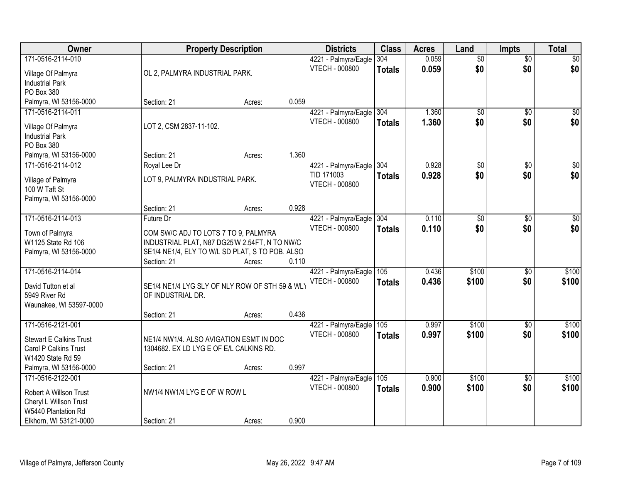| Owner                          |                                         | <b>Property Description</b>                     |       | <b>Districts</b>         | <b>Class</b>  | <b>Acres</b> | Land            | <b>Impts</b>    | <b>Total</b>    |
|--------------------------------|-----------------------------------------|-------------------------------------------------|-------|--------------------------|---------------|--------------|-----------------|-----------------|-----------------|
| 171-0516-2114-010              |                                         |                                                 |       | 4221 - Palmyra/Eagle     | 304           | 0.059        | $\overline{50}$ | $\overline{50}$ | \$0             |
| Village Of Palmyra             | OL 2, PALMYRA INDUSTRIAL PARK.          |                                                 |       | VTECH - 000800           | <b>Totals</b> | 0.059        | \$0             | \$0             | \$0             |
| <b>Industrial Park</b>         |                                         |                                                 |       |                          |               |              |                 |                 |                 |
| PO Box 380                     |                                         |                                                 |       |                          |               |              |                 |                 |                 |
| Palmyra, WI 53156-0000         | Section: 21                             | Acres:                                          | 0.059 |                          |               |              |                 |                 |                 |
| 171-0516-2114-011              |                                         |                                                 |       | 4221 - Palmyra/Eagle     | 304           | 1.360        | \$0             | $\overline{50}$ | \$0             |
| Village Of Palmyra             | LOT 2, CSM 2837-11-102.                 |                                                 |       | <b>VTECH - 000800</b>    | <b>Totals</b> | 1.360        | \$0             | \$0             | \$0             |
| <b>Industrial Park</b>         |                                         |                                                 |       |                          |               |              |                 |                 |                 |
| PO Box 380                     |                                         |                                                 |       |                          |               |              |                 |                 |                 |
| Palmyra, WI 53156-0000         | Section: 21                             | Acres:                                          | 1.360 |                          |               |              |                 |                 |                 |
| 171-0516-2114-012              | Royal Lee Dr                            |                                                 |       | 4221 - Palmyra/Eagle 304 |               | 0.928        | $\overline{50}$ | \$0             | $\overline{50}$ |
| Village of Palmyra             | LOT 9, PALMYRA INDUSTRIAL PARK.         |                                                 |       | TID 171003               | <b>Totals</b> | 0.928        | \$0             | \$0             | \$0             |
| 100 W Taft St                  |                                         |                                                 |       | <b>VTECH - 000800</b>    |               |              |                 |                 |                 |
| Palmyra, WI 53156-0000         |                                         |                                                 |       |                          |               |              |                 |                 |                 |
|                                | Section: 21                             | Acres:                                          | 0.928 |                          |               |              |                 |                 |                 |
| 171-0516-2114-013              | Future Dr                               |                                                 |       | 4221 - Palmyra/Eagle     | 304           | 0.110        | $\overline{50}$ | \$0             | $\sqrt{50}$     |
| Town of Palmyra                |                                         | COM SW/C ADJ TO LOTS 7 TO 9, PALMYRA            |       | <b>VTECH - 000800</b>    | <b>Totals</b> | 0.110        | \$0             | \$0             | \$0             |
| W1125 State Rd 106             |                                         | INDUSTRIAL PLAT, N87 DG25'W 2.54FT, N TO NW/C   |       |                          |               |              |                 |                 |                 |
| Palmyra, WI 53156-0000         |                                         | SE1/4 NE1/4, ELY TO W/L SD PLAT, S TO POB. ALSO |       |                          |               |              |                 |                 |                 |
|                                | Section: 21                             | Acres:                                          | 0.110 |                          |               |              |                 |                 |                 |
| 171-0516-2114-014              |                                         |                                                 |       | 4221 - Palmyra/Eagle 105 |               | 0.436        | \$100           | \$0             | \$100           |
| David Tutton et al             |                                         | SE1/4 NE1/4 LYG SLY OF NLY ROW OF STH 59 & WL'  |       | <b>VTECH - 000800</b>    | <b>Totals</b> | 0.436        | \$100           | \$0             | \$100           |
| 5949 River Rd                  | OF INDUSTRIAL DR.                       |                                                 |       |                          |               |              |                 |                 |                 |
| Waunakee, WI 53597-0000        |                                         |                                                 |       |                          |               |              |                 |                 |                 |
|                                | Section: 21                             | Acres:                                          | 0.436 |                          |               |              |                 |                 |                 |
| 171-0516-2121-001              |                                         |                                                 |       | 4221 - Palmyra/Eagle     | 105           | 0.997        | \$100           | \$0             | \$100           |
| <b>Stewart E Calkins Trust</b> |                                         | NE1/4 NW1/4. ALSO AVIGATION ESMT IN DOC         |       | <b>VTECH - 000800</b>    | <b>Totals</b> | 0.997        | \$100           | \$0             | \$100           |
| Carol P Calkins Trust          | 1304682. EX LD LYG E OF E/L CALKINS RD. |                                                 |       |                          |               |              |                 |                 |                 |
| W1420 State Rd 59              |                                         |                                                 |       |                          |               |              |                 |                 |                 |
| Palmyra, WI 53156-0000         | Section: 21                             | Acres:                                          | 0.997 |                          |               |              |                 |                 |                 |
| 171-0516-2122-001              |                                         |                                                 |       | 4221 - Palmyra/Eagle     | 105           | 0.900        | \$100           | $\overline{50}$ | \$100           |
| Robert A Willson Trust         | NW1/4 NW1/4 LYG E OF W ROW L            |                                                 |       | VTECH - 000800           | <b>Totals</b> | 0.900        | \$100           | \$0             | \$100           |
| Cheryl L Willson Trust         |                                         |                                                 |       |                          |               |              |                 |                 |                 |
| W5440 Plantation Rd            |                                         |                                                 |       |                          |               |              |                 |                 |                 |
| Elkhorn, WI 53121-0000         | Section: 21                             | Acres:                                          | 0.900 |                          |               |              |                 |                 |                 |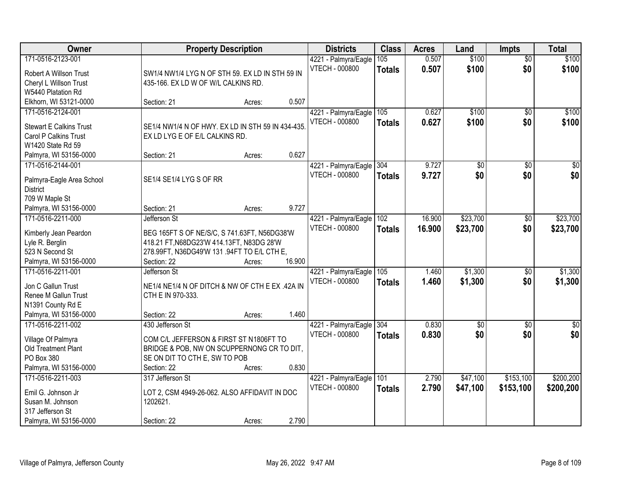| Owner                                     | <b>Property Description</b>                       | <b>Districts</b>                              | <b>Class</b>  | <b>Acres</b> | Land            | <b>Impts</b>    | <b>Total</b>     |
|-------------------------------------------|---------------------------------------------------|-----------------------------------------------|---------------|--------------|-----------------|-----------------|------------------|
| 171-0516-2123-001                         |                                                   | 4221 - Palmyra/Eagle                          | 105           | 0.507        | \$100           | $\overline{50}$ | \$100            |
| Robert A Willson Trust                    | SW1/4 NW1/4 LYG N OF STH 59. EX LD IN STH 59 IN   | <b>VTECH - 000800</b>                         | <b>Totals</b> | 0.507        | \$100           | \$0             | \$100            |
| Cheryl L Willson Trust                    | 435-166. EX LD W OF W/L CALKINS RD.               |                                               |               |              |                 |                 |                  |
| W5440 Platation Rd                        |                                                   |                                               |               |              |                 |                 |                  |
| Elkhorn, WI 53121-0000                    | 0.507<br>Section: 21<br>Acres:                    |                                               |               |              |                 |                 |                  |
| 171-0516-2124-001                         |                                                   | 4221 - Palmyra/Eagle                          | 105           | 0.627        | \$100           | $\overline{50}$ | \$100            |
|                                           |                                                   | <b>VTECH - 000800</b>                         | <b>Totals</b> | 0.627        | \$100           | \$0             | \$100            |
| <b>Stewart E Calkins Trust</b>            | SE1/4 NW1/4 N OF HWY. EX LD IN STH 59 IN 434-435. |                                               |               |              |                 |                 |                  |
| Carol P Calkins Trust                     | EX LD LYG E OF E/L CALKINS RD.                    |                                               |               |              |                 |                 |                  |
| W1420 State Rd 59                         |                                                   |                                               |               |              |                 |                 |                  |
| Palmyra, WI 53156-0000                    | 0.627<br>Section: 21<br>Acres:                    |                                               |               |              |                 |                 |                  |
| 171-0516-2144-001                         |                                                   | 4221 - Palmyra/Eagle 304                      |               | 9.727        | \$0             | \$0             | $\overline{50}$  |
| Palmyra-Eagle Area School                 | SE1/4 SE1/4 LYG S OF RR                           | <b>VTECH - 000800</b>                         | <b>Totals</b> | 9.727        | \$0             | \$0             | \$0              |
| <b>District</b>                           |                                                   |                                               |               |              |                 |                 |                  |
| 709 W Maple St                            |                                                   |                                               |               |              |                 |                 |                  |
| Palmyra, WI 53156-0000                    | 9.727<br>Section: 21<br>Acres:                    |                                               |               |              |                 |                 |                  |
| 171-0516-2211-000                         | Jefferson St                                      | 4221 - Palmyra/Eagle                          | 102           | 16.900       | \$23,700        | $\sqrt[6]{3}$   | \$23,700         |
|                                           |                                                   | VTECH - 000800                                | <b>Totals</b> | 16.900       | \$23,700        | \$0             | \$23,700         |
| Kimberly Jean Peardon                     | BEG 165FT S OF NE/S/C, S 741.63FT, N56DG38'W      |                                               |               |              |                 |                 |                  |
| Lyle R. Berglin                           | 418.21 FT, N68DG23'W 414.13FT, N83DG 28'W         |                                               |               |              |                 |                 |                  |
| 523 N Second St                           | 278.99FT, N36DG49'W 131 .94FT TO E/L CTH E,       |                                               |               |              |                 |                 |                  |
| Palmyra, WI 53156-0000                    | 16.900<br>Section: 22<br>Acres:                   |                                               |               |              |                 |                 |                  |
| 171-0516-2211-001                         | Jefferson St                                      | 4221 - Palmyra/Eagle                          | 105           | 1.460        | \$1,300         | \$0             | \$1,300          |
| Jon C Gallun Trust                        | NE1/4 NE1/4 N OF DITCH & NW OF CTH E EX .42A IN   | <b>VTECH - 000800</b>                         | <b>Totals</b> | 1.460        | \$1,300         | \$0             | \$1,300          |
| Renee M Gallun Trust                      | CTH E IN 970-333.                                 |                                               |               |              |                 |                 |                  |
| N1391 County Rd E                         |                                                   |                                               |               |              |                 |                 |                  |
| Palmyra, WI 53156-0000                    | 1.460<br>Section: 22<br>Acres:                    |                                               |               |              |                 |                 |                  |
| 171-0516-2211-002                         | 430 Jefferson St                                  | 4221 - Palmyra/Eagle                          | 304           | 0.830        | $\overline{50}$ | $\overline{50}$ | $\overline{\$0}$ |
|                                           | COM C/L JEFFERSON & FIRST ST N1806FT TO           | <b>VTECH - 000800</b>                         | <b>Totals</b> | 0.830        | \$0             | \$0             | \$0              |
| Village Of Palmyra<br>Old Treatment Plant | BRIDGE & POB, NW ON SCUPPERNONG CR TO DIT,        |                                               |               |              |                 |                 |                  |
| PO Box 380                                | SE ON DIT TO CTH E, SW TO POB                     |                                               |               |              |                 |                 |                  |
| Palmyra, WI 53156-0000                    | 0.830<br>Section: 22<br>Acres:                    |                                               |               |              |                 |                 |                  |
| 171-0516-2211-003                         | 317 Jefferson St                                  |                                               | 101           | 2.790        | \$47,100        | \$153,100       | \$200,200        |
|                                           |                                                   | 4221 - Palmyra/Eagle<br><b>VTECH - 000800</b> |               | 2.790        |                 |                 |                  |
| Emil G. Johnson Jr                        | LOT 2, CSM 4949-26-062. ALSO AFFIDAVIT IN DOC     |                                               | <b>Totals</b> |              | \$47,100        | \$153,100       | \$200,200        |
| Susan M. Johnson                          | 1202621.                                          |                                               |               |              |                 |                 |                  |
| 317 Jefferson St                          |                                                   |                                               |               |              |                 |                 |                  |
| Palmyra, WI 53156-0000                    | 2.790<br>Section: 22<br>Acres:                    |                                               |               |              |                 |                 |                  |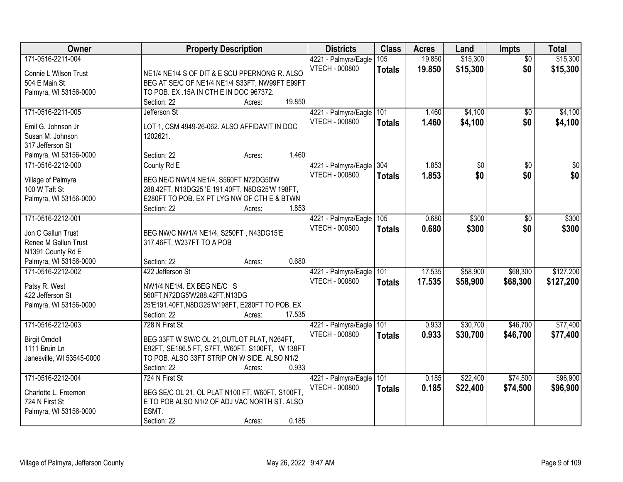| Owner                     | <b>Property Description</b>                                                                   | <b>Districts</b>         | <b>Class</b>  | <b>Acres</b> | Land     | Impts           | <b>Total</b>     |
|---------------------------|-----------------------------------------------------------------------------------------------|--------------------------|---------------|--------------|----------|-----------------|------------------|
| 171-0516-2211-004         |                                                                                               | 4221 - Palmyra/Eagle     | 105           | 19.850       | \$15,300 | $\overline{50}$ | \$15,300         |
| Connie L Wilson Trust     | NE1/4 NE1/4 S OF DIT & E SCU PPERNONG R. ALSO                                                 | <b>VTECH - 000800</b>    | <b>Totals</b> | 19.850       | \$15,300 | \$0             | \$15,300         |
| 504 E Main St             | BEG AT SE/C OF NE1/4 NE1/4 S33FT, NW99FT E99FT                                                |                          |               |              |          |                 |                  |
| Palmyra, WI 53156-0000    | TO POB. EX .15A IN CTH E IN DOC 967372.                                                       |                          |               |              |          |                 |                  |
|                           | 19.850<br>Section: 22<br>Acres:                                                               |                          |               |              |          |                 |                  |
| 171-0516-2211-005         | Jefferson St                                                                                  | 4221 - Palmyra/Eagle     | 101           | 1.460        | \$4,100  | $\overline{50}$ | \$4,100          |
| Emil G. Johnson Jr        | LOT 1, CSM 4949-26-062. ALSO AFFIDAVIT IN DOC                                                 | <b>VTECH - 000800</b>    | <b>Totals</b> | 1.460        | \$4,100  | \$0             | \$4,100          |
| Susan M. Johnson          | 1202621.                                                                                      |                          |               |              |          |                 |                  |
| 317 Jefferson St          |                                                                                               |                          |               |              |          |                 |                  |
| Palmyra, WI 53156-0000    | 1.460<br>Section: 22<br>Acres:                                                                |                          |               |              |          |                 |                  |
| 171-0516-2212-000         | County Rd E                                                                                   | 4221 - Palmyra/Eagle 304 |               | 1.853        | \$0      | \$0             | $\overline{\$0}$ |
|                           |                                                                                               | <b>VTECH - 000800</b>    | <b>Totals</b> | 1.853        | \$0      | \$0             | \$0              |
| Village of Palmyra        | BEG NE/C NW1/4 NE1/4, S560FT N72DG50'W                                                        |                          |               |              |          |                 |                  |
| 100 W Taft St             | 288.42FT, N13DG25 'E 191.40FT, N8DG25'W 198FT,<br>E280FT TO POB. EX PT LYG NW OF CTH E & BTWN |                          |               |              |          |                 |                  |
| Palmyra, WI 53156-0000    | Section: 22<br>1.853<br>Acres:                                                                |                          |               |              |          |                 |                  |
| 171-0516-2212-001         |                                                                                               | 4221 - Palmyra/Eagle     | 105           | 0.680        | \$300    | $\sqrt[6]{}$    | \$300            |
|                           |                                                                                               | <b>VTECH - 000800</b>    | <b>Totals</b> | 0.680        | \$300    | \$0             | \$300            |
| Jon C Gallun Trust        | BEG NW/C NW1/4 NE1/4, S250FT, N43DG15'E                                                       |                          |               |              |          |                 |                  |
| Renee M Gallun Trust      | 317.46FT, W237FT TO A POB                                                                     |                          |               |              |          |                 |                  |
| N1391 County Rd E         |                                                                                               |                          |               |              |          |                 |                  |
| Palmyra, WI 53156-0000    | 0.680<br>Section: 22<br>Acres:                                                                |                          |               |              |          |                 |                  |
| 171-0516-2212-002         | 422 Jefferson St                                                                              | 4221 - Palmyra/Eagle     | 101           | 17.535       | \$58,900 | \$68,300        | \$127,200        |
| Patsy R. West             | NW1/4 NE1/4. EX BEG NE/C S                                                                    | <b>VTECH - 000800</b>    | Totals        | 17,535       | \$58,900 | \$68,300        | \$127,200        |
| 422 Jefferson St          | 560FT, N72DG5'W288.42FT, N13DG                                                                |                          |               |              |          |                 |                  |
| Palmyra, WI 53156-0000    | 25'E191.40FT, N8DG25'W198FT, E280FT TO POB. EX                                                |                          |               |              |          |                 |                  |
|                           | 17.535<br>Section: 22<br>Acres:                                                               |                          |               |              |          |                 |                  |
| 171-0516-2212-003         | 728 N First St                                                                                | 4221 - Palmyra/Eagle 101 |               | 0.933        | \$30,700 | \$46,700        | \$77,400         |
| <b>Birgit Omdoll</b>      | BEG 33FT W SW/C OL 21, OUTLOT PLAT, N264FT,                                                   | <b>VTECH - 000800</b>    | <b>Totals</b> | 0.933        | \$30,700 | \$46,700        | \$77,400         |
| 1111 Bruin Ln             | E92FT, SE186.5 FT, S7FT, W60FT, S100FT, W138FT                                                |                          |               |              |          |                 |                  |
| Janesville, WI 53545-0000 | TO POB. ALSO 33FT STRIP ON W SIDE. ALSO N1/2                                                  |                          |               |              |          |                 |                  |
|                           | 0.933<br>Section: 22<br>Acres:                                                                |                          |               |              |          |                 |                  |
| 171-0516-2212-004         | 724 N First St                                                                                | 4221 - Palmyra/Eagle     | 101           | 0.185        | \$22,400 | \$74,500        | \$96,900         |
|                           |                                                                                               | <b>VTECH - 000800</b>    | <b>Totals</b> | 0.185        | \$22,400 | \$74,500        | \$96,900         |
| Charlotte L. Freemon      | BEG SE/C OL 21, OL PLAT N100 FT, W60FT, S100FT,                                               |                          |               |              |          |                 |                  |
| 724 N First St            | E TO POB ALSO N1/2 OF ADJ VAC NORTH ST. ALSO                                                  |                          |               |              |          |                 |                  |
| Palmyra, WI 53156-0000    | ESMT.                                                                                         |                          |               |              |          |                 |                  |
|                           | 0.185<br>Section: 22<br>Acres:                                                                |                          |               |              |          |                 |                  |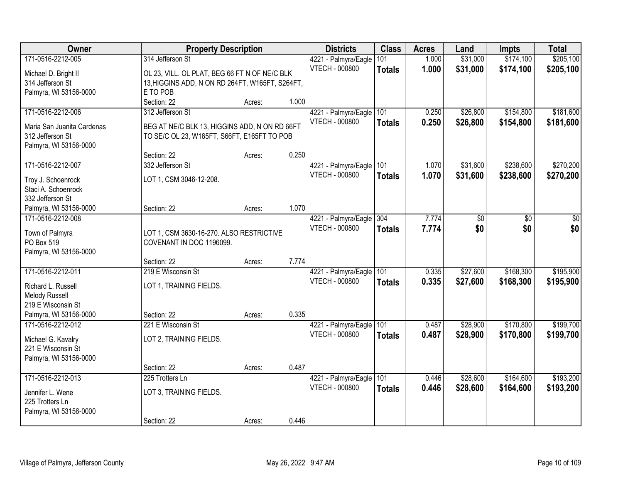| Owner                                          | <b>Property Description</b>                                                                  |        |       | <b>Districts</b>      | <b>Class</b>  | <b>Acres</b> | Land     | <b>Impts</b> | <b>Total</b> |
|------------------------------------------------|----------------------------------------------------------------------------------------------|--------|-------|-----------------------|---------------|--------------|----------|--------------|--------------|
| 171-0516-2212-005                              | 314 Jefferson St                                                                             |        |       | 4221 - Palmyra/Eagle  | 101           | 1.000        | \$31,000 | \$174,100    | \$205,100    |
| Michael D. Bright II                           | OL 23, VILL. OL PLAT, BEG 66 FT N OF NE/C BLK                                                |        |       | <b>VTECH - 000800</b> | <b>Totals</b> | 1.000        | \$31,000 | \$174,100    | \$205,100    |
| 314 Jefferson St                               | 13, HIGGINS ADD, N ON RD 264FT, W165FT, S264FT,                                              |        |       |                       |               |              |          |              |              |
| Palmyra, WI 53156-0000                         | E TO POB                                                                                     |        |       |                       |               |              |          |              |              |
|                                                | Section: 22                                                                                  | Acres: | 1.000 |                       |               |              |          |              |              |
| 171-0516-2212-006                              | 312 Jefferson St                                                                             |        |       | 4221 - Palmyra/Eagle  | 101           | 0.250        | \$26,800 | \$154,800    | \$181,600    |
|                                                |                                                                                              |        |       | <b>VTECH - 000800</b> | <b>Totals</b> | 0.250        | \$26,800 | \$154,800    | \$181,600    |
| Maria San Juanita Cardenas<br>312 Jefferson St | BEG AT NE/C BLK 13, HIGGINS ADD, N ON RD 66FT<br>TO SE/C OL 23, W165FT, S66FT, E165FT TO POB |        |       |                       |               |              |          |              |              |
| Palmyra, WI 53156-0000                         |                                                                                              |        |       |                       |               |              |          |              |              |
|                                                | Section: 22                                                                                  | Acres: | 0.250 |                       |               |              |          |              |              |
| 171-0516-2212-007                              | 332 Jefferson St                                                                             |        |       | 4221 - Palmyra/Eagle  | 101           | 1.070        | \$31,600 | \$238,600    | \$270,200    |
|                                                |                                                                                              |        |       | <b>VTECH - 000800</b> | <b>Totals</b> | 1.070        | \$31,600 | \$238,600    | \$270,200    |
| Troy J. Schoenrock                             | LOT 1, CSM 3046-12-208.                                                                      |        |       |                       |               |              |          |              |              |
| Staci A. Schoenrock<br>332 Jefferson St        |                                                                                              |        |       |                       |               |              |          |              |              |
| Palmyra, WI 53156-0000                         | Section: 22                                                                                  | Acres: | 1.070 |                       |               |              |          |              |              |
| 171-0516-2212-008                              |                                                                                              |        |       | 4221 - Palmyra/Eagle  | 304           | 7.774        | \$0      | \$0          | \$0          |
|                                                |                                                                                              |        |       | <b>VTECH - 000800</b> | <b>Totals</b> | 7.774        | \$0      | \$0          | \$0          |
| Town of Palmyra                                | LOT 1, CSM 3630-16-270. ALSO RESTRICTIVE                                                     |        |       |                       |               |              |          |              |              |
| PO Box 519                                     | COVENANT IN DOC 1196099.                                                                     |        |       |                       |               |              |          |              |              |
| Palmyra, WI 53156-0000                         |                                                                                              |        |       |                       |               |              |          |              |              |
|                                                | Section: 22                                                                                  | Acres: | 7.774 |                       |               |              |          |              |              |
| 171-0516-2212-011                              | 219 E Wisconsin St                                                                           |        |       | 4221 - Palmyra/Eagle  | 101           | 0.335        | \$27,600 | \$168,300    | \$195,900    |
| Richard L. Russell                             | LOT 1, TRAINING FIELDS.                                                                      |        |       | <b>VTECH - 000800</b> | <b>Totals</b> | 0.335        | \$27,600 | \$168,300    | \$195,900    |
| <b>Melody Russell</b>                          |                                                                                              |        |       |                       |               |              |          |              |              |
| 219 E Wisconsin St                             |                                                                                              |        |       |                       |               |              |          |              |              |
| Palmyra, WI 53156-0000                         | Section: 22                                                                                  | Acres: | 0.335 |                       |               |              |          |              |              |
| 171-0516-2212-012                              | 221 E Wisconsin St                                                                           |        |       | 4221 - Palmyra/Eagle  | 101           | 0.487        | \$28,900 | \$170,800    | \$199,700    |
| Michael G. Kavalry                             | LOT 2, TRAINING FIELDS.                                                                      |        |       | <b>VTECH - 000800</b> | <b>Totals</b> | 0.487        | \$28,900 | \$170,800    | \$199,700    |
| 221 E Wisconsin St                             |                                                                                              |        |       |                       |               |              |          |              |              |
| Palmyra, WI 53156-0000                         |                                                                                              |        |       |                       |               |              |          |              |              |
|                                                | Section: 22                                                                                  | Acres: | 0.487 |                       |               |              |          |              |              |
| 171-0516-2212-013                              | 225 Trotters Ln                                                                              |        |       | 4221 - Palmyra/Eagle  | 101           | 0.446        | \$28,600 | \$164,600    | \$193,200    |
|                                                |                                                                                              |        |       | <b>VTECH - 000800</b> | <b>Totals</b> | 0.446        | \$28,600 | \$164,600    | \$193,200    |
| Jennifer L. Wene<br>225 Trotters Ln            | LOT 3, TRAINING FIELDS.                                                                      |        |       |                       |               |              |          |              |              |
| Palmyra, WI 53156-0000                         |                                                                                              |        |       |                       |               |              |          |              |              |
|                                                | Section: 22                                                                                  | Acres: | 0.446 |                       |               |              |          |              |              |
|                                                |                                                                                              |        |       |                       |               |              |          |              |              |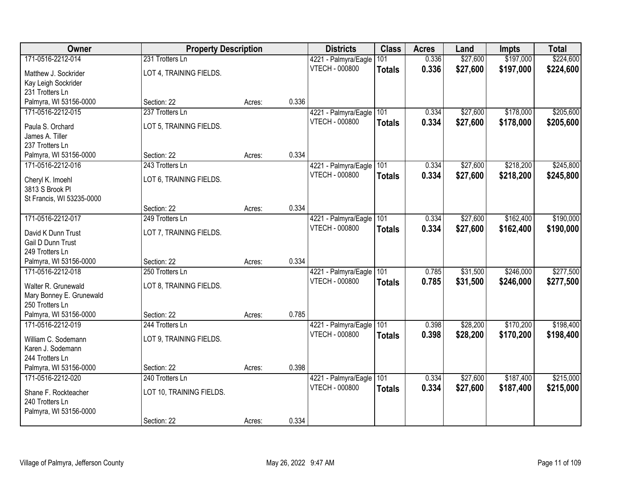| Owner                                | <b>Property Description</b> |        |       | <b>Districts</b>      | <b>Class</b>  | <b>Acres</b> | Land     | <b>Impts</b> | <b>Total</b> |
|--------------------------------------|-----------------------------|--------|-------|-----------------------|---------------|--------------|----------|--------------|--------------|
| 171-0516-2212-014                    | 231 Trotters Ln             |        |       | 4221 - Palmyra/Eagle  | 101           | 0.336        | \$27,600 | \$197,000    | \$224,600    |
| Matthew J. Sockrider                 | LOT 4, TRAINING FIELDS.     |        |       | VTECH - 000800        | <b>Totals</b> | 0.336        | \$27,600 | \$197,000    | \$224,600    |
| Kay Leigh Sockrider                  |                             |        |       |                       |               |              |          |              |              |
| 231 Trotters Ln                      |                             |        |       |                       |               |              |          |              |              |
| Palmyra, WI 53156-0000               | Section: 22                 | Acres: | 0.336 |                       |               |              |          |              |              |
| 171-0516-2212-015                    | 237 Trotters Ln             |        |       | 4221 - Palmyra/Eagle  | 101           | 0.334        | \$27,600 | \$178,000    | \$205,600    |
| Paula S. Orchard                     | LOT 5, TRAINING FIELDS.     |        |       | VTECH - 000800        | <b>Totals</b> | 0.334        | \$27,600 | \$178,000    | \$205,600    |
| James A. Tiller                      |                             |        |       |                       |               |              |          |              |              |
| 237 Trotters Ln                      |                             |        |       |                       |               |              |          |              |              |
| Palmyra, WI 53156-0000               | Section: 22                 | Acres: | 0.334 |                       |               |              |          |              |              |
| 171-0516-2212-016                    | 243 Trotters Ln             |        |       | 4221 - Palmyra/Eagle  | 101           | 0.334        | \$27,600 | \$218,200    | \$245,800    |
|                                      |                             |        |       | <b>VTECH - 000800</b> | <b>Totals</b> | 0.334        | \$27,600 | \$218,200    | \$245,800    |
| Cheryl K. Imoehl<br>3813 S Brook PI  | LOT 6, TRAINING FIELDS.     |        |       |                       |               |              |          |              |              |
| St Francis, WI 53235-0000            |                             |        |       |                       |               |              |          |              |              |
|                                      | Section: 22                 | Acres: | 0.334 |                       |               |              |          |              |              |
| 171-0516-2212-017                    | 249 Trotters Ln             |        |       | 4221 - Palmyra/Eagle  | 101           | 0.334        | \$27,600 | \$162,400    | \$190,000    |
|                                      |                             |        |       | <b>VTECH - 000800</b> | <b>Totals</b> | 0.334        | \$27,600 | \$162,400    | \$190,000    |
| David K Dunn Trust                   | LOT 7, TRAINING FIELDS.     |        |       |                       |               |              |          |              |              |
| Gail D Dunn Trust<br>249 Trotters Ln |                             |        |       |                       |               |              |          |              |              |
| Palmyra, WI 53156-0000               | Section: 22                 | Acres: | 0.334 |                       |               |              |          |              |              |
| 171-0516-2212-018                    | 250 Trotters Ln             |        |       | 4221 - Palmyra/Eagle  | 101           | 0.785        | \$31,500 | \$246,000    | \$277,500    |
|                                      |                             |        |       | VTECH - 000800        | <b>Totals</b> | 0.785        | \$31,500 | \$246,000    | \$277,500    |
| Walter R. Grunewald                  | LOT 8, TRAINING FIELDS.     |        |       |                       |               |              |          |              |              |
| Mary Bonney E. Grunewald             |                             |        |       |                       |               |              |          |              |              |
| 250 Trotters Ln                      |                             |        |       |                       |               |              |          |              |              |
| Palmyra, WI 53156-0000               | Section: 22                 | Acres: | 0.785 |                       |               |              |          |              |              |
| 171-0516-2212-019                    | 244 Trotters Ln             |        |       | 4221 - Palmyra/Eagle  | 101           | 0.398        | \$28,200 | \$170,200    | \$198,400    |
| William C. Sodemann                  | LOT 9, TRAINING FIELDS.     |        |       | VTECH - 000800        | <b>Totals</b> | 0.398        | \$28,200 | \$170,200    | \$198,400    |
| Karen J. Sodemann                    |                             |        |       |                       |               |              |          |              |              |
| 244 Trotters Ln                      |                             |        |       |                       |               |              |          |              |              |
| Palmyra, WI 53156-0000               | Section: 22                 | Acres: | 0.398 |                       |               |              |          |              |              |
| 171-0516-2212-020                    | 240 Trotters Ln             |        |       | 4221 - Palmyra/Eagle  | 101           | 0.334        | \$27,600 | \$187,400    | \$215,000    |
| Shane F. Rockteacher                 | LOT 10, TRAINING FIELDS.    |        |       | VTECH - 000800        | <b>Totals</b> | 0.334        | \$27,600 | \$187,400    | \$215,000    |
| 240 Trotters Ln                      |                             |        |       |                       |               |              |          |              |              |
| Palmyra, WI 53156-0000               |                             |        |       |                       |               |              |          |              |              |
|                                      | Section: 22                 | Acres: | 0.334 |                       |               |              |          |              |              |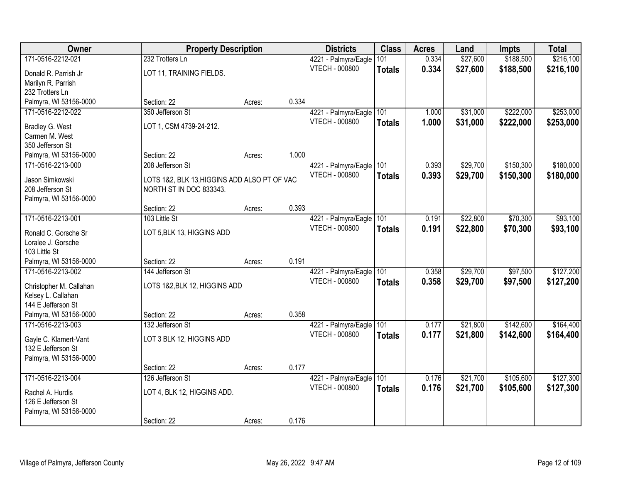| Owner                   | <b>Property Description</b>                  |        |       | <b>Districts</b>                              | <b>Class</b>  | <b>Acres</b>   | Land                 | <b>Impts</b>           | <b>Total</b> |
|-------------------------|----------------------------------------------|--------|-------|-----------------------------------------------|---------------|----------------|----------------------|------------------------|--------------|
| 171-0516-2212-021       | 232 Trotters Ln                              |        |       | 4221 - Palmyra/Eagle                          | 101           | 0.334          | \$27,600             | \$188,500              | \$216,100    |
| Donald R. Parrish Jr    | LOT 11, TRAINING FIELDS.                     |        |       | VTECH - 000800                                | <b>Totals</b> | 0.334          | \$27,600             | \$188,500              | \$216,100    |
| Marilyn R. Parrish      |                                              |        |       |                                               |               |                |                      |                        |              |
| 232 Trotters Ln         |                                              |        |       |                                               |               |                |                      |                        |              |
| Palmyra, WI 53156-0000  | Section: 22                                  | Acres: | 0.334 |                                               |               |                |                      |                        |              |
| 171-0516-2212-022       | 350 Jefferson St                             |        |       | 4221 - Palmyra/Eagle                          | 101           | 1.000          | \$31,000             | \$222,000              | \$253,000    |
| <b>Bradley G. West</b>  | LOT 1, CSM 4739-24-212.                      |        |       | VTECH - 000800                                | <b>Totals</b> | 1.000          | \$31,000             | \$222,000              | \$253,000    |
| Carmen M. West          |                                              |        |       |                                               |               |                |                      |                        |              |
| 350 Jefferson St        |                                              |        |       |                                               |               |                |                      |                        |              |
| Palmyra, WI 53156-0000  | Section: 22                                  | Acres: | 1.000 |                                               |               |                |                      |                        |              |
| 171-0516-2213-000       | 208 Jefferson St                             |        |       | 4221 - Palmyra/Eagle                          | 101           | 0.393          | \$29,700             | \$150,300              | \$180,000    |
| Jason Simkowski         | LOTS 1&2, BLK 13, HIGGINS ADD ALSO PT OF VAC |        |       | <b>VTECH - 000800</b>                         | <b>Totals</b> | 0.393          | \$29,700             | \$150,300              | \$180,000    |
| 208 Jefferson St        | NORTH ST IN DOC 833343.                      |        |       |                                               |               |                |                      |                        |              |
| Palmyra, WI 53156-0000  |                                              |        |       |                                               |               |                |                      |                        |              |
|                         | Section: 22                                  | Acres: | 0.393 |                                               |               |                |                      |                        |              |
| 171-0516-2213-001       | 103 Little St                                |        |       | 4221 - Palmyra/Eagle                          | 101           | 0.191          | \$22,800             | \$70,300               | \$93,100     |
| Ronald C. Gorsche Sr    | LOT 5, BLK 13, HIGGINS ADD                   |        |       | <b>VTECH - 000800</b>                         | <b>Totals</b> | 0.191          | \$22,800             | \$70,300               | \$93,100     |
| Loralee J. Gorsche      |                                              |        |       |                                               |               |                |                      |                        |              |
| 103 Little St           |                                              |        |       |                                               |               |                |                      |                        |              |
| Palmyra, WI 53156-0000  | Section: 22                                  | Acres: | 0.191 |                                               |               |                |                      |                        |              |
| 171-0516-2213-002       | 144 Jefferson St                             |        |       | 4221 - Palmyra/Eagle<br><b>VTECH - 000800</b> | 101           | 0.358          | \$29,700             | \$97,500               | \$127,200    |
| Christopher M. Callahan | LOTS 1&2, BLK 12, HIGGINS ADD                |        |       |                                               | <b>Totals</b> | 0.358          | \$29,700             | \$97,500               | \$127,200    |
| Kelsey L. Callahan      |                                              |        |       |                                               |               |                |                      |                        |              |
| 144 E Jefferson St      |                                              |        |       |                                               |               |                |                      |                        |              |
| Palmyra, WI 53156-0000  | Section: 22                                  | Acres: | 0.358 |                                               |               |                |                      |                        | \$164,400    |
| 171-0516-2213-003       | 132 Jefferson St                             |        |       | 4221 - Palmyra/Eagle<br>VTECH - 000800        | 101           | 0.177<br>0.177 | \$21,800<br>\$21,800 | \$142,600<br>\$142,600 | \$164,400    |
| Gayle C. Klamert-Vant   | LOT 3 BLK 12, HIGGINS ADD                    |        |       |                                               | <b>Totals</b> |                |                      |                        |              |
| 132 E Jefferson St      |                                              |        |       |                                               |               |                |                      |                        |              |
| Palmyra, WI 53156-0000  |                                              |        | 0.177 |                                               |               |                |                      |                        |              |
| 171-0516-2213-004       | Section: 22<br>126 Jefferson St              | Acres: |       |                                               | 101           | 0.176          | \$21,700             | \$105,600              | \$127,300    |
|                         |                                              |        |       | 4221 - Palmyra/Eagle<br>VTECH - 000800        | <b>Totals</b> | 0.176          | \$21,700             | \$105,600              | \$127,300    |
| Rachel A. Hurdis        | LOT 4, BLK 12, HIGGINS ADD.                  |        |       |                                               |               |                |                      |                        |              |
| 126 E Jefferson St      |                                              |        |       |                                               |               |                |                      |                        |              |
| Palmyra, WI 53156-0000  | Section: 22                                  |        | 0.176 |                                               |               |                |                      |                        |              |
|                         |                                              | Acres: |       |                                               |               |                |                      |                        |              |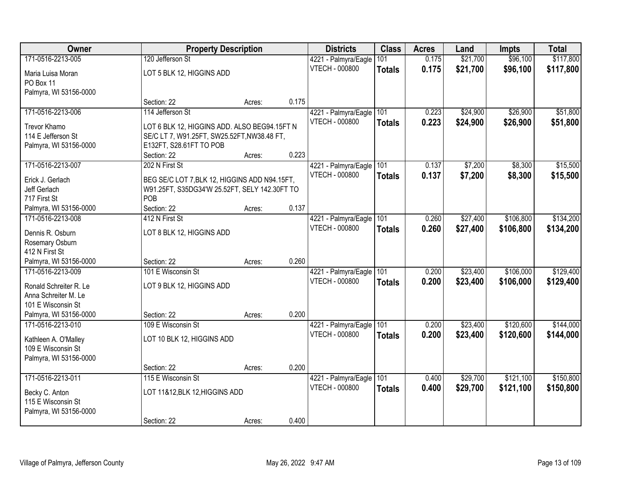| Owner                                          |                                               | <b>Property Description</b> |       | <b>Districts</b>      | <b>Class</b>  | <b>Acres</b> | Land     | <b>Impts</b> | <b>Total</b> |
|------------------------------------------------|-----------------------------------------------|-----------------------------|-------|-----------------------|---------------|--------------|----------|--------------|--------------|
| 171-0516-2213-005                              | 120 Jefferson St                              |                             |       | 4221 - Palmyra/Eagle  | 101           | 0.175        | \$21,700 | \$96,100     | \$117,800    |
| Maria Luisa Moran                              | LOT 5 BLK 12, HIGGINS ADD                     |                             |       | VTECH - 000800        | <b>Totals</b> | 0.175        | \$21,700 | \$96,100     | \$117,800    |
| PO Box 11                                      |                                               |                             |       |                       |               |              |          |              |              |
| Palmyra, WI 53156-0000                         |                                               |                             |       |                       |               |              |          |              |              |
|                                                | Section: 22                                   | Acres:                      | 0.175 |                       |               |              |          |              |              |
| 171-0516-2213-006                              | 114 Jefferson St                              |                             |       | 4221 - Palmyra/Eagle  | 101           | 0.223        | \$24,900 | \$26,900     | \$51,800     |
| Trevor Khamo                                   | LOT 6 BLK 12, HIGGINS ADD. ALSO BEG94.15FT N  |                             |       | <b>VTECH - 000800</b> | <b>Totals</b> | 0.223        | \$24,900 | \$26,900     | \$51,800     |
| 114 E Jefferson St                             | SE/C LT 7, W91.25FT, SW25.52FT, NW38.48 FT,   |                             |       |                       |               |              |          |              |              |
| Palmyra, WI 53156-0000                         | E132FT, S28.61FT TO POB                       |                             |       |                       |               |              |          |              |              |
|                                                | Section: 22                                   | Acres:                      | 0.223 |                       |               |              |          |              |              |
| 171-0516-2213-007                              | 202 N First St                                |                             |       | 4221 - Palmyra/Eagle  | 101           | 0.137        | \$7,200  | \$8,300      | \$15,500     |
| Erick J. Gerlach                               | BEG SE/C LOT 7, BLK 12, HIGGINS ADD N94.15FT, |                             |       | <b>VTECH - 000800</b> | <b>Totals</b> | 0.137        | \$7,200  | \$8,300      | \$15,500     |
| Jeff Gerlach                                   | W91.25FT, S35DG34'W 25.52FT, SELY 142.30FT TO |                             |       |                       |               |              |          |              |              |
| 717 First St                                   | POB                                           |                             |       |                       |               |              |          |              |              |
| Palmyra, WI 53156-0000                         | Section: 22                                   | Acres:                      | 0.137 |                       |               |              |          |              |              |
| 171-0516-2213-008                              | 412 N First St                                |                             |       | 4221 - Palmyra/Eagle  | 101           | 0.260        | \$27,400 | \$106,800    | \$134,200    |
| Dennis R. Osburn                               | LOT 8 BLK 12, HIGGINS ADD                     |                             |       | <b>VTECH - 000800</b> | <b>Totals</b> | 0.260        | \$27,400 | \$106,800    | \$134,200    |
| Rosemary Osburn                                |                                               |                             |       |                       |               |              |          |              |              |
| 412 N First St                                 |                                               |                             |       |                       |               |              |          |              |              |
| Palmyra, WI 53156-0000                         | Section: 22                                   | Acres:                      | 0.260 |                       |               |              |          |              |              |
| 171-0516-2213-009                              | 101 E Wisconsin St                            |                             |       | 4221 - Palmyra/Eagle  | 101           | 0.200        | \$23,400 | \$106,000    | \$129,400    |
|                                                | LOT 9 BLK 12, HIGGINS ADD                     |                             |       | <b>VTECH - 000800</b> | <b>Totals</b> | 0.200        | \$23,400 | \$106,000    | \$129,400    |
| Ronald Schreiter R. Le<br>Anna Schreiter M. Le |                                               |                             |       |                       |               |              |          |              |              |
| 101 E Wisconsin St                             |                                               |                             |       |                       |               |              |          |              |              |
| Palmyra, WI 53156-0000                         | Section: 22                                   | Acres:                      | 0.200 |                       |               |              |          |              |              |
| 171-0516-2213-010                              | 109 E Wisconsin St                            |                             |       | 4221 - Palmyra/Eagle  | 101           | 0.200        | \$23,400 | \$120,600    | \$144,000    |
|                                                |                                               |                             |       | VTECH - 000800        | <b>Totals</b> | 0.200        | \$23,400 | \$120,600    | \$144,000    |
| Kathleen A. O'Malley<br>109 E Wisconsin St     | LOT 10 BLK 12, HIGGINS ADD                    |                             |       |                       |               |              |          |              |              |
| Palmyra, WI 53156-0000                         |                                               |                             |       |                       |               |              |          |              |              |
|                                                | Section: 22                                   | Acres:                      | 0.200 |                       |               |              |          |              |              |
| 171-0516-2213-011                              | 115 E Wisconsin St                            |                             |       | 4221 - Palmyra/Eagle  | 101           | 0.400        | \$29,700 | \$121,100    | \$150,800    |
|                                                |                                               |                             |       | VTECH - 000800        | <b>Totals</b> | 0.400        | \$29,700 | \$121,100    | \$150,800    |
| Becky C. Anton                                 | LOT 11&12, BLK 12, HIGGINS ADD                |                             |       |                       |               |              |          |              |              |
| 115 E Wisconsin St                             |                                               |                             |       |                       |               |              |          |              |              |
| Palmyra, WI 53156-0000                         | Section: 22                                   |                             | 0.400 |                       |               |              |          |              |              |
|                                                |                                               | Acres:                      |       |                       |               |              |          |              |              |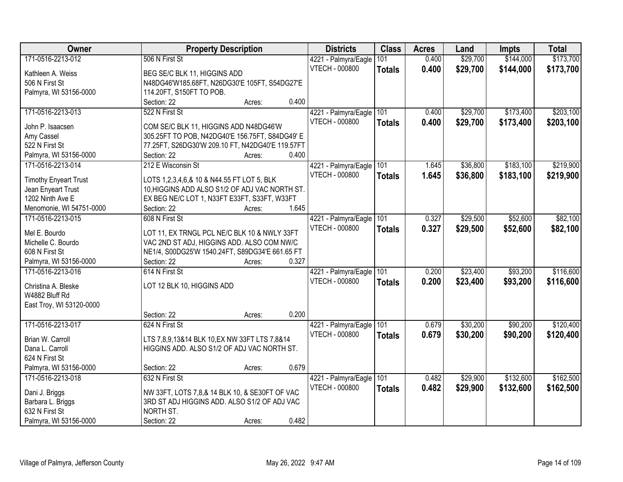| Owner                        | <b>Property Description</b>                      | <b>Districts</b>      | <b>Class</b>  | <b>Acres</b> | Land     | Impts     | <b>Total</b> |
|------------------------------|--------------------------------------------------|-----------------------|---------------|--------------|----------|-----------|--------------|
| 171-0516-2213-012            | 506 N First St                                   | 4221 - Palmyra/Eagle  | 101           | 0.400        | \$29,700 | \$144,000 | \$173,700    |
| Kathleen A. Weiss            | BEG SE/C BLK 11, HIGGINS ADD                     | <b>VTECH - 000800</b> | <b>Totals</b> | 0.400        | \$29,700 | \$144,000 | \$173,700    |
| 506 N First St               | N48DG46'W185.68FT, N26DG30'E 105FT, S54DG27'E    |                       |               |              |          |           |              |
| Palmyra, WI 53156-0000       | 114.20FT, S150FT TO POB.                         |                       |               |              |          |           |              |
|                              | 0.400<br>Section: 22<br>Acres:                   |                       |               |              |          |           |              |
| 171-0516-2213-013            | 522 N First St                                   | 4221 - Palmyra/Eagle  | 101           | 0.400        | \$29,700 | \$173,400 | \$203,100    |
|                              |                                                  | <b>VTECH - 000800</b> | <b>Totals</b> | 0.400        | \$29,700 | \$173,400 | \$203,100    |
| John P. Isaacsen             | COM SE/C BLK 11, HIGGINS ADD N48DG46'W           |                       |               |              |          |           |              |
| Amy Cassel                   | 305.25FT TO POB, N42DG40'E 156.75FT, S84DG49' E  |                       |               |              |          |           |              |
| 522 N First St               | 77.25FT, S26DG30'W 209.10 FT, N42DG40'E 119.57FT |                       |               |              |          |           |              |
| Palmyra, WI 53156-0000       | Section: 22<br>0.400<br>Acres:                   |                       |               |              |          |           |              |
| 171-0516-2213-014            | 212 E Wisconsin St                               | 4221 - Palmyra/Eagle  | 101           | 1.645        | \$36,800 | \$183,100 | \$219,900    |
| <b>Timothy Enyeart Trust</b> | LOTS 1,2,3,4,6,& 10 & N44.55 FT LOT 5, BLK       | <b>VTECH - 000800</b> | <b>Totals</b> | 1.645        | \$36,800 | \$183,100 | \$219,900    |
| Jean Enyeart Trust           | 10. HIGGINS ADD ALSO S1/2 OF ADJ VAC NORTH ST.   |                       |               |              |          |           |              |
| 1202 Ninth Ave E             | EX BEG NE/C LOT 1, N33FT E33FT, S33FT, W33FT     |                       |               |              |          |           |              |
| Menomonie, WI 54751-0000     | 1.645<br>Section: 22<br>Acres:                   |                       |               |              |          |           |              |
| 171-0516-2213-015            | 608 N First St                                   | 4221 - Palmyra/Eagle  | 101           | 0.327        | \$29,500 | \$52,600  | \$82,100     |
|                              |                                                  | <b>VTECH - 000800</b> | <b>Totals</b> | 0.327        | \$29,500 | \$52,600  | \$82,100     |
| Mel E. Bourdo                | LOT 11, EX TRNGL PCL NE/C BLK 10 & NWLY 33FT     |                       |               |              |          |           |              |
| Michelle C. Bourdo           | VAC 2ND ST ADJ, HIGGINS ADD. ALSO COM NW/C       |                       |               |              |          |           |              |
| 608 N First St               | NE1/4, S00DG25'W 1540.24FT, S89DG34'E 661.65 FT  |                       |               |              |          |           |              |
| Palmyra, WI 53156-0000       | 0.327<br>Section: 22<br>Acres:                   |                       |               |              |          |           |              |
| 171-0516-2213-016            | 614 N First St                                   | 4221 - Palmyra/Eagle  | 101           | 0.200        | \$23,400 | \$93,200  | \$116,600    |
| Christina A. Bleske          | LOT 12 BLK 10, HIGGINS ADD                       | <b>VTECH - 000800</b> | <b>Totals</b> | 0.200        | \$23,400 | \$93,200  | \$116,600    |
| W4882 Bluff Rd               |                                                  |                       |               |              |          |           |              |
| East Troy, WI 53120-0000     |                                                  |                       |               |              |          |           |              |
|                              | 0.200<br>Section: 22<br>Acres:                   |                       |               |              |          |           |              |
| 171-0516-2213-017            | 624 N First St                                   | 4221 - Palmyra/Eagle  | 101           | 0.679        | \$30,200 | \$90,200  | \$120,400    |
|                              |                                                  | <b>VTECH - 000800</b> | <b>Totals</b> | 0.679        | \$30,200 | \$90,200  | \$120,400    |
| Brian W. Carroll             | LTS 7,8,9,13&14 BLK 10, EX NW 33FT LTS 7,8&14    |                       |               |              |          |           |              |
| Dana L. Carroll              | HIGGINS ADD. ALSO S1/2 OF ADJ VAC NORTH ST.      |                       |               |              |          |           |              |
| 624 N First St               |                                                  |                       |               |              |          |           |              |
| Palmyra, WI 53156-0000       | 0.679<br>Section: 22<br>Acres:                   |                       |               |              |          |           |              |
| 171-0516-2213-018            | 632 N First St                                   | 4221 - Palmyra/Eagle  | 101           | 0.482        | \$29,900 | \$132,600 | \$162,500    |
| Dani J. Briggs               | NW 33FT, LOTS 7,8,& 14 BLK 10, & SE30FT OF VAC   | <b>VTECH - 000800</b> | <b>Totals</b> | 0.482        | \$29,900 | \$132,600 | \$162,500    |
| Barbara L. Briggs            | 3RD ST ADJ HIGGINS ADD. ALSO S1/2 OF ADJ VAC     |                       |               |              |          |           |              |
| 632 N First St               | NORTH ST.                                        |                       |               |              |          |           |              |
| Palmyra, WI 53156-0000       | 0.482<br>Section: 22<br>Acres:                   |                       |               |              |          |           |              |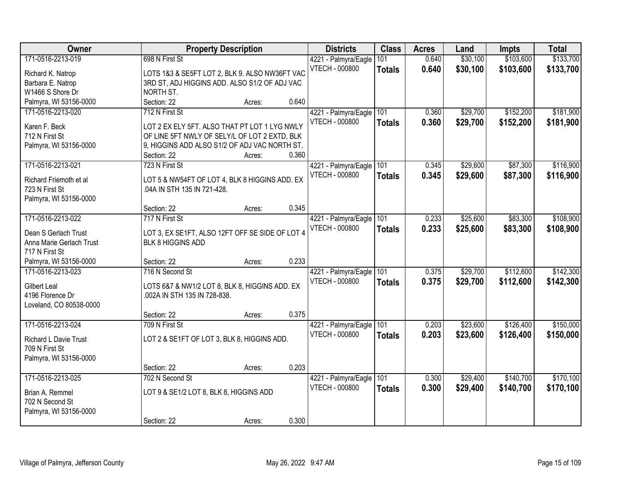| Owner                              |                                                              | <b>Property Description</b> |       | <b>Districts</b>                              | <b>Class</b>  | <b>Acres</b> | Land     | Impts     | <b>Total</b> |
|------------------------------------|--------------------------------------------------------------|-----------------------------|-------|-----------------------------------------------|---------------|--------------|----------|-----------|--------------|
| 171-0516-2213-019                  | 698 N First St                                               |                             |       | 4221 - Palmyra/Eagle                          | 101           | 0.640        | \$30,100 | \$103,600 | \$133,700    |
| Richard K. Natrop                  | LOTS 1&3 & SE5FT LOT 2, BLK 9. ALSO NW36FT VAC               |                             |       | <b>VTECH - 000800</b>                         | <b>Totals</b> | 0.640        | \$30,100 | \$103,600 | \$133,700    |
| Barbara E. Natrop                  | 3RD ST, ADJ HIGGINS ADD. ALSO S1/2 OF ADJ VAC                |                             |       |                                               |               |              |          |           |              |
| W1466 S Shore Dr                   | NORTH ST.                                                    |                             |       |                                               |               |              |          |           |              |
| Palmyra, WI 53156-0000             | Section: 22                                                  | Acres:                      | 0.640 |                                               |               |              |          |           |              |
| 171-0516-2213-020                  | 712 N First St                                               |                             |       | 4221 - Palmyra/Eagle                          | 101           | 0.360        | \$29,700 | \$152,200 | \$181,900    |
|                                    |                                                              |                             |       | <b>VTECH - 000800</b>                         | <b>Totals</b> | 0.360        | \$29,700 | \$152,200 | \$181,900    |
| Karen F. Beck                      | LOT 2 EX ELY 5FT. ALSO THAT PT LOT 1 LYG NWLY                |                             |       |                                               |               |              |          |           |              |
| 712 N First St                     | OF LINE 5FT NWLY OF SELY/L OF LOT 2 EXTD, BLK                |                             |       |                                               |               |              |          |           |              |
| Palmyra, WI 53156-0000             | 9, HIGGINS ADD ALSO S1/2 OF ADJ VAC NORTH ST.<br>Section: 22 |                             | 0.360 |                                               |               |              |          |           |              |
| 171-0516-2213-021                  | 723 N First St                                               | Acres:                      |       |                                               | 101           | 0.345        | \$29,600 | \$87,300  | \$116,900    |
|                                    |                                                              |                             |       | 4221 - Palmyra/Eagle<br><b>VTECH - 000800</b> |               |              |          |           |              |
| Richard Friemoth et al             | LOT 5 & NW54FT OF LOT 4, BLK 8 HIGGINS ADD. EX               |                             |       |                                               | <b>Totals</b> | 0.345        | \$29,600 | \$87,300  | \$116,900    |
| 723 N First St                     | .04A IN STH 135 IN 721-428.                                  |                             |       |                                               |               |              |          |           |              |
| Palmyra, WI 53156-0000             |                                                              |                             |       |                                               |               |              |          |           |              |
|                                    | Section: 22                                                  | Acres:                      | 0.345 |                                               |               |              |          |           |              |
| 171-0516-2213-022                  | 717 N First St                                               |                             |       | 4221 - Palmyra/Eagle                          | 101           | 0.233        | \$25,600 | \$83,300  | \$108,900    |
| Dean S Gerlach Trust               | LOT 3, EX SE1FT, ALSO 12FT OFF SE SIDE OF LOT 4              |                             |       | VTECH - 000800                                | <b>Totals</b> | 0.233        | \$25,600 | \$83,300  | \$108,900    |
| Anna Marie Gerlach Trust           | <b>BLK 8 HIGGINS ADD</b>                                     |                             |       |                                               |               |              |          |           |              |
| 717 N First St                     |                                                              |                             |       |                                               |               |              |          |           |              |
| Palmyra, WI 53156-0000             | Section: 22                                                  | Acres:                      | 0.233 |                                               |               |              |          |           |              |
| 171-0516-2213-023                  | 716 N Second St                                              |                             |       | 4221 - Palmyra/Eagle                          | 101           | 0.375        | \$29,700 | \$112,600 | \$142,300    |
|                                    |                                                              |                             |       | <b>VTECH - 000800</b>                         | <b>Totals</b> | 0.375        | \$29,700 | \$112,600 | \$142,300    |
| <b>Gilbert Leal</b>                | LOTS 6&7 & NW1/2 LOT 8, BLK 8, HIGGINS ADD. EX               |                             |       |                                               |               |              |          |           |              |
| 4196 Florence Dr                   | .002A IN STH 135 IN 728-838.                                 |                             |       |                                               |               |              |          |           |              |
| Loveland, CO 80538-0000            |                                                              |                             |       |                                               |               |              |          |           |              |
|                                    | Section: 22                                                  | Acres:                      | 0.375 |                                               |               |              |          |           |              |
| 171-0516-2213-024                  | 709 N First St                                               |                             |       | 4221 - Palmyra/Eagle                          | 101           | 0.203        | \$23,600 | \$126,400 | \$150,000    |
| Richard L Davie Trust              | LOT 2 & SE1FT OF LOT 3, BLK 8, HIGGINS ADD.                  |                             |       | VTECH - 000800                                | <b>Totals</b> | 0.203        | \$23,600 | \$126,400 | \$150,000    |
| 709 N First St                     |                                                              |                             |       |                                               |               |              |          |           |              |
| Palmyra, WI 53156-0000             |                                                              |                             |       |                                               |               |              |          |           |              |
|                                    | Section: 22                                                  | Acres:                      | 0.203 |                                               |               |              |          |           |              |
| 171-0516-2213-025                  | 702 N Second St                                              |                             |       | 4221 - Palmyra/Eagle                          | 101           | 0.300        | \$29,400 | \$140,700 | \$170,100    |
|                                    |                                                              |                             |       | VTECH - 000800                                | <b>Totals</b> | 0.300        | \$29,400 | \$140,700 | \$170,100    |
| Brian A. Remmel<br>702 N Second St | LOT 9 & SE1/2 LOT 8, BLK 8, HIGGINS ADD                      |                             |       |                                               |               |              |          |           |              |
|                                    |                                                              |                             |       |                                               |               |              |          |           |              |
| Palmyra, WI 53156-0000             | Section: 22                                                  | Acres:                      | 0.300 |                                               |               |              |          |           |              |
|                                    |                                                              |                             |       |                                               |               |              |          |           |              |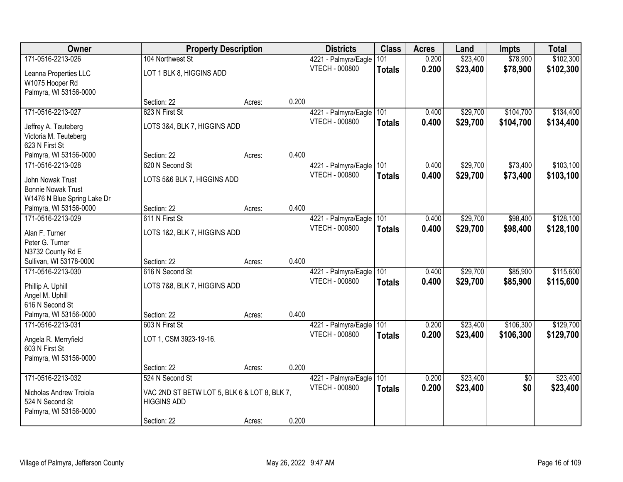| Owner                                      | <b>Property Description</b>                                        |        |       | <b>Districts</b>      | <b>Class</b>  | <b>Acres</b> | Land     | <b>Impts</b>    | <b>Total</b> |
|--------------------------------------------|--------------------------------------------------------------------|--------|-------|-----------------------|---------------|--------------|----------|-----------------|--------------|
| 171-0516-2213-026                          | 104 Northwest St                                                   |        |       | 4221 - Palmyra/Eagle  | 101           | 0.200        | \$23,400 | \$78,900        | \$102,300    |
| Leanna Properties LLC                      | LOT 1 BLK 8, HIGGINS ADD                                           |        |       | VTECH - 000800        | <b>Totals</b> | 0.200        | \$23,400 | \$78,900        | \$102,300    |
| W1075 Hooper Rd                            |                                                                    |        |       |                       |               |              |          |                 |              |
| Palmyra, WI 53156-0000                     |                                                                    |        |       |                       |               |              |          |                 |              |
|                                            | Section: 22                                                        | Acres: | 0.200 |                       |               |              |          |                 |              |
| 171-0516-2213-027                          | 623 N First St                                                     |        |       | 4221 - Palmyra/Eagle  | 101           | 0.400        | \$29,700 | \$104,700       | \$134,400    |
| Jeffrey A. Teuteberg                       | LOTS 3&4, BLK 7, HIGGINS ADD                                       |        |       | <b>VTECH - 000800</b> | <b>Totals</b> | 0.400        | \$29,700 | \$104,700       | \$134,400    |
| Victoria M. Teuteberg                      |                                                                    |        |       |                       |               |              |          |                 |              |
| 623 N First St                             |                                                                    |        |       |                       |               |              |          |                 |              |
| Palmyra, WI 53156-0000                     | Section: 22                                                        | Acres: | 0.400 |                       |               |              |          |                 |              |
| 171-0516-2213-028                          | 620 N Second St                                                    |        |       | 4221 - Palmyra/Eagle  | 101           | 0.400        | \$29,700 | \$73,400        | \$103,100    |
| John Nowak Trust                           | LOTS 5&6 BLK 7, HIGGINS ADD                                        |        |       | <b>VTECH - 000800</b> | <b>Totals</b> | 0.400        | \$29,700 | \$73,400        | \$103,100    |
| <b>Bonnie Nowak Trust</b>                  |                                                                    |        |       |                       |               |              |          |                 |              |
| W1476 N Blue Spring Lake Dr                |                                                                    |        |       |                       |               |              |          |                 |              |
| Palmyra, WI 53156-0000                     | Section: 22                                                        | Acres: | 0.400 |                       |               |              |          |                 |              |
| 171-0516-2213-029                          | 611 N First St                                                     |        |       | 4221 - Palmyra/Eagle  | 101           | 0.400        | \$29,700 | \$98,400        | \$128,100    |
| Alan F. Turner                             | LOTS 1&2, BLK 7, HIGGINS ADD                                       |        |       | <b>VTECH - 000800</b> | <b>Totals</b> | 0.400        | \$29,700 | \$98,400        | \$128,100    |
| Peter G. Turner                            |                                                                    |        |       |                       |               |              |          |                 |              |
| N3732 County Rd E                          |                                                                    |        |       |                       |               |              |          |                 |              |
| Sullivan, WI 53178-0000                    | Section: 22                                                        | Acres: | 0.400 |                       |               |              |          |                 |              |
| 171-0516-2213-030                          | 616 N Second St                                                    |        |       | 4221 - Palmyra/Eagle  | 101           | 0.400        | \$29,700 | \$85,900        | \$115,600    |
| Phillip A. Uphill                          | LOTS 7&8, BLK 7, HIGGINS ADD                                       |        |       | <b>VTECH - 000800</b> | <b>Totals</b> | 0.400        | \$29,700 | \$85,900        | \$115,600    |
| Angel M. Uphill                            |                                                                    |        |       |                       |               |              |          |                 |              |
| 616 N Second St                            |                                                                    |        |       |                       |               |              |          |                 |              |
| Palmyra, WI 53156-0000                     | Section: 22                                                        | Acres: | 0.400 |                       |               |              |          |                 |              |
| 171-0516-2213-031                          | 603 N First St                                                     |        |       | 4221 - Palmyra/Eagle  | 101           | 0.200        | \$23,400 | \$106,300       | \$129,700    |
|                                            | LOT 1, CSM 3923-19-16.                                             |        |       | <b>VTECH - 000800</b> | <b>Totals</b> | 0.200        | \$23,400 | \$106,300       | \$129,700    |
| Angela R. Merryfield<br>603 N First St     |                                                                    |        |       |                       |               |              |          |                 |              |
| Palmyra, WI 53156-0000                     |                                                                    |        |       |                       |               |              |          |                 |              |
|                                            | Section: 22                                                        | Acres: | 0.200 |                       |               |              |          |                 |              |
| 171-0516-2213-032                          | 524 N Second St                                                    |        |       | 4221 - Palmyra/Eagle  | 101           | 0.200        | \$23,400 | $\overline{50}$ | \$23,400     |
|                                            |                                                                    |        |       | VTECH - 000800        | <b>Totals</b> | 0.200        | \$23,400 | \$0             | \$23,400     |
| Nicholas Andrew Troiola<br>524 N Second St | VAC 2ND ST BETW LOT 5, BLK 6 & LOT 8, BLK 7,<br><b>HIGGINS ADD</b> |        |       |                       |               |              |          |                 |              |
| Palmyra, WI 53156-0000                     |                                                                    |        |       |                       |               |              |          |                 |              |
|                                            | Section: 22                                                        | Acres: | 0.200 |                       |               |              |          |                 |              |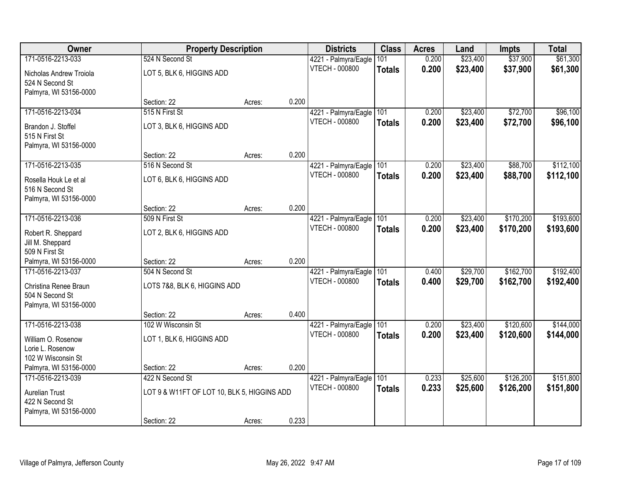| Owner                                                                                   | <b>Property Description</b>                                    |        |       | <b>Districts</b>                              | <b>Class</b>         | <b>Acres</b>   | Land                 | <b>Impts</b>           | <b>Total</b>           |
|-----------------------------------------------------------------------------------------|----------------------------------------------------------------|--------|-------|-----------------------------------------------|----------------------|----------------|----------------------|------------------------|------------------------|
| 171-0516-2213-033                                                                       | 524 N Second St                                                |        |       | 4221 - Palmyra/Eagle                          | 101                  | 0.200          | \$23,400             | \$37,900               | \$61,300               |
| Nicholas Andrew Troiola<br>524 N Second St                                              | LOT 5, BLK 6, HIGGINS ADD                                      |        |       | VTECH - 000800                                | <b>Totals</b>        | 0.200          | \$23,400             | \$37,900               | \$61,300               |
| Palmyra, WI 53156-0000                                                                  | Section: 22                                                    | Acres: | 0.200 |                                               |                      |                |                      |                        |                        |
| 171-0516-2213-034                                                                       | 515 N First St                                                 |        |       | 4221 - Palmyra/Eagle                          | 101                  | 0.200          | \$23,400             | \$72,700               | \$96,100               |
| Brandon J. Stoffel<br>515 N First St<br>Palmyra, WI 53156-0000                          | LOT 3, BLK 6, HIGGINS ADD                                      |        |       | <b>VTECH - 000800</b>                         | <b>Totals</b>        | 0.200          | \$23,400             | \$72,700               | \$96,100               |
|                                                                                         | Section: 22                                                    | Acres: | 0.200 |                                               |                      |                |                      |                        |                        |
| 171-0516-2213-035                                                                       | 516 N Second St                                                |        |       | 4221 - Palmyra/Eagle                          | 101                  | 0.200          | \$23,400             | \$88,700               | \$112,100              |
| Rosella Houk Le et al<br>516 N Second St<br>Palmyra, WI 53156-0000                      | LOT 6, BLK 6, HIGGINS ADD                                      |        |       | VTECH - 000800                                | <b>Totals</b>        | 0.200          | \$23,400             | \$88,700               | \$112,100              |
|                                                                                         | Section: 22                                                    | Acres: | 0.200 |                                               |                      |                |                      |                        |                        |
| 171-0516-2213-036                                                                       | 509 N First St                                                 |        |       | 4221 - Palmyra/Eagle                          | 101                  | 0.200          | \$23,400             | \$170,200              | \$193,600              |
| Robert R. Sheppard<br>Jill M. Sheppard<br>509 N First St                                | LOT 2, BLK 6, HIGGINS ADD                                      |        |       | <b>VTECH - 000800</b>                         | <b>Totals</b>        | 0.200          | \$23,400             | \$170,200              | \$193,600              |
| Palmyra, WI 53156-0000                                                                  | Section: 22                                                    | Acres: | 0.200 |                                               |                      |                |                      |                        |                        |
| 171-0516-2213-037<br>Christina Renee Braun<br>504 N Second St<br>Palmyra, WI 53156-0000 | 504 N Second St<br>LOTS 7&8, BLK 6, HIGGINS ADD                |        |       | 4221 - Palmyra/Eagle<br><b>VTECH - 000800</b> | 101<br><b>Totals</b> | 0.400<br>0.400 | \$29,700<br>\$29,700 | \$162,700<br>\$162,700 | \$192,400<br>\$192,400 |
|                                                                                         | Section: 22                                                    | Acres: | 0.400 |                                               |                      |                |                      |                        |                        |
| 171-0516-2213-038<br>William O. Rosenow<br>Lorie L. Rosenow<br>102 W Wisconsin St       | 102 W Wisconsin St<br>LOT 1, BLK 6, HIGGINS ADD                |        |       | 4221 - Palmyra/Eagle<br><b>VTECH - 000800</b> | 101<br><b>Totals</b> | 0.200<br>0.200 | \$23,400<br>\$23,400 | \$120,600<br>\$120,600 | \$144,000<br>\$144,000 |
| Palmyra, WI 53156-0000                                                                  | Section: 22                                                    | Acres: | 0.200 |                                               |                      |                |                      |                        |                        |
| 171-0516-2213-039<br><b>Aurelian Trust</b><br>422 N Second St                           | 422 N Second St<br>LOT 9 & W11FT OF LOT 10, BLK 5, HIGGINS ADD |        |       | 4221 - Palmyra/Eagle<br>VTECH - 000800        | 101<br><b>Totals</b> | 0.233<br>0.233 | \$25,600<br>\$25,600 | \$126,200<br>\$126,200 | \$151,800<br>\$151,800 |
| Palmyra, WI 53156-0000                                                                  | Section: 22                                                    | Acres: | 0.233 |                                               |                      |                |                      |                        |                        |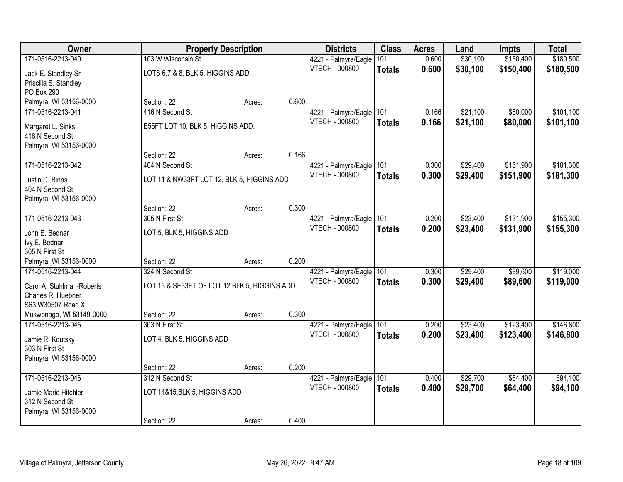| Owner                                           |                                              | <b>Property Description</b> |       | <b>Districts</b>      | <b>Class</b>  | <b>Acres</b> | Land     | Impts     | <b>Total</b> |
|-------------------------------------------------|----------------------------------------------|-----------------------------|-------|-----------------------|---------------|--------------|----------|-----------|--------------|
| 171-0516-2213-040                               | 103 W Wisconsin St                           |                             |       | 4221 - Palmyra/Eagle  | 101           | 0.600        | \$30,100 | \$150,400 | \$180,500    |
| Jack E. Standley Sr                             | LOTS 6,7,& 8, BLK 5, HIGGINS ADD.            |                             |       | VTECH - 000800        | <b>Totals</b> | 0.600        | \$30,100 | \$150,400 | \$180,500    |
| Priscilla S. Standley                           |                                              |                             |       |                       |               |              |          |           |              |
| PO Box 290                                      |                                              |                             |       |                       |               |              |          |           |              |
| Palmyra, WI 53156-0000                          | Section: 22                                  | Acres:                      | 0.600 |                       |               |              |          |           |              |
| 171-0516-2213-041                               | 416 N Second St                              |                             |       | 4221 - Palmyra/Eagle  | 101           | 0.166        | \$21,100 | \$80,000  | \$101,100    |
| Margaret L. Sinks                               | E55FT LOT 10, BLK 5, HIGGINS ADD.            |                             |       | VTECH - 000800        | <b>Totals</b> | 0.166        | \$21,100 | \$80,000  | \$101,100    |
| 416 N Second St                                 |                                              |                             |       |                       |               |              |          |           |              |
| Palmyra, WI 53156-0000                          |                                              |                             |       |                       |               |              |          |           |              |
|                                                 | Section: 22                                  | Acres:                      | 0.166 |                       |               |              |          |           |              |
| 171-0516-2213-042                               | 404 N Second St                              |                             |       | 4221 - Palmyra/Eagle  | 101           | 0.300        | \$29,400 | \$151,900 | \$181,300    |
| Justin D. Binns                                 | LOT 11 & NW33FT LOT 12, BLK 5, HIGGINS ADD   |                             |       | <b>VTECH - 000800</b> | <b>Totals</b> | 0.300        | \$29,400 | \$151,900 | \$181,300    |
| 404 N Second St                                 |                                              |                             |       |                       |               |              |          |           |              |
| Palmyra, WI 53156-0000                          |                                              |                             |       |                       |               |              |          |           |              |
|                                                 | Section: 22                                  | Acres:                      | 0.300 |                       |               |              |          |           |              |
| 171-0516-2213-043                               | 305 N First St                               |                             |       | 4221 - Palmyra/Eagle  | 101           | 0.200        | \$23,400 | \$131,900 | \$155,300    |
| John E. Bednar                                  | LOT 5, BLK 5, HIGGINS ADD                    |                             |       | <b>VTECH - 000800</b> | <b>Totals</b> | 0.200        | \$23,400 | \$131,900 | \$155,300    |
| Ivy E. Bednar                                   |                                              |                             |       |                       |               |              |          |           |              |
| 305 N First St                                  |                                              |                             |       |                       |               |              |          |           |              |
| Palmyra, WI 53156-0000                          | Section: 22                                  | Acres:                      | 0.200 |                       |               |              |          |           |              |
| 171-0516-2213-044                               | 324 N Second St                              |                             |       | 4221 - Palmyra/Eagle  | 101           | 0.300        | \$29,400 | \$89,600  | \$119,000    |
|                                                 |                                              |                             |       | <b>VTECH - 000800</b> | <b>Totals</b> | 0.300        | \$29,400 | \$89,600  | \$119,000    |
| Carol A. Stuhlman-Roberts<br>Charles R. Huebner | LOT 13 & SE33FT OF LOT 12 BLK 5, HIGGINS ADD |                             |       |                       |               |              |          |           |              |
| S63 W30507 Road X                               |                                              |                             |       |                       |               |              |          |           |              |
| Mukwonago, WI 53149-0000                        | Section: 22                                  | Acres:                      | 0.300 |                       |               |              |          |           |              |
| 171-0516-2213-045                               | 303 N First St                               |                             |       | 4221 - Palmyra/Eagle  | 101           | 0.200        | \$23,400 | \$123,400 | \$146,800    |
|                                                 |                                              |                             |       | VTECH - 000800        | <b>Totals</b> | 0.200        | \$23,400 | \$123,400 | \$146,800    |
| Jamie R. Koutsky<br>303 N First St              | LOT 4, BLK 5, HIGGINS ADD                    |                             |       |                       |               |              |          |           |              |
| Palmyra, WI 53156-0000                          |                                              |                             |       |                       |               |              |          |           |              |
|                                                 | Section: 22                                  | Acres:                      | 0.200 |                       |               |              |          |           |              |
| 171-0516-2213-046                               | 312 N Second St                              |                             |       | 4221 - Palmyra/Eagle  | 101           | 0.400        | \$29,700 | \$64,400  | \$94,100     |
|                                                 |                                              |                             |       | VTECH - 000800        | <b>Totals</b> | 0.400        | \$29,700 | \$64,400  | \$94,100     |
| Jamie Marie Hitchler                            | LOT 14&15, BLK 5, HIGGINS ADD                |                             |       |                       |               |              |          |           |              |
| 312 N Second St                                 |                                              |                             |       |                       |               |              |          |           |              |
| Palmyra, WI 53156-0000                          | Section: 22                                  | Acres:                      | 0.400 |                       |               |              |          |           |              |
|                                                 |                                              |                             |       |                       |               |              |          |           |              |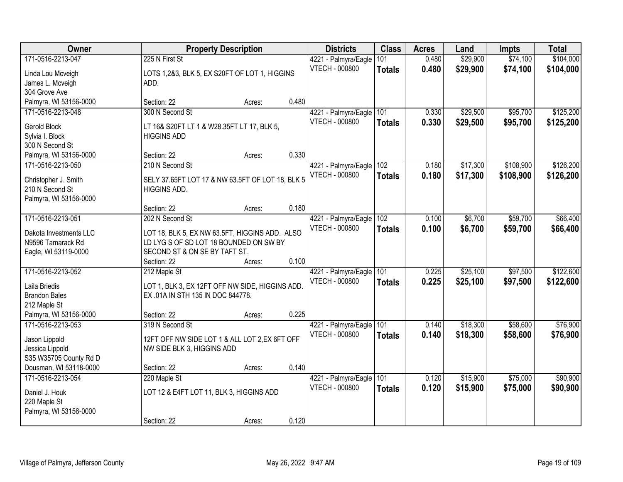| Owner                                  |                                                                                          | <b>Property Description</b> |       | <b>Districts</b>      | <b>Class</b>  | <b>Acres</b> | Land     | <b>Impts</b> | <b>Total</b> |
|----------------------------------------|------------------------------------------------------------------------------------------|-----------------------------|-------|-----------------------|---------------|--------------|----------|--------------|--------------|
| 171-0516-2213-047                      | 225 N First St                                                                           |                             |       | 4221 - Palmyra/Eagle  | 101           | 0.480        | \$29,900 | \$74,100     | \$104,000    |
| Linda Lou Mcveigh                      | LOTS 1,2&3, BLK 5, EX S20FT OF LOT 1, HIGGINS                                            |                             |       | VTECH - 000800        | <b>Totals</b> | 0.480        | \$29,900 | \$74,100     | \$104,000    |
| James L. Mcveigh                       | ADD.                                                                                     |                             |       |                       |               |              |          |              |              |
| 304 Grove Ave                          |                                                                                          |                             |       |                       |               |              |          |              |              |
| Palmyra, WI 53156-0000                 | Section: 22                                                                              | Acres:                      | 0.480 |                       |               |              |          |              |              |
| 171-0516-2213-048                      | 300 N Second St                                                                          |                             |       | 4221 - Palmyra/Eagle  | 101           | 0.330        | \$29,500 | \$95,700     | \$125,200    |
| Gerold Block                           | LT 16& S20FT LT 1 & W28.35FT LT 17, BLK 5,                                               |                             |       | <b>VTECH - 000800</b> | <b>Totals</b> | 0.330        | \$29,500 | \$95,700     | \$125,200    |
| Sylvia I. Block                        | <b>HIGGINS ADD</b>                                                                       |                             |       |                       |               |              |          |              |              |
| 300 N Second St                        |                                                                                          |                             |       |                       |               |              |          |              |              |
| Palmyra, WI 53156-0000                 | Section: 22                                                                              | Acres:                      | 0.330 |                       |               |              |          |              |              |
| 171-0516-2213-050                      | 210 N Second St                                                                          |                             |       | 4221 - Palmyra/Eagle  | 102           | 0.180        | \$17,300 | \$108,900    | \$126,200    |
| Christopher J. Smith                   | SELY 37.65FT LOT 17 & NW 63.5FT OF LOT 18, BLK 5                                         |                             |       | <b>VTECH - 000800</b> | <b>Totals</b> | 0.180        | \$17,300 | \$108,900    | \$126,200    |
| 210 N Second St                        | <b>HIGGINS ADD.</b>                                                                      |                             |       |                       |               |              |          |              |              |
| Palmyra, WI 53156-0000                 |                                                                                          |                             |       |                       |               |              |          |              |              |
|                                        | Section: 22                                                                              | Acres:                      | 0.180 |                       |               |              |          |              |              |
| 171-0516-2213-051                      | 202 N Second St                                                                          |                             |       | 4221 - Palmyra/Eagle  | 102           | 0.100        | \$6,700  | \$59,700     | \$66,400     |
| Dakota Investments LLC                 |                                                                                          |                             |       | <b>VTECH - 000800</b> | <b>Totals</b> | 0.100        | \$6,700  | \$59,700     | \$66,400     |
| N9596 Tamarack Rd                      | LOT 18, BLK 5, EX NW 63.5FT, HIGGINS ADD. ALSO<br>LD LYG S OF SD LOT 18 BOUNDED ON SW BY |                             |       |                       |               |              |          |              |              |
| Eagle, WI 53119-0000                   | SECOND ST & ON SE BY TAFT ST.                                                            |                             |       |                       |               |              |          |              |              |
|                                        | Section: 22                                                                              | Acres:                      | 0.100 |                       |               |              |          |              |              |
| 171-0516-2213-052                      | 212 Maple St                                                                             |                             |       | 4221 - Palmyra/Eagle  | 101           | 0.225        | \$25,100 | \$97,500     | \$122,600    |
|                                        |                                                                                          |                             |       | <b>VTECH - 000800</b> | <b>Totals</b> | 0.225        | \$25,100 | \$97,500     | \$122,600    |
| Laila Briedis                          | LOT 1, BLK 3, EX 12FT OFF NW SIDE, HIGGINS ADD.                                          |                             |       |                       |               |              |          |              |              |
| Brandon Bales                          | EX.01A IN STH 135 IN DOC 844778.                                                         |                             |       |                       |               |              |          |              |              |
| 212 Maple St<br>Palmyra, WI 53156-0000 | Section: 22                                                                              |                             | 0.225 |                       |               |              |          |              |              |
| 171-0516-2213-053                      | 319 N Second St                                                                          | Acres:                      |       | 4221 - Palmyra/Eagle  | 101           | 0.140        | \$18,300 | \$58,600     | \$76,900     |
|                                        |                                                                                          |                             |       | <b>VTECH - 000800</b> |               | 0.140        | \$18,300 | \$58,600     | \$76,900     |
| Jason Lippold                          | 12FT OFF NW SIDE LOT 1 & ALL LOT 2, EX 6FT OFF                                           |                             |       |                       | <b>Totals</b> |              |          |              |              |
| Jessica Lippold                        | NW SIDE BLK 3, HIGGINS ADD                                                               |                             |       |                       |               |              |          |              |              |
| S35 W35705 County Rd D                 |                                                                                          |                             |       |                       |               |              |          |              |              |
| Dousman, WI 53118-0000                 | Section: 22                                                                              | Acres:                      | 0.140 |                       |               |              |          |              |              |
| 171-0516-2213-054                      | 220 Maple St                                                                             |                             |       | 4221 - Palmyra/Eagle  | 101           | 0.120        | \$15,900 | \$75,000     | \$90,900     |
| Daniel J. Houk                         | LOT 12 & E4FT LOT 11, BLK 3, HIGGINS ADD                                                 |                             |       | <b>VTECH - 000800</b> | <b>Totals</b> | 0.120        | \$15,900 | \$75,000     | \$90,900     |
| 220 Maple St                           |                                                                                          |                             |       |                       |               |              |          |              |              |
| Palmyra, WI 53156-0000                 |                                                                                          |                             |       |                       |               |              |          |              |              |
|                                        | Section: 22                                                                              | Acres:                      | 0.120 |                       |               |              |          |              |              |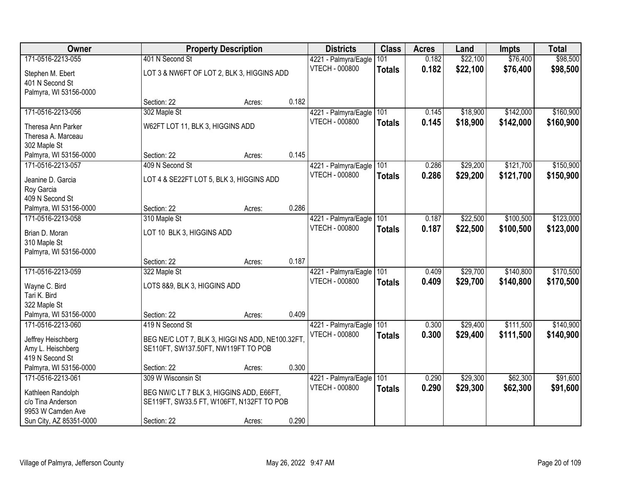| Owner                   |                                                  | <b>Property Description</b> |       | <b>Districts</b>      | <b>Class</b>  | <b>Acres</b> | Land     | <b>Impts</b> | <b>Total</b> |
|-------------------------|--------------------------------------------------|-----------------------------|-------|-----------------------|---------------|--------------|----------|--------------|--------------|
| 171-0516-2213-055       | 401 N Second St                                  |                             |       | 4221 - Palmyra/Eagle  | 101           | 0.182        | \$22,100 | \$76,400     | \$98,500     |
| Stephen M. Ebert        | LOT 3 & NW6FT OF LOT 2, BLK 3, HIGGINS ADD       |                             |       | <b>VTECH - 000800</b> | <b>Totals</b> | 0.182        | \$22,100 | \$76,400     | \$98,500     |
| 401 N Second St         |                                                  |                             |       |                       |               |              |          |              |              |
| Palmyra, WI 53156-0000  |                                                  |                             |       |                       |               |              |          |              |              |
|                         | Section: 22                                      | Acres:                      | 0.182 |                       |               |              |          |              |              |
| 171-0516-2213-056       | 302 Maple St                                     |                             |       | 4221 - Palmyra/Eagle  | 101           | 0.145        | \$18,900 | \$142,000    | \$160,900    |
| Theresa Ann Parker      | W62FT LOT 11, BLK 3, HIGGINS ADD                 |                             |       | <b>VTECH - 000800</b> | <b>Totals</b> | 0.145        | \$18,900 | \$142,000    | \$160,900    |
| Theresa A. Marceau      |                                                  |                             |       |                       |               |              |          |              |              |
| 302 Maple St            |                                                  |                             |       |                       |               |              |          |              |              |
| Palmyra, WI 53156-0000  | Section: 22                                      | Acres:                      | 0.145 |                       |               |              |          |              |              |
| 171-0516-2213-057       | 409 N Second St                                  |                             |       | 4221 - Palmyra/Eagle  | 101           | 0.286        | \$29,200 | \$121,700    | \$150,900    |
| Jeanine D. Garcia       | LOT 4 & SE22FT LOT 5, BLK 3, HIGGINS ADD         |                             |       | VTECH - 000800        | <b>Totals</b> | 0.286        | \$29,200 | \$121,700    | \$150,900    |
| Roy Garcia              |                                                  |                             |       |                       |               |              |          |              |              |
| 409 N Second St         |                                                  |                             |       |                       |               |              |          |              |              |
| Palmyra, WI 53156-0000  | Section: 22                                      | Acres:                      | 0.286 |                       |               |              |          |              |              |
| 171-0516-2213-058       | 310 Maple St                                     |                             |       | 4221 - Palmyra/Eagle  | 101           | 0.187        | \$22,500 | \$100,500    | \$123,000    |
| Brian D. Moran          | LOT 10 BLK 3, HIGGINS ADD                        |                             |       | <b>VTECH - 000800</b> | <b>Totals</b> | 0.187        | \$22,500 | \$100,500    | \$123,000    |
| 310 Maple St            |                                                  |                             |       |                       |               |              |          |              |              |
| Palmyra, WI 53156-0000  |                                                  |                             |       |                       |               |              |          |              |              |
|                         | Section: 22                                      | Acres:                      | 0.187 |                       |               |              |          |              |              |
| 171-0516-2213-059       | 322 Maple St                                     |                             |       | 4221 - Palmyra/Eagle  | 101           | 0.409        | \$29,700 | \$140,800    | \$170,500    |
| Wayne C. Bird           | LOTS 8&9, BLK 3, HIGGINS ADD                     |                             |       | <b>VTECH - 000800</b> | <b>Totals</b> | 0.409        | \$29,700 | \$140,800    | \$170,500    |
| Tari K. Bird            |                                                  |                             |       |                       |               |              |          |              |              |
| 322 Maple St            |                                                  |                             |       |                       |               |              |          |              |              |
| Palmyra, WI 53156-0000  | Section: 22                                      | Acres:                      | 0.409 |                       |               |              |          |              |              |
| 171-0516-2213-060       | 419 N Second St                                  |                             |       | 4221 - Palmyra/Eagle  | 101           | 0.300        | \$29,400 | \$111,500    | \$140,900    |
| Jeffrey Heischberg      | BEG NE/C LOT 7, BLK 3, HIGGI NS ADD, NE100.32FT, |                             |       | <b>VTECH - 000800</b> | <b>Totals</b> | 0.300        | \$29,400 | \$111,500    | \$140,900    |
| Amy L. Heischberg       | SE110FT, SW137.50FT, NW119FT TO POB              |                             |       |                       |               |              |          |              |              |
| 419 N Second St         |                                                  |                             |       |                       |               |              |          |              |              |
| Palmyra, WI 53156-0000  | Section: 22                                      | Acres:                      | 0.300 |                       |               |              |          |              |              |
| 171-0516-2213-061       | 309 W Wisconsin St                               |                             |       | 4221 - Palmyra/Eagle  | 101           | 0.290        | \$29,300 | \$62,300     | \$91,600     |
| Kathleen Randolph       | BEG NW/C LT 7 BLK 3, HIGGINS ADD, E66FT,         |                             |       | <b>VTECH - 000800</b> | <b>Totals</b> | 0.290        | \$29,300 | \$62,300     | \$91,600     |
| c/o Tina Anderson       | SE119FT, SW33.5 FT, W106FT, N132FT TO POB        |                             |       |                       |               |              |          |              |              |
| 9953 W Camden Ave       |                                                  |                             |       |                       |               |              |          |              |              |
| Sun City, AZ 85351-0000 | Section: 22                                      | Acres:                      | 0.290 |                       |               |              |          |              |              |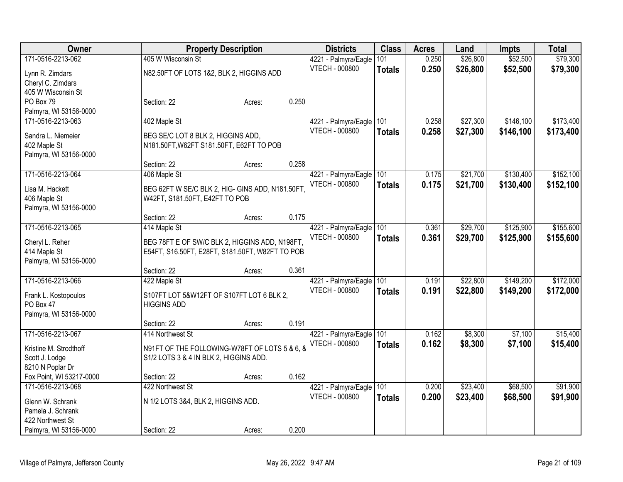| Owner                    |                                                  | <b>Property Description</b> |       | <b>Districts</b>      | <b>Class</b>  | <b>Acres</b> | Land     | <b>Impts</b> | <b>Total</b> |
|--------------------------|--------------------------------------------------|-----------------------------|-------|-----------------------|---------------|--------------|----------|--------------|--------------|
| 171-0516-2213-062        | 405 W Wisconsin St                               |                             |       | 4221 - Palmyra/Eagle  | 101           | 0.250        | \$26,800 | \$52,500     | \$79,300     |
| Lynn R. Zimdars          | N82.50FT OF LOTS 1&2, BLK 2, HIGGINS ADD         |                             |       | <b>VTECH - 000800</b> | <b>Totals</b> | 0.250        | \$26,800 | \$52,500     | \$79,300     |
| Cheryl C. Zimdars        |                                                  |                             |       |                       |               |              |          |              |              |
| 405 W Wisconsin St       |                                                  |                             |       |                       |               |              |          |              |              |
| PO Box 79                | Section: 22                                      | Acres:                      | 0.250 |                       |               |              |          |              |              |
| Palmyra, WI 53156-0000   |                                                  |                             |       |                       |               |              |          |              |              |
| 171-0516-2213-063        | 402 Maple St                                     |                             |       | 4221 - Palmyra/Eagle  | 101           | 0.258        | \$27,300 | \$146,100    | \$173,400    |
| Sandra L. Niemeier       | BEG SE/C LOT 8 BLK 2, HIGGINS ADD,               |                             |       | <b>VTECH - 000800</b> | <b>Totals</b> | 0.258        | \$27,300 | \$146,100    | \$173,400    |
| 402 Maple St             | N181.50FT, W62FT S181.50FT, E62FT TO POB         |                             |       |                       |               |              |          |              |              |
| Palmyra, WI 53156-0000   |                                                  |                             |       |                       |               |              |          |              |              |
|                          | Section: 22                                      | Acres:                      | 0.258 |                       |               |              |          |              |              |
| 171-0516-2213-064        | 406 Maple St                                     |                             |       | 4221 - Palmyra/Eagle  | 101           | 0.175        | \$21,700 | \$130,400    | \$152,100    |
|                          |                                                  |                             |       | <b>VTECH - 000800</b> | <b>Totals</b> | 0.175        | \$21,700 | \$130,400    | \$152,100    |
| Lisa M. Hackett          | BEG 62FT W SE/C BLK 2, HIG- GINS ADD, N181.50FT, |                             |       |                       |               |              |          |              |              |
| 406 Maple St             | W42FT, S181.50FT, E42FT TO POB                   |                             |       |                       |               |              |          |              |              |
| Palmyra, WI 53156-0000   | Section: 22                                      | Acres:                      | 0.175 |                       |               |              |          |              |              |
| 171-0516-2213-065        | 414 Maple St                                     |                             |       | 4221 - Palmyra/Eagle  | 101           | 0.361        | \$29,700 | \$125,900    | \$155,600    |
|                          |                                                  |                             |       | <b>VTECH - 000800</b> |               | 0.361        |          |              |              |
| Cheryl L. Reher          | BEG 78FT E OF SW/C BLK 2, HIGGINS ADD, N198FT,   |                             |       |                       | <b>Totals</b> |              | \$29,700 | \$125,900    | \$155,600    |
| 414 Maple St             | E54FT, S16.50FT, E28FT, S181.50FT, W82FT TO POB  |                             |       |                       |               |              |          |              |              |
| Palmyra, WI 53156-0000   |                                                  |                             |       |                       |               |              |          |              |              |
|                          | Section: 22                                      | Acres:                      | 0.361 |                       |               |              |          |              |              |
| 171-0516-2213-066        | 422 Maple St                                     |                             |       | 4221 - Palmyra/Eagle  | 101           | 0.191        | \$22,800 | \$149,200    | \$172,000    |
| Frank L. Kostopoulos     | S107FT LOT 5&W12FT OF S107FT LOT 6 BLK 2,        |                             |       | <b>VTECH - 000800</b> | <b>Totals</b> | 0.191        | \$22,800 | \$149,200    | \$172,000    |
| PO Box 47                | <b>HIGGINS ADD</b>                               |                             |       |                       |               |              |          |              |              |
| Palmyra, WI 53156-0000   |                                                  |                             |       |                       |               |              |          |              |              |
|                          | Section: 22                                      | Acres:                      | 0.191 |                       |               |              |          |              |              |
| 171-0516-2213-067        | 414 Northwest St                                 |                             |       | 4221 - Palmyra/Eagle  | 101           | 0.162        | \$8,300  | \$7,100      | \$15,400     |
| Kristine M. Strodthoff   | N91FT OF THE FOLLOWING-W78FT OF LOTS 5 & 6, 8    |                             |       | <b>VTECH - 000800</b> | <b>Totals</b> | 0.162        | \$8,300  | \$7,100      | \$15,400     |
| Scott J. Lodge           | S1/2 LOTS 3 & 4 IN BLK 2, HIGGINS ADD.           |                             |       |                       |               |              |          |              |              |
| 8210 N Poplar Dr         |                                                  |                             |       |                       |               |              |          |              |              |
| Fox Point, WI 53217-0000 | Section: 22                                      | Acres:                      | 0.162 |                       |               |              |          |              |              |
| 171-0516-2213-068        | 422 Northwest St                                 |                             |       | 4221 - Palmyra/Eagle  | 101           | 0.200        | \$23,400 | \$68,500     | \$91,900     |
| Glenn W. Schrank         | N 1/2 LOTS 3&4, BLK 2, HIGGINS ADD.              |                             |       | <b>VTECH - 000800</b> | <b>Totals</b> | 0.200        | \$23,400 | \$68,500     | \$91,900     |
| Pamela J. Schrank        |                                                  |                             |       |                       |               |              |          |              |              |
| 422 Northwest St         |                                                  |                             |       |                       |               |              |          |              |              |
| Palmyra, WI 53156-0000   | Section: 22                                      | Acres:                      | 0.200 |                       |               |              |          |              |              |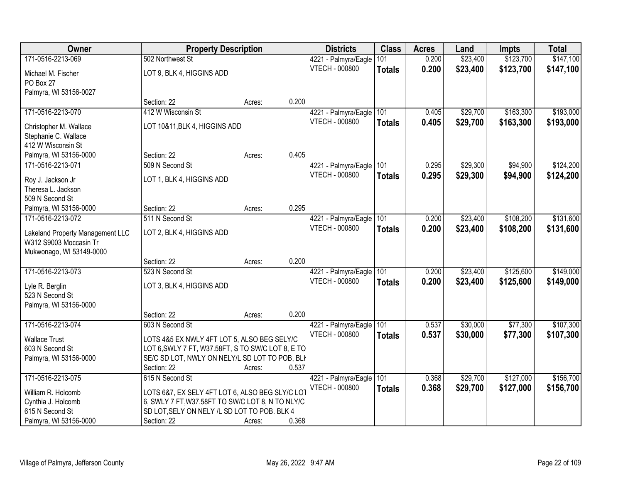| Owner                            | <b>Property Description</b>                       |        |       | <b>Districts</b>      | <b>Class</b>  | <b>Acres</b> | Land     | <b>Impts</b> | <b>Total</b> |
|----------------------------------|---------------------------------------------------|--------|-------|-----------------------|---------------|--------------|----------|--------------|--------------|
| 171-0516-2213-069                | 502 Northwest St                                  |        |       | 4221 - Palmyra/Eagle  | 101           | 0.200        | \$23,400 | \$123,700    | \$147,100    |
| Michael M. Fischer               | LOT 9, BLK 4, HIGGINS ADD                         |        |       | <b>VTECH - 000800</b> | <b>Totals</b> | 0.200        | \$23,400 | \$123,700    | \$147,100    |
| PO Box 27                        |                                                   |        |       |                       |               |              |          |              |              |
| Palmyra, WI 53156-0027           |                                                   |        |       |                       |               |              |          |              |              |
|                                  | Section: 22                                       | Acres: | 0.200 |                       |               |              |          |              |              |
| 171-0516-2213-070                | 412 W Wisconsin St                                |        |       | 4221 - Palmyra/Eagle  | 101           | 0.405        | \$29,700 | \$163,300    | \$193,000    |
| Christopher M. Wallace           | LOT 10&11, BLK 4, HIGGINS ADD                     |        |       | <b>VTECH - 000800</b> | <b>Totals</b> | 0.405        | \$29,700 | \$163,300    | \$193,000    |
| Stephanie C. Wallace             |                                                   |        |       |                       |               |              |          |              |              |
| 412 W Wisconsin St               |                                                   |        |       |                       |               |              |          |              |              |
| Palmyra, WI 53156-0000           | Section: 22                                       | Acres: | 0.405 |                       |               |              |          |              |              |
| 171-0516-2213-071                | 509 N Second St                                   |        |       | 4221 - Palmyra/Eagle  | 101           | 0.295        | \$29,300 | \$94,900     | \$124,200    |
| Roy J. Jackson Jr                | LOT 1, BLK 4, HIGGINS ADD                         |        |       | <b>VTECH - 000800</b> | <b>Totals</b> | 0.295        | \$29,300 | \$94,900     | \$124,200    |
| Theresa L. Jackson               |                                                   |        |       |                       |               |              |          |              |              |
| 509 N Second St                  |                                                   |        |       |                       |               |              |          |              |              |
| Palmyra, WI 53156-0000           | Section: 22                                       | Acres: | 0.295 |                       |               |              |          |              |              |
| 171-0516-2213-072                | 511 N Second St                                   |        |       | 4221 - Palmyra/Eagle  | 101           | 0.200        | \$23,400 | \$108,200    | \$131,600    |
| Lakeland Property Management LLC | LOT 2, BLK 4, HIGGINS ADD                         |        |       | <b>VTECH - 000800</b> | <b>Totals</b> | 0.200        | \$23,400 | \$108,200    | \$131,600    |
| W312 S9003 Moccasin Tr           |                                                   |        |       |                       |               |              |          |              |              |
| Mukwonago, WI 53149-0000         |                                                   |        |       |                       |               |              |          |              |              |
|                                  | Section: 22                                       | Acres: | 0.200 |                       |               |              |          |              |              |
| 171-0516-2213-073                | 523 N Second St                                   |        |       | 4221 - Palmyra/Eagle  | 101           | 0.200        | \$23,400 | \$125,600    | \$149,000    |
| Lyle R. Berglin                  | LOT 3, BLK 4, HIGGINS ADD                         |        |       | <b>VTECH - 000800</b> | <b>Totals</b> | 0.200        | \$23,400 | \$125,600    | \$149,000    |
| 523 N Second St                  |                                                   |        |       |                       |               |              |          |              |              |
| Palmyra, WI 53156-0000           |                                                   |        |       |                       |               |              |          |              |              |
|                                  | Section: 22                                       | Acres: | 0.200 |                       |               |              |          |              |              |
| 171-0516-2213-074                | 603 N Second St                                   |        |       | 4221 - Palmyra/Eagle  | 101           | 0.537        | \$30,000 | \$77,300     | \$107,300    |
| <b>Wallace Trust</b>             | LOTS 4&5 EX NWLY 4FT LOT 5, ALSO BEG SELY/C       |        |       | <b>VTECH - 000800</b> | <b>Totals</b> | 0.537        | \$30,000 | \$77,300     | \$107,300    |
| 603 N Second St                  | LOT 6, SWLY 7 FT, W37.58FT, S TO SW/C LOT 8, E TO |        |       |                       |               |              |          |              |              |
| Palmyra, WI 53156-0000           | SE/C SD LOT, NWLY ON NELY/L SD LOT TO POB, BLI    |        |       |                       |               |              |          |              |              |
|                                  | Section: 22                                       | Acres: | 0.537 |                       |               |              |          |              |              |
| 171-0516-2213-075                | 615 N Second St                                   |        |       | 4221 - Palmyra/Eagle  | 101           | 0.368        | \$29,700 | \$127,000    | \$156,700    |
| William R. Holcomb               | LOTS 6&7, EX SELY 4FT LOT 6, ALSO BEG SLY/C LOT   |        |       | <b>VTECH - 000800</b> | <b>Totals</b> | 0.368        | \$29,700 | \$127,000    | \$156,700    |
| Cynthia J. Holcomb               | 6, SWLY 7 FT, W37.58FT TO SW/C LOT 8, N TO NLY/C  |        |       |                       |               |              |          |              |              |
| 615 N Second St                  | SD LOT, SELY ON NELY /L SD LOT TO POB. BLK 4      |        |       |                       |               |              |          |              |              |
| Palmyra, WI 53156-0000           | Section: 22                                       | Acres: | 0.368 |                       |               |              |          |              |              |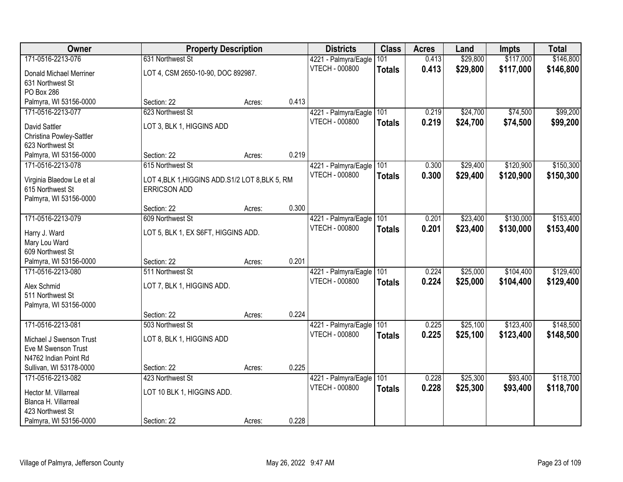| Owner                     | <b>Property Description</b>                      |        |       | <b>Districts</b>      | <b>Class</b>  | <b>Acres</b> | Land     | <b>Impts</b> | <b>Total</b> |
|---------------------------|--------------------------------------------------|--------|-------|-----------------------|---------------|--------------|----------|--------------|--------------|
| 171-0516-2213-076         | 631 Northwest St                                 |        |       | 4221 - Palmyra/Eagle  | 101           | 0.413        | \$29,800 | \$117,000    | \$146,800    |
| Donald Michael Merriner   | LOT 4, CSM 2650-10-90, DOC 892987.               |        |       | <b>VTECH - 000800</b> | <b>Totals</b> | 0.413        | \$29,800 | \$117,000    | \$146,800    |
| 631 Northwest St          |                                                  |        |       |                       |               |              |          |              |              |
| PO Box 286                |                                                  |        |       |                       |               |              |          |              |              |
| Palmyra, WI 53156-0000    | Section: 22                                      | Acres: | 0.413 |                       |               |              |          |              |              |
| 171-0516-2213-077         | 623 Northwest St                                 |        |       | 4221 - Palmyra/Eagle  | 101           | 0.219        | \$24,700 | \$74,500     | \$99,200     |
| David Sattler             | LOT 3, BLK 1, HIGGINS ADD                        |        |       | <b>VTECH - 000800</b> | <b>Totals</b> | 0.219        | \$24,700 | \$74,500     | \$99,200     |
| Christina Powley-Sattler  |                                                  |        |       |                       |               |              |          |              |              |
| 623 Northwest St          |                                                  |        |       |                       |               |              |          |              |              |
| Palmyra, WI 53156-0000    | Section: 22                                      | Acres: | 0.219 |                       |               |              |          |              |              |
| 171-0516-2213-078         | 615 Northwest St                                 |        |       | 4221 - Palmyra/Eagle  | 101           | 0.300        | \$29,400 | \$120,900    | \$150,300    |
| Virginia Blaedow Le et al | LOT 4, BLK 1, HIGGINS ADD. S1/2 LOT 8, BLK 5, RM |        |       | <b>VTECH - 000800</b> | <b>Totals</b> | 0.300        | \$29,400 | \$120,900    | \$150,300    |
| 615 Northwest St          | <b>ERRICSON ADD</b>                              |        |       |                       |               |              |          |              |              |
| Palmyra, WI 53156-0000    |                                                  |        |       |                       |               |              |          |              |              |
|                           | Section: 22                                      | Acres: | 0.300 |                       |               |              |          |              |              |
| 171-0516-2213-079         | 609 Northwest St                                 |        |       | 4221 - Palmyra/Eagle  | 101           | 0.201        | \$23,400 | \$130,000    | \$153,400    |
| Harry J. Ward             | LOT 5, BLK 1, EX S6FT, HIGGINS ADD.              |        |       | <b>VTECH - 000800</b> | <b>Totals</b> | 0.201        | \$23,400 | \$130,000    | \$153,400    |
| Mary Lou Ward             |                                                  |        |       |                       |               |              |          |              |              |
| 609 Northwest St          |                                                  |        |       |                       |               |              |          |              |              |
| Palmyra, WI 53156-0000    | Section: 22                                      | Acres: | 0.201 |                       |               |              |          |              |              |
| 171-0516-2213-080         | 511 Northwest St                                 |        |       | 4221 - Palmyra/Eagle  | 101           | 0.224        | \$25,000 | \$104,400    | \$129,400    |
| Alex Schmid               |                                                  |        |       | <b>VTECH - 000800</b> | <b>Totals</b> | 0.224        | \$25,000 | \$104,400    | \$129,400    |
| 511 Northwest St          | LOT 7, BLK 1, HIGGINS ADD.                       |        |       |                       |               |              |          |              |              |
| Palmyra, WI 53156-0000    |                                                  |        |       |                       |               |              |          |              |              |
|                           | Section: 22                                      | Acres: | 0.224 |                       |               |              |          |              |              |
| 171-0516-2213-081         | 503 Northwest St                                 |        |       | 4221 - Palmyra/Eagle  | 101           | 0.225        | \$25,100 | \$123,400    | \$148,500    |
| Michael J Swenson Trust   | LOT 8, BLK 1, HIGGINS ADD                        |        |       | <b>VTECH - 000800</b> | <b>Totals</b> | 0.225        | \$25,100 | \$123,400    | \$148,500    |
| Eve M Swenson Trust       |                                                  |        |       |                       |               |              |          |              |              |
| N4762 Indian Point Rd     |                                                  |        |       |                       |               |              |          |              |              |
| Sullivan, WI 53178-0000   | Section: 22                                      | Acres: | 0.225 |                       |               |              |          |              |              |
| 171-0516-2213-082         | 423 Northwest St                                 |        |       | 4221 - Palmyra/Eagle  | 101           | 0.228        | \$25,300 | \$93,400     | \$118,700    |
| Hector M. Villarreal      | LOT 10 BLK 1, HIGGINS ADD.                       |        |       | <b>VTECH - 000800</b> | <b>Totals</b> | 0.228        | \$25,300 | \$93,400     | \$118,700    |
| Blanca H. Villarreal      |                                                  |        |       |                       |               |              |          |              |              |
| 423 Northwest St          |                                                  |        |       |                       |               |              |          |              |              |
| Palmyra, WI 53156-0000    | Section: 22                                      | Acres: | 0.228 |                       |               |              |          |              |              |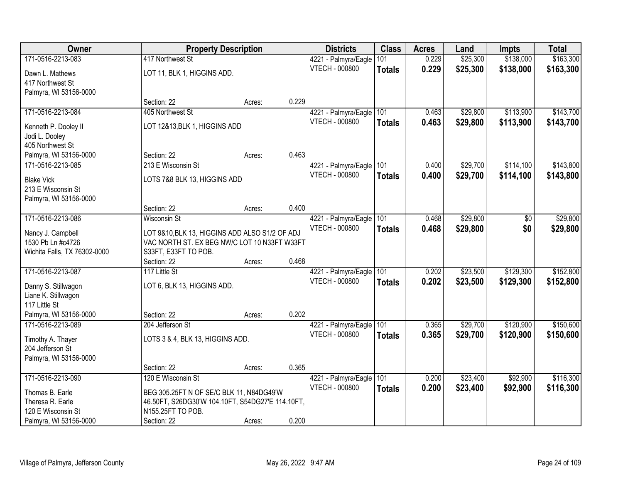| Owner                                  |                                                  | <b>Property Description</b> |       | <b>Districts</b>      | <b>Class</b>  | <b>Acres</b> | Land     | <b>Impts</b> | <b>Total</b> |
|----------------------------------------|--------------------------------------------------|-----------------------------|-------|-----------------------|---------------|--------------|----------|--------------|--------------|
| 171-0516-2213-083                      | 417 Northwest St                                 |                             |       | 4221 - Palmyra/Eagle  | 101           | 0.229        | \$25,300 | \$138,000    | \$163,300    |
| Dawn L. Mathews                        | LOT 11, BLK 1, HIGGINS ADD.                      |                             |       | <b>VTECH - 000800</b> | <b>Totals</b> | 0.229        | \$25,300 | \$138,000    | \$163,300    |
| 417 Northwest St                       |                                                  |                             |       |                       |               |              |          |              |              |
| Palmyra, WI 53156-0000                 |                                                  |                             |       |                       |               |              |          |              |              |
|                                        | Section: 22                                      | Acres:                      | 0.229 |                       |               |              |          |              |              |
| 171-0516-2213-084                      | 405 Northwest St                                 |                             |       | 4221 - Palmyra/Eagle  | 101           | 0.463        | \$29,800 | \$113,900    | \$143,700    |
|                                        | LOT 12&13, BLK 1, HIGGINS ADD                    |                             |       | <b>VTECH - 000800</b> | <b>Totals</b> | 0.463        | \$29,800 | \$113,900    | \$143,700    |
| Kenneth P. Dooley II<br>Jodi L. Dooley |                                                  |                             |       |                       |               |              |          |              |              |
| 405 Northwest St                       |                                                  |                             |       |                       |               |              |          |              |              |
| Palmyra, WI 53156-0000                 | Section: 22                                      | Acres:                      | 0.463 |                       |               |              |          |              |              |
| 171-0516-2213-085                      | 213 E Wisconsin St                               |                             |       | 4221 - Palmyra/Eagle  | 101           | 0.400        | \$29,700 | \$114,100    | \$143,800    |
|                                        |                                                  |                             |       | <b>VTECH - 000800</b> | <b>Totals</b> | 0.400        | \$29,700 | \$114,100    | \$143,800    |
| <b>Blake Vick</b>                      | LOTS 7&8 BLK 13, HIGGINS ADD                     |                             |       |                       |               |              |          |              |              |
| 213 E Wisconsin St                     |                                                  |                             |       |                       |               |              |          |              |              |
| Palmyra, WI 53156-0000                 |                                                  |                             |       |                       |               |              |          |              |              |
|                                        | Section: 22                                      | Acres:                      | 0.400 |                       |               |              |          |              |              |
| 171-0516-2213-086                      | <b>Wisconsin St</b>                              |                             |       | 4221 - Palmyra/Eagle  | 101           | 0.468        | \$29,800 | \$0          | \$29,800     |
| Nancy J. Campbell                      | LOT 9&10, BLK 13, HIGGINS ADD ALSO S1/2 OF ADJ   |                             |       | <b>VTECH - 000800</b> | <b>Totals</b> | 0.468        | \$29,800 | \$0          | \$29,800     |
| 1530 Pb Ln #c4726                      | VAC NORTH ST. EX BEG NW/C LOT 10 N33FT W33FT     |                             |       |                       |               |              |          |              |              |
| Wichita Falls, TX 76302-0000           | S33FT, E33FT TO POB.                             |                             |       |                       |               |              |          |              |              |
|                                        | Section: 22                                      | Acres:                      | 0.468 |                       |               |              |          |              |              |
| 171-0516-2213-087                      | 117 Little St                                    |                             |       | 4221 - Palmyra/Eagle  | 101           | 0.202        | \$23,500 | \$129,300    | \$152,800    |
| Danny S. Stillwagon                    | LOT 6, BLK 13, HIGGINS ADD.                      |                             |       | <b>VTECH - 000800</b> | <b>Totals</b> | 0.202        | \$23,500 | \$129,300    | \$152,800    |
| Liane K. Stillwagon                    |                                                  |                             |       |                       |               |              |          |              |              |
| 117 Little St                          |                                                  |                             |       |                       |               |              |          |              |              |
| Palmyra, WI 53156-0000                 | Section: 22                                      | Acres:                      | 0.202 |                       |               |              |          |              |              |
| 171-0516-2213-089                      | 204 Jefferson St                                 |                             |       | 4221 - Palmyra/Eagle  | 101           | 0.365        | \$29,700 | \$120,900    | \$150,600    |
|                                        |                                                  |                             |       | <b>VTECH - 000800</b> | <b>Totals</b> | 0.365        | \$29,700 | \$120,900    | \$150,600    |
| Timothy A. Thayer                      | LOTS 3 & 4, BLK 13, HIGGINS ADD.                 |                             |       |                       |               |              |          |              |              |
| 204 Jefferson St                       |                                                  |                             |       |                       |               |              |          |              |              |
| Palmyra, WI 53156-0000                 |                                                  |                             |       |                       |               |              |          |              |              |
|                                        | Section: 22                                      | Acres:                      | 0.365 |                       |               |              |          |              |              |
| 171-0516-2213-090                      | 120 E Wisconsin St                               |                             |       | 4221 - Palmyra/Eagle  | 101           | 0.200        | \$23,400 | \$92,900     | \$116,300    |
| Thomas B. Earle                        | BEG 305.25FT N OF SE/C BLK 11, N84DG49'W         |                             |       | <b>VTECH - 000800</b> | <b>Totals</b> | 0.200        | \$23,400 | \$92,900     | \$116,300    |
| Theresa R. Earle                       | 46.50FT, S26DG30'W 104.10FT, S54DG27'E 114.10FT, |                             |       |                       |               |              |          |              |              |
| 120 E Wisconsin St                     | N155.25FT TO POB.                                |                             |       |                       |               |              |          |              |              |
| Palmyra, WI 53156-0000                 | Section: 22                                      | Acres:                      | 0.200 |                       |               |              |          |              |              |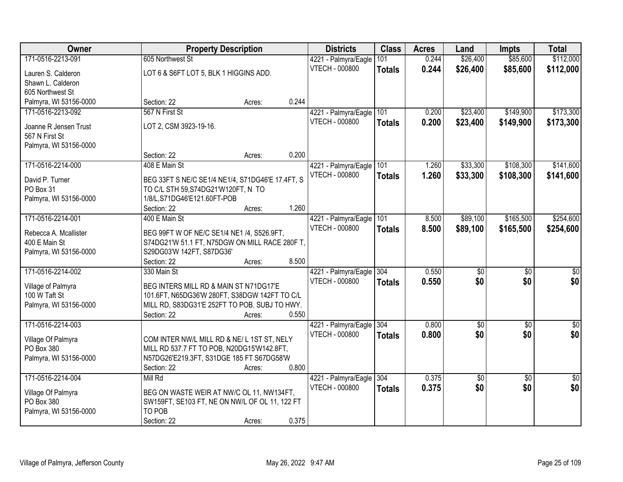| Owner                  | <b>Property Description</b>                      |        | <b>Districts</b>         | <b>Class</b>  | <b>Acres</b> | Land        | <b>Impts</b>    | <b>Total</b>    |
|------------------------|--------------------------------------------------|--------|--------------------------|---------------|--------------|-------------|-----------------|-----------------|
| 171-0516-2213-091      | 605 Northwest St                                 |        | 4221 - Palmyra/Eagle     | 101           | 0.244        | \$26,400    | \$85,600        | \$112,000       |
| Lauren S. Calderon     | LOT 6 & S6FT LOT 5, BLK 1 HIGGINS ADD.           |        | VTECH - 000800           | <b>Totals</b> | 0.244        | \$26,400    | \$85,600        | \$112,000       |
| Shawn L. Calderon      |                                                  |        |                          |               |              |             |                 |                 |
| 605 Northwest St       |                                                  |        |                          |               |              |             |                 |                 |
| Palmyra, WI 53156-0000 | Section: 22                                      | Acres: | 0.244                    |               |              |             |                 |                 |
| 171-0516-2213-092      | 567 N First St                                   |        | 4221 - Palmyra/Eagle     | 101           | 0.200        | \$23,400    | \$149,900       | \$173,300       |
|                        |                                                  |        | <b>VTECH - 000800</b>    | <b>Totals</b> | 0.200        | \$23,400    | \$149,900       | \$173,300       |
| Joanne R Jensen Trust  | LOT 2, CSM 3923-19-16.                           |        |                          |               |              |             |                 |                 |
| 567 N First St         |                                                  |        |                          |               |              |             |                 |                 |
| Palmyra, WI 53156-0000 |                                                  |        |                          |               |              |             |                 |                 |
|                        | Section: 22                                      | Acres: | 0.200                    |               |              |             |                 |                 |
| 171-0516-2214-000      | 408 E Main St                                    |        | 4221 - Palmyra/Eagle 101 |               | 1.260        | \$33,300    | \$108,300       | \$141,600       |
| David P. Turner        | BEG 33FT S NE/C SE1/4 NE1/4, S71DG46'E 17.4FT, S |        | <b>VTECH - 000800</b>    | <b>Totals</b> | 1.260        | \$33,300    | \$108,300       | \$141,600       |
| PO Box 31              | TO C/L STH 59, S74DG21'W120FT, N TO              |        |                          |               |              |             |                 |                 |
| Palmyra, WI 53156-0000 | 1/8/L,S71DG46'E121.60FT-POB                      |        |                          |               |              |             |                 |                 |
|                        | Section: 22                                      | Acres: | 1.260                    |               |              |             |                 |                 |
| 171-0516-2214-001      | 400 E Main St                                    |        | 4221 - Palmyra/Eagle     | 101           | 8.500        | \$89,100    | \$165,500       | \$254,600       |
| Rebecca A. Mcallister  | BEG 99FT W OF NE/C SE1/4 NE1 /4, S526.9FT,       |        | <b>VTECH - 000800</b>    | <b>Totals</b> | 8.500        | \$89,100    | \$165,500       | \$254,600       |
| 400 E Main St          | S74DG21'W 51.1 FT, N75DGW ON MILL RACE 280F T,   |        |                          |               |              |             |                 |                 |
| Palmyra, WI 53156-0000 | S29DG03'W 142FT, S87DG36'                        |        |                          |               |              |             |                 |                 |
|                        | Section: 22                                      | Acres: | 8.500                    |               |              |             |                 |                 |
| 171-0516-2214-002      | 330 Main St                                      |        | 4221 - Palmyra/Eagle     | 304           | 0.550        | \$0         | $\overline{50}$ | \$0             |
|                        |                                                  |        | <b>VTECH - 000800</b>    | <b>Totals</b> | 0.550        | \$0         | \$0             | \$0             |
| Village of Palmyra     | BEG INTERS MILL RD & MAIN ST N71DG17'E           |        |                          |               |              |             |                 |                 |
| 100 W Taft St          | 101.6FT, N65DG36'W 280FT, S38DGW 142FT TO C/L    |        |                          |               |              |             |                 |                 |
| Palmyra, WI 53156-0000 | MILL RD, S83DG31'E 252FT TO POB. SUBJ TO HWY.    |        |                          |               |              |             |                 |                 |
|                        | Section: 22                                      | Acres: | 0.550                    |               |              |             |                 |                 |
| 171-0516-2214-003      |                                                  |        | 4221 - Palmyra/Eagle 304 |               | 0.800        | $\sqrt{50}$ | $\overline{50}$ | $\sqrt{50}$     |
| Village Of Palmyra     | COM INTER NW/L MILL RD & NE/L 1ST ST, NELY       |        | VTECH - 000800           | <b>Totals</b> | 0.800        | \$0         | \$0             | \$0             |
| PO Box 380             | MILL RD 537.7 FT TO POB, N20DG15'W142.8FT,       |        |                          |               |              |             |                 |                 |
| Palmyra, WI 53156-0000 | N57DG26'E219.3FT, S31DGE 185 FT S67DG58'W        |        |                          |               |              |             |                 |                 |
|                        | Section: 22                                      | Acres: | 0.800                    |               |              |             |                 |                 |
| 171-0516-2214-004      | Mill Rd                                          |        | 4221 - Palmyra/Eagle     | 304           | 0.375        | \$0         | $\overline{50}$ | $\overline{50}$ |
| Village Of Palmyra     | BEG ON WASTE WEIR AT NW/C OL 11, NW134FT,        |        | VTECH - 000800           | <b>Totals</b> | 0.375        | \$0         | \$0             | \$0             |
| PO Box 380             | SW159FT, SE103 FT, NE ON NW/L OF OL 11, 122 FT   |        |                          |               |              |             |                 |                 |
| Palmyra, WI 53156-0000 | TO POB                                           |        |                          |               |              |             |                 |                 |
|                        | Section: 22                                      | Acres: | 0.375                    |               |              |             |                 |                 |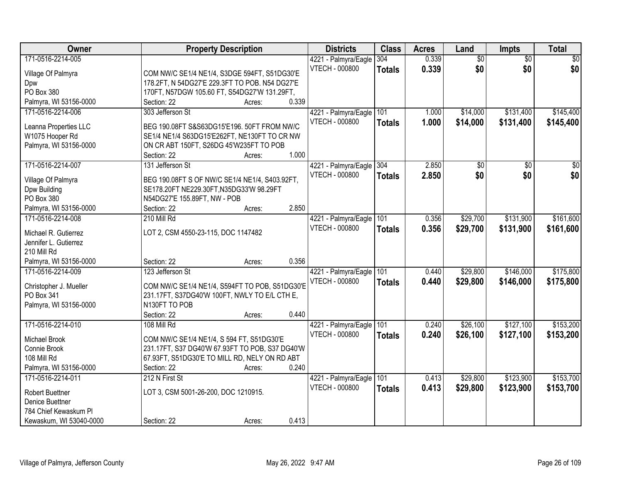| Owner                   | <b>Property Description</b>                     | <b>Districts</b>         | <b>Class</b>  | <b>Acres</b> | Land            | <b>Impts</b>    | <b>Total</b>    |
|-------------------------|-------------------------------------------------|--------------------------|---------------|--------------|-----------------|-----------------|-----------------|
| 171-0516-2214-005       |                                                 | 4221 - Palmyra/Eagle     | 304           | 0.339        | $\overline{50}$ | $\overline{50}$ | $\sqrt{30}$     |
| Village Of Palmyra      | COM NW/C SE1/4 NE1/4, S3DGE 594FT, S51DG30'E    | <b>VTECH - 000800</b>    | <b>Totals</b> | 0.339        | \$0             | \$0             | \$0             |
| Dpw                     | 178.2FT, N 54DG27'E 229.3FT TO POB. N54 DG27'E  |                          |               |              |                 |                 |                 |
| PO Box 380              | 170FT, N57DGW 105.60 FT, S54DG27'W 131.29FT,    |                          |               |              |                 |                 |                 |
| Palmyra, WI 53156-0000  | 0.339<br>Section: 22<br>Acres:                  |                          |               |              |                 |                 |                 |
| 171-0516-2214-006       | 303 Jefferson St                                | 4221 - Palmyra/Eagle     | 101           | 1.000        | \$14,000        | \$131,400       | \$145,400       |
|                         |                                                 | <b>VTECH - 000800</b>    |               | 1.000        | \$14,000        | \$131,400       |                 |
| Leanna Properties LLC   | BEG 190.08FT S&S63DG15'E196. 50FT FROM NW/C     |                          | <b>Totals</b> |              |                 |                 | \$145,400       |
| W1075 Hooper Rd         | SE1/4 NE1/4 S63DG15'E262FT, NE130FT TO CR NW    |                          |               |              |                 |                 |                 |
| Palmyra, WI 53156-0000  | ON CR ABT 150FT, S26DG 45'W235FT TO POB         |                          |               |              |                 |                 |                 |
|                         | 1.000<br>Section: 22<br>Acres:                  |                          |               |              |                 |                 |                 |
| 171-0516-2214-007       | 131 Jefferson St                                | 4221 - Palmyra/Eagle 304 |               | 2.850        | $\overline{50}$ | $\overline{50}$ | $\overline{30}$ |
|                         |                                                 | <b>VTECH - 000800</b>    | <b>Totals</b> | 2.850        | \$0             | \$0             | \$0             |
| Village Of Palmyra      | BEG 190.08FT S OF NW/C SE1/4 NE1/4, S403.92FT,  |                          |               |              |                 |                 |                 |
| Dpw Building            | SE178.20FT NE229.30FT, N35DG33'W 98.29FT        |                          |               |              |                 |                 |                 |
| PO Box 380              | N54DG27'E 155.89FT, NW - POB<br>2.850           |                          |               |              |                 |                 |                 |
| Palmyra, WI 53156-0000  | Section: 22<br>Acres:                           |                          |               |              |                 |                 |                 |
| 171-0516-2214-008       | 210 Mill Rd                                     | 4221 - Palmyra/Eagle     | 101           | 0.356        | \$29,700        | \$131,900       | \$161,600       |
| Michael R. Gutierrez    | LOT 2, CSM 4550-23-115, DOC 1147482             | <b>VTECH - 000800</b>    | <b>Totals</b> | 0.356        | \$29,700        | \$131,900       | \$161,600       |
| Jennifer L. Gutierrez   |                                                 |                          |               |              |                 |                 |                 |
| 210 Mill Rd             |                                                 |                          |               |              |                 |                 |                 |
| Palmyra, WI 53156-0000  | 0.356<br>Section: 22<br>Acres:                  |                          |               |              |                 |                 |                 |
| 171-0516-2214-009       | 123 Jefferson St                                | 4221 - Palmyra/Eagle     | 101           | 0.440        | \$29,800        | \$146,000       | \$175,800       |
|                         |                                                 | <b>VTECH - 000800</b>    | <b>Totals</b> | 0.440        | \$29,800        | \$146,000       | \$175,800       |
| Christopher J. Mueller  | COM NW/C SE1/4 NE1/4, S594FT TO POB, S51DG30'E  |                          |               |              |                 |                 |                 |
| PO Box 341              | 231.17FT, S37DG40'W 100FT, NWLY TO E/L CTH E,   |                          |               |              |                 |                 |                 |
| Palmyra, WI 53156-0000  | N130FT TO POB                                   |                          |               |              |                 |                 |                 |
|                         | 0.440<br>Section: 22<br>Acres:                  |                          |               |              |                 |                 |                 |
| 171-0516-2214-010       | 108 Mill Rd                                     | 4221 - Palmyra/Eagle     | 101           | 0.240        | \$26,100        | \$127,100       | \$153,200       |
| Michael Brook           | COM NW/C SE1/4 NE1/4, S 594 FT, S51DG30'E       | VTECH - 000800           | <b>Totals</b> | 0.240        | \$26,100        | \$127,100       | \$153,200       |
| Connie Brook            | 231.17FT, S37 DG40'W 67.93FT TO POB, S37 DG40'W |                          |               |              |                 |                 |                 |
| 108 Mill Rd             | 67.93FT, S51DG30'E TO MILL RD, NELY ON RD ABT   |                          |               |              |                 |                 |                 |
| Palmyra, WI 53156-0000  | 0.240<br>Section: 22<br>Acres:                  |                          |               |              |                 |                 |                 |
| 171-0516-2214-011       | 212 N First St                                  | 4221 - Palmyra/Eagle     | 101           | 0.413        | \$29,800        | \$123,900       | \$153,700       |
|                         |                                                 | <b>VTECH - 000800</b>    | <b>Totals</b> | 0.413        | \$29,800        | \$123,900       | \$153,700       |
| <b>Robert Buettner</b>  | LOT 3, CSM 5001-26-200, DOC 1210915.            |                          |               |              |                 |                 |                 |
| Denice Buettner         |                                                 |                          |               |              |                 |                 |                 |
| 784 Chief Kewaskum Pl   |                                                 |                          |               |              |                 |                 |                 |
| Kewaskum, WI 53040-0000 | 0.413<br>Section: 22<br>Acres:                  |                          |               |              |                 |                 |                 |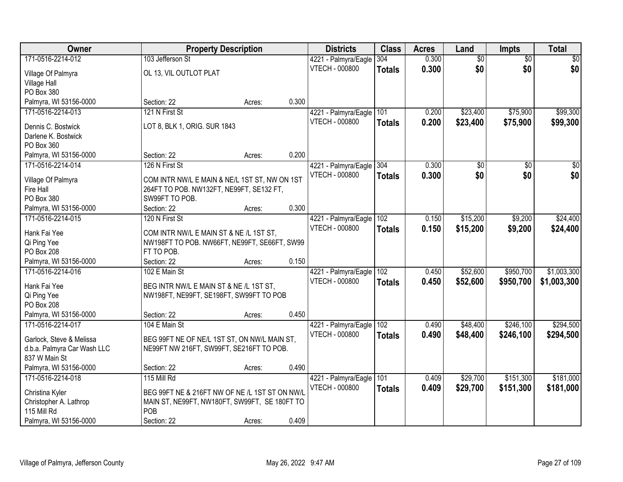| Owner                       |                                                | <b>Property Description</b> |       | <b>Districts</b>         | <b>Class</b>  | <b>Acres</b> | Land            | <b>Impts</b>    | <b>Total</b>    |
|-----------------------------|------------------------------------------------|-----------------------------|-------|--------------------------|---------------|--------------|-----------------|-----------------|-----------------|
| 171-0516-2214-012           | 103 Jefferson St                               |                             |       | 4221 - Palmyra/Eagle     | 304           | 0.300        | $\overline{60}$ | $\overline{50}$ | \$0             |
| Village Of Palmyra          | OL 13, VIL OUTLOT PLAT                         |                             |       | <b>VTECH - 000800</b>    | <b>Totals</b> | 0.300        | \$0             | \$0             | \$0             |
| <b>Village Hall</b>         |                                                |                             |       |                          |               |              |                 |                 |                 |
| PO Box 380                  |                                                |                             |       |                          |               |              |                 |                 |                 |
| Palmyra, WI 53156-0000      | Section: 22                                    | Acres:                      | 0.300 |                          |               |              |                 |                 |                 |
| 171-0516-2214-013           | 121 N First St                                 |                             |       | 4221 - Palmyra/Eagle     | 101           | 0.200        | \$23,400        | \$75,900        | \$99,300        |
| Dennis C. Bostwick          | LOT 8, BLK 1, ORIG. SUR 1843                   |                             |       | <b>VTECH - 000800</b>    | <b>Totals</b> | 0.200        | \$23,400        | \$75,900        | \$99,300        |
| Darlene K. Bostwick         |                                                |                             |       |                          |               |              |                 |                 |                 |
| PO Box 360                  |                                                |                             |       |                          |               |              |                 |                 |                 |
| Palmyra, WI 53156-0000      | Section: 22                                    | Acres:                      | 0.200 |                          |               |              |                 |                 |                 |
| 171-0516-2214-014           | 126 N First St                                 |                             |       | 4221 - Palmyra/Eagle 304 |               | 0.300        | $\overline{50}$ | \$0             | $\overline{30}$ |
|                             |                                                |                             |       | <b>VTECH - 000800</b>    | <b>Totals</b> | 0.300        | \$0             | \$0             | \$0             |
| Village Of Palmyra          | COM INTR NW/L E MAIN & NE/L 1ST ST, NW ON 1ST  |                             |       |                          |               |              |                 |                 |                 |
| Fire Hall                   | 264FT TO POB. NW132FT, NE99FT, SE132 FT,       |                             |       |                          |               |              |                 |                 |                 |
| PO Box 380                  | SW99FT TO POB.                                 |                             |       |                          |               |              |                 |                 |                 |
| Palmyra, WI 53156-0000      | Section: 22                                    | Acres:                      | 0.300 |                          |               |              |                 |                 |                 |
| 171-0516-2214-015           | 120 N First St                                 |                             |       | 4221 - Palmyra/Eagle     | 102           | 0.150        | \$15,200        | \$9,200         | \$24,400        |
| Hank Fai Yee                | COM INTR NW/L E MAIN ST & NE /L 1ST ST,        |                             |       | <b>VTECH - 000800</b>    | <b>Totals</b> | 0.150        | \$15,200        | \$9,200         | \$24,400        |
| Qi Ping Yee                 | NW198FT TO POB. NW66FT, NE99FT, SE66FT, SW99   |                             |       |                          |               |              |                 |                 |                 |
| PO Box 208                  | FT TO POB.                                     |                             |       |                          |               |              |                 |                 |                 |
| Palmyra, WI 53156-0000      | Section: 22                                    | Acres:                      | 0.150 |                          |               |              |                 |                 |                 |
| 171-0516-2214-016           | 102 E Main St                                  |                             |       | 4221 - Palmyra/Eagle     | 102           | 0.450        | \$52,600        | \$950,700       | \$1,003,300     |
| Hank Fai Yee                | BEG INTR NW/L E MAIN ST & NE /L 1ST ST,        |                             |       | <b>VTECH - 000800</b>    | <b>Totals</b> | 0.450        | \$52,600        | \$950,700       | \$1,003,300     |
| Qi Ping Yee                 | NW198FT, NE99FT, SE198FT, SW99FT TO POB        |                             |       |                          |               |              |                 |                 |                 |
| PO Box 208                  |                                                |                             |       |                          |               |              |                 |                 |                 |
| Palmyra, WI 53156-0000      | Section: 22                                    | Acres:                      | 0.450 |                          |               |              |                 |                 |                 |
| 171-0516-2214-017           | 104 E Main St                                  |                             |       | 4221 - Palmyra/Eagle 102 |               | 0.490        | \$48,400        | \$246,100       | \$294,500       |
|                             |                                                |                             |       | <b>VTECH - 000800</b>    | <b>Totals</b> | 0.490        | \$48,400        | \$246,100       | \$294,500       |
| Garlock, Steve & Melissa    | BEG 99FT NE OF NE/L 1ST ST, ON NW/L MAIN ST,   |                             |       |                          |               |              |                 |                 |                 |
| d.b.a. Palmyra Car Wash LLC | NE99FT NW 216FT, SW99FT, SE216FT TO POB.       |                             |       |                          |               |              |                 |                 |                 |
| 837 W Main St               |                                                |                             | 0.490 |                          |               |              |                 |                 |                 |
| Palmyra, WI 53156-0000      | Section: 22                                    | Acres:                      |       |                          |               |              |                 |                 |                 |
| 171-0516-2214-018           | 115 Mill Rd                                    |                             |       | 4221 - Palmyra/Eagle     | 101           | 0.409        | \$29,700        | \$151,300       | \$181,000       |
| Christina Kyler             | BEG 99FT NE & 216FT NW OF NE /L 1ST ST ON NW/L |                             |       | <b>VTECH - 000800</b>    | <b>Totals</b> | 0.409        | \$29,700        | \$151,300       | \$181,000       |
| Christopher A. Lathrop      | MAIN ST, NE99FT, NW180FT, SW99FT, SE 180FT TO  |                             |       |                          |               |              |                 |                 |                 |
| 115 Mill Rd                 | POB                                            |                             |       |                          |               |              |                 |                 |                 |
| Palmyra, WI 53156-0000      | Section: 22                                    | Acres:                      | 0.409 |                          |               |              |                 |                 |                 |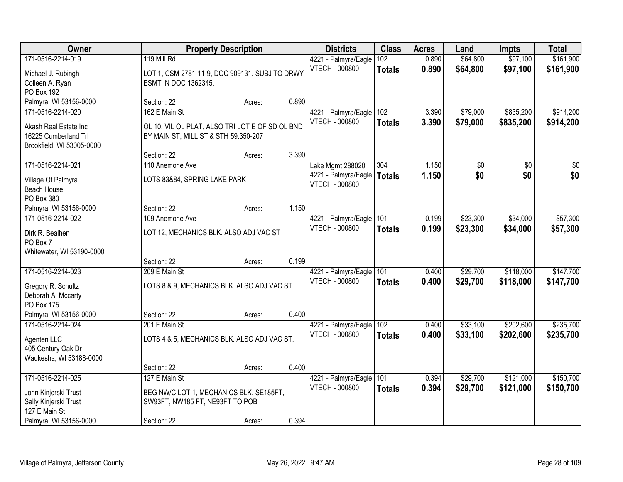| Owner                                 |                                                 | <b>Property Description</b> |       | <b>Districts</b>                       | <b>Class</b><br><b>Acres</b> | Land           | <b>Impts</b>         | <b>Total</b>         |                        |
|---------------------------------------|-------------------------------------------------|-----------------------------|-------|----------------------------------------|------------------------------|----------------|----------------------|----------------------|------------------------|
| 171-0516-2214-019                     | 119 Mill Rd                                     |                             |       | 4221 - Palmyra/Eagle<br>VTECH - 000800 | 102<br><b>Totals</b>         | 0.890<br>0.890 | \$64,800<br>\$64,800 | \$97,100<br>\$97,100 | \$161,900<br>\$161,900 |
| Michael J. Rubingh                    | LOT 1, CSM 2781-11-9, DOC 909131. SUBJ TO DRWY  |                             |       |                                        |                              |                |                      |                      |                        |
| Colleen A. Ryan                       | ESMT IN DOC 1362345.                            |                             |       |                                        |                              |                |                      |                      |                        |
| PO Box 192                            |                                                 |                             |       |                                        |                              |                |                      |                      |                        |
| Palmyra, WI 53156-0000                | Section: 22                                     | Acres:                      | 0.890 |                                        |                              |                |                      |                      |                        |
| 171-0516-2214-020                     | 162 E Main St                                   |                             |       | 4221 - Palmyra/Eagle                   | 102                          | 3.390          | \$79,000             | \$835,200            | \$914,200              |
| Akash Real Estate Inc                 | OL 10, VIL OL PLAT, ALSO TRI LOT E OF SD OL BND |                             |       | <b>VTECH - 000800</b>                  | <b>Totals</b>                | 3.390          | \$79,000             | \$835,200            | \$914,200              |
| 16225 Cumberland Trl                  | BY MAIN ST, MILL ST & STH 59.350-207            |                             |       |                                        |                              |                |                      |                      |                        |
| Brookfield, WI 53005-0000             |                                                 |                             |       |                                        |                              |                |                      |                      |                        |
|                                       | Section: 22                                     | Acres:                      | 3.390 |                                        |                              |                |                      |                      |                        |
| 171-0516-2214-021                     | 110 Anemone Ave                                 |                             |       | Lake Mgmt 288020                       | 304                          | 1.150          | \$0                  | \$0                  | \$0                    |
| Village Of Palmyra                    | LOTS 83&84, SPRING LAKE PARK                    |                             |       | 4221 - Palmyra/Eagle   Totals          |                              | 1.150          | \$0                  | \$0                  | \$0                    |
| Beach House                           |                                                 |                             |       | <b>VTECH - 000800</b>                  |                              |                |                      |                      |                        |
| PO Box 380                            |                                                 |                             |       |                                        |                              |                |                      |                      |                        |
| Palmyra, WI 53156-0000                | Section: 22                                     | Acres:                      | 1.150 |                                        |                              |                |                      |                      |                        |
| 171-0516-2214-022                     | 109 Anemone Ave                                 |                             |       | 4221 - Palmyra/Eagle                   | 101                          | 0.199          | \$23,300             | \$34,000             | \$57,300               |
|                                       |                                                 |                             |       | <b>VTECH - 000800</b>                  | <b>Totals</b>                | 0.199          | \$23,300             | \$34,000             | \$57,300               |
| Dirk R. Bealhen                       | LOT 12, MECHANICS BLK. ALSO ADJ VAC ST          |                             |       |                                        |                              |                |                      |                      |                        |
| PO Box 7<br>Whitewater, WI 53190-0000 |                                                 |                             |       |                                        |                              |                |                      |                      |                        |
|                                       | Section: 22                                     | Acres:                      | 0.199 |                                        |                              |                |                      |                      |                        |
| 171-0516-2214-023                     | 209 E Main St                                   |                             |       | 4221 - Palmyra/Eagle 101               |                              | 0.400          | \$29,700             | \$118,000            | \$147,700              |
|                                       |                                                 |                             |       | <b>VTECH - 000800</b>                  | Totals                       | 0.400          | \$29,700             | \$118,000            | \$147,700              |
| Gregory R. Schultz                    | LOTS 8 & 9, MECHANICS BLK. ALSO ADJ VAC ST.     |                             |       |                                        |                              |                |                      |                      |                        |
| Deborah A. Mccarty                    |                                                 |                             |       |                                        |                              |                |                      |                      |                        |
| PO Box 175                            |                                                 |                             |       |                                        |                              |                |                      |                      |                        |
| Palmyra, WI 53156-0000                | Section: 22                                     | Acres:                      | 0.400 |                                        |                              |                |                      |                      |                        |
| 171-0516-2214-024                     | 201 E Main St                                   |                             |       | 4221 - Palmyra/Eagle                   | 102                          | 0.400          | \$33,100             | \$202,600            | \$235,700              |
| Agenten LLC                           | LOTS 4 & 5, MECHANICS BLK. ALSO ADJ VAC ST.     |                             |       | VTECH - 000800                         | <b>Totals</b>                | 0.400          | \$33,100             | \$202,600            | \$235,700              |
| 405 Century Oak Dr                    |                                                 |                             |       |                                        |                              |                |                      |                      |                        |
| Waukesha, WI 53188-0000               |                                                 |                             |       |                                        |                              |                |                      |                      |                        |
|                                       | Section: 22                                     | Acres:                      | 0.400 |                                        |                              |                |                      |                      |                        |
| 171-0516-2214-025                     | 127 E Main St                                   |                             |       | 4221 - Palmyra/Eagle                   | 101                          | 0.394          | \$29,700             | \$121,000            | \$150,700              |
| John Kinjerski Trust                  | BEG NW/C LOT 1, MECHANICS BLK, SE185FT,         |                             |       | VTECH - 000800                         | <b>Totals</b>                | 0.394          | \$29,700             | \$121,000            | \$150,700              |
| Sally Kinjerski Trust                 | SW93FT, NW185 FT, NE93FT TO POB                 |                             |       |                                        |                              |                |                      |                      |                        |
| 127 E Main St                         |                                                 |                             |       |                                        |                              |                |                      |                      |                        |
| Palmyra, WI 53156-0000                | Section: 22                                     | Acres:                      | 0.394 |                                        |                              |                |                      |                      |                        |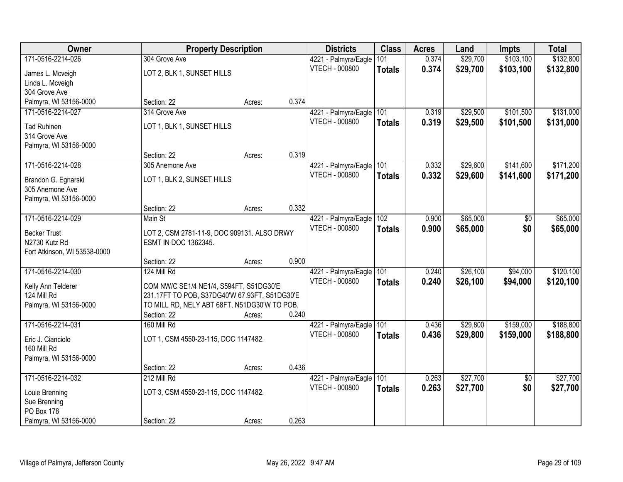| Owner                            |                                               | <b>Property Description</b>                  |       | <b>Districts</b>      | <b>Class</b>  | <b>Acres</b> | Land     | <b>Impts</b>    | <b>Total</b> |
|----------------------------------|-----------------------------------------------|----------------------------------------------|-------|-----------------------|---------------|--------------|----------|-----------------|--------------|
| 171-0516-2214-026                | 304 Grove Ave                                 |                                              |       | 4221 - Palmyra/Eagle  | 101           | 0.374        | \$29,700 | \$103,100       | \$132,800    |
| James L. Mcveigh                 | LOT 2, BLK 1, SUNSET HILLS                    |                                              |       | <b>VTECH - 000800</b> | <b>Totals</b> | 0.374        | \$29,700 | \$103,100       | \$132,800    |
| Linda L. Mcveigh                 |                                               |                                              |       |                       |               |              |          |                 |              |
| 304 Grove Ave                    |                                               |                                              |       |                       |               |              |          |                 |              |
| Palmyra, WI 53156-0000           | Section: 22                                   | Acres:                                       | 0.374 |                       |               |              |          |                 |              |
| 171-0516-2214-027                | 314 Grove Ave                                 |                                              |       | 4221 - Palmyra/Eagle  | 101           | 0.319        | \$29,500 | \$101,500       | \$131,000    |
| <b>Tad Ruhinen</b>               | LOT 1, BLK 1, SUNSET HILLS                    |                                              |       | <b>VTECH - 000800</b> | <b>Totals</b> | 0.319        | \$29,500 | \$101,500       | \$131,000    |
| 314 Grove Ave                    |                                               |                                              |       |                       |               |              |          |                 |              |
| Palmyra, WI 53156-0000           |                                               |                                              |       |                       |               |              |          |                 |              |
|                                  | Section: 22                                   | Acres:                                       | 0.319 |                       |               |              |          |                 |              |
| 171-0516-2214-028                | 305 Anemone Ave                               |                                              |       | 4221 - Palmyra/Eagle  | 101           | 0.332        | \$29,600 | \$141,600       | \$171,200    |
| Brandon G. Egnarski              | LOT 1, BLK 2, SUNSET HILLS                    |                                              |       | VTECH - 000800        | <b>Totals</b> | 0.332        | \$29,600 | \$141,600       | \$171,200    |
| 305 Anemone Ave                  |                                               |                                              |       |                       |               |              |          |                 |              |
| Palmyra, WI 53156-0000           |                                               |                                              |       |                       |               |              |          |                 |              |
|                                  | Section: 22                                   | Acres:                                       | 0.332 |                       |               |              |          |                 |              |
| 171-0516-2214-029                | Main St                                       |                                              |       | 4221 - Palmyra/Eagle  | 102           | 0.900        | \$65,000 | \$0             | \$65,000     |
| <b>Becker Trust</b>              | LOT 2, CSM 2781-11-9, DOC 909131. ALSO DRWY   |                                              |       | <b>VTECH - 000800</b> | <b>Totals</b> | 0.900        | \$65,000 | \$0             | \$65,000     |
| N2730 Kutz Rd                    | ESMT IN DOC 1362345.                          |                                              |       |                       |               |              |          |                 |              |
| Fort Atkinson, WI 53538-0000     |                                               |                                              |       |                       |               |              |          |                 |              |
|                                  | Section: 22                                   | Acres:                                       | 0.900 |                       |               |              |          |                 |              |
| 171-0516-2214-030                | 124 Mill Rd                                   |                                              |       | 4221 - Palmyra/Eagle  | 101           | 0.240        | \$26,100 | \$94,000        | \$120,100    |
| Kelly Ann Telderer               | COM NW/C SE1/4 NE1/4, S594FT, S51DG30'E       |                                              |       | <b>VTECH - 000800</b> | <b>Totals</b> | 0.240        | \$26,100 | \$94,000        | \$120,100    |
| 124 Mill Rd                      | 231.17FT TO POB, S37DG40'W 67.93FT, S51DG30'E |                                              |       |                       |               |              |          |                 |              |
| Palmyra, WI 53156-0000           |                                               | TO MILL RD, NELY ABT 68FT, N51DG30'W TO POB. |       |                       |               |              |          |                 |              |
|                                  | Section: 22                                   | Acres:                                       | 0.240 |                       |               |              |          |                 |              |
| 171-0516-2214-031                | 160 Mill Rd                                   |                                              |       | 4221 - Palmyra/Eagle  | 101           | 0.436        | \$29,800 | \$159,000       | \$188,800    |
|                                  |                                               |                                              |       | <b>VTECH - 000800</b> | <b>Totals</b> | 0.436        | \$29,800 | \$159,000       | \$188,800    |
| Eric J. Cianciolo<br>160 Mill Rd | LOT 1, CSM 4550-23-115, DOC 1147482.          |                                              |       |                       |               |              |          |                 |              |
| Palmyra, WI 53156-0000           |                                               |                                              |       |                       |               |              |          |                 |              |
|                                  | Section: 22                                   | Acres:                                       | 0.436 |                       |               |              |          |                 |              |
| 171-0516-2214-032                | 212 Mill Rd                                   |                                              |       | 4221 - Palmyra/Eagle  | 101           | 0.263        | \$27,700 | $\overline{50}$ | \$27,700     |
|                                  |                                               |                                              |       | VTECH - 000800        | <b>Totals</b> | 0.263        | \$27,700 | \$0             | \$27,700     |
| Louie Brenning<br>Sue Brenning   | LOT 3, CSM 4550-23-115, DOC 1147482.          |                                              |       |                       |               |              |          |                 |              |
| PO Box 178                       |                                               |                                              |       |                       |               |              |          |                 |              |
| Palmyra, WI 53156-0000           | Section: 22                                   | Acres:                                       | 0.263 |                       |               |              |          |                 |              |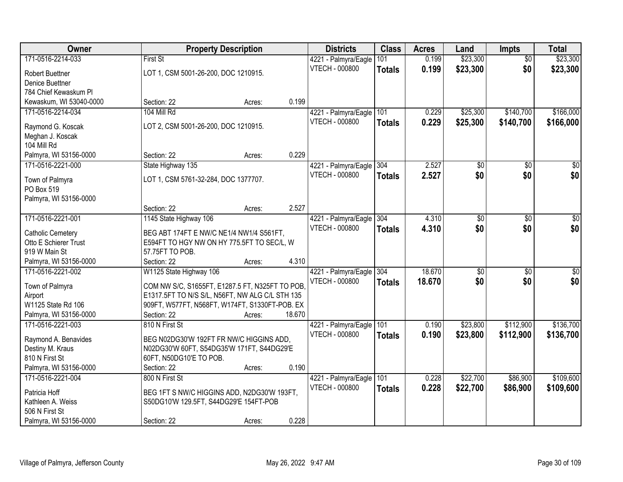| Owner                    | <b>Property Description</b>                     |        |        | <b>Districts</b>         | <b>Class</b>  | <b>Acres</b> | Land            | <b>Impts</b>    | <b>Total</b>    |
|--------------------------|-------------------------------------------------|--------|--------|--------------------------|---------------|--------------|-----------------|-----------------|-----------------|
| 171-0516-2214-033        | <b>First St</b>                                 |        |        | 4221 - Palmyra/Eagle     | 101           | 0.199        | \$23,300        | $\overline{50}$ | \$23,300        |
| Robert Buettner          | LOT 1, CSM 5001-26-200, DOC 1210915.            |        |        | <b>VTECH - 000800</b>    | <b>Totals</b> | 0.199        | \$23,300        | \$0             | \$23,300        |
| Denice Buettner          |                                                 |        |        |                          |               |              |                 |                 |                 |
| 784 Chief Kewaskum Pl    |                                                 |        |        |                          |               |              |                 |                 |                 |
| Kewaskum, WI 53040-0000  | Section: 22                                     | Acres: | 0.199  |                          |               |              |                 |                 |                 |
| 171-0516-2214-034        | 104 Mill Rd                                     |        |        | 4221 - Palmyra/Eagle     | 101           | 0.229        | \$25,300        | \$140,700       | \$166,000       |
|                          |                                                 |        |        | <b>VTECH - 000800</b>    | <b>Totals</b> | 0.229        | \$25,300        | \$140,700       | \$166,000       |
| Raymond G. Koscak        | LOT 2, CSM 5001-26-200, DOC 1210915.            |        |        |                          |               |              |                 |                 |                 |
| Meghan J. Koscak         |                                                 |        |        |                          |               |              |                 |                 |                 |
| 104 Mill Rd              |                                                 |        |        |                          |               |              |                 |                 |                 |
| Palmyra, WI 53156-0000   | Section: 22                                     | Acres: | 0.229  |                          |               |              |                 |                 |                 |
| 171-0516-2221-000        | State Highway 135                               |        |        | 4221 - Palmyra/Eagle 304 |               | 2.527        | \$0             | \$0             | $\overline{30}$ |
| Town of Palmyra          | LOT 1, CSM 5761-32-284, DOC 1377707.            |        |        | <b>VTECH - 000800</b>    | <b>Totals</b> | 2.527        | \$0             | \$0             | \$0             |
| PO Box 519               |                                                 |        |        |                          |               |              |                 |                 |                 |
| Palmyra, WI 53156-0000   |                                                 |        |        |                          |               |              |                 |                 |                 |
|                          | Section: 22                                     | Acres: | 2.527  |                          |               |              |                 |                 |                 |
| 171-0516-2221-001        | 1145 State Highway 106                          |        |        | 4221 - Palmyra/Eagle     | 304           | 4.310        | \$0             | $\sqrt[6]{3}$   | $\sqrt{50}$     |
|                          |                                                 |        |        | <b>VTECH - 000800</b>    | <b>Totals</b> | 4.310        | \$0             | \$0             | \$0             |
| <b>Catholic Cemetery</b> | BEG ABT 174FT E NW/C NE1/4 NW1/4 S561FT,        |        |        |                          |               |              |                 |                 |                 |
| Otto E Schierer Trust    | E594FT TO HGY NW ON HY 775.5FT TO SEC/L, W      |        |        |                          |               |              |                 |                 |                 |
| 919 W Main St            | 57.75FT TO POB.                                 |        |        |                          |               |              |                 |                 |                 |
| Palmyra, WI 53156-0000   | Section: 22                                     | Acres: | 4.310  |                          |               |              |                 |                 |                 |
| 171-0516-2221-002        | W1125 State Highway 106                         |        |        | 4221 - Palmyra/Eagle     | 304           | 18.670       | $\overline{50}$ | $\overline{30}$ | $\overline{50}$ |
| Town of Palmyra          | COM NW S/C, S1655FT, E1287.5 FT, N325FT TO POB, |        |        | VTECH - 000800           | <b>Totals</b> | 18.670       | \$0             | \$0             | \$0             |
| Airport                  | E1317.5FT TO N/S S/L, N56FT, NW ALG C/L STH 135 |        |        |                          |               |              |                 |                 |                 |
| W1125 State Rd 106       | 909FT, W577FT, N568FT, W174FT, S1330FT-POB. EX  |        |        |                          |               |              |                 |                 |                 |
| Palmyra, WI 53156-0000   | Section: 22                                     | Acres: | 18.670 |                          |               |              |                 |                 |                 |
| 171-0516-2221-003        | 810 N First St                                  |        |        | 4221 - Palmyra/Eagle     | 101           | 0.190        | \$23,800        | \$112,900       | \$136,700       |
| Raymond A. Benavides     | BEG N02DG30'W 192FT FR NW/C HIGGINS ADD,        |        |        | <b>VTECH - 000800</b>    | <b>Totals</b> | 0.190        | \$23,800        | \$112,900       | \$136,700       |
| Destiny M. Kraus         | N02DG30'W 60FT, S54DG35'W 171FT, S44DG29'E      |        |        |                          |               |              |                 |                 |                 |
| 810 N First St           | 60FT, N50DG10'E TO POB.                         |        |        |                          |               |              |                 |                 |                 |
| Palmyra, WI 53156-0000   | Section: 22                                     | Acres: | 0.190  |                          |               |              |                 |                 |                 |
| 171-0516-2221-004        | 800 N First St                                  |        |        | 4221 - Palmyra/Eagle     | 101           | 0.228        | \$22,700        | \$86,900        | \$109,600       |
|                          |                                                 |        |        | <b>VTECH - 000800</b>    | <b>Totals</b> | 0.228        | \$22,700        | \$86,900        | \$109,600       |
| Patricia Hoff            | BEG 1FT S NW/C HIGGINS ADD, N2DG30'W 193FT,     |        |        |                          |               |              |                 |                 |                 |
| Kathleen A. Weiss        | S50DG10'W 129.5FT, S44DG29'E 154FT-POB          |        |        |                          |               |              |                 |                 |                 |
| 506 N First St           |                                                 |        |        |                          |               |              |                 |                 |                 |
| Palmyra, WI 53156-0000   | Section: 22                                     | Acres: | 0.228  |                          |               |              |                 |                 |                 |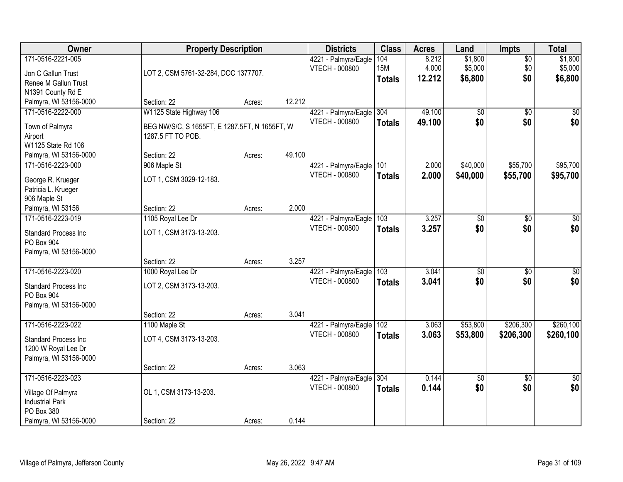| Owner                                     | <b>Property Description</b>                   |        |        | <b>Districts</b>      | <b>Class</b>  | <b>Acres</b> | Land     | <b>Impts</b>    | <b>Total</b>    |
|-------------------------------------------|-----------------------------------------------|--------|--------|-----------------------|---------------|--------------|----------|-----------------|-----------------|
| 171-0516-2221-005                         |                                               |        |        | 4221 - Palmyra/Eagle  | 104           | 8.212        | \$1,800  | $\overline{50}$ | \$1,800         |
| Jon C Gallun Trust                        | LOT 2, CSM 5761-32-284, DOC 1377707.          |        |        | VTECH - 000800        | <b>15M</b>    | 4.000        | \$5,000  | \$0             | \$5,000         |
| Renee M Gallun Trust                      |                                               |        |        |                       | <b>Totals</b> | 12.212       | \$6,800  | \$0             | \$6,800         |
| N1391 County Rd E                         |                                               |        |        |                       |               |              |          |                 |                 |
| Palmyra, WI 53156-0000                    | Section: 22                                   | Acres: | 12.212 |                       |               |              |          |                 |                 |
| 171-0516-2222-000                         | W1125 State Highway 106                       |        |        | 4221 - Palmyra/Eagle  | 304           | 49.100       | \$0      | $\overline{50}$ | \$0             |
| Town of Palmyra                           | BEG NW/S/C, S 1655FT, E 1287.5FT, N 1655FT, W |        |        | <b>VTECH - 000800</b> | <b>Totals</b> | 49.100       | \$0      | \$0             | \$0             |
| Airport                                   | 1287.5 FT TO POB.                             |        |        |                       |               |              |          |                 |                 |
| W1125 State Rd 106                        |                                               |        |        |                       |               |              |          |                 |                 |
| Palmyra, WI 53156-0000                    | Section: 22                                   | Acres: | 49.100 |                       |               |              |          |                 |                 |
| 171-0516-2223-000                         | 906 Maple St                                  |        |        | 4221 - Palmyra/Eagle  | 101           | 2.000        | \$40,000 | \$55,700        | \$95,700        |
|                                           | LOT 1, CSM 3029-12-183.                       |        |        | <b>VTECH - 000800</b> | <b>Totals</b> | 2.000        | \$40,000 | \$55,700        | \$95,700        |
| George R. Krueger<br>Patricia L. Krueger  |                                               |        |        |                       |               |              |          |                 |                 |
| 906 Maple St                              |                                               |        |        |                       |               |              |          |                 |                 |
| Palmyra, WI 53156                         | Section: 22                                   | Acres: | 2.000  |                       |               |              |          |                 |                 |
| 171-0516-2223-019                         | 1105 Royal Lee Dr                             |        |        | 4221 - Palmyra/Eagle  | 103           | 3.257        | \$0      | \$0             | \$0             |
|                                           |                                               |        |        | <b>VTECH - 000800</b> | <b>Totals</b> | 3.257        | \$0      | \$0             | \$0             |
| <b>Standard Process Inc</b><br>PO Box 904 | LOT 1, CSM 3173-13-203.                       |        |        |                       |               |              |          |                 |                 |
| Palmyra, WI 53156-0000                    |                                               |        |        |                       |               |              |          |                 |                 |
|                                           | Section: 22                                   | Acres: | 3.257  |                       |               |              |          |                 |                 |
| 171-0516-2223-020                         | 1000 Royal Lee Dr                             |        |        | 4221 - Palmyra/Eagle  | 103           | 3.041        | \$0      | $\overline{50}$ | \$0             |
|                                           |                                               |        |        | <b>VTECH - 000800</b> | <b>Totals</b> | 3.041        | \$0      | \$0             | \$0             |
| <b>Standard Process Inc</b>               | LOT 2, CSM 3173-13-203.                       |        |        |                       |               |              |          |                 |                 |
| PO Box 904<br>Palmyra, WI 53156-0000      |                                               |        |        |                       |               |              |          |                 |                 |
|                                           | Section: 22                                   | Acres: | 3.041  |                       |               |              |          |                 |                 |
| 171-0516-2223-022                         | 1100 Maple St                                 |        |        | 4221 - Palmyra/Eagle  | 102           | 3.063        | \$53,800 | \$206,300       | \$260,100       |
|                                           |                                               |        |        | <b>VTECH - 000800</b> | <b>Totals</b> | 3.063        | \$53,800 | \$206,300       | \$260,100       |
| <b>Standard Process Inc</b>               | LOT 4, CSM 3173-13-203.                       |        |        |                       |               |              |          |                 |                 |
| 1200 W Royal Lee Dr                       |                                               |        |        |                       |               |              |          |                 |                 |
| Palmyra, WI 53156-0000                    | Section: 22                                   |        | 3.063  |                       |               |              |          |                 |                 |
| 171-0516-2223-023                         |                                               | Acres: |        | 4221 - Palmyra/Eagle  | 304           | 0.144        | \$0      | $\overline{30}$ | $\overline{50}$ |
|                                           |                                               |        |        | <b>VTECH - 000800</b> | <b>Totals</b> | 0.144        | \$0      | \$0             | \$0             |
| Village Of Palmyra                        | OL 1, CSM 3173-13-203.                        |        |        |                       |               |              |          |                 |                 |
| <b>Industrial Park</b>                    |                                               |        |        |                       |               |              |          |                 |                 |
| PO Box 380                                |                                               |        |        |                       |               |              |          |                 |                 |
| Palmyra, WI 53156-0000                    | Section: 22                                   | Acres: | 0.144  |                       |               |              |          |                 |                 |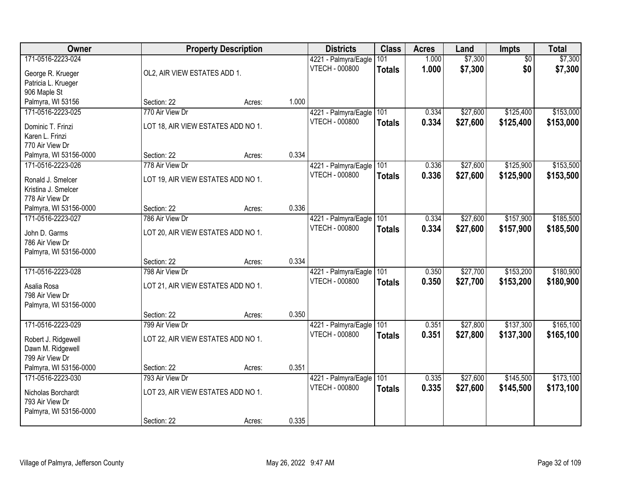| Owner                                  |                                    | <b>Property Description</b> |       | <b>Districts</b>                       | <b>Class</b>         | <b>Acres</b>   | Land               | Impts                  | <b>Total</b>       |
|----------------------------------------|------------------------------------|-----------------------------|-------|----------------------------------------|----------------------|----------------|--------------------|------------------------|--------------------|
| 171-0516-2223-024<br>George R. Krueger | OL2, AIR VIEW ESTATES ADD 1.       |                             |       | 4221 - Palmyra/Eagle<br>VTECH - 000800 | 101<br><b>Totals</b> | 1.000<br>1.000 | \$7,300<br>\$7,300 | $\overline{50}$<br>\$0 | \$7,300<br>\$7,300 |
| Patricia L. Krueger                    |                                    |                             |       |                                        |                      |                |                    |                        |                    |
| 906 Maple St                           |                                    |                             |       |                                        |                      |                |                    |                        |                    |
| Palmyra, WI 53156                      | Section: 22                        | Acres:                      | 1.000 |                                        |                      |                |                    |                        |                    |
| 171-0516-2223-025                      | 770 Air View Dr                    |                             |       | 4221 - Palmyra/Eagle                   | 101                  | 0.334          | \$27,600           | \$125,400              | \$153,000          |
| Dominic T. Frinzi                      | LOT 18, AIR VIEW ESTATES ADD NO 1. |                             |       | VTECH - 000800                         | <b>Totals</b>        | 0.334          | \$27,600           | \$125,400              | \$153,000          |
| Karen L. Frinzi                        |                                    |                             |       |                                        |                      |                |                    |                        |                    |
| 770 Air View Dr                        |                                    |                             |       |                                        |                      |                |                    |                        |                    |
| Palmyra, WI 53156-0000                 | Section: 22                        | Acres:                      | 0.334 |                                        |                      |                |                    |                        |                    |
| 171-0516-2223-026                      | 778 Air View Dr                    |                             |       | 4221 - Palmyra/Eagle                   | 101                  | 0.336          | \$27,600           | \$125,900              | \$153,500          |
| Ronald J. Smelcer                      | LOT 19, AIR VIEW ESTATES ADD NO 1. |                             |       | <b>VTECH - 000800</b>                  | <b>Totals</b>        | 0.336          | \$27,600           | \$125,900              | \$153,500          |
| Kristina J. Smelcer                    |                                    |                             |       |                                        |                      |                |                    |                        |                    |
| 778 Air View Dr                        |                                    |                             |       |                                        |                      |                |                    |                        |                    |
| Palmyra, WI 53156-0000                 | Section: 22                        | Acres:                      | 0.336 |                                        |                      |                |                    |                        |                    |
| 171-0516-2223-027                      | 786 Air View Dr                    |                             |       | 4221 - Palmyra/Eagle                   | 101                  | 0.334          | \$27,600           | \$157,900              | \$185,500          |
| John D. Garms                          | LOT 20, AIR VIEW ESTATES ADD NO 1. |                             |       | <b>VTECH - 000800</b>                  | <b>Totals</b>        | 0.334          | \$27,600           | \$157,900              | \$185,500          |
| 786 Air View Dr                        |                                    |                             |       |                                        |                      |                |                    |                        |                    |
| Palmyra, WI 53156-0000                 |                                    |                             |       |                                        |                      |                |                    |                        |                    |
|                                        | Section: 22                        | Acres:                      | 0.334 |                                        |                      |                |                    |                        |                    |
| 171-0516-2223-028                      | 798 Air View Dr                    |                             |       | 4221 - Palmyra/Eagle                   | 101                  | 0.350          | \$27,700           | \$153,200              | \$180,900          |
| Asalia Rosa                            | LOT 21, AIR VIEW ESTATES ADD NO 1. |                             |       | <b>VTECH - 000800</b>                  | <b>Totals</b>        | 0.350          | \$27,700           | \$153,200              | \$180,900          |
| 798 Air View Dr                        |                                    |                             |       |                                        |                      |                |                    |                        |                    |
| Palmyra, WI 53156-0000                 |                                    |                             |       |                                        |                      |                |                    |                        |                    |
|                                        | Section: 22                        | Acres:                      | 0.350 |                                        |                      |                |                    |                        |                    |
| 171-0516-2223-029                      | 799 Air View Dr                    |                             |       | 4221 - Palmyra/Eagle                   | 101                  | 0.351          | \$27,800           | \$137,300              | \$165,100          |
| Robert J. Ridgewell                    | LOT 22, AIR VIEW ESTATES ADD NO 1. |                             |       | VTECH - 000800                         | <b>Totals</b>        | 0.351          | \$27,800           | \$137,300              | \$165,100          |
| Dawn M. Ridgewell                      |                                    |                             |       |                                        |                      |                |                    |                        |                    |
| 799 Air View Dr                        |                                    |                             |       |                                        |                      |                |                    |                        |                    |
| Palmyra, WI 53156-0000                 | Section: 22                        | Acres:                      | 0.351 |                                        |                      |                |                    |                        |                    |
| 171-0516-2223-030                      | 793 Air View Dr                    |                             |       | 4221 - Palmyra/Eagle                   | 101                  | 0.335          | \$27,600           | \$145,500              | \$173,100          |
| Nicholas Borchardt                     | LOT 23, AIR VIEW ESTATES ADD NO 1. |                             |       | VTECH - 000800                         | <b>Totals</b>        | 0.335          | \$27,600           | \$145,500              | \$173,100          |
| 793 Air View Dr                        |                                    |                             |       |                                        |                      |                |                    |                        |                    |
| Palmyra, WI 53156-0000                 |                                    |                             |       |                                        |                      |                |                    |                        |                    |
|                                        | Section: 22                        | Acres:                      | 0.335 |                                        |                      |                |                    |                        |                    |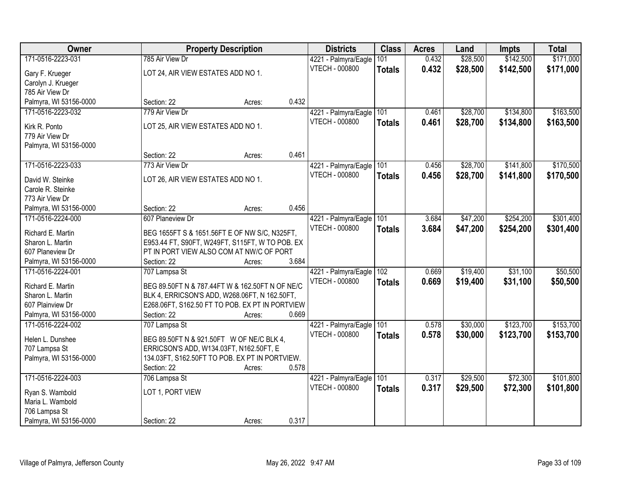| Owner                                   |                                                 | <b>Property Description</b> |       | <b>Districts</b>         | <b>Class</b>  | <b>Acres</b> | Land     | <b>Impts</b> | <b>Total</b> |
|-----------------------------------------|-------------------------------------------------|-----------------------------|-------|--------------------------|---------------|--------------|----------|--------------|--------------|
| 171-0516-2223-031                       | 785 Air View Dr                                 |                             |       | 4221 - Palmyra/Eagle     | 101           | 0.432        | \$28,500 | \$142,500    | \$171,000    |
| Gary F. Krueger                         | LOT 24, AIR VIEW ESTATES ADD NO 1.              |                             |       | VTECH - 000800           | <b>Totals</b> | 0.432        | \$28,500 | \$142,500    | \$171,000    |
| Carolyn J. Krueger                      |                                                 |                             |       |                          |               |              |          |              |              |
| 785 Air View Dr                         |                                                 |                             |       |                          |               |              |          |              |              |
| Palmyra, WI 53156-0000                  | Section: 22                                     | Acres:                      | 0.432 |                          |               |              |          |              |              |
| 171-0516-2223-032                       | 779 Air View Dr                                 |                             |       | 4221 - Palmyra/Eagle     | 101           | 0.461        | \$28,700 | \$134,800    | \$163,500    |
|                                         |                                                 |                             |       | <b>VTECH - 000800</b>    | <b>Totals</b> | 0.461        | \$28,700 | \$134,800    | \$163,500    |
| Kirk R. Ponto                           | LOT 25, AIR VIEW ESTATES ADD NO 1.              |                             |       |                          |               |              |          |              |              |
| 779 Air View Dr                         |                                                 |                             |       |                          |               |              |          |              |              |
| Palmyra, WI 53156-0000                  | Section: 22                                     |                             | 0.461 |                          |               |              |          |              |              |
|                                         |                                                 | Acres:                      |       |                          |               |              |          |              |              |
| 171-0516-2223-033                       | 773 Air View Dr                                 |                             |       | 4221 - Palmyra/Eagle     | 101           | 0.456        | \$28,700 | \$141,800    | \$170,500    |
| David W. Steinke                        | LOT 26, AIR VIEW ESTATES ADD NO 1.              |                             |       | <b>VTECH - 000800</b>    | <b>Totals</b> | 0.456        | \$28,700 | \$141,800    | \$170,500    |
| Carole R. Steinke                       |                                                 |                             |       |                          |               |              |          |              |              |
| 773 Air View Dr                         |                                                 |                             |       |                          |               |              |          |              |              |
| Palmyra, WI 53156-0000                  | Section: 22                                     | Acres:                      | 0.456 |                          |               |              |          |              |              |
| 171-0516-2224-000                       | 607 Planeview Dr                                |                             |       | 4221 - Palmyra/Eagle     | 101           | 3.684        | \$47,200 | \$254,200    | \$301,400    |
| Richard E. Martin                       | BEG 1655FT S & 1651.56FT E OF NW S/C, N325FT,   |                             |       | <b>VTECH - 000800</b>    | <b>Totals</b> | 3.684        | \$47,200 | \$254,200    | \$301,400    |
| Sharon L. Martin                        | E953.44 FT, S90FT, W249FT, S115FT, W TO POB. EX |                             |       |                          |               |              |          |              |              |
| 607 Planeview Dr                        | PT IN PORT VIEW ALSO COM AT NW/C OF PORT        |                             |       |                          |               |              |          |              |              |
| Palmyra, WI 53156-0000                  | Section: 22                                     | Acres:                      | 3.684 |                          |               |              |          |              |              |
| 171-0516-2224-001                       | 707 Lampsa St                                   |                             |       | 4221 - Palmyra/Eagle 102 |               | 0.669        | \$19,400 | \$31,100     | \$50,500     |
|                                         |                                                 |                             |       | <b>VTECH - 000800</b>    | <b>Totals</b> | 0.669        | \$19,400 | \$31,100     | \$50,500     |
| Richard E. Martin                       | BEG 89.50FT N & 787.44FT W & 162.50FT N OF NE/C |                             |       |                          |               |              |          |              |              |
| Sharon L. Martin                        | BLK 4, ERRICSON'S ADD, W268.06FT, N 162.50FT,   |                             |       |                          |               |              |          |              |              |
| 607 Plainview Dr                        | E268.06FT, S162.50 FT TO POB. EX PT IN PORTVIEW |                             |       |                          |               |              |          |              |              |
| Palmyra, WI 53156-0000                  | Section: 22                                     | Acres:                      | 0.669 |                          |               |              |          |              |              |
| 171-0516-2224-002                       | 707 Lampsa St                                   |                             |       | 4221 - Palmyra/Eagle     | 101           | 0.578        | \$30,000 | \$123,700    | \$153,700    |
| Helen L. Dunshee                        | BEG 89.50FT N & 921.50FT W OF NE/C BLK 4,       |                             |       | VTECH - 000800           | <b>Totals</b> | 0.578        | \$30,000 | \$123,700    | \$153,700    |
| 707 Lampsa St                           | ERRICSON'S ADD, W134.03FT, N162.50FT, E         |                             |       |                          |               |              |          |              |              |
| Palmyra, WI 53156-0000                  | 134.03FT, S162.50FT TO POB. EX PT IN PORTVIEW.  |                             |       |                          |               |              |          |              |              |
|                                         | Section: 22                                     | Acres:                      | 0.578 |                          |               |              |          |              |              |
| 171-0516-2224-003                       | 706 Lampsa St                                   |                             |       | 4221 - Palmyra/Eagle     | 101           | 0.317        | \$29,500 | \$72,300     | \$101,800    |
|                                         |                                                 |                             |       | <b>VTECH - 000800</b>    | <b>Totals</b> | 0.317        | \$29,500 | \$72,300     | \$101,800    |
| Ryan S. Wambold                         | LOT 1, PORT VIEW                                |                             |       |                          |               |              |          |              |              |
| Maria L. Wambold                        |                                                 |                             |       |                          |               |              |          |              |              |
| 706 Lampsa St<br>Palmyra, WI 53156-0000 | Section: 22                                     |                             | 0.317 |                          |               |              |          |              |              |
|                                         |                                                 | Acres:                      |       |                          |               |              |          |              |              |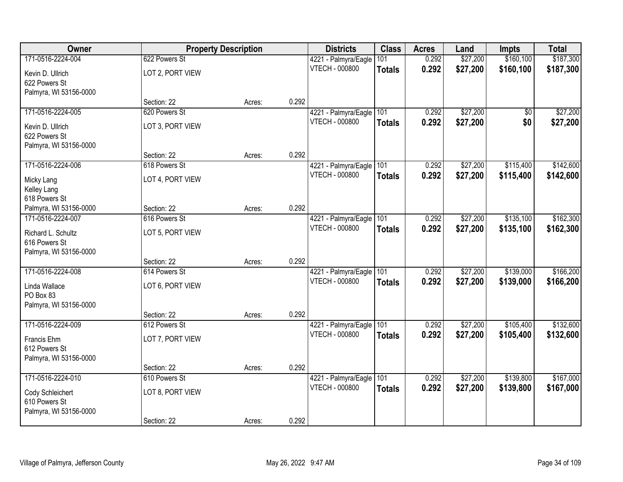| Owner                                       |                  | <b>Property Description</b> |       | <b>Districts</b>                              | <b>Class</b>  | <b>Acres</b> | Land     | <b>Impts</b> | <b>Total</b> |
|---------------------------------------------|------------------|-----------------------------|-------|-----------------------------------------------|---------------|--------------|----------|--------------|--------------|
| 171-0516-2224-004                           | 622 Powers St    |                             |       | 4221 - Palmyra/Eagle                          | 101           | 0.292        | \$27,200 | \$160,100    | \$187,300    |
| Kevin D. Ullrich                            | LOT 2, PORT VIEW |                             |       | VTECH - 000800                                | <b>Totals</b> | 0.292        | \$27,200 | \$160,100    | \$187,300    |
| 622 Powers St                               |                  |                             |       |                                               |               |              |          |              |              |
| Palmyra, WI 53156-0000                      |                  |                             |       |                                               |               |              |          |              |              |
|                                             | Section: 22      | Acres:                      | 0.292 |                                               |               |              |          |              |              |
| 171-0516-2224-005                           | 620 Powers St    |                             |       | 4221 - Palmyra/Eagle                          | 101           | 0.292        | \$27,200 | \$0          | \$27,200     |
| Kevin D. Ullrich                            | LOT 3, PORT VIEW |                             |       | VTECH - 000800                                | <b>Totals</b> | 0.292        | \$27,200 | \$0          | \$27,200     |
| 622 Powers St                               |                  |                             |       |                                               |               |              |          |              |              |
| Palmyra, WI 53156-0000                      |                  |                             |       |                                               |               |              |          |              |              |
|                                             | Section: 22      | Acres:                      | 0.292 |                                               |               |              |          |              |              |
| 171-0516-2224-006                           | 618 Powers St    |                             |       | 4221 - Palmyra/Eagle<br><b>VTECH - 000800</b> | 101           | 0.292        | \$27,200 | \$115,400    | \$142,600    |
| Micky Lang                                  | LOT 4, PORT VIEW |                             |       |                                               | <b>Totals</b> | 0.292        | \$27,200 | \$115,400    | \$142,600    |
| Kelley Lang                                 |                  |                             |       |                                               |               |              |          |              |              |
| 618 Powers St                               | Section: 22      |                             | 0.292 |                                               |               |              |          |              |              |
| Palmyra, WI 53156-0000<br>171-0516-2224-007 | 616 Powers St    | Acres:                      |       | 4221 - Palmyra/Eagle                          | 101           | 0.292        | \$27,200 | \$135,100    | \$162,300    |
|                                             |                  |                             |       | <b>VTECH - 000800</b>                         | <b>Totals</b> | 0.292        | \$27,200 | \$135,100    | \$162,300    |
| Richard L. Schultz                          | LOT 5, PORT VIEW |                             |       |                                               |               |              |          |              |              |
| 616 Powers St<br>Palmyra, WI 53156-0000     |                  |                             |       |                                               |               |              |          |              |              |
|                                             | Section: 22      | Acres:                      | 0.292 |                                               |               |              |          |              |              |
| 171-0516-2224-008                           | 614 Powers St    |                             |       | 4221 - Palmyra/Eagle                          | 101           | 0.292        | \$27,200 | \$139,000    | \$166,200    |
| Linda Wallace                               | LOT 6, PORT VIEW |                             |       | <b>VTECH - 000800</b>                         | <b>Totals</b> | 0.292        | \$27,200 | \$139,000    | \$166,200    |
| PO Box 83                                   |                  |                             |       |                                               |               |              |          |              |              |
| Palmyra, WI 53156-0000                      |                  |                             |       |                                               |               |              |          |              |              |
|                                             | Section: 22      | Acres:                      | 0.292 |                                               |               |              |          |              |              |
| 171-0516-2224-009                           | 612 Powers St    |                             |       | 4221 - Palmyra/Eagle                          | 101           | 0.292        | \$27,200 | \$105,400    | \$132,600    |
| Francis Ehm                                 | LOT 7, PORT VIEW |                             |       | <b>VTECH - 000800</b>                         | <b>Totals</b> | 0.292        | \$27,200 | \$105,400    | \$132,600    |
| 612 Powers St                               |                  |                             |       |                                               |               |              |          |              |              |
| Palmyra, WI 53156-0000                      |                  |                             |       |                                               |               |              |          |              |              |
|                                             | Section: 22      | Acres:                      | 0.292 |                                               |               |              |          |              |              |
| 171-0516-2224-010                           | 610 Powers St    |                             |       | 4221 - Palmyra/Eagle                          | 101           | 0.292        | \$27,200 | \$139,800    | \$167,000    |
| Cody Schleichert                            | LOT 8, PORT VIEW |                             |       | VTECH - 000800                                | <b>Totals</b> | 0.292        | \$27,200 | \$139,800    | \$167,000    |
| 610 Powers St                               |                  |                             |       |                                               |               |              |          |              |              |
| Palmyra, WI 53156-0000                      |                  |                             |       |                                               |               |              |          |              |              |
|                                             | Section: 22      | Acres:                      | 0.292 |                                               |               |              |          |              |              |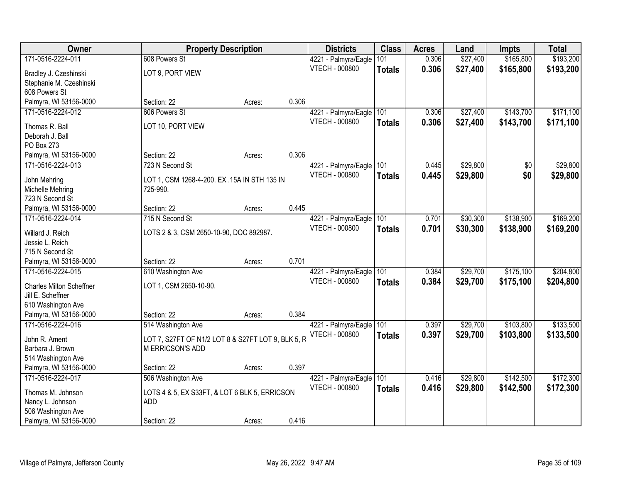| Owner                                                | <b>Property Description</b>                                            |        |       | <b>Districts</b>         | <b>Class</b>  | <b>Acres</b> | Land     | <b>Impts</b> | <b>Total</b> |
|------------------------------------------------------|------------------------------------------------------------------------|--------|-------|--------------------------|---------------|--------------|----------|--------------|--------------|
| 171-0516-2224-011                                    | 608 Powers St                                                          |        |       | 4221 - Palmyra/Eagle     | 101           | 0.306        | \$27,400 | \$165,800    | \$193,200    |
| Bradley J. Czeshinski                                | LOT 9, PORT VIEW                                                       |        |       | <b>VTECH - 000800</b>    | <b>Totals</b> | 0.306        | \$27,400 | \$165,800    | \$193,200    |
| Stephanie M. Czeshinski                              |                                                                        |        |       |                          |               |              |          |              |              |
| 608 Powers St                                        |                                                                        |        |       |                          |               |              |          |              |              |
| Palmyra, WI 53156-0000                               | Section: 22                                                            | Acres: | 0.306 |                          |               |              |          |              |              |
| 171-0516-2224-012                                    | 606 Powers St                                                          |        |       | 4221 - Palmyra/Eagle     | 101           | 0.306        | \$27,400 | \$143,700    | \$171,100    |
| Thomas R. Ball                                       | LOT 10, PORT VIEW                                                      |        |       | <b>VTECH - 000800</b>    | <b>Totals</b> | 0.306        | \$27,400 | \$143,700    | \$171,100    |
| Deborah J. Ball                                      |                                                                        |        |       |                          |               |              |          |              |              |
| PO Box 273                                           |                                                                        |        |       |                          |               |              |          |              |              |
| Palmyra, WI 53156-0000                               | Section: 22                                                            | Acres: | 0.306 |                          |               |              |          |              |              |
| 171-0516-2224-013                                    | 723 N Second St                                                        |        |       | 4221 - Palmyra/Eagle 101 |               | 0.445        | \$29,800 | \$0          | \$29,800     |
| John Mehring                                         | LOT 1, CSM 1268-4-200. EX .15A IN STH 135 IN                           |        |       | <b>VTECH - 000800</b>    | <b>Totals</b> | 0.445        | \$29,800 | \$0          | \$29,800     |
| Michelle Mehring                                     | 725-990.                                                               |        |       |                          |               |              |          |              |              |
| 723 N Second St                                      |                                                                        |        |       |                          |               |              |          |              |              |
| Palmyra, WI 53156-0000                               | Section: 22                                                            | Acres: | 0.445 |                          |               |              |          |              |              |
| 171-0516-2224-014                                    | 715 N Second St                                                        |        |       | 4221 - Palmyra/Eagle     | 101           | 0.701        | \$30,300 | \$138,900    | \$169,200    |
| Willard J. Reich                                     | LOTS 2 & 3, CSM 2650-10-90, DOC 892987.                                |        |       | <b>VTECH - 000800</b>    | <b>Totals</b> | 0.701        | \$30,300 | \$138,900    | \$169,200    |
| Jessie L. Reich                                      |                                                                        |        |       |                          |               |              |          |              |              |
| 715 N Second St                                      |                                                                        |        |       |                          |               |              |          |              |              |
| Palmyra, WI 53156-0000                               | Section: 22                                                            | Acres: | 0.701 |                          |               |              |          |              |              |
| 171-0516-2224-015                                    | 610 Washington Ave                                                     |        |       | 4221 - Palmyra/Eagle     | 101           | 0.384        | \$29,700 | \$175,100    | \$204,800    |
|                                                      |                                                                        |        |       | <b>VTECH - 000800</b>    | <b>Totals</b> | 0.384        | \$29,700 | \$175,100    | \$204,800    |
| <b>Charles Milton Scheffner</b><br>Jill E. Scheffner | LOT 1, CSM 2650-10-90.                                                 |        |       |                          |               |              |          |              |              |
| 610 Washington Ave                                   |                                                                        |        |       |                          |               |              |          |              |              |
| Palmyra, WI 53156-0000                               | Section: 22                                                            | Acres: | 0.384 |                          |               |              |          |              |              |
| 171-0516-2224-016                                    | 514 Washington Ave                                                     |        |       | 4221 - Palmyra/Eagle     | 101           | 0.397        | \$29,700 | \$103,800    | \$133,500    |
|                                                      |                                                                        |        |       | <b>VTECH - 000800</b>    | <b>Totals</b> | 0.397        | \$29,700 | \$103,800    | \$133,500    |
| John R. Ament<br>Barbara J. Brown                    | LOT 7, S27FT OF N1/2 LOT 8 & S27FT LOT 9, BLK 5, R<br>M ERRICSON'S ADD |        |       |                          |               |              |          |              |              |
| 514 Washington Ave                                   |                                                                        |        |       |                          |               |              |          |              |              |
| Palmyra, WI 53156-0000                               | Section: 22                                                            | Acres: | 0.397 |                          |               |              |          |              |              |
| 171-0516-2224-017                                    | 506 Washington Ave                                                     |        |       | 4221 - Palmyra/Eagle     | 101           | 0.416        | \$29,800 | \$142,500    | \$172,300    |
|                                                      |                                                                        |        |       | <b>VTECH - 000800</b>    | <b>Totals</b> | 0.416        | \$29,800 | \$142,500    | \$172,300    |
| Thomas M. Johnson<br>Nancy L. Johnson                | LOTS 4 & 5, EX S33FT, & LOT 6 BLK 5, ERRICSON<br><b>ADD</b>            |        |       |                          |               |              |          |              |              |
| 506 Washington Ave                                   |                                                                        |        |       |                          |               |              |          |              |              |
| Palmyra, WI 53156-0000                               | Section: 22                                                            | Acres: | 0.416 |                          |               |              |          |              |              |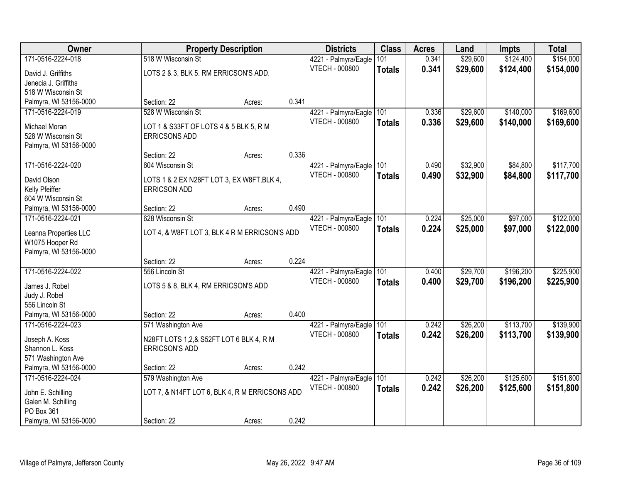| Owner                  |                                                | <b>Property Description</b> |       | <b>Districts</b>         | <b>Class</b>  | <b>Acres</b> | Land     | <b>Impts</b> | <b>Total</b> |
|------------------------|------------------------------------------------|-----------------------------|-------|--------------------------|---------------|--------------|----------|--------------|--------------|
| 171-0516-2224-018      | 518 W Wisconsin St                             |                             |       | 4221 - Palmyra/Eagle     | 101           | 0.341        | \$29,600 | \$124,400    | \$154,000    |
| David J. Griffiths     | LOTS 2 & 3, BLK 5. RM ERRICSON'S ADD.          |                             |       | <b>VTECH - 000800</b>    | <b>Totals</b> | 0.341        | \$29,600 | \$124,400    | \$154,000    |
| Jenecia J. Griffiths   |                                                |                             |       |                          |               |              |          |              |              |
| 518 W Wisconsin St     |                                                |                             |       |                          |               |              |          |              |              |
| Palmyra, WI 53156-0000 | Section: 22                                    | Acres:                      | 0.341 |                          |               |              |          |              |              |
| 171-0516-2224-019      | 528 W Wisconsin St                             |                             |       | 4221 - Palmyra/Eagle     | 101           | 0.336        | \$29,600 | \$140,000    | \$169,600    |
| Michael Moran          | LOT 1 & S33FT OF LOTS 4 & 5 BLK 5, R M         |                             |       | <b>VTECH - 000800</b>    | <b>Totals</b> | 0.336        | \$29,600 | \$140,000    | \$169,600    |
| 528 W Wisconsin St     | <b>ERRICSONS ADD</b>                           |                             |       |                          |               |              |          |              |              |
| Palmyra, WI 53156-0000 |                                                |                             |       |                          |               |              |          |              |              |
|                        | Section: 22                                    | Acres:                      | 0.336 |                          |               |              |          |              |              |
| 171-0516-2224-020      | 604 Wisconsin St                               |                             |       | 4221 - Palmyra/Eagle     | 101           | 0.490        | \$32,900 | \$84,800     | \$117,700    |
| David Olson            | LOTS 1 & 2 EX N28FT LOT 3, EX W8FT, BLK 4,     |                             |       | <b>VTECH - 000800</b>    | <b>Totals</b> | 0.490        | \$32,900 | \$84,800     | \$117,700    |
| Kelly Pfeiffer         | <b>ERRICSON ADD</b>                            |                             |       |                          |               |              |          |              |              |
| 604 W Wisconsin St     |                                                |                             |       |                          |               |              |          |              |              |
| Palmyra, WI 53156-0000 | Section: 22                                    | Acres:                      | 0.490 |                          |               |              |          |              |              |
| 171-0516-2224-021      | 628 Wisconsin St                               |                             |       | 4221 - Palmyra/Eagle     | 101           | 0.224        | \$25,000 | \$97,000     | \$122,000    |
| Leanna Properties LLC  | LOT 4, & W8FT LOT 3, BLK 4 R M ERRICSON'S ADD  |                             |       | <b>VTECH - 000800</b>    | <b>Totals</b> | 0.224        | \$25,000 | \$97,000     | \$122,000    |
| W1075 Hooper Rd        |                                                |                             |       |                          |               |              |          |              |              |
| Palmyra, WI 53156-0000 |                                                |                             |       |                          |               |              |          |              |              |
|                        | Section: 22                                    | Acres:                      | 0.224 |                          |               |              |          |              |              |
| 171-0516-2224-022      | 556 Lincoln St                                 |                             |       | 4221 - Palmyra/Eagle 101 |               | 0.400        | \$29,700 | \$196,200    | \$225,900    |
| James J. Robel         | LOTS 5 & 8, BLK 4, RM ERRICSON'S ADD           |                             |       | <b>VTECH - 000800</b>    | <b>Totals</b> | 0.400        | \$29,700 | \$196,200    | \$225,900    |
| Judy J. Robel          |                                                |                             |       |                          |               |              |          |              |              |
| 556 Lincoln St         |                                                |                             |       |                          |               |              |          |              |              |
| Palmyra, WI 53156-0000 | Section: 22                                    | Acres:                      | 0.400 |                          |               |              |          |              |              |
| 171-0516-2224-023      | 571 Washington Ave                             |                             |       | 4221 - Palmyra/Eagle     | 101           | 0.242        | \$26,200 | \$113,700    | \$139,900    |
| Joseph A. Koss         | N28FT LOTS 1,2,& S52FT LOT 6 BLK 4, R M        |                             |       | <b>VTECH - 000800</b>    | <b>Totals</b> | 0.242        | \$26,200 | \$113,700    | \$139,900    |
| Shannon L. Koss        | <b>ERRICSON'S ADD</b>                          |                             |       |                          |               |              |          |              |              |
| 571 Washington Ave     |                                                |                             |       |                          |               |              |          |              |              |
| Palmyra, WI 53156-0000 | Section: 22                                    | Acres:                      | 0.242 |                          |               |              |          |              |              |
| 171-0516-2224-024      | 579 Washington Ave                             |                             |       | 4221 - Palmyra/Eagle     | 101           | 0.242        | \$26,200 | \$125,600    | \$151,800    |
| John E. Schilling      | LOT 7, & N14FT LOT 6, BLK 4, R M ERRICSONS ADD |                             |       | <b>VTECH - 000800</b>    | Totals        | 0.242        | \$26,200 | \$125,600    | \$151,800    |
| Galen M. Schilling     |                                                |                             |       |                          |               |              |          |              |              |
| PO Box 361             |                                                |                             |       |                          |               |              |          |              |              |
| Palmyra, WI 53156-0000 | Section: 22                                    | Acres:                      | 0.242 |                          |               |              |          |              |              |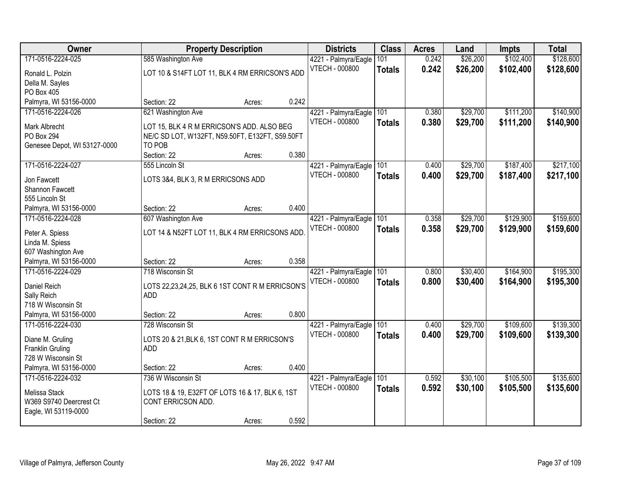| Owner                        |                                                 | <b>Property Description</b> |       | <b>Districts</b>      | <b>Class</b>  | <b>Acres</b> | Land     | <b>Impts</b> | <b>Total</b> |
|------------------------------|-------------------------------------------------|-----------------------------|-------|-----------------------|---------------|--------------|----------|--------------|--------------|
| 171-0516-2224-025            | 585 Washington Ave                              |                             |       | 4221 - Palmyra/Eagle  | 101           | 0.242        | \$26,200 | \$102,400    | \$128,600    |
| Ronald L. Polzin             | LOT 10 & S14FT LOT 11, BLK 4 RM ERRICSON'S ADD  |                             |       | <b>VTECH - 000800</b> | <b>Totals</b> | 0.242        | \$26,200 | \$102,400    | \$128,600    |
| Della M. Sayles              |                                                 |                             |       |                       |               |              |          |              |              |
| PO Box 405                   |                                                 |                             |       |                       |               |              |          |              |              |
| Palmyra, WI 53156-0000       | Section: 22                                     | Acres:                      | 0.242 |                       |               |              |          |              |              |
| 171-0516-2224-026            | 621 Washington Ave                              |                             |       | 4221 - Palmyra/Eagle  | 101           | 0.380        | \$29,700 | \$111,200    | \$140,900    |
| Mark Albrecht                | LOT 15, BLK 4 R M ERRICSON'S ADD. ALSO BEG      |                             |       | VTECH - 000800        | <b>Totals</b> | 0.380        | \$29,700 | \$111,200    | \$140,900    |
| <b>PO Box 294</b>            | NE/C SD LOT, W132FT, N59.50FT, E132FT, S59.50FT |                             |       |                       |               |              |          |              |              |
| Genesee Depot, WI 53127-0000 | TO POB                                          |                             |       |                       |               |              |          |              |              |
|                              | Section: 22                                     | Acres:                      | 0.380 |                       |               |              |          |              |              |
| 171-0516-2224-027            | 555 Lincoln St                                  |                             |       | 4221 - Palmyra/Eagle  | 101           | 0.400        | \$29,700 | \$187,400    | \$217,100    |
|                              |                                                 |                             |       | <b>VTECH - 000800</b> | <b>Totals</b> | 0.400        | \$29,700 | \$187,400    | \$217,100    |
| Jon Fawcett                  | LOTS 3&4, BLK 3, R M ERRICSONS ADD              |                             |       |                       |               |              |          |              |              |
| Shannon Fawcett              |                                                 |                             |       |                       |               |              |          |              |              |
| 555 Lincoln St               |                                                 |                             |       |                       |               |              |          |              |              |
| Palmyra, WI 53156-0000       | Section: 22                                     | Acres:                      | 0.400 |                       |               |              |          |              |              |
| 171-0516-2224-028            | 607 Washington Ave                              |                             |       | 4221 - Palmyra/Eagle  | 101           | 0.358        | \$29,700 | \$129,900    | \$159,600    |
| Peter A. Spiess              | LOT 14 & N52FT LOT 11, BLK 4 RM ERRICSONS ADD   |                             |       | <b>VTECH - 000800</b> | <b>Totals</b> | 0.358        | \$29,700 | \$129,900    | \$159,600    |
| Linda M. Spiess              |                                                 |                             |       |                       |               |              |          |              |              |
| 607 Washington Ave           |                                                 |                             |       |                       |               |              |          |              |              |
| Palmyra, WI 53156-0000       | Section: 22                                     | Acres:                      | 0.358 |                       |               |              |          |              |              |
| 171-0516-2224-029            | 718 Wisconsin St                                |                             |       | 4221 - Palmyra/Eagle  | 101           | 0.800        | \$30,400 | \$164,900    | \$195,300    |
| Daniel Reich                 | LOTS 22,23,24,25, BLK 6 1ST CONT R M ERRICSON'S |                             |       | <b>VTECH - 000800</b> | <b>Totals</b> | 0.800        | \$30,400 | \$164,900    | \$195,300    |
| Sally Reich                  | <b>ADD</b>                                      |                             |       |                       |               |              |          |              |              |
| 718 W Wisconsin St           |                                                 |                             |       |                       |               |              |          |              |              |
| Palmyra, WI 53156-0000       | Section: 22                                     | Acres:                      | 0.800 |                       |               |              |          |              |              |
| 171-0516-2224-030            | 728 Wisconsin St                                |                             |       | 4221 - Palmyra/Eagle  | 101           | 0.400        | \$29,700 | \$109,600    | \$139,300    |
|                              |                                                 |                             |       | VTECH - 000800        | <b>Totals</b> | 0.400        | \$29,700 | \$109,600    | \$139,300    |
| Diane M. Gruling             | LOTS 20 & 21, BLK 6, 1ST CONT R M ERRICSON'S    |                             |       |                       |               |              |          |              |              |
| Franklin Gruling             | <b>ADD</b>                                      |                             |       |                       |               |              |          |              |              |
| 728 W Wisconsin St           |                                                 |                             |       |                       |               |              |          |              |              |
| Palmyra, WI 53156-0000       | Section: 22                                     | Acres:                      | 0.400 |                       |               |              |          |              |              |
| 171-0516-2224-032            | 736 W Wisconsin St                              |                             |       | 4221 - Palmyra/Eagle  | 101           | 0.592        | \$30,100 | \$105,500    | \$135,600    |
| Melissa Stack                | LOTS 18 & 19, E32FT OF LOTS 16 & 17, BLK 6, 1ST |                             |       | VTECH - 000800        | <b>Totals</b> | 0.592        | \$30,100 | \$105,500    | \$135,600    |
| W369 S9740 Deercrest Ct      | CONT ERRICSON ADD.                              |                             |       |                       |               |              |          |              |              |
| Eagle, WI 53119-0000         |                                                 |                             |       |                       |               |              |          |              |              |
|                              | Section: 22                                     | Acres:                      | 0.592 |                       |               |              |          |              |              |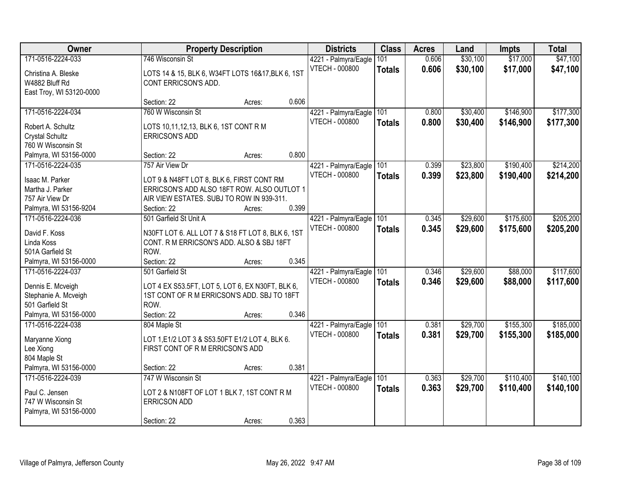| Owner                                                                                                       |                                                                                                                                                                         | <b>Property Description</b> |       | <b>Districts</b>                              | <b>Class</b>         | <b>Acres</b>   | Land                 | <b>Impts</b>           | <b>Total</b>           |
|-------------------------------------------------------------------------------------------------------------|-------------------------------------------------------------------------------------------------------------------------------------------------------------------------|-----------------------------|-------|-----------------------------------------------|----------------------|----------------|----------------------|------------------------|------------------------|
| 171-0516-2224-033<br>Christina A. Bleske<br>W4882 Bluff Rd                                                  | 746 Wisconsin St<br>LOTS 14 & 15, BLK 6, W34FT LOTS 16&17, BLK 6, 1ST<br>CONT ERRICSON'S ADD.                                                                           |                             |       | 4221 - Palmyra/Eagle<br><b>VTECH - 000800</b> | 101<br><b>Totals</b> | 0.606<br>0.606 | \$30,100<br>\$30,100 | \$17,000<br>\$17,000   | \$47,100<br>\$47,100   |
| East Troy, WI 53120-0000                                                                                    | Section: 22                                                                                                                                                             | Acres:                      | 0.606 |                                               |                      |                |                      |                        |                        |
| 171-0516-2224-034<br>Robert A. Schultz<br>Crystal Schultz                                                   | 760 W Wisconsin St<br>LOTS 10,11,12,13, BLK 6, 1ST CONT R M<br><b>ERRICSON'S ADD</b>                                                                                    |                             |       | 4221 - Palmyra/Eagle<br>VTECH - 000800        | 101<br><b>Totals</b> | 0.800<br>0.800 | \$30,400<br>\$30,400 | \$146,900<br>\$146,900 | \$177,300<br>\$177,300 |
| 760 W Wisconsin St<br>Palmyra, WI 53156-0000                                                                | Section: 22                                                                                                                                                             | Acres:                      | 0.800 |                                               |                      |                |                      |                        |                        |
| 171-0516-2224-035<br>Isaac M. Parker<br>Martha J. Parker<br>757 Air View Dr<br>Palmyra, WI 53156-9204       | 757 Air View Dr<br>LOT 9 & N48FT LOT 8, BLK 6, FIRST CONT RM<br>ERRICSON'S ADD ALSO 18FT ROW. ALSO OUTLOT 1<br>AIR VIEW ESTATES. SUBJ TO ROW IN 939-311.<br>Section: 22 | Acres:                      | 0.399 | 4221 - Palmyra/Eagle<br><b>VTECH - 000800</b> | 101<br><b>Totals</b> | 0.399<br>0.399 | \$23,800<br>\$23,800 | \$190,400<br>\$190,400 | \$214,200<br>\$214,200 |
| 171-0516-2224-036<br>David F. Koss<br>Linda Koss<br>501A Garfield St<br>Palmyra, WI 53156-0000              | 501 Garfield St Unit A<br>N30FT LOT 6. ALL LOT 7 & S18 FT LOT 8, BLK 6, 1ST<br>CONT. R M ERRICSON'S ADD. ALSO & SBJ 18FT<br>ROW.<br>Section: 22                         | Acres:                      | 0.345 | 4221 - Palmyra/Eagle<br>VTECH - 000800        | 101<br><b>Totals</b> | 0.345<br>0.345 | \$29,600<br>\$29,600 | \$175,600<br>\$175,600 | \$205,200<br>\$205,200 |
| 171-0516-2224-037<br>Dennis E. Mcveigh<br>Stephanie A. Mcveigh<br>501 Garfield St<br>Palmyra, WI 53156-0000 | 501 Garfield St<br>LOT 4 EX S53.5FT, LOT 5, LOT 6, EX N30FT, BLK 6,<br>1ST CONT OF R M ERRICSON'S ADD. SBJ TO 18FT<br>ROW.<br>Section: 22                               | Acres:                      | 0.346 | 4221 - Palmyra/Eagle<br><b>VTECH - 000800</b> | 101<br><b>Totals</b> | 0.346<br>0.346 | \$29,600<br>\$29,600 | \$88,000<br>\$88,000   | \$117,600<br>\$117,600 |
| 171-0516-2224-038<br>Maryanne Xiong<br>Lee Xiong<br>804 Maple St<br>Palmyra, WI 53156-0000                  | 804 Maple St<br>LOT 1, E1/2 LOT 3 & S53.50FT E1/2 LOT 4, BLK 6.<br>FIRST CONT OF R M ERRICSON'S ADD<br>Section: 22                                                      | Acres:                      | 0.381 | 4221 - Palmyra/Eagle<br>VTECH - 000800        | 101<br><b>Totals</b> | 0.381<br>0.381 | \$29,700<br>\$29,700 | \$155,300<br>\$155,300 | \$185,000<br>\$185,000 |
| 171-0516-2224-039<br>Paul C. Jensen<br>747 W Wisconsin St<br>Palmyra, WI 53156-0000                         | 747 W Wisconsin St<br>LOT 2 & N108FT OF LOT 1 BLK 7, 1ST CONT R M<br><b>ERRICSON ADD</b><br>Section: 22                                                                 | Acres:                      | 0.363 | 4221 - Palmyra/Eagle<br>VTECH - 000800        | 101<br><b>Totals</b> | 0.363<br>0.363 | \$29,700<br>\$29,700 | \$110,400<br>\$110,400 | \$140,100<br>\$140,100 |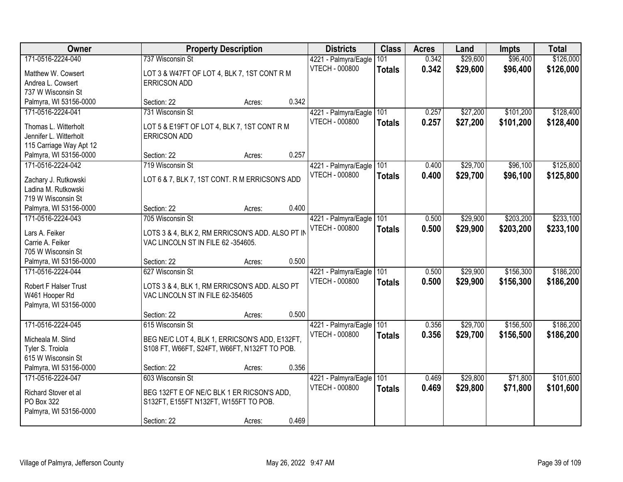| Owner                                     | <b>Property Description</b>                      |        |       | <b>Districts</b>      | <b>Class</b>  | <b>Acres</b> | Land     | <b>Impts</b> | <b>Total</b> |
|-------------------------------------------|--------------------------------------------------|--------|-------|-----------------------|---------------|--------------|----------|--------------|--------------|
| 171-0516-2224-040                         | 737 Wisconsin St                                 |        |       | 4221 - Palmyra/Eagle  | 101           | 0.342        | \$29,600 | \$96,400     | \$126,000    |
| Matthew W. Cowsert                        | LOT 3 & W47FT OF LOT 4, BLK 7, 1ST CONT R M      |        |       | VTECH - 000800        | <b>Totals</b> | 0.342        | \$29,600 | \$96,400     | \$126,000    |
| Andrea L. Cowsert                         | <b>ERRICSON ADD</b>                              |        |       |                       |               |              |          |              |              |
| 737 W Wisconsin St                        |                                                  |        |       |                       |               |              |          |              |              |
| Palmyra, WI 53156-0000                    | Section: 22                                      | Acres: | 0.342 |                       |               |              |          |              |              |
| 171-0516-2224-041                         | 731 Wisconsin St                                 |        |       | 4221 - Palmyra/Eagle  | 101           | 0.257        | \$27,200 | \$101,200    | \$128,400    |
| Thomas L. Witterholt                      | LOT 5 & E19FT OF LOT 4, BLK 7, 1ST CONT R M      |        |       | VTECH - 000800        | <b>Totals</b> | 0.257        | \$27,200 | \$101,200    | \$128,400    |
| Jennifer L. Witterholt                    | <b>ERRICSON ADD</b>                              |        |       |                       |               |              |          |              |              |
| 115 Carriage Way Apt 12                   |                                                  |        |       |                       |               |              |          |              |              |
| Palmyra, WI 53156-0000                    | Section: 22                                      | Acres: | 0.257 |                       |               |              |          |              |              |
| 171-0516-2224-042                         | 719 Wisconsin St                                 |        |       | 4221 - Palmyra/Eagle  | 101           | 0.400        | \$29,700 | \$96,100     | \$125,800    |
|                                           |                                                  |        |       | VTECH - 000800        | <b>Totals</b> | 0.400        | \$29,700 | \$96,100     | \$125,800    |
| Zachary J. Rutkowski                      | LOT 6 & 7, BLK 7, 1ST CONT. R M ERRICSON'S ADD   |        |       |                       |               |              |          |              |              |
| Ladina M. Rutkowski<br>719 W Wisconsin St |                                                  |        |       |                       |               |              |          |              |              |
| Palmyra, WI 53156-0000                    | Section: 22                                      | Acres: | 0.400 |                       |               |              |          |              |              |
| 171-0516-2224-043                         | 705 Wisconsin St                                 |        |       | 4221 - Palmyra/Eagle  | 101           | 0.500        | \$29,900 | \$203,200    | \$233,100    |
|                                           |                                                  |        |       | <b>VTECH - 000800</b> | <b>Totals</b> | 0.500        | \$29,900 | \$203,200    | \$233,100    |
| Lars A. Feiker                            | LOTS 3 & 4, BLK 2, RM ERRICSON'S ADD. ALSO PT IN |        |       |                       |               |              |          |              |              |
| Carrie A. Feiker                          | VAC LINCOLN ST IN FILE 62 -354605.               |        |       |                       |               |              |          |              |              |
| 705 W Wisconsin St                        |                                                  |        |       |                       |               |              |          |              |              |
| Palmyra, WI 53156-0000                    | Section: 22                                      | Acres: | 0.500 |                       |               |              |          |              |              |
| 171-0516-2224-044                         | 627 Wisconsin St                                 |        |       | 4221 - Palmyra/Eagle  | 101           | 0.500        | \$29,900 | \$156,300    | \$186,200    |
| Robert F Halser Trust                     | LOTS 3 & 4, BLK 1, RM ERRICSON'S ADD. ALSO PT    |        |       | VTECH - 000800        | <b>Totals</b> | 0.500        | \$29,900 | \$156,300    | \$186,200    |
| W461 Hooper Rd                            | VAC LINCOLN ST IN FILE 62-354605                 |        |       |                       |               |              |          |              |              |
| Palmyra, WI 53156-0000                    |                                                  |        |       |                       |               |              |          |              |              |
|                                           | Section: 22                                      | Acres: | 0.500 |                       |               |              |          |              |              |
| 171-0516-2224-045                         | 615 Wisconsin St                                 |        |       | 4221 - Palmyra/Eagle  | 101           | 0.356        | \$29,700 | \$156,500    | \$186,200    |
| Micheala M. Slind                         | BEG NE/C LOT 4, BLK 1, ERRICSON'S ADD, E132FT,   |        |       | <b>VTECH - 000800</b> | <b>Totals</b> | 0.356        | \$29,700 | \$156,500    | \$186,200    |
| Tyler S. Troiola                          | S108 FT, W66FT, S24FT, W66FT, N132FT TO POB.     |        |       |                       |               |              |          |              |              |
| 615 W Wisconsin St                        |                                                  |        |       |                       |               |              |          |              |              |
| Palmyra, WI 53156-0000                    | Section: 22                                      | Acres: | 0.356 |                       |               |              |          |              |              |
| 171-0516-2224-047                         | 603 Wisconsin St                                 |        |       | 4221 - Palmyra/Eagle  | 101           | 0.469        | \$29,800 | \$71,800     | \$101,600    |
| Richard Stover et al                      | BEG 132FT E OF NE/C BLK 1 ER RICSON'S ADD.       |        |       | VTECH - 000800        | <b>Totals</b> | 0.469        | \$29,800 | \$71,800     | \$101,600    |
| PO Box 322                                | S132FT, E155FT N132FT, W155FT TO POB.            |        |       |                       |               |              |          |              |              |
| Palmyra, WI 53156-0000                    |                                                  |        |       |                       |               |              |          |              |              |
|                                           | Section: 22                                      | Acres: | 0.469 |                       |               |              |          |              |              |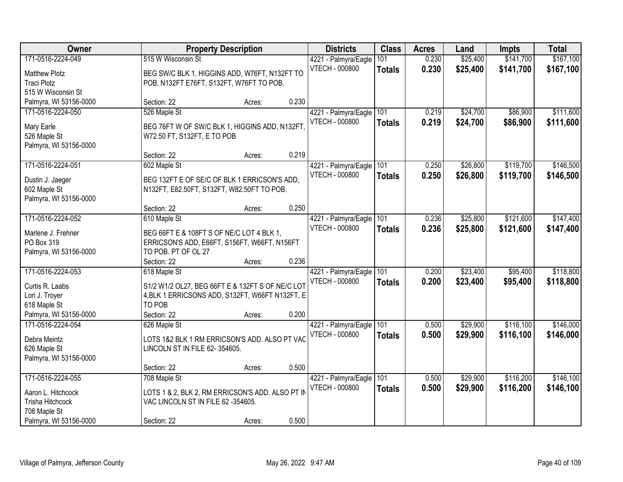| Owner                            |                                    | <b>Property Description</b>                      |       | <b>Districts</b>                              | <b>Class</b>  | <b>Acres</b> | Land     | <b>Impts</b> | <b>Total</b> |
|----------------------------------|------------------------------------|--------------------------------------------------|-------|-----------------------------------------------|---------------|--------------|----------|--------------|--------------|
| 171-0516-2224-049                | 515 W Wisconsin St                 |                                                  |       | 4221 - Palmyra/Eagle                          | 101           | 0.230        | \$25,400 | \$141,700    | \$167,100    |
| <b>Matthew Plotz</b>             |                                    | BEG SW/C BLK 1, HIGGINS ADD, W76FT, N132FT TO    |       | VTECH - 000800                                | <b>Totals</b> | 0.230        | \$25,400 | \$141,700    | \$167,100    |
| <b>Traci Plotz</b>               |                                    | POB, N132FT E76FT, S132FT, W76FT TO POB.         |       |                                               |               |              |          |              |              |
| 515 W Wisconsin St               |                                    |                                                  |       |                                               |               |              |          |              |              |
| Palmyra, WI 53156-0000           | Section: 22                        | Acres:                                           | 0.230 |                                               |               |              |          |              |              |
| 171-0516-2224-050                | 526 Maple St                       |                                                  |       | 4221 - Palmyra/Eagle                          | 101           | 0.219        | \$24,700 | \$86,900     | \$111,600    |
|                                  |                                    |                                                  |       | <b>VTECH - 000800</b>                         | <b>Totals</b> | 0.219        | \$24,700 | \$86,900     | \$111,600    |
| Mary Earle                       |                                    | BEG 76FT W OF SW/C BLK 1, HIGGINS ADD, N132FT    |       |                                               |               |              |          |              |              |
| 526 Maple St                     | W72.50 FT, S132FT, E TO POB        |                                                  |       |                                               |               |              |          |              |              |
| Palmyra, WI 53156-0000           | Section: 22                        |                                                  | 0.219 |                                               |               |              |          |              |              |
| 171-0516-2224-051                |                                    | Acres:                                           |       |                                               |               | 0.250        | \$26,800 | \$119,700    | \$146,500    |
|                                  | 602 Maple St                       |                                                  |       | 4221 - Palmyra/Eagle                          | 101           |              |          |              |              |
| Dustin J. Jaeger                 |                                    | BEG 132FT E OF SE/C OF BLK 1 ERRICSON'S ADD.     |       | <b>VTECH - 000800</b>                         | <b>Totals</b> | 0.250        | \$26,800 | \$119,700    | \$146,500    |
| 602 Maple St                     |                                    | N132FT, E82.50FT, S132FT, W82.50FT TO POB.       |       |                                               |               |              |          |              |              |
| Palmyra, WI 53156-0000           |                                    |                                                  |       |                                               |               |              |          |              |              |
|                                  | Section: 22                        | Acres:                                           | 0.250 |                                               |               |              |          |              |              |
| 171-0516-2224-052                | 610 Maple St                       |                                                  |       | 4221 - Palmyra/Eagle                          | 101           | 0.236        | \$25,800 | \$121,600    | \$147,400    |
|                                  |                                    |                                                  |       | <b>VTECH - 000800</b>                         | <b>Totals</b> | 0.236        | \$25,800 | \$121,600    | \$147,400    |
| Marlene J. Frehner<br>PO Box 319 |                                    | BEG 66FT E & 108FT S OF NE/C LOT 4 BLK 1,        |       |                                               |               |              |          |              |              |
| Palmyra, WI 53156-0000           | TO POB. PT OF OL 27                | ERRICSON'S ADD, E66FT, S156FT, W66FT, N156FT     |       |                                               |               |              |          |              |              |
|                                  | Section: 22                        |                                                  | 0.236 |                                               |               |              |          |              |              |
| 171-0516-2224-053                | 618 Maple St                       | Acres:                                           |       |                                               | 101           | 0.200        | \$23,400 | \$95,400     | \$118,800    |
|                                  |                                    |                                                  |       | 4221 - Palmyra/Eagle<br><b>VTECH - 000800</b> |               |              |          |              |              |
| Curtis R. Laabs                  |                                    | S1/2 W1/2 OL27, BEG 66FT E & 132FT S OF NE/C LOT |       |                                               | <b>Totals</b> | 0.200        | \$23,400 | \$95,400     | \$118,800    |
| Lori J. Troyer                   |                                    | 4, BLK 1 ERRICSONS ADD, S132FT, W66FT N132FT, E  |       |                                               |               |              |          |              |              |
| 618 Maple St                     | TO POB                             |                                                  |       |                                               |               |              |          |              |              |
| Palmyra, WI 53156-0000           | Section: 22                        | Acres:                                           | 0.200 |                                               |               |              |          |              |              |
| 171-0516-2224-054                | 626 Maple St                       |                                                  |       | 4221 - Palmyra/Eagle                          | 101           | 0.500        | \$29,900 | \$116,100    | \$146,000    |
| Debra Meintz                     |                                    | LOTS 1&2 BLK 1 RM ERRICSON'S ADD. ALSO PT VAC    |       | <b>VTECH - 000800</b>                         | <b>Totals</b> | 0.500        | \$29,900 | \$116,100    | \$146,000    |
| 626 Maple St                     | LINCOLN ST IN FILE 62-354605.      |                                                  |       |                                               |               |              |          |              |              |
| Palmyra, WI 53156-0000           |                                    |                                                  |       |                                               |               |              |          |              |              |
|                                  | Section: 22                        | Acres:                                           | 0.500 |                                               |               |              |          |              |              |
| 171-0516-2224-055                | 708 Maple St                       |                                                  |       | 4221 - Palmyra/Eagle                          | 101           | 0.500        | \$29,900 | \$116,200    | \$146,100    |
|                                  |                                    |                                                  |       | <b>VTECH - 000800</b>                         |               | 0.500        | \$29,900 | \$116,200    | \$146,100    |
| Aaron L. Hitchcock               |                                    | LOTS 1 & 2, BLK 2, RM ERRICSON'S ADD. ALSO PT IN |       |                                               | <b>Totals</b> |              |          |              |              |
| Trisha Hitchcock                 | VAC LINCOLN ST IN FILE 62 -354605. |                                                  |       |                                               |               |              |          |              |              |
| 708 Maple St                     |                                    |                                                  |       |                                               |               |              |          |              |              |
| Palmyra, WI 53156-0000           | Section: 22                        | Acres:                                           | 0.500 |                                               |               |              |          |              |              |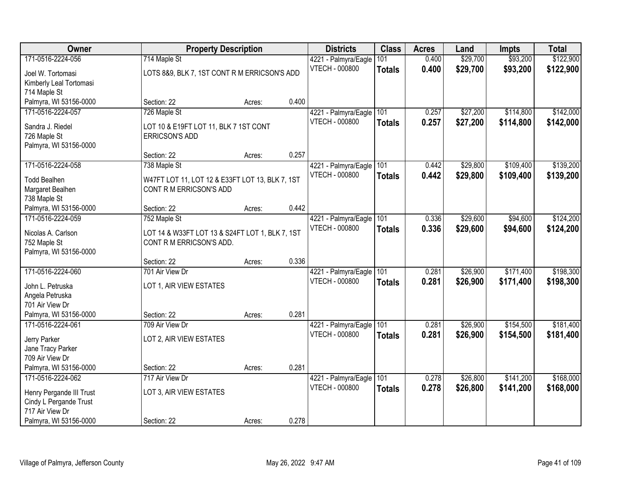| Owner                    | <b>Property Description</b>                     |        |       | <b>Districts</b>         | <b>Class</b>  | <b>Acres</b> | Land     | <b>Impts</b> | <b>Total</b> |
|--------------------------|-------------------------------------------------|--------|-------|--------------------------|---------------|--------------|----------|--------------|--------------|
| 171-0516-2224-056        | 714 Maple St                                    |        |       | 4221 - Palmyra/Eagle     | 101           | 0.400        | \$29,700 | \$93,200     | \$122,900    |
| Joel W. Tortomasi        | LOTS 8&9, BLK 7, 1ST CONT R M ERRICSON'S ADD    |        |       | <b>VTECH - 000800</b>    | <b>Totals</b> | 0.400        | \$29,700 | \$93,200     | \$122,900    |
| Kimberly Leal Tortomasi  |                                                 |        |       |                          |               |              |          |              |              |
| 714 Maple St             |                                                 |        |       |                          |               |              |          |              |              |
| Palmyra, WI 53156-0000   | Section: 22                                     | Acres: | 0.400 |                          |               |              |          |              |              |
| 171-0516-2224-057        | 726 Maple St                                    |        |       | 4221 - Palmyra/Eagle     | 101           | 0.257        | \$27,200 | \$114,800    | \$142,000    |
| Sandra J. Riedel         | LOT 10 & E19FT LOT 11, BLK 7 1ST CONT           |        |       | <b>VTECH - 000800</b>    | <b>Totals</b> | 0.257        | \$27,200 | \$114,800    | \$142,000    |
| 726 Maple St             | <b>ERRICSON'S ADD</b>                           |        |       |                          |               |              |          |              |              |
| Palmyra, WI 53156-0000   |                                                 |        |       |                          |               |              |          |              |              |
|                          | Section: 22                                     | Acres: | 0.257 |                          |               |              |          |              |              |
| 171-0516-2224-058        | 738 Maple St                                    |        |       | 4221 - Palmyra/Eagle 101 |               | 0.442        | \$29,800 | \$109,400    | \$139,200    |
| <b>Todd Bealhen</b>      | W47FT LOT 11, LOT 12 & E33FT LOT 13, BLK 7, 1ST |        |       | <b>VTECH - 000800</b>    | <b>Totals</b> | 0.442        | \$29,800 | \$109,400    | \$139,200    |
| Margaret Bealhen         | CONT R M ERRICSON'S ADD                         |        |       |                          |               |              |          |              |              |
| 738 Maple St             |                                                 |        |       |                          |               |              |          |              |              |
| Palmyra, WI 53156-0000   | Section: 22                                     | Acres: | 0.442 |                          |               |              |          |              |              |
| 171-0516-2224-059        | 752 Maple St                                    |        |       | 4221 - Palmyra/Eagle     | 101           | 0.336        | \$29,600 | \$94,600     | \$124,200    |
| Nicolas A. Carlson       | LOT 14 & W33FT LOT 13 & S24FT LOT 1, BLK 7, 1ST |        |       | <b>VTECH - 000800</b>    | <b>Totals</b> | 0.336        | \$29,600 | \$94,600     | \$124,200    |
| 752 Maple St             | CONT R M ERRICSON'S ADD.                        |        |       |                          |               |              |          |              |              |
| Palmyra, WI 53156-0000   |                                                 |        |       |                          |               |              |          |              |              |
|                          | Section: 22                                     | Acres: | 0.336 |                          |               |              |          |              |              |
| 171-0516-2224-060        | 701 Air View Dr                                 |        |       | 4221 - Palmyra/Eagle     | 101           | 0.281        | \$26,900 | \$171,400    | \$198,300    |
| John L. Petruska         | LOT 1, AIR VIEW ESTATES                         |        |       | <b>VTECH - 000800</b>    | <b>Totals</b> | 0.281        | \$26,900 | \$171,400    | \$198,300    |
| Angela Petruska          |                                                 |        |       |                          |               |              |          |              |              |
| 701 Air View Dr          |                                                 |        |       |                          |               |              |          |              |              |
| Palmyra, WI 53156-0000   | Section: 22                                     | Acres: | 0.281 |                          |               |              |          |              |              |
| 171-0516-2224-061        | 709 Air View Dr                                 |        |       | 4221 - Palmyra/Eagle     | 101           | 0.281        | \$26,900 | \$154,500    | \$181,400    |
| Jerry Parker             | LOT 2, AIR VIEW ESTATES                         |        |       | VTECH - 000800           | <b>Totals</b> | 0.281        | \$26,900 | \$154,500    | \$181,400    |
| Jane Tracy Parker        |                                                 |        |       |                          |               |              |          |              |              |
| 709 Air View Dr          |                                                 |        |       |                          |               |              |          |              |              |
| Palmyra, WI 53156-0000   | Section: 22                                     | Acres: | 0.281 |                          |               |              |          |              |              |
| 171-0516-2224-062        | 717 Air View Dr                                 |        |       | 4221 - Palmyra/Eagle     | 101           | 0.278        | \$26,800 | \$141,200    | \$168,000    |
| Henry Pergande III Trust | LOT 3, AIR VIEW ESTATES                         |        |       | VTECH - 000800           | <b>Totals</b> | 0.278        | \$26,800 | \$141,200    | \$168,000    |
| Cindy L Pergande Trust   |                                                 |        |       |                          |               |              |          |              |              |
| 717 Air View Dr          |                                                 |        |       |                          |               |              |          |              |              |
| Palmyra, WI 53156-0000   | Section: 22                                     | Acres: | 0.278 |                          |               |              |          |              |              |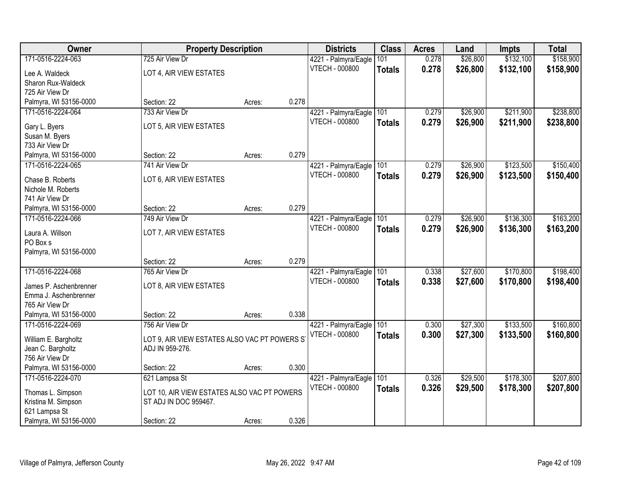| Owner                                       | <b>Property Description</b>                   |        |       | <b>Districts</b>      | <b>Class</b>  | <b>Acres</b> | Land     | <b>Impts</b> | <b>Total</b> |
|---------------------------------------------|-----------------------------------------------|--------|-------|-----------------------|---------------|--------------|----------|--------------|--------------|
| 171-0516-2224-063                           | 725 Air View Dr                               |        |       | 4221 - Palmyra/Eagle  | 101           | 0.278        | \$26,800 | \$132,100    | \$158,900    |
| Lee A. Waldeck                              | LOT 4, AIR VIEW ESTATES                       |        |       | VTECH - 000800        | <b>Totals</b> | 0.278        | \$26,800 | \$132,100    | \$158,900    |
| Sharon Rux-Waldeck                          |                                               |        |       |                       |               |              |          |              |              |
| 725 Air View Dr                             |                                               |        |       |                       |               |              |          |              |              |
| Palmyra, WI 53156-0000                      | Section: 22                                   | Acres: | 0.278 |                       |               |              |          |              |              |
| 171-0516-2224-064                           | 733 Air View Dr                               |        |       | 4221 - Palmyra/Eagle  | 101           | 0.279        | \$26,900 | \$211,900    | \$238,800    |
|                                             |                                               |        |       | VTECH - 000800        | <b>Totals</b> | 0.279        | \$26,900 | \$211,900    | \$238,800    |
| Gary L. Byers                               | LOT 5, AIR VIEW ESTATES                       |        |       |                       |               |              |          |              |              |
| Susan M. Byers<br>733 Air View Dr           |                                               |        |       |                       |               |              |          |              |              |
|                                             | Section: 22                                   |        | 0.279 |                       |               |              |          |              |              |
| Palmyra, WI 53156-0000<br>171-0516-2224-065 | 741 Air View Dr                               | Acres: |       |                       |               | 0.279        | \$26,900 | \$123,500    | \$150,400    |
|                                             |                                               |        |       | 4221 - Palmyra/Eagle  | 101           |              |          |              |              |
| Chase B. Roberts                            | LOT 6, AIR VIEW ESTATES                       |        |       | VTECH - 000800        | <b>Totals</b> | 0.279        | \$26,900 | \$123,500    | \$150,400    |
| Nichole M. Roberts                          |                                               |        |       |                       |               |              |          |              |              |
| 741 Air View Dr                             |                                               |        |       |                       |               |              |          |              |              |
| Palmyra, WI 53156-0000                      | Section: 22                                   | Acres: | 0.279 |                       |               |              |          |              |              |
| 171-0516-2224-066                           | 749 Air View Dr                               |        |       | 4221 - Palmyra/Eagle  | 101           | 0.279        | \$26,900 | \$136,300    | \$163,200    |
| Laura A. Willson                            | LOT 7, AIR VIEW ESTATES                       |        |       | VTECH - 000800        | <b>Totals</b> | 0.279        | \$26,900 | \$136,300    | \$163,200    |
| PO Box s                                    |                                               |        |       |                       |               |              |          |              |              |
| Palmyra, WI 53156-0000                      |                                               |        |       |                       |               |              |          |              |              |
|                                             | Section: 22                                   | Acres: | 0.279 |                       |               |              |          |              |              |
| 171-0516-2224-068                           | 765 Air View Dr                               |        |       | 4221 - Palmyra/Eagle  | 101           | 0.338        | \$27,600 | \$170,800    | \$198,400    |
|                                             |                                               |        |       | VTECH - 000800        |               |              |          |              |              |
| James P. Aschenbrenner                      | LOT 8, AIR VIEW ESTATES                       |        |       |                       | <b>Totals</b> | 0.338        | \$27,600 | \$170,800    | \$198,400    |
| Emma J. Aschenbrenner                       |                                               |        |       |                       |               |              |          |              |              |
| 765 Air View Dr                             |                                               |        |       |                       |               |              |          |              |              |
| Palmyra, WI 53156-0000                      | Section: 22                                   | Acres: | 0.338 |                       |               |              |          |              |              |
| 171-0516-2224-069                           | 756 Air View Dr                               |        |       | 4221 - Palmyra/Eagle  | 101           | 0.300        | \$27,300 | \$133,500    | \$160,800    |
| William E. Bargholtz                        | LOT 9, AIR VIEW ESTATES ALSO VAC PT POWERS S' |        |       | <b>VTECH - 000800</b> | <b>Totals</b> | 0.300        | \$27,300 | \$133,500    | \$160,800    |
| Jean C. Bargholtz                           | ADJ IN 959-276.                               |        |       |                       |               |              |          |              |              |
| 756 Air View Dr                             |                                               |        |       |                       |               |              |          |              |              |
| Palmyra, WI 53156-0000                      | Section: 22                                   | Acres: | 0.300 |                       |               |              |          |              |              |
| 171-0516-2224-070                           | 621 Lampsa St                                 |        |       | 4221 - Palmyra/Eagle  | 101           | 0.326        | \$29,500 | \$178,300    | \$207,800    |
|                                             |                                               |        |       | <b>VTECH - 000800</b> | <b>Totals</b> | 0.326        | \$29,500 | \$178,300    | \$207,800    |
| Thomas L. Simpson                           | LOT 10, AIR VIEW ESTATES ALSO VAC PT POWERS   |        |       |                       |               |              |          |              |              |
| Kristina M. Simpson                         | ST ADJ IN DOC 959467.                         |        |       |                       |               |              |          |              |              |
| 621 Lampsa St                               |                                               |        |       |                       |               |              |          |              |              |
| Palmyra, WI 53156-0000                      | Section: 22                                   | Acres: | 0.326 |                       |               |              |          |              |              |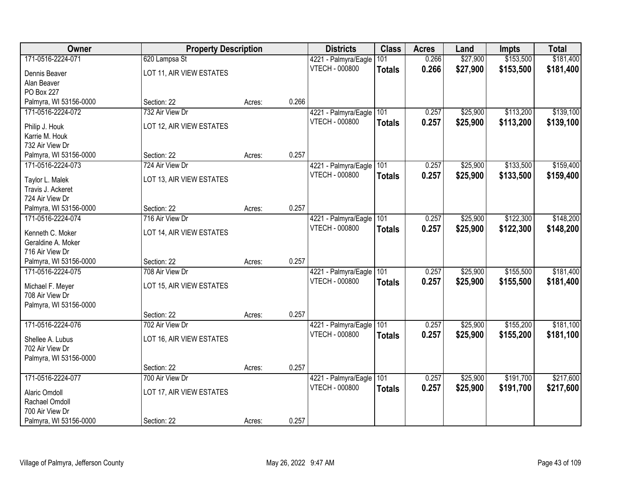| Owner                  | <b>Property Description</b> |        |       | <b>Districts</b>      | <b>Class</b>  | <b>Acres</b> | Land     | <b>Impts</b> | <b>Total</b> |
|------------------------|-----------------------------|--------|-------|-----------------------|---------------|--------------|----------|--------------|--------------|
| 171-0516-2224-071      | 620 Lampsa St               |        |       | 4221 - Palmyra/Eagle  | 101           | 0.266        | \$27,900 | \$153,500    | \$181,400    |
| Dennis Beaver          | LOT 11, AIR VIEW ESTATES    |        |       | VTECH - 000800        | <b>Totals</b> | 0.266        | \$27,900 | \$153,500    | \$181,400    |
| Alan Beaver            |                             |        |       |                       |               |              |          |              |              |
| PO Box 227             |                             |        |       |                       |               |              |          |              |              |
| Palmyra, WI 53156-0000 | Section: 22                 | Acres: | 0.266 |                       |               |              |          |              |              |
| 171-0516-2224-072      | 732 Air View Dr             |        |       | 4221 - Palmyra/Eagle  | 101           | 0.257        | \$25,900 | \$113,200    | \$139,100    |
| Philip J. Houk         | LOT 12, AIR VIEW ESTATES    |        |       | VTECH - 000800        | <b>Totals</b> | 0.257        | \$25,900 | \$113,200    | \$139,100    |
| Karrie M. Houk         |                             |        |       |                       |               |              |          |              |              |
| 732 Air View Dr        |                             |        |       |                       |               |              |          |              |              |
| Palmyra, WI 53156-0000 | Section: 22                 | Acres: | 0.257 |                       |               |              |          |              |              |
| 171-0516-2224-073      | 724 Air View Dr             |        |       | 4221 - Palmyra/Eagle  | 101           | 0.257        | \$25,900 | \$133,500    | \$159,400    |
| Taylor L. Malek        | LOT 13, AIR VIEW ESTATES    |        |       | <b>VTECH - 000800</b> | <b>Totals</b> | 0.257        | \$25,900 | \$133,500    | \$159,400    |
| Travis J. Ackeret      |                             |        |       |                       |               |              |          |              |              |
| 724 Air View Dr        |                             |        |       |                       |               |              |          |              |              |
| Palmyra, WI 53156-0000 | Section: 22                 | Acres: | 0.257 |                       |               |              |          |              |              |
| 171-0516-2224-074      | 716 Air View Dr             |        |       | 4221 - Palmyra/Eagle  | 101           | 0.257        | \$25,900 | \$122,300    | \$148,200    |
| Kenneth C. Moker       | LOT 14, AIR VIEW ESTATES    |        |       | <b>VTECH - 000800</b> | <b>Totals</b> | 0.257        | \$25,900 | \$122,300    | \$148,200    |
| Geraldine A. Moker     |                             |        |       |                       |               |              |          |              |              |
| 716 Air View Dr        |                             |        |       |                       |               |              |          |              |              |
| Palmyra, WI 53156-0000 | Section: 22                 | Acres: | 0.257 |                       |               |              |          |              |              |
| 171-0516-2224-075      | 708 Air View Dr             |        |       | 4221 - Palmyra/Eagle  | 101           | 0.257        | \$25,900 | \$155,500    | \$181,400    |
| Michael F. Meyer       | LOT 15, AIR VIEW ESTATES    |        |       | <b>VTECH - 000800</b> | <b>Totals</b> | 0.257        | \$25,900 | \$155,500    | \$181,400    |
| 708 Air View Dr        |                             |        |       |                       |               |              |          |              |              |
| Palmyra, WI 53156-0000 |                             |        |       |                       |               |              |          |              |              |
|                        | Section: 22                 | Acres: | 0.257 |                       |               |              |          |              |              |
| 171-0516-2224-076      | 702 Air View Dr             |        |       | 4221 - Palmyra/Eagle  | 101           | 0.257        | \$25,900 | \$155,200    | \$181,100    |
| Shellee A. Lubus       | LOT 16, AIR VIEW ESTATES    |        |       | <b>VTECH - 000800</b> | <b>Totals</b> | 0.257        | \$25,900 | \$155,200    | \$181,100    |
| 702 Air View Dr        |                             |        |       |                       |               |              |          |              |              |
| Palmyra, WI 53156-0000 |                             |        |       |                       |               |              |          |              |              |
|                        | Section: 22                 | Acres: | 0.257 |                       |               |              |          |              |              |
| 171-0516-2224-077      | 700 Air View Dr             |        |       | 4221 - Palmyra/Eagle  | 101           | 0.257        | \$25,900 | \$191,700    | \$217,600    |
| Alaric Omdoll          | LOT 17, AIR VIEW ESTATES    |        |       | VTECH - 000800        | <b>Totals</b> | 0.257        | \$25,900 | \$191,700    | \$217,600    |
| Rachael Omdoll         |                             |        |       |                       |               |              |          |              |              |
| 700 Air View Dr        |                             |        |       |                       |               |              |          |              |              |
| Palmyra, WI 53156-0000 | Section: 22                 | Acres: | 0.257 |                       |               |              |          |              |              |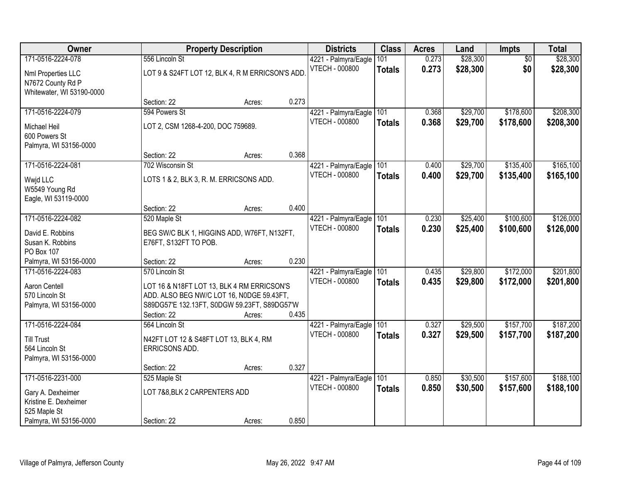| Owner                                                                           |                                                          | <b>Property Description</b>                                                                                                                       |       | <b>Districts</b>                              | <b>Class</b>         | <b>Acres</b>   | Land                 | <b>Impts</b>           | <b>Total</b>           |
|---------------------------------------------------------------------------------|----------------------------------------------------------|---------------------------------------------------------------------------------------------------------------------------------------------------|-------|-----------------------------------------------|----------------------|----------------|----------------------|------------------------|------------------------|
| 171-0516-2224-078                                                               | 556 Lincoln St                                           |                                                                                                                                                   |       | 4221 - Palmyra/Eagle                          | 101                  | 0.273          | \$28,300             | $\overline{50}$        | \$28,300               |
| Nml Properties LLC<br>N7672 County Rd P<br>Whitewater, WI 53190-0000            |                                                          | LOT 9 & S24FT LOT 12, BLK 4, R M ERRICSON'S ADD                                                                                                   |       | <b>VTECH - 000800</b>                         | <b>Totals</b>        | 0.273          | \$28,300             | \$0                    | \$28,300               |
|                                                                                 | Section: 22                                              | Acres:                                                                                                                                            | 0.273 |                                               |                      |                |                      |                        |                        |
| 171-0516-2224-079                                                               | 594 Powers St                                            |                                                                                                                                                   |       | 4221 - Palmyra/Eagle                          | 101                  | 0.368          | \$29,700             | \$178,600              | \$208,300              |
| <b>Michael Heil</b><br>600 Powers St<br>Palmyra, WI 53156-0000                  | LOT 2, CSM 1268-4-200, DOC 759689.                       |                                                                                                                                                   |       | VTECH - 000800                                | <b>Totals</b>        | 0.368          | \$29,700             | \$178,600              | \$208,300              |
|                                                                                 | Section: 22                                              | Acres:                                                                                                                                            | 0.368 |                                               |                      |                |                      |                        |                        |
| 171-0516-2224-081                                                               | 702 Wisconsin St                                         |                                                                                                                                                   |       | 4221 - Palmyra/Eagle                          | 101                  | 0.400          | \$29,700             | \$135,400              | \$165,100              |
| Wwid LLC<br>W5549 Young Rd<br>Eagle, WI 53119-0000                              | LOTS 1 & 2, BLK 3, R. M. ERRICSONS ADD.                  |                                                                                                                                                   |       | <b>VTECH - 000800</b>                         | <b>Totals</b>        | 0.400          | \$29,700             | \$135,400              | \$165,100              |
|                                                                                 | Section: 22                                              | Acres:                                                                                                                                            | 0.400 |                                               |                      |                |                      |                        |                        |
| 171-0516-2224-082                                                               | 520 Maple St                                             |                                                                                                                                                   |       | 4221 - Palmyra/Eagle                          | 101                  | 0.230          | \$25,400             | \$100,600              | \$126,000              |
| David E. Robbins<br>Susan K. Robbins<br>PO Box 107                              | E76FT, S132FT TO POB.                                    | BEG SW/C BLK 1, HIGGINS ADD, W76FT, N132FT,                                                                                                       |       | <b>VTECH - 000800</b>                         | <b>Totals</b>        | 0.230          | \$25,400             | \$100,600              | \$126,000              |
| Palmyra, WI 53156-0000                                                          | Section: 22                                              | Acres:                                                                                                                                            | 0.230 |                                               |                      |                |                      |                        |                        |
| 171-0516-2224-083<br>Aaron Centell<br>570 Lincoln St<br>Palmyra, WI 53156-0000  | 570 Lincoln St<br>Section: 22                            | LOT 16 & N18FT LOT 13, BLK 4 RM ERRICSON'S<br>ADD. ALSO BEG NW/C LOT 16, N0DGE 59.43FT,<br>S89DG57'E 132.13FT, S0DGW 59.23FT, S89DG57'W<br>Acres: | 0.435 | 4221 - Palmyra/Eagle<br><b>VTECH - 000800</b> | 101<br><b>Totals</b> | 0.435<br>0.435 | \$29,800<br>\$29,800 | \$172,000<br>\$172,000 | \$201,800<br>\$201,800 |
| 171-0516-2224-084                                                               | 564 Lincoln St                                           |                                                                                                                                                   |       | 4221 - Palmyra/Eagle                          | 101                  | 0.327          | \$29,500             | \$157,700              | \$187,200              |
| <b>Till Trust</b><br>564 Lincoln St<br>Palmyra, WI 53156-0000                   | N42FT LOT 12 & S48FT LOT 13, BLK 4, RM<br>ERRICSONS ADD. |                                                                                                                                                   |       | <b>VTECH - 000800</b>                         | <b>Totals</b>        | 0.327          | \$29,500             | \$157,700              | \$187,200              |
|                                                                                 | Section: 22                                              | Acres:                                                                                                                                            | 0.327 |                                               |                      |                |                      |                        |                        |
| 171-0516-2231-000<br>Gary A. Dexheimer<br>Kristine E. Dexheimer<br>525 Maple St | 525 Maple St<br>LOT 7&8, BLK 2 CARPENTERS ADD            |                                                                                                                                                   |       | 4221 - Palmyra/Eagle<br><b>VTECH - 000800</b> | 101<br><b>Totals</b> | 0.850<br>0.850 | \$30,500<br>\$30,500 | \$157,600<br>\$157,600 | \$188,100<br>\$188,100 |
| Palmyra, WI 53156-0000                                                          | Section: 22                                              | Acres:                                                                                                                                            | 0.850 |                                               |                      |                |                      |                        |                        |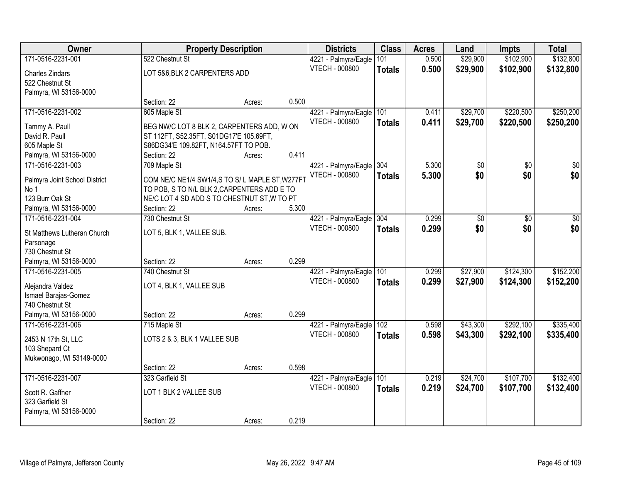| Owner                         |                                                | <b>Property Description</b> |       | <b>Districts</b>         | <b>Class</b>  | <b>Acres</b> | Land            | <b>Impts</b> | <b>Total</b>    |
|-------------------------------|------------------------------------------------|-----------------------------|-------|--------------------------|---------------|--------------|-----------------|--------------|-----------------|
| 171-0516-2231-001             | 522 Chestnut St                                |                             |       | 4221 - Palmyra/Eagle     | 101           | 0.500        | \$29,900        | \$102,900    | \$132,800       |
| Charles Zindars               | LOT 5&6, BLK 2 CARPENTERS ADD                  |                             |       | VTECH - 000800           | <b>Totals</b> | 0.500        | \$29,900        | \$102,900    | \$132,800       |
| 522 Chestnut St               |                                                |                             |       |                          |               |              |                 |              |                 |
| Palmyra, WI 53156-0000        |                                                |                             |       |                          |               |              |                 |              |                 |
|                               | Section: 22                                    | Acres:                      | 0.500 |                          |               |              |                 |              |                 |
| 171-0516-2231-002             | 605 Maple St                                   |                             |       | 4221 - Palmyra/Eagle     | 101           | 0.411        | \$29,700        | \$220,500    | \$250,200       |
| Tammy A. Paull                | BEG NW/C LOT 8 BLK 2, CARPENTERS ADD, W ON     |                             |       | <b>VTECH - 000800</b>    | <b>Totals</b> | 0.411        | \$29,700        | \$220,500    | \$250,200       |
| David R. Paull                | ST 112FT, S52.35FT, S01DG17'E 105.69FT,        |                             |       |                          |               |              |                 |              |                 |
| 605 Maple St                  | S86DG34'E 109.82FT, N164.57FT TO POB.          |                             |       |                          |               |              |                 |              |                 |
| Palmyra, WI 53156-0000        | Section: 22                                    | Acres:                      | 0.411 |                          |               |              |                 |              |                 |
| 171-0516-2231-003             | 709 Maple St                                   |                             |       | 4221 - Palmyra/Eagle 304 |               | 5.300        | \$0             | \$0          | $\overline{30}$ |
|                               |                                                |                             |       | <b>VTECH - 000800</b>    | <b>Totals</b> | 5.300        | \$0             | \$0          | \$0             |
| Palmyra Joint School District | COM NE/C NE1/4 SW1/4,S TO S/L MAPLE ST, W277FT |                             |       |                          |               |              |                 |              |                 |
| No 1                          | TO POB, S TO N/L BLK 2, CARPENTERS ADD E TO    |                             |       |                          |               |              |                 |              |                 |
| 123 Burr Oak St               | NE/C LOT 4 SD ADD S TO CHESTNUT ST, W TO PT    |                             |       |                          |               |              |                 |              |                 |
| Palmyra, WI 53156-0000        | Section: 22                                    | Acres:                      | 5.300 |                          |               |              |                 |              |                 |
| 171-0516-2231-004             | 730 Chestnut St                                |                             |       | 4221 - Palmyra/Eagle     | 304           | 0.299        | $\overline{50}$ | \$0          | \$0             |
| St Matthews Lutheran Church   | LOT 5, BLK 1, VALLEE SUB.                      |                             |       | <b>VTECH - 000800</b>    | <b>Totals</b> | 0.299        | \$0             | \$0          | \$0             |
| Parsonage                     |                                                |                             |       |                          |               |              |                 |              |                 |
| 730 Chestnut St               |                                                |                             |       |                          |               |              |                 |              |                 |
| Palmyra, WI 53156-0000        | Section: 22                                    | Acres:                      | 0.299 |                          |               |              |                 |              |                 |
| 171-0516-2231-005             | 740 Chestnut St                                |                             |       | 4221 - Palmyra/Eagle     | 101           | 0.299        | \$27,900        | \$124,300    | \$152,200       |
| Alejandra Valdez              | LOT 4, BLK 1, VALLEE SUB                       |                             |       | <b>VTECH - 000800</b>    | <b>Totals</b> | 0.299        | \$27,900        | \$124,300    | \$152,200       |
| Ismael Barajas-Gomez          |                                                |                             |       |                          |               |              |                 |              |                 |
| 740 Chestnut St               |                                                |                             |       |                          |               |              |                 |              |                 |
| Palmyra, WI 53156-0000        | Section: 22                                    | Acres:                      | 0.299 |                          |               |              |                 |              |                 |
| 171-0516-2231-006             | 715 Maple St                                   |                             |       | 4221 - Palmyra/Eagle     | 102           | 0.598        | \$43,300        | \$292,100    | \$335,400       |
| 2453 N 17th St, LLC           | LOTS 2 & 3, BLK 1 VALLEE SUB                   |                             |       | VTECH - 000800           | <b>Totals</b> | 0.598        | \$43,300        | \$292,100    | \$335,400       |
| 103 Shepard Ct                |                                                |                             |       |                          |               |              |                 |              |                 |
| Mukwonago, WI 53149-0000      |                                                |                             |       |                          |               |              |                 |              |                 |
|                               | Section: 22                                    | Acres:                      | 0.598 |                          |               |              |                 |              |                 |
| 171-0516-2231-007             | 323 Garfield St                                |                             |       | 4221 - Palmyra/Eagle     | 101           | 0.219        | \$24,700        | \$107,700    | \$132,400       |
|                               |                                                |                             |       | VTECH - 000800           | <b>Totals</b> | 0.219        | \$24,700        | \$107,700    | \$132,400       |
| Scott R. Gaffner              | LOT 1 BLK 2 VALLEE SUB                         |                             |       |                          |               |              |                 |              |                 |
| 323 Garfield St               |                                                |                             |       |                          |               |              |                 |              |                 |
| Palmyra, WI 53156-0000        |                                                |                             |       |                          |               |              |                 |              |                 |
|                               | Section: 22                                    | Acres:                      | 0.219 |                          |               |              |                 |              |                 |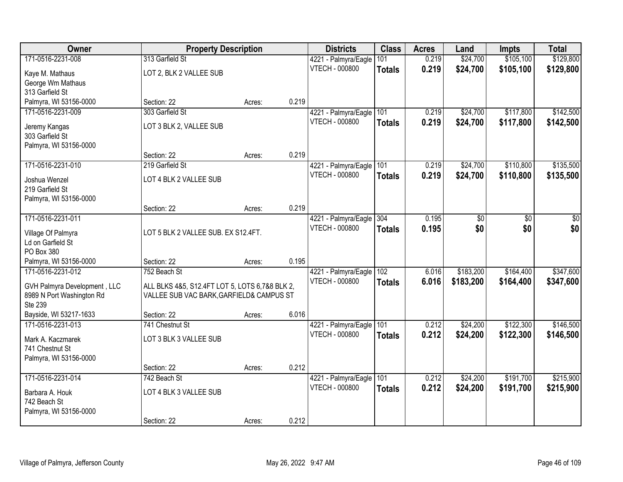| Owner                        | <b>Property Description</b>                    |        |       | <b>Districts</b>         | <b>Class</b>  | <b>Acres</b> | Land            | <b>Impts</b>    | <b>Total</b> |
|------------------------------|------------------------------------------------|--------|-------|--------------------------|---------------|--------------|-----------------|-----------------|--------------|
| 171-0516-2231-008            | 313 Garfield St                                |        |       | 4221 - Palmyra/Eagle     | 101           | 0.219        | \$24,700        | \$105,100       | \$129,800    |
| Kaye M. Mathaus              | LOT 2, BLK 2 VALLEE SUB                        |        |       | <b>VTECH - 000800</b>    | <b>Totals</b> | 0.219        | \$24,700        | \$105,100       | \$129,800    |
| George Wm Mathaus            |                                                |        |       |                          |               |              |                 |                 |              |
| 313 Garfield St              |                                                |        |       |                          |               |              |                 |                 |              |
| Palmyra, WI 53156-0000       | Section: 22                                    | Acres: | 0.219 |                          |               |              |                 |                 |              |
| 171-0516-2231-009            | 303 Garfield St                                |        |       | 4221 - Palmyra/Eagle     | 101           | 0.219        | \$24,700        | \$117,800       | \$142,500    |
| Jeremy Kangas                | LOT 3 BLK 2, VALLEE SUB                        |        |       | <b>VTECH - 000800</b>    | <b>Totals</b> | 0.219        | \$24,700        | \$117,800       | \$142,500    |
| 303 Garfield St              |                                                |        |       |                          |               |              |                 |                 |              |
| Palmyra, WI 53156-0000       |                                                |        |       |                          |               |              |                 |                 |              |
|                              | Section: 22                                    | Acres: | 0.219 |                          |               |              |                 |                 |              |
| 171-0516-2231-010            | 219 Garfield St                                |        |       | 4221 - Palmyra/Eagle     | 101           | 0.219        | \$24,700        | \$110,800       | \$135,500    |
| Joshua Wenzel                | LOT 4 BLK 2 VALLEE SUB                         |        |       | VTECH - 000800           | <b>Totals</b> | 0.219        | \$24,700        | \$110,800       | \$135,500    |
| 219 Garfield St              |                                                |        |       |                          |               |              |                 |                 |              |
| Palmyra, WI 53156-0000       |                                                |        |       |                          |               |              |                 |                 |              |
|                              | Section: 22                                    | Acres: | 0.219 |                          |               |              |                 |                 |              |
| 171-0516-2231-011            |                                                |        |       | 4221 - Palmyra/Eagle     | 304           | 0.195        | $\overline{50}$ | $\overline{30}$ | \$0          |
| Village Of Palmyra           | LOT 5 BLK 2 VALLEE SUB. EX S12.4FT.            |        |       | VTECH - 000800           | <b>Totals</b> | 0.195        | \$0             | \$0             | \$0          |
| Ld on Garfield St            |                                                |        |       |                          |               |              |                 |                 |              |
| PO Box 380                   |                                                |        |       |                          |               |              |                 |                 |              |
| Palmyra, WI 53156-0000       | Section: 22                                    | Acres: | 0.195 |                          |               |              |                 |                 |              |
| 171-0516-2231-012            | 752 Beach St                                   |        |       | 4221 - Palmyra/Eagle 102 |               | 6.016        | \$183,200       | \$164,400       | \$347,600    |
| GVH Palmyra Development, LLC | ALL BLKS 4&5, S12.4FT LOT 5, LOTS 6,7&8 BLK 2, |        |       | <b>VTECH - 000800</b>    | <b>Totals</b> | 6.016        | \$183,200       | \$164,400       | \$347,600    |
| 8989 N Port Washington Rd    | VALLEE SUB VAC BARK, GARFIELD& CAMPUS ST       |        |       |                          |               |              |                 |                 |              |
| Ste 239                      |                                                |        |       |                          |               |              |                 |                 |              |
| Bayside, WI 53217-1633       | Section: 22                                    | Acres: | 6.016 |                          |               |              |                 |                 |              |
| 171-0516-2231-013            | 741 Chestnut St                                |        |       | 4221 - Palmyra/Eagle     | 101           | 0.212        | \$24,200        | \$122,300       | \$146,500    |
| Mark A. Kaczmarek            | LOT 3 BLK 3 VALLEE SUB                         |        |       | VTECH - 000800           | <b>Totals</b> | 0.212        | \$24,200        | \$122,300       | \$146,500    |
| 741 Chestnut St              |                                                |        |       |                          |               |              |                 |                 |              |
| Palmyra, WI 53156-0000       |                                                |        |       |                          |               |              |                 |                 |              |
|                              | Section: 22                                    | Acres: | 0.212 |                          |               |              |                 |                 |              |
| 171-0516-2231-014            | 742 Beach St                                   |        |       | 4221 - Palmyra/Eagle     | 101           | 0.212        | \$24,200        | \$191,700       | \$215,900    |
| Barbara A. Houk              | LOT 4 BLK 3 VALLEE SUB                         |        |       | <b>VTECH - 000800</b>    | <b>Totals</b> | 0.212        | \$24,200        | \$191,700       | \$215,900    |
| 742 Beach St                 |                                                |        |       |                          |               |              |                 |                 |              |
| Palmyra, WI 53156-0000       |                                                |        |       |                          |               |              |                 |                 |              |
|                              | Section: 22                                    | Acres: | 0.212 |                          |               |              |                 |                 |              |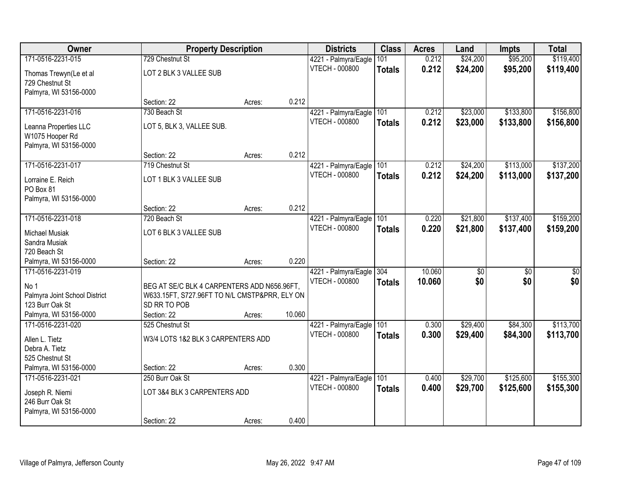| \$95,200<br>\$119,400<br>171-0516-2231-015<br>729 Chestnut St<br>0.212<br>\$24,200<br>4221 - Palmyra/Eagle<br>101<br>VTECH - 000800<br>0.212<br>\$24,200<br>\$95,200<br>\$119,400<br><b>Totals</b><br>LOT 2 BLK 3 VALLEE SUB<br>Thomas Trewyn(Le et al<br>729 Chestnut St<br>Palmyra, WI 53156-0000<br>0.212<br>Section: 22<br>Acres:<br>171-0516-2231-016<br>730 Beach St<br>\$23,000<br>\$133,800<br>\$156,800<br>4221 - Palmyra/Eagle<br>101<br>0.212<br>0.212<br>\$133,800<br><b>VTECH - 000800</b><br>\$23,000<br>\$156,800<br><b>Totals</b><br>LOT 5, BLK 3, VALLEE SUB.<br>Leanna Properties LLC<br>W1075 Hooper Rd<br>Palmyra, WI 53156-0000<br>0.212<br>Section: 22<br>Acres:<br>171-0516-2231-017<br>\$24,200<br>\$113,000<br>\$137,200<br>4221 - Palmyra/Eagle<br>101<br>0.212<br>719 Chestnut St<br>VTECH - 000800<br>\$24,200<br>0.212<br>\$113,000<br>\$137,200<br><b>Totals</b><br>LOT 1 BLK 3 VALLEE SUB<br>Lorraine E. Reich<br>PO Box 81<br>Palmyra, WI 53156-0000<br>0.212<br>Section: 22<br>Acres:<br>\$137,400<br>\$159,200<br>171-0516-2231-018<br>\$21,800<br>720 Beach St<br>4221 - Palmyra/Eagle<br>101<br>0.220<br><b>VTECH - 000800</b><br>0.220<br>\$21,800<br>\$137,400<br>\$159,200<br><b>Totals</b><br>LOT 6 BLK 3 VALLEE SUB<br><b>Michael Musiak</b><br>Sandra Musiak<br>720 Beach St<br>0.220<br>Palmyra, WI 53156-0000<br>Section: 22<br>Acres:<br>171-0516-2231-019<br>304<br>10.060<br>$\overline{50}$<br>$\overline{50}$<br>$\overline{50}$<br>4221 - Palmyra/Eagle<br>\$0<br>\$0<br><b>VTECH - 000800</b><br>10.060<br>\$0<br><b>Totals</b><br>No 1<br>BEG AT SE/C BLK 4 CARPENTERS ADD N656.96FT,<br>Palmyra Joint School District<br>W633.15FT, S727.96FT TO N/L CMSTP&PRR, ELY ON<br>123 Burr Oak St<br>SD RR TO POB<br>10.060<br>Palmyra, WI 53156-0000<br>Section: 22<br>Acres:<br>\$29,400<br>\$84,300<br>\$113,700<br>171-0516-2231-020<br>101<br>525 Chestnut St<br>4221 - Palmyra/Eagle<br>0.300<br>VTECH - 000800<br>0.300<br>\$29,400<br>\$84,300<br>\$113,700<br><b>Totals</b><br>W3/4 LOTS 1&2 BLK 3 CARPENTERS ADD<br>Allen L. Tietz<br>Debra A. Tietz<br>525 Chestnut St<br>0.300<br>Palmyra, WI 53156-0000<br>Section: 22<br>Acres:<br>171-0516-2231-021<br>\$29,700<br>\$125,600<br>\$155,300<br>250 Burr Oak St<br>4221 - Palmyra/Eagle<br>101<br>0.400<br>VTECH - 000800<br>0.400<br>\$29,700<br>\$125,600<br>\$155,300<br><b>Totals</b><br>LOT 3&4 BLK 3 CARPENTERS ADD<br>Joseph R. Niemi<br>246 Burr Oak St<br>Palmyra, WI 53156-0000 | Owner |             | <b>Property Description</b> |       | <b>Districts</b> | <b>Class</b> | <b>Acres</b> | Land | <b>Impts</b> | <b>Total</b> |
|----------------------------------------------------------------------------------------------------------------------------------------------------------------------------------------------------------------------------------------------------------------------------------------------------------------------------------------------------------------------------------------------------------------------------------------------------------------------------------------------------------------------------------------------------------------------------------------------------------------------------------------------------------------------------------------------------------------------------------------------------------------------------------------------------------------------------------------------------------------------------------------------------------------------------------------------------------------------------------------------------------------------------------------------------------------------------------------------------------------------------------------------------------------------------------------------------------------------------------------------------------------------------------------------------------------------------------------------------------------------------------------------------------------------------------------------------------------------------------------------------------------------------------------------------------------------------------------------------------------------------------------------------------------------------------------------------------------------------------------------------------------------------------------------------------------------------------------------------------------------------------------------------------------------------------------------------------------------------------------------------------------------------------------------------------------------------------------------------------------------------------------------------------------------------------------------------------------------------------------------------------------------------------------------------------------------------------------------------------------------------------------------------------------------------------------------------------------------------------------------------|-------|-------------|-----------------------------|-------|------------------|--------------|--------------|------|--------------|--------------|
|                                                                                                                                                                                                                                                                                                                                                                                                                                                                                                                                                                                                                                                                                                                                                                                                                                                                                                                                                                                                                                                                                                                                                                                                                                                                                                                                                                                                                                                                                                                                                                                                                                                                                                                                                                                                                                                                                                                                                                                                                                                                                                                                                                                                                                                                                                                                                                                                                                                                                                    |       |             |                             |       |                  |              |              |      |              |              |
|                                                                                                                                                                                                                                                                                                                                                                                                                                                                                                                                                                                                                                                                                                                                                                                                                                                                                                                                                                                                                                                                                                                                                                                                                                                                                                                                                                                                                                                                                                                                                                                                                                                                                                                                                                                                                                                                                                                                                                                                                                                                                                                                                                                                                                                                                                                                                                                                                                                                                                    |       |             |                             |       |                  |              |              |      |              |              |
|                                                                                                                                                                                                                                                                                                                                                                                                                                                                                                                                                                                                                                                                                                                                                                                                                                                                                                                                                                                                                                                                                                                                                                                                                                                                                                                                                                                                                                                                                                                                                                                                                                                                                                                                                                                                                                                                                                                                                                                                                                                                                                                                                                                                                                                                                                                                                                                                                                                                                                    |       |             |                             |       |                  |              |              |      |              |              |
|                                                                                                                                                                                                                                                                                                                                                                                                                                                                                                                                                                                                                                                                                                                                                                                                                                                                                                                                                                                                                                                                                                                                                                                                                                                                                                                                                                                                                                                                                                                                                                                                                                                                                                                                                                                                                                                                                                                                                                                                                                                                                                                                                                                                                                                                                                                                                                                                                                                                                                    |       |             |                             |       |                  |              |              |      |              |              |
|                                                                                                                                                                                                                                                                                                                                                                                                                                                                                                                                                                                                                                                                                                                                                                                                                                                                                                                                                                                                                                                                                                                                                                                                                                                                                                                                                                                                                                                                                                                                                                                                                                                                                                                                                                                                                                                                                                                                                                                                                                                                                                                                                                                                                                                                                                                                                                                                                                                                                                    |       |             |                             |       |                  |              |              |      |              |              |
|                                                                                                                                                                                                                                                                                                                                                                                                                                                                                                                                                                                                                                                                                                                                                                                                                                                                                                                                                                                                                                                                                                                                                                                                                                                                                                                                                                                                                                                                                                                                                                                                                                                                                                                                                                                                                                                                                                                                                                                                                                                                                                                                                                                                                                                                                                                                                                                                                                                                                                    |       |             |                             |       |                  |              |              |      |              |              |
|                                                                                                                                                                                                                                                                                                                                                                                                                                                                                                                                                                                                                                                                                                                                                                                                                                                                                                                                                                                                                                                                                                                                                                                                                                                                                                                                                                                                                                                                                                                                                                                                                                                                                                                                                                                                                                                                                                                                                                                                                                                                                                                                                                                                                                                                                                                                                                                                                                                                                                    |       |             |                             |       |                  |              |              |      |              |              |
|                                                                                                                                                                                                                                                                                                                                                                                                                                                                                                                                                                                                                                                                                                                                                                                                                                                                                                                                                                                                                                                                                                                                                                                                                                                                                                                                                                                                                                                                                                                                                                                                                                                                                                                                                                                                                                                                                                                                                                                                                                                                                                                                                                                                                                                                                                                                                                                                                                                                                                    |       |             |                             |       |                  |              |              |      |              |              |
|                                                                                                                                                                                                                                                                                                                                                                                                                                                                                                                                                                                                                                                                                                                                                                                                                                                                                                                                                                                                                                                                                                                                                                                                                                                                                                                                                                                                                                                                                                                                                                                                                                                                                                                                                                                                                                                                                                                                                                                                                                                                                                                                                                                                                                                                                                                                                                                                                                                                                                    |       |             |                             |       |                  |              |              |      |              |              |
|                                                                                                                                                                                                                                                                                                                                                                                                                                                                                                                                                                                                                                                                                                                                                                                                                                                                                                                                                                                                                                                                                                                                                                                                                                                                                                                                                                                                                                                                                                                                                                                                                                                                                                                                                                                                                                                                                                                                                                                                                                                                                                                                                                                                                                                                                                                                                                                                                                                                                                    |       |             |                             |       |                  |              |              |      |              |              |
|                                                                                                                                                                                                                                                                                                                                                                                                                                                                                                                                                                                                                                                                                                                                                                                                                                                                                                                                                                                                                                                                                                                                                                                                                                                                                                                                                                                                                                                                                                                                                                                                                                                                                                                                                                                                                                                                                                                                                                                                                                                                                                                                                                                                                                                                                                                                                                                                                                                                                                    |       |             |                             |       |                  |              |              |      |              |              |
|                                                                                                                                                                                                                                                                                                                                                                                                                                                                                                                                                                                                                                                                                                                                                                                                                                                                                                                                                                                                                                                                                                                                                                                                                                                                                                                                                                                                                                                                                                                                                                                                                                                                                                                                                                                                                                                                                                                                                                                                                                                                                                                                                                                                                                                                                                                                                                                                                                                                                                    |       |             |                             |       |                  |              |              |      |              |              |
|                                                                                                                                                                                                                                                                                                                                                                                                                                                                                                                                                                                                                                                                                                                                                                                                                                                                                                                                                                                                                                                                                                                                                                                                                                                                                                                                                                                                                                                                                                                                                                                                                                                                                                                                                                                                                                                                                                                                                                                                                                                                                                                                                                                                                                                                                                                                                                                                                                                                                                    |       |             |                             |       |                  |              |              |      |              |              |
|                                                                                                                                                                                                                                                                                                                                                                                                                                                                                                                                                                                                                                                                                                                                                                                                                                                                                                                                                                                                                                                                                                                                                                                                                                                                                                                                                                                                                                                                                                                                                                                                                                                                                                                                                                                                                                                                                                                                                                                                                                                                                                                                                                                                                                                                                                                                                                                                                                                                                                    |       |             |                             |       |                  |              |              |      |              |              |
|                                                                                                                                                                                                                                                                                                                                                                                                                                                                                                                                                                                                                                                                                                                                                                                                                                                                                                                                                                                                                                                                                                                                                                                                                                                                                                                                                                                                                                                                                                                                                                                                                                                                                                                                                                                                                                                                                                                                                                                                                                                                                                                                                                                                                                                                                                                                                                                                                                                                                                    |       |             |                             |       |                  |              |              |      |              |              |
|                                                                                                                                                                                                                                                                                                                                                                                                                                                                                                                                                                                                                                                                                                                                                                                                                                                                                                                                                                                                                                                                                                                                                                                                                                                                                                                                                                                                                                                                                                                                                                                                                                                                                                                                                                                                                                                                                                                                                                                                                                                                                                                                                                                                                                                                                                                                                                                                                                                                                                    |       |             |                             |       |                  |              |              |      |              |              |
|                                                                                                                                                                                                                                                                                                                                                                                                                                                                                                                                                                                                                                                                                                                                                                                                                                                                                                                                                                                                                                                                                                                                                                                                                                                                                                                                                                                                                                                                                                                                                                                                                                                                                                                                                                                                                                                                                                                                                                                                                                                                                                                                                                                                                                                                                                                                                                                                                                                                                                    |       |             |                             |       |                  |              |              |      |              |              |
|                                                                                                                                                                                                                                                                                                                                                                                                                                                                                                                                                                                                                                                                                                                                                                                                                                                                                                                                                                                                                                                                                                                                                                                                                                                                                                                                                                                                                                                                                                                                                                                                                                                                                                                                                                                                                                                                                                                                                                                                                                                                                                                                                                                                                                                                                                                                                                                                                                                                                                    |       |             |                             |       |                  |              |              |      |              |              |
|                                                                                                                                                                                                                                                                                                                                                                                                                                                                                                                                                                                                                                                                                                                                                                                                                                                                                                                                                                                                                                                                                                                                                                                                                                                                                                                                                                                                                                                                                                                                                                                                                                                                                                                                                                                                                                                                                                                                                                                                                                                                                                                                                                                                                                                                                                                                                                                                                                                                                                    |       |             |                             |       |                  |              |              |      |              |              |
|                                                                                                                                                                                                                                                                                                                                                                                                                                                                                                                                                                                                                                                                                                                                                                                                                                                                                                                                                                                                                                                                                                                                                                                                                                                                                                                                                                                                                                                                                                                                                                                                                                                                                                                                                                                                                                                                                                                                                                                                                                                                                                                                                                                                                                                                                                                                                                                                                                                                                                    |       |             |                             |       |                  |              |              |      |              |              |
|                                                                                                                                                                                                                                                                                                                                                                                                                                                                                                                                                                                                                                                                                                                                                                                                                                                                                                                                                                                                                                                                                                                                                                                                                                                                                                                                                                                                                                                                                                                                                                                                                                                                                                                                                                                                                                                                                                                                                                                                                                                                                                                                                                                                                                                                                                                                                                                                                                                                                                    |       |             |                             |       |                  |              |              |      |              |              |
|                                                                                                                                                                                                                                                                                                                                                                                                                                                                                                                                                                                                                                                                                                                                                                                                                                                                                                                                                                                                                                                                                                                                                                                                                                                                                                                                                                                                                                                                                                                                                                                                                                                                                                                                                                                                                                                                                                                                                                                                                                                                                                                                                                                                                                                                                                                                                                                                                                                                                                    |       |             |                             |       |                  |              |              |      |              |              |
|                                                                                                                                                                                                                                                                                                                                                                                                                                                                                                                                                                                                                                                                                                                                                                                                                                                                                                                                                                                                                                                                                                                                                                                                                                                                                                                                                                                                                                                                                                                                                                                                                                                                                                                                                                                                                                                                                                                                                                                                                                                                                                                                                                                                                                                                                                                                                                                                                                                                                                    |       |             |                             |       |                  |              |              |      |              |              |
|                                                                                                                                                                                                                                                                                                                                                                                                                                                                                                                                                                                                                                                                                                                                                                                                                                                                                                                                                                                                                                                                                                                                                                                                                                                                                                                                                                                                                                                                                                                                                                                                                                                                                                                                                                                                                                                                                                                                                                                                                                                                                                                                                                                                                                                                                                                                                                                                                                                                                                    |       |             |                             |       |                  |              |              |      |              |              |
|                                                                                                                                                                                                                                                                                                                                                                                                                                                                                                                                                                                                                                                                                                                                                                                                                                                                                                                                                                                                                                                                                                                                                                                                                                                                                                                                                                                                                                                                                                                                                                                                                                                                                                                                                                                                                                                                                                                                                                                                                                                                                                                                                                                                                                                                                                                                                                                                                                                                                                    |       |             |                             |       |                  |              |              |      |              |              |
|                                                                                                                                                                                                                                                                                                                                                                                                                                                                                                                                                                                                                                                                                                                                                                                                                                                                                                                                                                                                                                                                                                                                                                                                                                                                                                                                                                                                                                                                                                                                                                                                                                                                                                                                                                                                                                                                                                                                                                                                                                                                                                                                                                                                                                                                                                                                                                                                                                                                                                    |       |             |                             |       |                  |              |              |      |              |              |
|                                                                                                                                                                                                                                                                                                                                                                                                                                                                                                                                                                                                                                                                                                                                                                                                                                                                                                                                                                                                                                                                                                                                                                                                                                                                                                                                                                                                                                                                                                                                                                                                                                                                                                                                                                                                                                                                                                                                                                                                                                                                                                                                                                                                                                                                                                                                                                                                                                                                                                    |       |             |                             |       |                  |              |              |      |              |              |
|                                                                                                                                                                                                                                                                                                                                                                                                                                                                                                                                                                                                                                                                                                                                                                                                                                                                                                                                                                                                                                                                                                                                                                                                                                                                                                                                                                                                                                                                                                                                                                                                                                                                                                                                                                                                                                                                                                                                                                                                                                                                                                                                                                                                                                                                                                                                                                                                                                                                                                    |       |             |                             |       |                  |              |              |      |              |              |
|                                                                                                                                                                                                                                                                                                                                                                                                                                                                                                                                                                                                                                                                                                                                                                                                                                                                                                                                                                                                                                                                                                                                                                                                                                                                                                                                                                                                                                                                                                                                                                                                                                                                                                                                                                                                                                                                                                                                                                                                                                                                                                                                                                                                                                                                                                                                                                                                                                                                                                    |       |             |                             |       |                  |              |              |      |              |              |
|                                                                                                                                                                                                                                                                                                                                                                                                                                                                                                                                                                                                                                                                                                                                                                                                                                                                                                                                                                                                                                                                                                                                                                                                                                                                                                                                                                                                                                                                                                                                                                                                                                                                                                                                                                                                                                                                                                                                                                                                                                                                                                                                                                                                                                                                                                                                                                                                                                                                                                    |       |             |                             |       |                  |              |              |      |              |              |
|                                                                                                                                                                                                                                                                                                                                                                                                                                                                                                                                                                                                                                                                                                                                                                                                                                                                                                                                                                                                                                                                                                                                                                                                                                                                                                                                                                                                                                                                                                                                                                                                                                                                                                                                                                                                                                                                                                                                                                                                                                                                                                                                                                                                                                                                                                                                                                                                                                                                                                    |       |             |                             |       |                  |              |              |      |              |              |
|                                                                                                                                                                                                                                                                                                                                                                                                                                                                                                                                                                                                                                                                                                                                                                                                                                                                                                                                                                                                                                                                                                                                                                                                                                                                                                                                                                                                                                                                                                                                                                                                                                                                                                                                                                                                                                                                                                                                                                                                                                                                                                                                                                                                                                                                                                                                                                                                                                                                                                    |       |             |                             |       |                  |              |              |      |              |              |
|                                                                                                                                                                                                                                                                                                                                                                                                                                                                                                                                                                                                                                                                                                                                                                                                                                                                                                                                                                                                                                                                                                                                                                                                                                                                                                                                                                                                                                                                                                                                                                                                                                                                                                                                                                                                                                                                                                                                                                                                                                                                                                                                                                                                                                                                                                                                                                                                                                                                                                    |       |             |                             |       |                  |              |              |      |              |              |
|                                                                                                                                                                                                                                                                                                                                                                                                                                                                                                                                                                                                                                                                                                                                                                                                                                                                                                                                                                                                                                                                                                                                                                                                                                                                                                                                                                                                                                                                                                                                                                                                                                                                                                                                                                                                                                                                                                                                                                                                                                                                                                                                                                                                                                                                                                                                                                                                                                                                                                    |       | Section: 22 | Acres:                      | 0.400 |                  |              |              |      |              |              |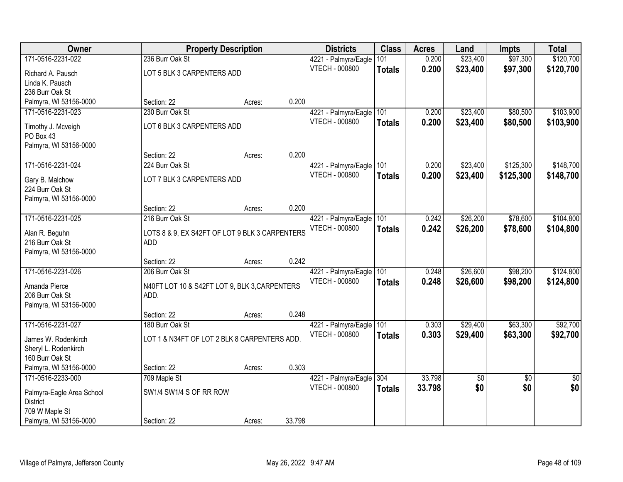| Owner                                     |                                                       | <b>Property Description</b> |        | <b>Districts</b>      | <b>Class</b>  | <b>Acres</b> | Land     | <b>Impts</b>    | <b>Total</b>    |
|-------------------------------------------|-------------------------------------------------------|-----------------------------|--------|-----------------------|---------------|--------------|----------|-----------------|-----------------|
| 171-0516-2231-022                         | 236 Burr Oak St                                       |                             |        | 4221 - Palmyra/Eagle  | 101           | 0.200        | \$23,400 | \$97,300        | \$120,700       |
| Richard A. Pausch                         | LOT 5 BLK 3 CARPENTERS ADD                            |                             |        | <b>VTECH - 000800</b> | <b>Totals</b> | 0.200        | \$23,400 | \$97,300        | \$120,700       |
| Linda K. Pausch                           |                                                       |                             |        |                       |               |              |          |                 |                 |
| 236 Burr Oak St                           |                                                       |                             |        |                       |               |              |          |                 |                 |
| Palmyra, WI 53156-0000                    | Section: 22                                           | Acres:                      | 0.200  |                       |               |              |          |                 |                 |
| 171-0516-2231-023                         | 230 Burr Oak St                                       |                             |        | 4221 - Palmyra/Eagle  | 101           | 0.200        | \$23,400 | \$80,500        | \$103,900       |
| Timothy J. Mcveigh                        | LOT 6 BLK 3 CARPENTERS ADD                            |                             |        | <b>VTECH - 000800</b> | <b>Totals</b> | 0.200        | \$23,400 | \$80,500        | \$103,900       |
| PO Box 43                                 |                                                       |                             |        |                       |               |              |          |                 |                 |
| Palmyra, WI 53156-0000                    |                                                       |                             |        |                       |               |              |          |                 |                 |
|                                           | Section: 22                                           | Acres:                      | 0.200  |                       |               |              |          |                 |                 |
| 171-0516-2231-024                         | 224 Burr Oak St                                       |                             |        | 4221 - Palmyra/Eagle  | 101           | 0.200        | \$23,400 | \$125,300       | \$148,700       |
| Gary B. Malchow                           | LOT 7 BLK 3 CARPENTERS ADD                            |                             |        | <b>VTECH - 000800</b> | <b>Totals</b> | 0.200        | \$23,400 | \$125,300       | \$148,700       |
| 224 Burr Oak St                           |                                                       |                             |        |                       |               |              |          |                 |                 |
| Palmyra, WI 53156-0000                    |                                                       |                             |        |                       |               |              |          |                 |                 |
|                                           | Section: 22                                           | Acres:                      | 0.200  |                       |               |              |          |                 |                 |
| 171-0516-2231-025                         | 216 Burr Oak St                                       |                             |        | 4221 - Palmyra/Eagle  | 101           | 0.242        | \$26,200 | \$78,600        | \$104,800       |
|                                           |                                                       |                             |        | <b>VTECH - 000800</b> | <b>Totals</b> | 0.242        | \$26,200 | \$78,600        | \$104,800       |
| Alan R. Beguhn<br>216 Burr Oak St         | LOTS 8 & 9, EX S42FT OF LOT 9 BLK 3 CARPENTERS<br>ADD |                             |        |                       |               |              |          |                 |                 |
| Palmyra, WI 53156-0000                    |                                                       |                             |        |                       |               |              |          |                 |                 |
|                                           | Section: 22                                           | Acres:                      | 0.242  |                       |               |              |          |                 |                 |
| 171-0516-2231-026                         | 206 Burr Oak St                                       |                             |        | 4221 - Palmyra/Eagle  | 101           | 0.248        | \$26,600 | \$98,200        | \$124,800       |
|                                           |                                                       |                             |        | <b>VTECH - 000800</b> | <b>Totals</b> | 0.248        | \$26,600 | \$98,200        | \$124,800       |
| Amanda Pierce                             | N40FT LOT 10 & S42FT LOT 9, BLK 3, CARPENTERS         |                             |        |                       |               |              |          |                 |                 |
| 206 Burr Oak St<br>Palmyra, WI 53156-0000 | ADD.                                                  |                             |        |                       |               |              |          |                 |                 |
|                                           | Section: 22                                           | Acres:                      | 0.248  |                       |               |              |          |                 |                 |
| 171-0516-2231-027                         | 180 Burr Oak St                                       |                             |        | 4221 - Palmyra/Eagle  | 101           | 0.303        | \$29,400 | \$63,300        | \$92,700        |
|                                           |                                                       |                             |        | <b>VTECH - 000800</b> | <b>Totals</b> | 0.303        | \$29,400 | \$63,300        | \$92,700        |
| James W. Rodenkirch                       | LOT 1 & N34FT OF LOT 2 BLK 8 CARPENTERS ADD.          |                             |        |                       |               |              |          |                 |                 |
| Sheryl L. Rodenkirch                      |                                                       |                             |        |                       |               |              |          |                 |                 |
| 160 Burr Oak St<br>Palmyra, WI 53156-0000 | Section: 22                                           |                             | 0.303  |                       |               |              |          |                 |                 |
| 171-0516-2233-000                         | 709 Maple St                                          | Acres:                      |        | 4221 - Palmyra/Eagle  | 304           | 33.798       | \$0      | $\overline{50}$ | $\overline{50}$ |
|                                           |                                                       |                             |        | <b>VTECH - 000800</b> | <b>Totals</b> | 33.798       | \$0      | \$0             | \$0             |
| Palmyra-Eagle Area School                 | SW1/4 SW1/4 S OF RR ROW                               |                             |        |                       |               |              |          |                 |                 |
| <b>District</b>                           |                                                       |                             |        |                       |               |              |          |                 |                 |
| 709 W Maple St                            |                                                       |                             |        |                       |               |              |          |                 |                 |
| Palmyra, WI 53156-0000                    | Section: 22                                           | Acres:                      | 33.798 |                       |               |              |          |                 |                 |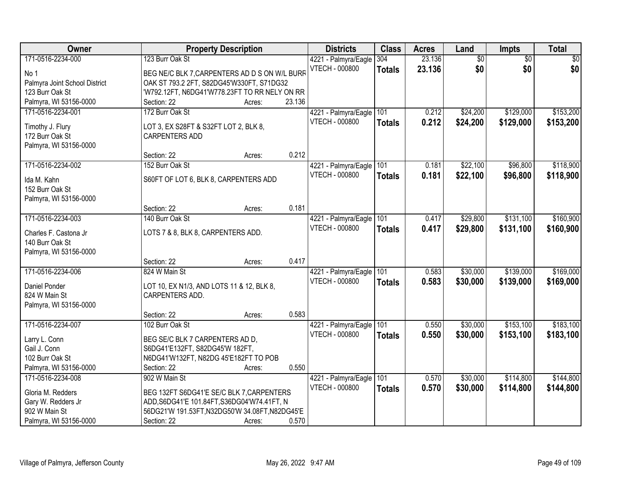| 23.136<br>171-0516-2234-000<br>123 Burr Oak St<br>$\overline{60}$<br>$\overline{50}$<br>$\overline{50}$<br>304<br>4221 - Palmyra/Eagle<br>\$0<br>\$0<br>\$0<br><b>VTECH - 000800</b><br>23.136<br><b>Totals</b><br>BEG NE/C BLK 7, CARPENTERS AD D S ON W/L BURF<br>No 1<br>OAK ST 793.2 2FT, S82DG45'W330FT, S71DG32<br>Palmyra Joint School District<br>'W792.12FT, N6DG41'W778.23FT TO RR NELY ON RR<br>123 Burr Oak St<br>23.136<br>Palmyra, WI 53156-0000<br>Section: 22<br>Acres:<br>172 Burr Oak St<br>\$24,200<br>\$129,000<br>\$153,200<br>171-0516-2234-001<br>4221 - Palmyra/Eagle<br>101<br>0.212<br>0.212<br><b>VTECH - 000800</b><br>\$24,200<br>\$129,000<br>\$153,200<br><b>Totals</b><br>Timothy J. Flury<br>LOT 3, EX S28FT & S32FT LOT 2, BLK 8,<br>172 Burr Oak St<br><b>CARPENTERS ADD</b> |
|-----------------------------------------------------------------------------------------------------------------------------------------------------------------------------------------------------------------------------------------------------------------------------------------------------------------------------------------------------------------------------------------------------------------------------------------------------------------------------------------------------------------------------------------------------------------------------------------------------------------------------------------------------------------------------------------------------------------------------------------------------------------------------------------------------------------|
|                                                                                                                                                                                                                                                                                                                                                                                                                                                                                                                                                                                                                                                                                                                                                                                                                 |
|                                                                                                                                                                                                                                                                                                                                                                                                                                                                                                                                                                                                                                                                                                                                                                                                                 |
|                                                                                                                                                                                                                                                                                                                                                                                                                                                                                                                                                                                                                                                                                                                                                                                                                 |
|                                                                                                                                                                                                                                                                                                                                                                                                                                                                                                                                                                                                                                                                                                                                                                                                                 |
|                                                                                                                                                                                                                                                                                                                                                                                                                                                                                                                                                                                                                                                                                                                                                                                                                 |
|                                                                                                                                                                                                                                                                                                                                                                                                                                                                                                                                                                                                                                                                                                                                                                                                                 |
|                                                                                                                                                                                                                                                                                                                                                                                                                                                                                                                                                                                                                                                                                                                                                                                                                 |
|                                                                                                                                                                                                                                                                                                                                                                                                                                                                                                                                                                                                                                                                                                                                                                                                                 |
|                                                                                                                                                                                                                                                                                                                                                                                                                                                                                                                                                                                                                                                                                                                                                                                                                 |
| Palmyra, WI 53156-0000<br>0.212                                                                                                                                                                                                                                                                                                                                                                                                                                                                                                                                                                                                                                                                                                                                                                                 |
| Section: 22<br>Acres:<br>171-0516-2234-002<br>\$22,100<br>\$118,900<br>152 Burr Oak St                                                                                                                                                                                                                                                                                                                                                                                                                                                                                                                                                                                                                                                                                                                          |
| 4221 - Palmyra/Eagle 101<br>\$96,800<br>0.181                                                                                                                                                                                                                                                                                                                                                                                                                                                                                                                                                                                                                                                                                                                                                                   |
| <b>VTECH - 000800</b><br>0.181<br>\$22,100<br>\$96,800<br>\$118,900<br><b>Totals</b><br>S60FT OF LOT 6, BLK 8, CARPENTERS ADD<br>Ida M. Kahn                                                                                                                                                                                                                                                                                                                                                                                                                                                                                                                                                                                                                                                                    |
| 152 Burr Oak St                                                                                                                                                                                                                                                                                                                                                                                                                                                                                                                                                                                                                                                                                                                                                                                                 |
| Palmyra, WI 53156-0000                                                                                                                                                                                                                                                                                                                                                                                                                                                                                                                                                                                                                                                                                                                                                                                          |
| 0.181<br>Section: 22<br>Acres:                                                                                                                                                                                                                                                                                                                                                                                                                                                                                                                                                                                                                                                                                                                                                                                  |
| \$160,900<br>171-0516-2234-003<br>140 Burr Oak St<br>\$29,800<br>\$131,100<br>4221 - Palmyra/Eagle<br>101<br>0.417                                                                                                                                                                                                                                                                                                                                                                                                                                                                                                                                                                                                                                                                                              |
| <b>VTECH - 000800</b><br>0.417<br>\$29,800<br>\$131,100<br>\$160,900<br><b>Totals</b><br>LOTS 7 & 8, BLK 8, CARPENTERS ADD.<br>Charles F. Castona Jr                                                                                                                                                                                                                                                                                                                                                                                                                                                                                                                                                                                                                                                            |
| 140 Burr Oak St                                                                                                                                                                                                                                                                                                                                                                                                                                                                                                                                                                                                                                                                                                                                                                                                 |
| Palmyra, WI 53156-0000                                                                                                                                                                                                                                                                                                                                                                                                                                                                                                                                                                                                                                                                                                                                                                                          |
| 0.417<br>Section: 22<br>Acres:                                                                                                                                                                                                                                                                                                                                                                                                                                                                                                                                                                                                                                                                                                                                                                                  |
| 171-0516-2234-006<br>824 W Main St<br>\$30,000<br>\$139,000<br>\$169,000<br>101<br>0.583<br>4221 - Palmyra/Eagle                                                                                                                                                                                                                                                                                                                                                                                                                                                                                                                                                                                                                                                                                                |
| 0.583<br><b>VTECH - 000800</b><br>\$30,000<br>\$139,000<br>\$169,000<br><b>Totals</b>                                                                                                                                                                                                                                                                                                                                                                                                                                                                                                                                                                                                                                                                                                                           |
| Daniel Ponder<br>LOT 10, EX N1/3, AND LOTS 11 & 12, BLK 8,                                                                                                                                                                                                                                                                                                                                                                                                                                                                                                                                                                                                                                                                                                                                                      |
| CARPENTERS ADD.<br>824 W Main St                                                                                                                                                                                                                                                                                                                                                                                                                                                                                                                                                                                                                                                                                                                                                                                |
| Palmyra, WI 53156-0000                                                                                                                                                                                                                                                                                                                                                                                                                                                                                                                                                                                                                                                                                                                                                                                          |
| 0.583<br>Section: 22<br>Acres:                                                                                                                                                                                                                                                                                                                                                                                                                                                                                                                                                                                                                                                                                                                                                                                  |
| \$153,100<br>\$183,100<br>171-0516-2234-007<br>4221 - Palmyra/Eagle 101<br>0.550<br>\$30,000<br>102 Burr Oak St                                                                                                                                                                                                                                                                                                                                                                                                                                                                                                                                                                                                                                                                                                 |
| <b>VTECH - 000800</b><br>0.550<br>\$30,000<br>\$153,100<br>\$183,100<br><b>Totals</b><br>BEG SE/C BLK 7 CARPENTERS AD D,<br>Larry L. Conn                                                                                                                                                                                                                                                                                                                                                                                                                                                                                                                                                                                                                                                                       |
| Gail J. Conn<br>S6DG41'E132FT, S82DG45'W 182FT,                                                                                                                                                                                                                                                                                                                                                                                                                                                                                                                                                                                                                                                                                                                                                                 |
| 102 Burr Oak St<br>N6DG41'W132FT, N82DG 45'E182FT TO POB                                                                                                                                                                                                                                                                                                                                                                                                                                                                                                                                                                                                                                                                                                                                                        |
| 0.550<br>Palmyra, WI 53156-0000<br>Section: 22<br>Acres:                                                                                                                                                                                                                                                                                                                                                                                                                                                                                                                                                                                                                                                                                                                                                        |
| 171-0516-2234-008<br>902 W Main St<br>\$30,000<br>\$114,800<br>\$144,800<br>101<br>0.570<br>4221 - Palmyra/Eagle                                                                                                                                                                                                                                                                                                                                                                                                                                                                                                                                                                                                                                                                                                |
| VTECH - 000800<br>0.570<br>\$30,000<br>\$114,800<br>\$144,800<br><b>Totals</b><br>BEG 132FT S6DG41'E SE/C BLK 7, CARPENTERS<br>Gloria M. Redders                                                                                                                                                                                                                                                                                                                                                                                                                                                                                                                                                                                                                                                                |
| ADD, S6DG41'E 101.84FT, S36DG04'W74.41FT, N<br>Gary W. Redders Jr                                                                                                                                                                                                                                                                                                                                                                                                                                                                                                                                                                                                                                                                                                                                               |
| 56DG21'W 191.53FT,N32DG50'W 34.08FT,N82DG45'E<br>902 W Main St                                                                                                                                                                                                                                                                                                                                                                                                                                                                                                                                                                                                                                                                                                                                                  |
| Palmyra, WI 53156-0000<br>0.570<br>Section: 22<br>Acres:                                                                                                                                                                                                                                                                                                                                                                                                                                                                                                                                                                                                                                                                                                                                                        |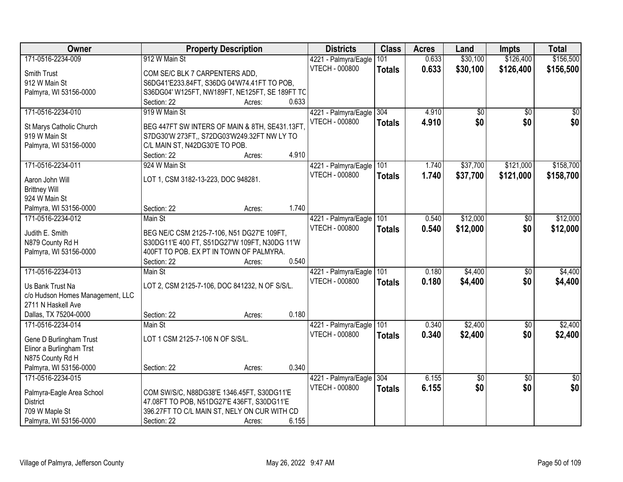| Owner                                       | <b>Property Description</b>                                                                   |                 | <b>Districts</b>                              | <b>Class</b>  | <b>Acres</b> | Land     | <b>Impts</b>    | <b>Total</b>    |
|---------------------------------------------|-----------------------------------------------------------------------------------------------|-----------------|-----------------------------------------------|---------------|--------------|----------|-----------------|-----------------|
| 171-0516-2234-009                           | 912 W Main St                                                                                 |                 | 4221 - Palmyra/Eagle                          | 101           | 0.633        | \$30,100 | \$126,400       | \$156,500       |
| Smith Trust                                 | COM SE/C BLK 7 CARPENTERS ADD,                                                                |                 | VTECH - 000800                                | <b>Totals</b> | 0.633        | \$30,100 | \$126,400       | \$156,500       |
| 912 W Main St                               | S6DG41'E233.84FT, S36DG 04'W74.41FT TO POB,                                                   |                 |                                               |               |              |          |                 |                 |
| Palmyra, WI 53156-0000                      | S36DG04' W125FT, NW189FT, NE125FT, SE 189FT TC                                                |                 |                                               |               |              |          |                 |                 |
|                                             | Section: 22                                                                                   | 0.633<br>Acres: |                                               |               |              |          |                 |                 |
| 171-0516-2234-010                           | 919 W Main St                                                                                 |                 | 4221 - Palmyra/Eagle                          | 304           | 4.910        | \$0      | $\overline{50}$ | $\overline{50}$ |
|                                             |                                                                                               |                 | <b>VTECH - 000800</b>                         | <b>Totals</b> | 4.910        | \$0      | \$0             | \$0             |
| St Marys Catholic Church<br>919 W Main St   | BEG 447FT SW INTERS OF MAIN & 8TH, SE431.13FT,<br>S7DG30'W 273FT,, S72DG03'W249.32FT NW LY TO |                 |                                               |               |              |          |                 |                 |
| Palmyra, WI 53156-0000                      | C/L MAIN ST, N42DG30'E TO POB.                                                                |                 |                                               |               |              |          |                 |                 |
|                                             | Section: 22                                                                                   | 4.910<br>Acres: |                                               |               |              |          |                 |                 |
| 171-0516-2234-011                           | 924 W Main St                                                                                 |                 | 4221 - Palmyra/Eagle                          | 101           | 1.740        | \$37,700 | \$121,000       | \$158,700       |
|                                             |                                                                                               |                 | <b>VTECH - 000800</b>                         | <b>Totals</b> | 1.740        | \$37,700 | \$121,000       | \$158,700       |
| Aaron John Will                             | LOT 1, CSM 3182-13-223, DOC 948281.                                                           |                 |                                               |               |              |          |                 |                 |
| <b>Brittney Will</b>                        |                                                                                               |                 |                                               |               |              |          |                 |                 |
| 924 W Main St                               |                                                                                               |                 |                                               |               |              |          |                 |                 |
| Palmyra, WI 53156-0000                      | Section: 22                                                                                   | 1.740<br>Acres: |                                               |               |              |          |                 |                 |
| 171-0516-2234-012                           | Main St                                                                                       |                 | 4221 - Palmyra/Eagle                          | 101           | 0.540        | \$12,000 | \$0             | \$12,000        |
| Judith E. Smith                             | BEG NE/C CSM 2125-7-106, N51 DG27'E 109FT,                                                    |                 | VTECH - 000800                                | <b>Totals</b> | 0.540        | \$12,000 | \$0             | \$12,000        |
| N879 County Rd H                            | S30DG11'E 400 FT, S51DG27'W 109FT, N30DG 11'W                                                 |                 |                                               |               |              |          |                 |                 |
| Palmyra, WI 53156-0000                      | 400FT TO POB. EX PT IN TOWN OF PALMYRA.                                                       |                 |                                               |               |              |          |                 |                 |
|                                             | Section: 22                                                                                   | 0.540<br>Acres: |                                               |               |              |          |                 |                 |
| 171-0516-2234-013                           | Main St                                                                                       |                 | 4221 - Palmyra/Eagle                          | 101           | 0.180        | \$4,400  | \$0             | \$4,400         |
|                                             |                                                                                               |                 | <b>VTECH - 000800</b>                         | <b>Totals</b> | 0.180        | \$4,400  | \$0             | \$4,400         |
| Us Bank Trust Na                            | LOT 2, CSM 2125-7-106, DOC 841232, N OF S/S/L.                                                |                 |                                               |               |              |          |                 |                 |
| c/o Hudson Homes Management, LLC            |                                                                                               |                 |                                               |               |              |          |                 |                 |
| 2711 N Haskell Ave<br>Dallas, TX 75204-0000 | Section: 22                                                                                   | 0.180           |                                               |               |              |          |                 |                 |
| 171-0516-2234-014                           | Main St                                                                                       | Acres:          |                                               | 101           | 0.340        | \$2,400  | $\overline{60}$ | \$2,400         |
|                                             |                                                                                               |                 | 4221 - Palmyra/Eagle<br><b>VTECH - 000800</b> |               | 0.340        | \$2,400  | \$0             | \$2,400         |
| Gene D Burlingham Trust                     | LOT 1 CSM 2125-7-106 N OF S/S/L.                                                              |                 |                                               | <b>Totals</b> |              |          |                 |                 |
| Elinor a Burlingham Trst                    |                                                                                               |                 |                                               |               |              |          |                 |                 |
| N875 County Rd H                            |                                                                                               |                 |                                               |               |              |          |                 |                 |
| Palmyra, WI 53156-0000                      | Section: 22                                                                                   | 0.340<br>Acres: |                                               |               |              |          |                 |                 |
| 171-0516-2234-015                           |                                                                                               |                 | 4221 - Palmyra/Eagle                          | 304           | 6.155        | \$0      | $\overline{30}$ | $\overline{50}$ |
| Palmyra-Eagle Area School                   | COM SW/S/C, N88DG38'E 1346.45FT, S30DG11'E                                                    |                 | <b>VTECH - 000800</b>                         | <b>Totals</b> | 6.155        | \$0      | \$0             | \$0             |
| <b>District</b>                             | 47.08FT TO POB, N51DG27'E 436FT, S30DG11'E                                                    |                 |                                               |               |              |          |                 |                 |
| 709 W Maple St                              | 396.27FT TO C/L MAIN ST, NELY ON CUR WITH CD                                                  |                 |                                               |               |              |          |                 |                 |
| Palmyra, WI 53156-0000                      | Section: 22                                                                                   | 6.155<br>Acres: |                                               |               |              |          |                 |                 |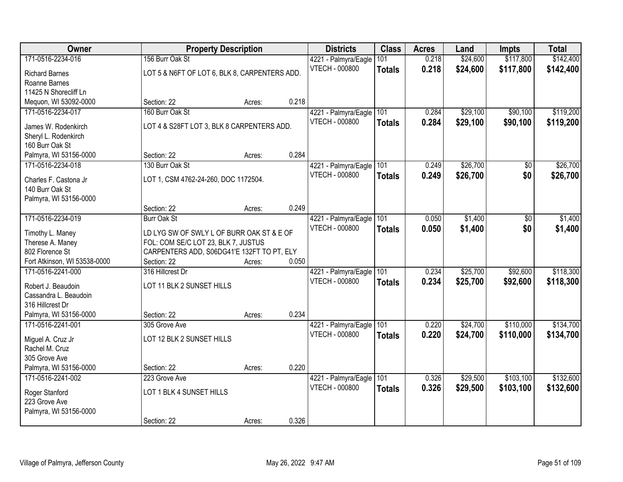| Owner                        |                                               | <b>Property Description</b> |       | <b>Districts</b>      | <b>Class</b>  | <b>Acres</b> | Land     | <b>Impts</b> | <b>Total</b> |
|------------------------------|-----------------------------------------------|-----------------------------|-------|-----------------------|---------------|--------------|----------|--------------|--------------|
| 171-0516-2234-016            | 156 Burr Oak St                               |                             |       | 4221 - Palmyra/Eagle  | 101           | 0.218        | \$24,600 | \$117,800    | \$142,400    |
| <b>Richard Barnes</b>        | LOT 5 & N6FT OF LOT 6, BLK 8, CARPENTERS ADD. |                             |       | <b>VTECH - 000800</b> | <b>Totals</b> | 0.218        | \$24,600 | \$117,800    | \$142,400    |
| Roanne Barnes                |                                               |                             |       |                       |               |              |          |              |              |
| 11425 N Shorecliff Ln        |                                               |                             |       |                       |               |              |          |              |              |
| Mequon, WI 53092-0000        | Section: 22                                   | Acres:                      | 0.218 |                       |               |              |          |              |              |
| 171-0516-2234-017            | 160 Burr Oak St                               |                             |       | 4221 - Palmyra/Eagle  | 101           | 0.284        | \$29,100 | \$90,100     | \$119,200    |
| James W. Rodenkirch          | LOT 4 & S28FT LOT 3, BLK 8 CARPENTERS ADD.    |                             |       | VTECH - 000800        | <b>Totals</b> | 0.284        | \$29,100 | \$90,100     | \$119,200    |
| Sheryl L. Rodenkirch         |                                               |                             |       |                       |               |              |          |              |              |
| 160 Burr Oak St              |                                               |                             |       |                       |               |              |          |              |              |
| Palmyra, WI 53156-0000       | Section: 22                                   | Acres:                      | 0.284 |                       |               |              |          |              |              |
| 171-0516-2234-018            | 130 Burr Oak St                               |                             |       | 4221 - Palmyra/Eagle  | 101           | 0.249        | \$26,700 | \$0          | \$26,700     |
|                              |                                               |                             |       | <b>VTECH - 000800</b> | <b>Totals</b> | 0.249        | \$26,700 | \$0          | \$26,700     |
| Charles F. Castona Jr        | LOT 1, CSM 4762-24-260, DOC 1172504.          |                             |       |                       |               |              |          |              |              |
| 140 Burr Oak St              |                                               |                             |       |                       |               |              |          |              |              |
| Palmyra, WI 53156-0000       | Section: 22                                   | Acres:                      | 0.249 |                       |               |              |          |              |              |
| 171-0516-2234-019            | <b>Burr Oak St</b>                            |                             |       | 4221 - Palmyra/Eagle  | 101           | 0.050        | \$1,400  | \$0          | \$1,400      |
|                              |                                               |                             |       | <b>VTECH - 000800</b> |               | 0.050        |          | \$0          |              |
| Timothy L. Maney             | LD LYG SW OF SWLY L OF BURR OAK ST & E OF     |                             |       |                       | <b>Totals</b> |              | \$1,400  |              | \$1,400      |
| Therese A. Maney             | FOL: COM SE/C LOT 23, BLK 7, JUSTUS           |                             |       |                       |               |              |          |              |              |
| 802 Florence St              | CARPENTERS ADD, S06DG41'E 132FT TO PT, ELY    |                             |       |                       |               |              |          |              |              |
| Fort Atkinson, WI 53538-0000 | Section: 22                                   | Acres:                      | 0.050 |                       |               |              |          |              |              |
| 171-0516-2241-000            | 316 Hillcrest Dr                              |                             |       | 4221 - Palmyra/Eagle  | 101           | 0.234        | \$25,700 | \$92,600     | \$118,300    |
| Robert J. Beaudoin           | LOT 11 BLK 2 SUNSET HILLS                     |                             |       | <b>VTECH - 000800</b> | <b>Totals</b> | 0.234        | \$25,700 | \$92,600     | \$118,300    |
| Cassandra L. Beaudoin        |                                               |                             |       |                       |               |              |          |              |              |
| 316 Hillcrest Dr             |                                               |                             |       |                       |               |              |          |              |              |
| Palmyra, WI 53156-0000       | Section: 22                                   | Acres:                      | 0.234 |                       |               |              |          |              |              |
| 171-0516-2241-001            | 305 Grove Ave                                 |                             |       | 4221 - Palmyra/Eagle  | 101           | 0.220        | \$24,700 | \$110,000    | \$134,700    |
| Miguel A. Cruz Jr            | LOT 12 BLK 2 SUNSET HILLS                     |                             |       | VTECH - 000800        | <b>Totals</b> | 0.220        | \$24,700 | \$110,000    | \$134,700    |
| Rachel M. Cruz               |                                               |                             |       |                       |               |              |          |              |              |
| 305 Grove Ave                |                                               |                             |       |                       |               |              |          |              |              |
| Palmyra, WI 53156-0000       | Section: 22                                   | Acres:                      | 0.220 |                       |               |              |          |              |              |
| 171-0516-2241-002            | 223 Grove Ave                                 |                             |       | 4221 - Palmyra/Eagle  | 101           | 0.326        | \$29,500 | \$103,100    | \$132,600    |
|                              |                                               |                             |       | VTECH - 000800        | <b>Totals</b> | 0.326        | \$29,500 | \$103,100    | \$132,600    |
| Roger Stanford               | LOT 1 BLK 4 SUNSET HILLS                      |                             |       |                       |               |              |          |              |              |
| 223 Grove Ave                |                                               |                             |       |                       |               |              |          |              |              |
| Palmyra, WI 53156-0000       |                                               |                             |       |                       |               |              |          |              |              |
|                              | Section: 22                                   | Acres:                      | 0.326 |                       |               |              |          |              |              |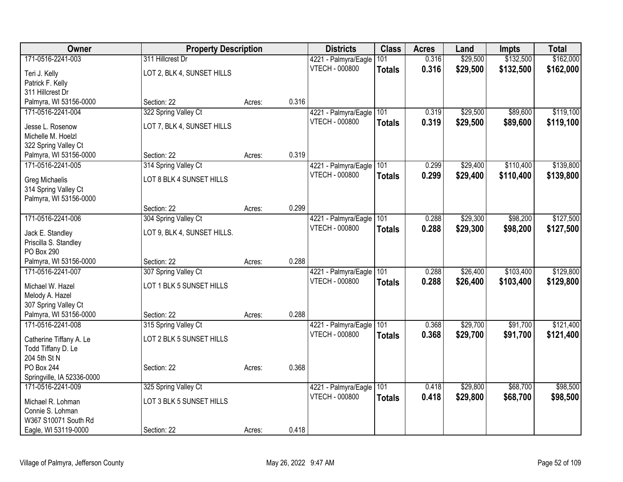| Owner                      | <b>Property Description</b> |        |       | <b>Districts</b>      | <b>Class</b>  | <b>Acres</b> | Land     | <b>Impts</b> | <b>Total</b> |
|----------------------------|-----------------------------|--------|-------|-----------------------|---------------|--------------|----------|--------------|--------------|
| 171-0516-2241-003          | 311 Hillcrest Dr            |        |       | 4221 - Palmyra/Eagle  | 101           | 0.316        | \$29,500 | \$132,500    | \$162,000    |
| Teri J. Kelly              | LOT 2, BLK 4, SUNSET HILLS  |        |       | VTECH - 000800        | <b>Totals</b> | 0.316        | \$29,500 | \$132,500    | \$162,000    |
| Patrick F. Kelly           |                             |        |       |                       |               |              |          |              |              |
| 311 Hillcrest Dr           |                             |        |       |                       |               |              |          |              |              |
| Palmyra, WI 53156-0000     | Section: 22                 | Acres: | 0.316 |                       |               |              |          |              |              |
| 171-0516-2241-004          | 322 Spring Valley Ct        |        |       | 4221 - Palmyra/Eagle  | 101           | 0.319        | \$29,500 | \$89,600     | \$119,100    |
| Jesse L. Rosenow           | LOT 7, BLK 4, SUNSET HILLS  |        |       | <b>VTECH - 000800</b> | <b>Totals</b> | 0.319        | \$29,500 | \$89,600     | \$119,100    |
| Michelle M. Hoelzl         |                             |        |       |                       |               |              |          |              |              |
| 322 Spring Valley Ct       |                             |        |       |                       |               |              |          |              |              |
| Palmyra, WI 53156-0000     | Section: 22                 | Acres: | 0.319 |                       |               |              |          |              |              |
| 171-0516-2241-005          | 314 Spring Valley Ct        |        |       | 4221 - Palmyra/Eagle  | 101           | 0.299        | \$29,400 | \$110,400    | \$139,800    |
| Greg Michaelis             | LOT 8 BLK 4 SUNSET HILLS    |        |       | <b>VTECH - 000800</b> | <b>Totals</b> | 0.299        | \$29,400 | \$110,400    | \$139,800    |
| 314 Spring Valley Ct       |                             |        |       |                       |               |              |          |              |              |
| Palmyra, WI 53156-0000     |                             |        |       |                       |               |              |          |              |              |
|                            | Section: 22                 | Acres: | 0.299 |                       |               |              |          |              |              |
| 171-0516-2241-006          | 304 Spring Valley Ct        |        |       | 4221 - Palmyra/Eagle  | 101           | 0.288        | \$29,300 | \$98,200     | \$127,500    |
| Jack E. Standley           | LOT 9, BLK 4, SUNSET HILLS. |        |       | <b>VTECH - 000800</b> | <b>Totals</b> | 0.288        | \$29,300 | \$98,200     | \$127,500    |
| Priscilla S. Standley      |                             |        |       |                       |               |              |          |              |              |
| PO Box 290                 |                             |        |       |                       |               |              |          |              |              |
| Palmyra, WI 53156-0000     | Section: 22                 | Acres: | 0.288 |                       |               |              |          |              |              |
| 171-0516-2241-007          | 307 Spring Valley Ct        |        |       | 4221 - Palmyra/Eagle  | 101           | 0.288        | \$26,400 | \$103,400    | \$129,800    |
| Michael W. Hazel           | LOT 1 BLK 5 SUNSET HILLS    |        |       | VTECH - 000800        | <b>Totals</b> | 0.288        | \$26,400 | \$103,400    | \$129,800    |
| Melody A. Hazel            |                             |        |       |                       |               |              |          |              |              |
| 307 Spring Valley Ct       |                             |        |       |                       |               |              |          |              |              |
| Palmyra, WI 53156-0000     | Section: 22                 | Acres: | 0.288 |                       |               |              |          |              |              |
| 171-0516-2241-008          | 315 Spring Valley Ct        |        |       | 4221 - Palmyra/Eagle  | 101           | 0.368        | \$29,700 | \$91,700     | \$121,400    |
| Catherine Tiffany A. Le    | LOT 2 BLK 5 SUNSET HILLS    |        |       | <b>VTECH - 000800</b> | <b>Totals</b> | 0.368        | \$29,700 | \$91,700     | \$121,400    |
| Todd Tiffany D. Le         |                             |        |       |                       |               |              |          |              |              |
| 204 5th St N               |                             |        |       |                       |               |              |          |              |              |
| PO Box 244                 | Section: 22                 | Acres: | 0.368 |                       |               |              |          |              |              |
| Springville, IA 52336-0000 |                             |        |       |                       |               |              |          |              |              |
| 171-0516-2241-009          | 325 Spring Valley Ct        |        |       | 4221 - Palmyra/Eagle  | 101           | 0.418        | \$29,800 | \$68,700     | \$98,500     |
| Michael R. Lohman          | LOT 3 BLK 5 SUNSET HILLS    |        |       | <b>VTECH - 000800</b> | <b>Totals</b> | 0.418        | \$29,800 | \$68,700     | \$98,500     |
| Connie S. Lohman           |                             |        |       |                       |               |              |          |              |              |
| W367 S10071 South Rd       |                             |        |       |                       |               |              |          |              |              |
| Eagle, WI 53119-0000       | Section: 22                 | Acres: | 0.418 |                       |               |              |          |              |              |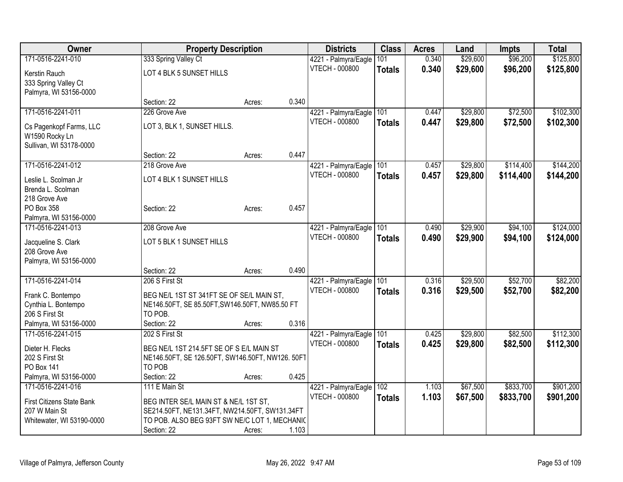| Owner                     |                                                 | <b>Property Description</b> |       | <b>Districts</b>      | <b>Class</b>  | <b>Acres</b> | Land     | <b>Impts</b> | <b>Total</b> |
|---------------------------|-------------------------------------------------|-----------------------------|-------|-----------------------|---------------|--------------|----------|--------------|--------------|
| 171-0516-2241-010         | 333 Spring Valley Ct                            |                             |       | 4221 - Palmyra/Eagle  | 101           | 0.340        | \$29,600 | \$96,200     | \$125,800    |
| Kerstin Rauch             | LOT 4 BLK 5 SUNSET HILLS                        |                             |       | VTECH - 000800        | <b>Totals</b> | 0.340        | \$29,600 | \$96,200     | \$125,800    |
| 333 Spring Valley Ct      |                                                 |                             |       |                       |               |              |          |              |              |
| Palmyra, WI 53156-0000    |                                                 |                             |       |                       |               |              |          |              |              |
|                           | Section: 22                                     | Acres:                      | 0.340 |                       |               |              |          |              |              |
| 171-0516-2241-011         | 226 Grove Ave                                   |                             |       | 4221 - Palmyra/Eagle  | 101           | 0.447        | \$29,800 | \$72,500     | \$102,300    |
| Cs Pagenkopf Farms, LLC   | LOT 3, BLK 1, SUNSET HILLS.                     |                             |       | <b>VTECH - 000800</b> | <b>Totals</b> | 0.447        | \$29,800 | \$72,500     | \$102,300    |
| W1590 Rocky Ln            |                                                 |                             |       |                       |               |              |          |              |              |
| Sullivan, WI 53178-0000   |                                                 |                             |       |                       |               |              |          |              |              |
|                           | Section: 22                                     | Acres:                      | 0.447 |                       |               |              |          |              |              |
| 171-0516-2241-012         | 218 Grove Ave                                   |                             |       | 4221 - Palmyra/Eagle  | 101           | 0.457        | \$29,800 | \$114,400    | \$144,200    |
| Leslie L. Scolman Jr      | LOT 4 BLK 1 SUNSET HILLS                        |                             |       | <b>VTECH - 000800</b> | <b>Totals</b> | 0.457        | \$29,800 | \$114,400    | \$144,200    |
| Brenda L. Scolman         |                                                 |                             |       |                       |               |              |          |              |              |
| 218 Grove Ave             |                                                 |                             |       |                       |               |              |          |              |              |
| PO Box 358                | Section: 22                                     | Acres:                      | 0.457 |                       |               |              |          |              |              |
| Palmyra, WI 53156-0000    |                                                 |                             |       |                       |               |              |          |              |              |
| 171-0516-2241-013         | 208 Grove Ave                                   |                             |       | 4221 - Palmyra/Eagle  | 101           | 0.490        | \$29,900 | \$94,100     | \$124,000    |
| Jacqueline S. Clark       | LOT 5 BLK 1 SUNSET HILLS                        |                             |       | <b>VTECH - 000800</b> | <b>Totals</b> | 0.490        | \$29,900 | \$94,100     | \$124,000    |
| 208 Grove Ave             |                                                 |                             |       |                       |               |              |          |              |              |
| Palmyra, WI 53156-0000    |                                                 |                             |       |                       |               |              |          |              |              |
|                           | Section: 22                                     | Acres:                      | 0.490 |                       |               |              |          |              |              |
| 171-0516-2241-014         | 206 S First St                                  |                             |       | 4221 - Palmyra/Eagle  | 101           | 0.316        | \$29,500 | \$52,700     | \$82,200     |
| Frank C. Bontempo         | BEG NE/L 1ST ST 341FT SE OF SE/L MAIN ST,       |                             |       | VTECH - 000800        | <b>Totals</b> | 0.316        | \$29,500 | \$52,700     | \$82,200     |
| Cynthia L. Bontempo       | NE146.50FT, SE 85.50FT, SW146.50FT, NW85.50 FT  |                             |       |                       |               |              |          |              |              |
| 206 S First St            | TO POB.                                         |                             |       |                       |               |              |          |              |              |
| Palmyra, WI 53156-0000    | Section: 22                                     | Acres:                      | 0.316 |                       |               |              |          |              |              |
| 171-0516-2241-015         | 202 S First St                                  |                             |       | 4221 - Palmyra/Eagle  | 101           | 0.425        | \$29,800 | \$82,500     | \$112,300    |
| Dieter H. Flecks          | BEG NE/L 1ST 214.5FT SE OF S E/L MAIN ST        |                             |       | VTECH - 000800        | <b>Totals</b> | 0.425        | \$29,800 | \$82,500     | \$112,300    |
| 202 S First St            | NE146.50FT, SE 126.50FT, SW146.50FT, NW126.50FT |                             |       |                       |               |              |          |              |              |
| <b>PO Box 141</b>         | TO POB                                          |                             |       |                       |               |              |          |              |              |
| Palmyra, WI 53156-0000    | Section: 22                                     | Acres:                      | 0.425 |                       |               |              |          |              |              |
| 171-0516-2241-016         | 111 E Main St                                   |                             |       | 4221 - Palmyra/Eagle  | 102           | 1.103        | \$67,500 | \$833,700    | \$901,200    |
| First Citizens State Bank | BEG INTER SE/L MAIN ST & NE/L 1ST ST,           |                             |       | VTECH - 000800        | <b>Totals</b> | 1.103        | \$67,500 | \$833,700    | \$901,200    |
| 207 W Main St             | SE214.50FT, NE131.34FT, NW214.50FT, SW131.34FT  |                             |       |                       |               |              |          |              |              |
| Whitewater, WI 53190-0000 | TO POB. ALSO BEG 93FT SW NE/C LOT 1, MECHANIC   |                             |       |                       |               |              |          |              |              |
|                           | Section: 22                                     | Acres:                      | 1.103 |                       |               |              |          |              |              |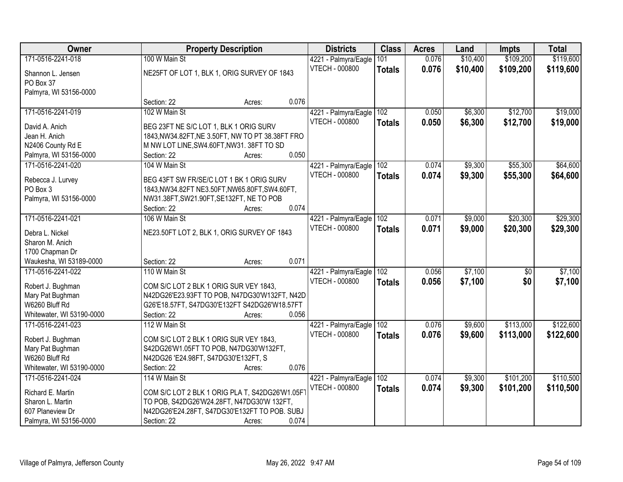| Owner                                 |                                                                                         | <b>Property Description</b> |       | <b>Districts</b>         | <b>Class</b>  | <b>Acres</b> | Land     | <b>Impts</b>    | <b>Total</b> |
|---------------------------------------|-----------------------------------------------------------------------------------------|-----------------------------|-------|--------------------------|---------------|--------------|----------|-----------------|--------------|
| 171-0516-2241-018                     | 100 W Main St                                                                           |                             |       | 4221 - Palmyra/Eagle     | 101           | 0.076        | \$10,400 | \$109,200       | \$119,600    |
| Shannon L. Jensen                     | NE25FT OF LOT 1, BLK 1, ORIG SURVEY OF 1843                                             |                             |       | VTECH - 000800           | <b>Totals</b> | 0.076        | \$10,400 | \$109,200       | \$119,600    |
| PO Box 37                             |                                                                                         |                             |       |                          |               |              |          |                 |              |
| Palmyra, WI 53156-0000                |                                                                                         |                             |       |                          |               |              |          |                 |              |
|                                       | Section: 22                                                                             | Acres:                      | 0.076 |                          |               |              |          |                 |              |
| 171-0516-2241-019                     | 102 W Main St                                                                           |                             |       | 4221 - Palmyra/Eagle     | 102           | 0.050        | \$6,300  | \$12,700        | \$19,000     |
| David A. Anich                        | BEG 23FT NE S/C LOT 1, BLK 1 ORIG SURV                                                  |                             |       | <b>VTECH - 000800</b>    | <b>Totals</b> | 0.050        | \$6,300  | \$12,700        | \$19,000     |
| Jean H. Anich                         | 1843, NW34.82FT, NE 3.50FT, NW TO PT 38.38FT FRO                                        |                             |       |                          |               |              |          |                 |              |
| N2406 County Rd E                     | M NW LOT LINE, SW4.60FT, NW31. 38FT TO SD                                               |                             |       |                          |               |              |          |                 |              |
| Palmyra, WI 53156-0000                | Section: 22                                                                             | Acres:                      | 0.050 |                          |               |              |          |                 |              |
| 171-0516-2241-020                     | 104 W Main St                                                                           |                             |       | 4221 - Palmyra/Eagle 102 |               | 0.074        | \$9,300  | \$55,300        | \$64,600     |
|                                       |                                                                                         |                             |       | <b>VTECH - 000800</b>    | <b>Totals</b> | 0.074        | \$9,300  | \$55,300        | \$64,600     |
| Rebecca J. Lurvey                     | BEG 43FT SW FR/SE/C LOT 1 BK 1 ORIG SURV                                                |                             |       |                          |               |              |          |                 |              |
| PO Box 3                              | 1843, NW34.82FT NE3.50FT, NW65.80FT, SW4.60FT,                                          |                             |       |                          |               |              |          |                 |              |
| Palmyra, WI 53156-0000                | NW31.38FT, SW21.90FT, SE132FT, NE TO POB                                                |                             |       |                          |               |              |          |                 |              |
|                                       | Section: 22                                                                             | Acres:                      | 0.074 |                          |               |              |          |                 |              |
| 171-0516-2241-021                     | 106 W Main St                                                                           |                             |       | 4221 - Palmyra/Eagle     | 102           | 0.071        | \$9,000  | \$20,300        | \$29,300     |
| Debra L. Nickel                       | NE23.50FT LOT 2, BLK 1, ORIG SURVEY OF 1843                                             |                             |       | <b>VTECH - 000800</b>    | <b>Totals</b> | 0.071        | \$9,000  | \$20,300        | \$29,300     |
| Sharon M. Anich                       |                                                                                         |                             |       |                          |               |              |          |                 |              |
| 1700 Chapman Dr                       |                                                                                         |                             |       |                          |               |              |          |                 |              |
| Waukesha, WI 53189-0000               | Section: 22                                                                             | Acres:                      | 0.071 |                          |               |              |          |                 |              |
| 171-0516-2241-022                     | 110 W Main St                                                                           |                             |       | 4221 - Palmyra/Eagle     | 102           | 0.056        | \$7,100  | $\overline{50}$ | \$7,100      |
|                                       |                                                                                         |                             |       | <b>VTECH - 000800</b>    | <b>Totals</b> | 0.056        | \$7,100  | \$0             | \$7,100      |
| Robert J. Bughman<br>Mary Pat Bughman | COM S/C LOT 2 BLK 1 ORIG SUR VEY 1843,<br>N42DG26'E23.93FT TO POB, N47DG30'W132FT, N42D |                             |       |                          |               |              |          |                 |              |
| W6260 Bluff Rd                        | G26'E18.57FT, S47DG30'E132FT S42DG26'W18.57FT                                           |                             |       |                          |               |              |          |                 |              |
| Whitewater, WI 53190-0000             | Section: 22                                                                             | Acres:                      | 0.056 |                          |               |              |          |                 |              |
| 171-0516-2241-023                     | 112 W Main St                                                                           |                             |       | 4221 - Palmyra/Eagle     | 102           | 0.076        | \$9,600  | \$113,000       | \$122,600    |
|                                       |                                                                                         |                             |       | <b>VTECH - 000800</b>    | <b>Totals</b> | 0.076        | \$9,600  | \$113,000       | \$122,600    |
| Robert J. Bughman                     | COM S/C LOT 2 BLK 1 ORIG SUR VEY 1843.                                                  |                             |       |                          |               |              |          |                 |              |
| Mary Pat Bughman                      | S42DG26'W1.05FT TO POB, N47DG30'W132FT,                                                 |                             |       |                          |               |              |          |                 |              |
| W6260 Bluff Rd                        | N42DG26 'E24.98FT, S47DG30'E132FT, S                                                    |                             |       |                          |               |              |          |                 |              |
| Whitewater, WI 53190-0000             | Section: 22                                                                             | Acres:                      | 0.076 |                          |               |              |          |                 |              |
| 171-0516-2241-024                     | 114 W Main St                                                                           |                             |       | 4221 - Palmyra/Eagle     | 102           | 0.074        | \$9,300  | \$101,200       | \$110,500    |
| Richard E. Martin                     | COM S/C LOT 2 BLK 1 ORIG PLA T, S42DG26'W1.05FT                                         |                             |       | <b>VTECH - 000800</b>    | <b>Totals</b> | 0.074        | \$9,300  | \$101,200       | \$110,500    |
| Sharon L. Martin                      | TO POB, S42DG26'W24.28FT, N47DG30'W 132FT,                                              |                             |       |                          |               |              |          |                 |              |
| 607 Planeview Dr                      | N42DG26'E24.28FT, S47DG30'E132FT TO POB. SUBJ                                           |                             |       |                          |               |              |          |                 |              |
| Palmyra, WI 53156-0000                | Section: 22                                                                             | Acres:                      | 0.074 |                          |               |              |          |                 |              |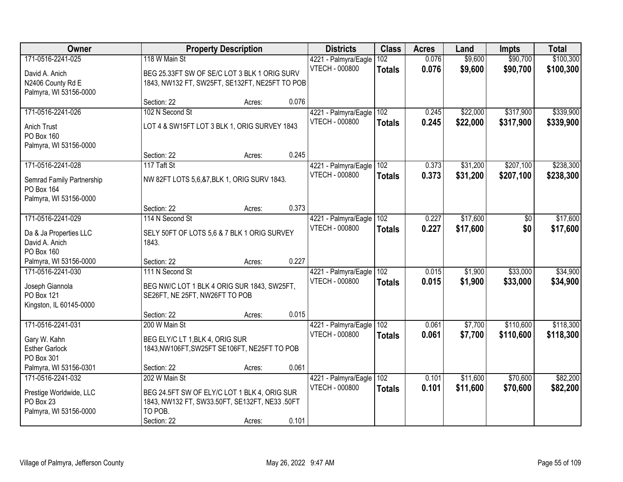| Owner                     |                                                | <b>Property Description</b> |       | <b>Districts</b>      | <b>Class</b>  | <b>Acres</b> | Land     | <b>Impts</b> | <b>Total</b> |
|---------------------------|------------------------------------------------|-----------------------------|-------|-----------------------|---------------|--------------|----------|--------------|--------------|
| 171-0516-2241-025         | 118 W Main St                                  |                             |       | 4221 - Palmyra/Eagle  | 102           | 0.076        | \$9,600  | \$90,700     | \$100,300    |
| David A. Anich            | BEG 25.33FT SW OF SE/C LOT 3 BLK 1 ORIG SURV   |                             |       | <b>VTECH - 000800</b> | <b>Totals</b> | 0.076        | \$9,600  | \$90,700     | \$100,300    |
| N2406 County Rd E         | 1843, NW132 FT, SW25FT, SE132FT, NE25FT TO POB |                             |       |                       |               |              |          |              |              |
| Palmyra, WI 53156-0000    |                                                |                             |       |                       |               |              |          |              |              |
|                           | Section: 22                                    | Acres:                      | 0.076 |                       |               |              |          |              |              |
| 171-0516-2241-026         | 102 N Second St                                |                             |       | 4221 - Palmyra/Eagle  | 102           | 0.245        | \$22,000 | \$317,900    | \$339,900    |
| <b>Anich Trust</b>        | LOT 4 & SW15FT LOT 3 BLK 1, ORIG SURVEY 1843   |                             |       | <b>VTECH - 000800</b> | <b>Totals</b> | 0.245        | \$22,000 | \$317,900    | \$339,900    |
| PO Box 160                |                                                |                             |       |                       |               |              |          |              |              |
| Palmyra, WI 53156-0000    |                                                |                             |       |                       |               |              |          |              |              |
|                           | Section: 22                                    | Acres:                      | 0.245 |                       |               |              |          |              |              |
| 171-0516-2241-028         | 117 Taft St                                    |                             |       | 4221 - Palmyra/Eagle  | 102           | 0.373        | \$31,200 | \$207,100    | \$238,300    |
| Semrad Family Partnership | NW 82FT LOTS 5,6,&7,BLK 1, ORIG SURV 1843.     |                             |       | <b>VTECH - 000800</b> | <b>Totals</b> | 0.373        | \$31,200 | \$207,100    | \$238,300    |
| PO Box 164                |                                                |                             |       |                       |               |              |          |              |              |
| Palmyra, WI 53156-0000    |                                                |                             |       |                       |               |              |          |              |              |
|                           | Section: 22                                    | Acres:                      | 0.373 |                       |               |              |          |              |              |
| 171-0516-2241-029         | 114 N Second St                                |                             |       | 4221 - Palmyra/Eagle  | 102           | 0.227        | \$17,600 | $\sqrt[6]{}$ | \$17,600     |
| Da & Ja Properties LLC    | SELY 50FT OF LOTS 5,6 & 7 BLK 1 ORIG SURVEY    |                             |       | <b>VTECH - 000800</b> | <b>Totals</b> | 0.227        | \$17,600 | \$0          | \$17,600     |
| David A. Anich            | 1843.                                          |                             |       |                       |               |              |          |              |              |
| PO Box 160                |                                                |                             |       |                       |               |              |          |              |              |
| Palmyra, WI 53156-0000    | Section: 22                                    | Acres:                      | 0.227 |                       |               |              |          |              |              |
| 171-0516-2241-030         | 111 N Second St                                |                             |       | 4221 - Palmyra/Eagle  | 102           | 0.015        | \$1,900  | \$33,000     | \$34,900     |
| Joseph Giannola           | BEG NW/C LOT 1 BLK 4 ORIG SUR 1843, SW25FT,    |                             |       | <b>VTECH - 000800</b> | <b>Totals</b> | 0.015        | \$1,900  | \$33,000     | \$34,900     |
| PO Box 121                | SE26FT, NE 25FT, NW26FT TO POB                 |                             |       |                       |               |              |          |              |              |
| Kingston, IL 60145-0000   |                                                |                             |       |                       |               |              |          |              |              |
|                           | Section: 22                                    | Acres:                      | 0.015 |                       |               |              |          |              |              |
| 171-0516-2241-031         | 200 W Main St                                  |                             |       | 4221 - Palmyra/Eagle  | 102           | 0.061        | \$7,700  | \$110,600    | \$118,300    |
| Gary W. Kahn              | BEG ELY/C LT 1, BLK 4, ORIG SUR                |                             |       | <b>VTECH - 000800</b> | <b>Totals</b> | 0.061        | \$7,700  | \$110,600    | \$118,300    |
| <b>Esther Garlock</b>     | 1843, NW106FT, SW25FT SE106FT, NE25FT TO POB   |                             |       |                       |               |              |          |              |              |
| PO Box 301                |                                                |                             |       |                       |               |              |          |              |              |
| Palmyra, WI 53156-0301    | Section: 22                                    | Acres:                      | 0.061 |                       |               |              |          |              |              |
| 171-0516-2241-032         | 202 W Main St                                  |                             |       | 4221 - Palmyra/Eagle  | 102           | 0.101        | \$11,600 | \$70,600     | \$82,200     |
| Prestige Worldwide, LLC   | BEG 24.5FT SW OF ELY/C LOT 1 BLK 4, ORIG SUR   |                             |       | <b>VTECH - 000800</b> | <b>Totals</b> | 0.101        | \$11,600 | \$70,600     | \$82,200     |
| PO Box 23                 | 1843, NW132 FT, SW33.50FT, SE132FT, NE33 .50FT |                             |       |                       |               |              |          |              |              |
| Palmyra, WI 53156-0000    | TO POB.                                        |                             |       |                       |               |              |          |              |              |
|                           | Section: 22                                    | Acres:                      | 0.101 |                       |               |              |          |              |              |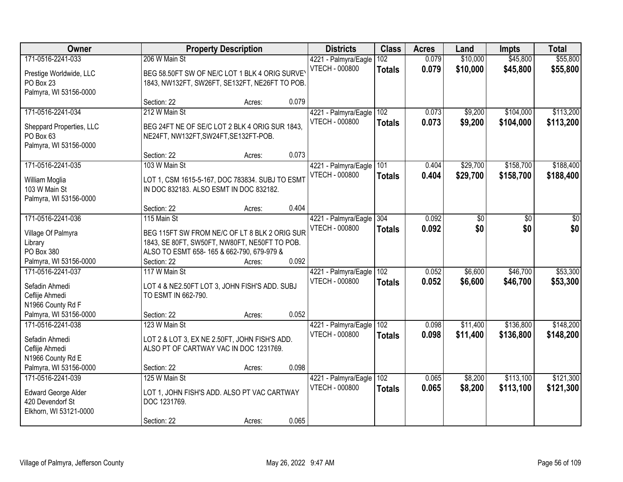| Owner                                                                                                |                                                                                                                          | <b>Property Description</b>                             |       | <b>Districts</b>                              | <b>Class</b>         | <b>Acres</b>   | Land                 | <b>Impts</b>           | <b>Total</b>           |
|------------------------------------------------------------------------------------------------------|--------------------------------------------------------------------------------------------------------------------------|---------------------------------------------------------|-------|-----------------------------------------------|----------------------|----------------|----------------------|------------------------|------------------------|
| 171-0516-2241-033<br>Prestige Worldwide, LLC<br>PO Box 23<br>Palmyra, WI 53156-0000                  | 206 W Main St<br>BEG 58.50FT SW OF NE/C LOT 1 BLK 4 ORIG SURVEY                                                          | 1843, NW132FT, SW26FT, SE132FT, NE26FT TO POB.          |       | 4221 - Palmyra/Eagle<br><b>VTECH - 000800</b> | 102<br><b>Totals</b> | 0.079<br>0.079 | \$10,000<br>\$10,000 | \$45,800<br>\$45,800   | \$55,800<br>\$55,800   |
|                                                                                                      | Section: 22                                                                                                              | Acres:                                                  | 0.079 |                                               |                      |                |                      |                        |                        |
| 171-0516-2241-034<br>Sheppard Properties, LLC<br>PO Box 63<br>Palmyra, WI 53156-0000                 | 212 W Main St<br>BEG 24FT NE OF SE/C LOT 2 BLK 4 ORIG SUR 1843.<br>NE24FT, NW132FT, SW24FT, SE132FT-POB.<br>Section: 22  | Acres:                                                  | 0.073 | 4221 - Palmyra/Eagle<br><b>VTECH - 000800</b> | 102<br><b>Totals</b> | 0.073<br>0.073 | \$9,200<br>\$9,200   | \$104,000<br>\$104,000 | \$113,200<br>\$113,200 |
| 171-0516-2241-035                                                                                    | 103 W Main St                                                                                                            |                                                         |       | 4221 - Palmyra/Eagle                          | 101                  | 0.404          | \$29,700             | \$158,700              | \$188,400              |
| William Moglia<br>103 W Main St<br>Palmyra, WI 53156-0000                                            | LOT 1, CSM 1615-5-167, DOC 783834. SUBJ TO ESMT<br>IN DOC 832183. ALSO ESMT IN DOC 832182.                               |                                                         |       | <b>VTECH - 000800</b>                         | <b>Totals</b>        | 0.404          | \$29,700             | \$158,700              | \$188,400              |
|                                                                                                      | Section: 22                                                                                                              | Acres:                                                  | 0.404 |                                               |                      |                |                      |                        |                        |
| 171-0516-2241-036<br>Village Of Palmyra<br>Library<br>PO Box 380<br>Palmyra, WI 53156-0000           | 115 Main St<br>BEG 115FT SW FROM NE/C OF LT 8 BLK 2 ORIG SUR<br>ALSO TO ESMT 658-165 & 662-790, 679-979 &<br>Section: 22 | 1843, SE 80FT, SW50FT, NW80FT, NE50FT TO POB.<br>Acres: | 0.092 | 4221 - Palmyra/Eagle<br>VTECH - 000800        | 304<br><b>Totals</b> | 0.092<br>0.092 | \$0<br>\$0           | \$0<br>\$0             | \$0<br>\$0             |
| 171-0516-2241-037<br>Sefadin Ahmedi<br>Ceflije Ahmedi<br>N1966 County Rd F<br>Palmyra, WI 53156-0000 | 117 W Main St<br>LOT 4 & NE2.50FT LOT 3, JOHN FISH'S ADD. SUBJ<br>TO ESMT IN 662-790.<br>Section: 22                     | Acres:                                                  | 0.052 | 4221 - Palmyra/Eagle<br><b>VTECH - 000800</b> | 102<br><b>Totals</b> | 0.052<br>0.052 | \$6,600<br>\$6,600   | \$46,700<br>\$46,700   | \$53,300<br>\$53,300   |
| 171-0516-2241-038<br>Sefadin Ahmedi<br>Ceflije Ahmedi<br>N1966 County Rd E<br>Palmyra, WI 53156-0000 | 123 W Main St<br>LOT 2 & LOT 3, EX NE 2.50FT, JOHN FISH'S ADD.<br>ALSO PT OF CARTWAY VAC IN DOC 1231769.<br>Section: 22  | Acres:                                                  | 0.098 | 4221 - Palmyra/Eagle<br>VTECH - 000800        | 102<br><b>Totals</b> | 0.098<br>0.098 | \$11,400<br>\$11,400 | \$136,800<br>\$136,800 | \$148,200<br>\$148,200 |
| 171-0516-2241-039<br><b>Edward George Alder</b><br>420 Devendorf St<br>Elkhorn, WI 53121-0000        | 125 W Main St<br>LOT 1, JOHN FISH'S ADD. ALSO PT VAC CARTWAY<br>DOC 1231769.<br>Section: 22                              | Acres:                                                  | 0.065 | 4221 - Palmyra/Eagle<br><b>VTECH - 000800</b> | 102<br><b>Totals</b> | 0.065<br>0.065 | \$8,200<br>\$8,200   | \$113,100<br>\$113,100 | \$121,300<br>\$121,300 |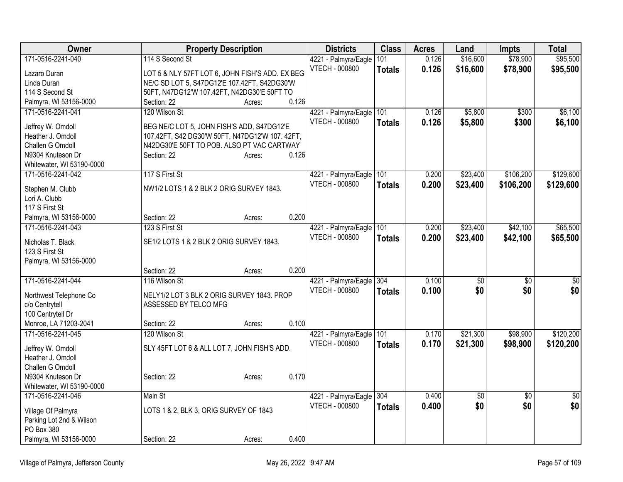| Owner                     |                                                 | <b>Property Description</b> |       | <b>Districts</b>         | <b>Class</b>  | <b>Acres</b> | Land     | <b>Impts</b>    | <b>Total</b>    |
|---------------------------|-------------------------------------------------|-----------------------------|-------|--------------------------|---------------|--------------|----------|-----------------|-----------------|
| 171-0516-2241-040         | 114 S Second St                                 |                             |       | 4221 - Palmyra/Eagle     | 101           | 0.126        | \$16,600 | \$78,900        | \$95,500        |
| Lazaro Duran              | LOT 5 & NLY 57FT LOT 6, JOHN FISH'S ADD. EX BEG |                             |       | <b>VTECH - 000800</b>    | <b>Totals</b> | 0.126        | \$16,600 | \$78,900        | \$95,500        |
| Linda Duran               | NE/C SD LOT 5, S47DG12'E 107.42FT, S42DG30'W    |                             |       |                          |               |              |          |                 |                 |
| 114 S Second St           | 50FT, N47DG12'W 107.42FT, N42DG30'E 50FT TO     |                             |       |                          |               |              |          |                 |                 |
| Palmyra, WI 53156-0000    | Section: 22                                     | Acres:                      | 0.126 |                          |               |              |          |                 |                 |
| 171-0516-2241-041         | 120 Wilson St                                   |                             |       | 4221 - Palmyra/Eagle     | 101           | 0.126        | \$5,800  | \$300           | \$6,100         |
| Jeffrey W. Omdoll         | BEG NE/C LOT 5, JOHN FISH'S ADD, S47DG12'E      |                             |       | <b>VTECH - 000800</b>    | <b>Totals</b> | 0.126        | \$5,800  | \$300           | \$6,100         |
| Heather J. Omdoll         | 107.42FT, S42 DG30'W 50FT, N47DG12'W 107.42FT,  |                             |       |                          |               |              |          |                 |                 |
| Challen G Omdoll          | N42DG30'E 50FT TO POB. ALSO PT VAC CARTWAY      |                             |       |                          |               |              |          |                 |                 |
| N9304 Knuteson Dr         | Section: 22                                     | Acres:                      | 0.126 |                          |               |              |          |                 |                 |
| Whitewater, WI 53190-0000 |                                                 |                             |       |                          |               |              |          |                 |                 |
| 171-0516-2241-042         | 117 S First St                                  |                             |       | 4221 - Palmyra/Eagle     | 101           | 0.200        | \$23,400 | \$106,200       | \$129,600       |
|                           |                                                 |                             |       | <b>VTECH - 000800</b>    | <b>Totals</b> | 0.200        | \$23,400 | \$106,200       | \$129,600       |
| Stephen M. Clubb          | NW1/2 LOTS 1 & 2 BLK 2 ORIG SURVEY 1843.        |                             |       |                          |               |              |          |                 |                 |
| Lori A. Clubb             |                                                 |                             |       |                          |               |              |          |                 |                 |
| 117 S First St            |                                                 |                             |       |                          |               |              |          |                 |                 |
| Palmyra, WI 53156-0000    | Section: 22                                     | Acres:                      | 0.200 |                          |               |              |          |                 |                 |
| 171-0516-2241-043         | 123 S First St                                  |                             |       | 4221 - Palmyra/Eagle     | 101           | 0.200        | \$23,400 | \$42,100        | \$65,500        |
| Nicholas T. Black         | SE1/2 LOTS 1 & 2 BLK 2 ORIG SURVEY 1843.        |                             |       | <b>VTECH - 000800</b>    | <b>Totals</b> | 0.200        | \$23,400 | \$42,100        | \$65,500        |
| 123 S First St            |                                                 |                             |       |                          |               |              |          |                 |                 |
| Palmyra, WI 53156-0000    |                                                 |                             |       |                          |               |              |          |                 |                 |
|                           | Section: 22                                     | Acres:                      | 0.200 |                          |               |              |          |                 |                 |
| 171-0516-2241-044         | 116 Wilson St                                   |                             |       | 4221 - Palmyra/Eagle     | 304           | 0.100        | \$0      | \$0             | \$0             |
| Northwest Telephone Co    | NELY1/2 LOT 3 BLK 2 ORIG SURVEY 1843. PROP      |                             |       | <b>VTECH - 000800</b>    | <b>Totals</b> | 0.100        | \$0      | \$0             | \$0             |
| c/o Centrytell            | ASSESSED BY TELCO MFG                           |                             |       |                          |               |              |          |                 |                 |
| 100 Centrytell Dr         |                                                 |                             |       |                          |               |              |          |                 |                 |
| Monroe, LA 71203-2041     | Section: 22                                     | Acres:                      | 0.100 |                          |               |              |          |                 |                 |
| 171-0516-2241-045         | 120 Wilson St                                   |                             |       | 4221 - Palmyra/Eagle     | 101           | 0.170        | \$21,300 | \$98,900        | \$120,200       |
|                           |                                                 |                             |       | VTECH - 000800           | <b>Totals</b> | 0.170        | \$21,300 | \$98,900        | \$120,200       |
| Jeffrey W. Omdoll         | SLY 45FT LOT 6 & ALL LOT 7, JOHN FISH'S ADD.    |                             |       |                          |               |              |          |                 |                 |
| Heather J. Omdoll         |                                                 |                             |       |                          |               |              |          |                 |                 |
| Challen G Omdoll          |                                                 |                             |       |                          |               |              |          |                 |                 |
| N9304 Knuteson Dr         | Section: 22                                     | Acres:                      | 0.170 |                          |               |              |          |                 |                 |
| Whitewater, WI 53190-0000 |                                                 |                             |       |                          |               |              |          |                 |                 |
| 171-0516-2241-046         | Main St                                         |                             |       | 4221 - Palmyra/Eagle 304 |               | 0.400        | \$0      | $\overline{50}$ | $\overline{50}$ |
| Village Of Palmyra        | LOTS 1 & 2, BLK 3, ORIG SURVEY OF 1843          |                             |       | <b>VTECH - 000800</b>    | <b>Totals</b> | 0.400        | \$0      | \$0             | \$0             |
| Parking Lot 2nd & Wilson  |                                                 |                             |       |                          |               |              |          |                 |                 |
| PO Box 380                |                                                 |                             |       |                          |               |              |          |                 |                 |
| Palmyra, WI 53156-0000    | Section: 22                                     | Acres:                      | 0.400 |                          |               |              |          |                 |                 |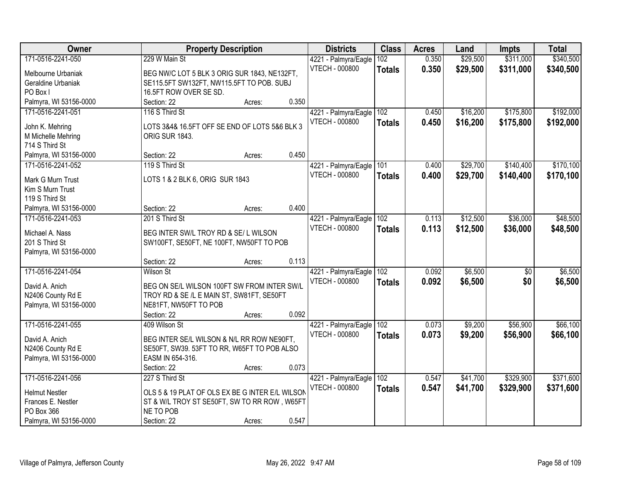| Owner                  | <b>Property Description</b>                     |        |       | <b>Districts</b>         | <b>Class</b>  | <b>Acres</b> | Land     | <b>Impts</b>    | <b>Total</b> |
|------------------------|-------------------------------------------------|--------|-------|--------------------------|---------------|--------------|----------|-----------------|--------------|
| 171-0516-2241-050      | 229 W Main St                                   |        |       | 4221 - Palmyra/Eagle     | 102           | 0.350        | \$29,500 | \$311,000       | \$340,500    |
| Melbourne Urbaniak     | BEG NW/C LOT 5 BLK 3 ORIG SUR 1843, NE132FT,    |        |       | <b>VTECH - 000800</b>    | <b>Totals</b> | 0.350        | \$29,500 | \$311,000       | \$340,500    |
| Geraldine Urbaniak     | SE115.5FT SW132FT, NW115.5FT TO POB. SUBJ       |        |       |                          |               |              |          |                 |              |
| PO Box I               | 16.5FT ROW OVER SE SD.                          |        |       |                          |               |              |          |                 |              |
| Palmyra, WI 53156-0000 | Section: 22                                     | Acres: | 0.350 |                          |               |              |          |                 |              |
| 171-0516-2241-051      | 116 S Third St                                  |        |       | 4221 - Palmyra/Eagle     | 102           | 0.450        | \$16,200 | \$175,800       | \$192,000    |
|                        |                                                 |        |       | <b>VTECH - 000800</b>    |               | 0.450        | \$16,200 | \$175,800       | \$192,000    |
| John K. Mehring        | LOTS 3&4& 16.5FT OFF SE END OF LOTS 5&6 BLK 3   |        |       |                          | <b>Totals</b> |              |          |                 |              |
| M Michelle Mehring     | <b>ORIG SUR 1843.</b>                           |        |       |                          |               |              |          |                 |              |
| 714 S Third St         |                                                 |        |       |                          |               |              |          |                 |              |
| Palmyra, WI 53156-0000 | Section: 22                                     | Acres: | 0.450 |                          |               |              |          |                 |              |
| 171-0516-2241-052      | 119 S Third St                                  |        |       | 4221 - Palmyra/Eagle 101 |               | 0.400        | \$29,700 | \$140,400       | \$170,100    |
| Mark G Murn Trust      | LOTS 1 & 2 BLK 6, ORIG SUR 1843                 |        |       | <b>VTECH - 000800</b>    | <b>Totals</b> | 0.400        | \$29,700 | \$140,400       | \$170,100    |
| Kim S Murn Trust       |                                                 |        |       |                          |               |              |          |                 |              |
| 119 S Third St         |                                                 |        |       |                          |               |              |          |                 |              |
| Palmyra, WI 53156-0000 | Section: 22                                     | Acres: | 0.400 |                          |               |              |          |                 |              |
| 171-0516-2241-053      | 201 S Third St                                  |        |       | 4221 - Palmyra/Eagle     | 102           | 0.113        | \$12,500 | \$36,000        | \$48,500     |
|                        |                                                 |        |       | <b>VTECH - 000800</b>    |               |              |          |                 |              |
| Michael A. Nass        | BEG INTER SW/L TROY RD & SE/ L WILSON           |        |       |                          | <b>Totals</b> | 0.113        | \$12,500 | \$36,000        | \$48,500     |
| 201 S Third St         | SW100FT, SE50FT, NE 100FT, NW50FT TO POB        |        |       |                          |               |              |          |                 |              |
| Palmyra, WI 53156-0000 |                                                 |        |       |                          |               |              |          |                 |              |
|                        | Section: 22                                     | Acres: | 0.113 |                          |               |              |          |                 |              |
| 171-0516-2241-054      | <b>Wilson St</b>                                |        |       | 4221 - Palmyra/Eagle     | 102           | 0.092        | \$6,500  | $\overline{50}$ | \$6,500      |
| David A. Anich         | BEG ON SE/L WILSON 100FT SW FROM INTER SW/L     |        |       | <b>VTECH - 000800</b>    | <b>Totals</b> | 0.092        | \$6,500  | \$0             | \$6,500      |
| N2406 County Rd E      | TROY RD & SE /L E MAIN ST, SW81FT, SE50FT       |        |       |                          |               |              |          |                 |              |
| Palmyra, WI 53156-0000 | NE81FT, NW50FT TO POB                           |        |       |                          |               |              |          |                 |              |
|                        | Section: 22                                     | Acres: | 0.092 |                          |               |              |          |                 |              |
| 171-0516-2241-055      | 409 Wilson St                                   |        |       | 4221 - Palmyra/Eagle     | 102           | 0.073        | \$9,200  | \$56,900        | \$66,100     |
|                        |                                                 |        |       | <b>VTECH - 000800</b>    | <b>Totals</b> | 0.073        | \$9,200  | \$56,900        | \$66,100     |
| David A. Anich         | BEG INTER SE/L WILSON & N/L RR ROW NE90FT,      |        |       |                          |               |              |          |                 |              |
| N2406 County Rd E      | SE50FT, SW39. 53FT TO RR, W65FT TO POB ALSO     |        |       |                          |               |              |          |                 |              |
| Palmyra, WI 53156-0000 | EASM IN 654-316.                                |        |       |                          |               |              |          |                 |              |
|                        | Section: 22                                     | Acres: | 0.073 |                          |               |              |          |                 |              |
| 171-0516-2241-056      | 227 S Third St                                  |        |       | 4221 - Palmyra/Eagle     | 102           | 0.547        | \$41,700 | \$329,900       | \$371,600    |
| <b>Helmut Nestler</b>  | OLS 5 & 19 PLAT OF OLS EX BE G INTER E/L WILSON |        |       | <b>VTECH - 000800</b>    | <b>Totals</b> | 0.547        | \$41,700 | \$329,900       | \$371,600    |
| Frances E. Nestler     | ST & W/L TROY ST SE50FT, SW TO RR ROW, W65FT    |        |       |                          |               |              |          |                 |              |
| PO Box 366             | NE TO POB                                       |        |       |                          |               |              |          |                 |              |
| Palmyra, WI 53156-0000 | Section: 22                                     | Acres: | 0.547 |                          |               |              |          |                 |              |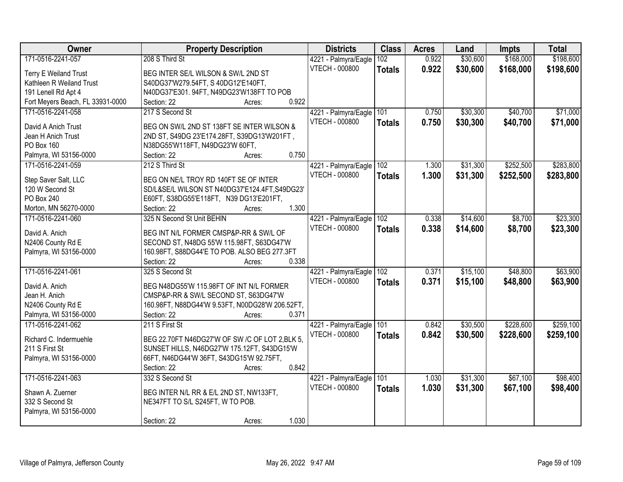| Owner                            | <b>Property Description</b>                     |                 | <b>Districts</b>      | <b>Class</b>  | <b>Acres</b> | Land     | <b>Impts</b> | <b>Total</b> |
|----------------------------------|-------------------------------------------------|-----------------|-----------------------|---------------|--------------|----------|--------------|--------------|
| 171-0516-2241-057                | 208 S Third St                                  |                 | 4221 - Palmyra/Eagle  | 102           | 0.922        | \$30,600 | \$168,000    | \$198,600    |
| <b>Terry E Weiland Trust</b>     | BEG INTER SE/L WILSON & SW/L 2ND ST             |                 | <b>VTECH - 000800</b> | <b>Totals</b> | 0.922        | \$30,600 | \$168,000    | \$198,600    |
| Kathleen R Weiland Trust         | S40DG37'W279.54FT, S 40DG12'E140FT,             |                 |                       |               |              |          |              |              |
| 191 Lenell Rd Apt 4              | N40DG37'E301.94FT, N49DG23'W138FT TO POB        |                 |                       |               |              |          |              |              |
| Fort Meyers Beach, FL 33931-0000 | Section: 22                                     | 0.922<br>Acres: |                       |               |              |          |              |              |
| 171-0516-2241-058                | 217 S Second St                                 |                 | 4221 - Palmyra/Eagle  | 101           | 0.750        | \$30,300 | \$40,700     | \$71,000     |
|                                  |                                                 |                 | <b>VTECH - 000800</b> | <b>Totals</b> | 0.750        | \$30,300 | \$40,700     | \$71,000     |
| David A Anich Trust              | BEG ON SW/L 2ND ST 138FT SE INTER WILSON &      |                 |                       |               |              |          |              |              |
| Jean H Anich Trust               | 2ND ST, S49DG 23'E174.28FT, S39DG13'W201FT,     |                 |                       |               |              |          |              |              |
| PO Box 160                       | N38DG55'W118FT, N49DG23'W 60FT,                 |                 |                       |               |              |          |              |              |
| Palmyra, WI 53156-0000           | Section: 22                                     | 0.750<br>Acres: |                       |               |              |          |              |              |
| 171-0516-2241-059                | 212 S Third St                                  |                 | 4221 - Palmyra/Eagle  | 102           | 1.300        | \$31,300 | \$252,500    | \$283,800    |
| Step Saver Salt, LLC             | BEG ON NE/L TROY RD 140FT SE OF INTER           |                 | VTECH - 000800        | <b>Totals</b> | 1.300        | \$31,300 | \$252,500    | \$283,800    |
| 120 W Second St                  | SD/L&SE/L WILSON ST N40DG37'E124.4FT,S49DG23'   |                 |                       |               |              |          |              |              |
| PO Box 240                       | E60FT, S38DG55'E118FT, N39 DG13'E201FT,         |                 |                       |               |              |          |              |              |
| Morton, MN 56270-0000            | Section: 22                                     | 1.300<br>Acres: |                       |               |              |          |              |              |
| 171-0516-2241-060                | 325 N Second St Unit BEHIN                      |                 | 4221 - Palmyra/Eagle  | 102           | 0.338        | \$14,600 | \$8,700      | \$23,300     |
|                                  |                                                 |                 | <b>VTECH - 000800</b> | <b>Totals</b> | 0.338        | \$14,600 | \$8,700      | \$23,300     |
| David A. Anich                   | BEG INT N/L FORMER CMSP&P-RR & SW/L OF          |                 |                       |               |              |          |              |              |
| N2406 County Rd E                | SECOND ST, N48DG 55'W 115.98FT, S63DG47'W       |                 |                       |               |              |          |              |              |
| Palmyra, WI 53156-0000           | 160.98FT, S88DG44'E TO POB. ALSO BEG 277.3FT    |                 |                       |               |              |          |              |              |
|                                  | Section: 22                                     | 0.338<br>Acres: |                       |               |              |          |              |              |
| 171-0516-2241-061                | 325 S Second St                                 |                 | 4221 - Palmyra/Eagle  | 102           | 0.371        | \$15,100 | \$48,800     | \$63,900     |
| David A. Anich                   | BEG N48DG55'W 115.98FT OF INT N/L FORMER        |                 | <b>VTECH - 000800</b> | <b>Totals</b> | 0.371        | \$15,100 | \$48,800     | \$63,900     |
| Jean H. Anich                    | CMSP&P-RR & SW/L SECOND ST, S63DG47'W           |                 |                       |               |              |          |              |              |
| N2406 County Rd E                | 160.98FT, N88DG44'W 9.53FT, N00DG28'W 206.52FT, |                 |                       |               |              |          |              |              |
| Palmyra, WI 53156-0000           | Section: 22                                     | 0.371<br>Acres: |                       |               |              |          |              |              |
| 171-0516-2241-062                | 211 S First St                                  |                 | 4221 - Palmyra/Eagle  | 101           | 0.842        | \$30,500 | \$228,600    | \$259,100    |
|                                  |                                                 |                 | <b>VTECH - 000800</b> | <b>Totals</b> | 0.842        | \$30,500 | \$228,600    | \$259,100    |
| Richard C. Indermuehle           | BEG 22.70FT N46DG27'W OF SW /C OF LOT 2,BLK 5,  |                 |                       |               |              |          |              |              |
| 211 S First St                   | SUNSET HILLS, N46DG27'W 175.12FT, S43DG15'W     |                 |                       |               |              |          |              |              |
| Palmyra, WI 53156-0000           | 66FT, N46DG44'W 36FT, S43DG15'W 92.75FT,        |                 |                       |               |              |          |              |              |
|                                  | Section: 22                                     | 0.842<br>Acres: |                       |               |              |          |              |              |
| 171-0516-2241-063                | 332 S Second St                                 |                 | 4221 - Palmyra/Eagle  | 101           | 1.030        | \$31,300 | \$67,100     | \$98,400     |
| Shawn A. Zuerner                 | BEG INTER N/L RR & E/L 2ND ST, NW133FT,         |                 | <b>VTECH - 000800</b> | <b>Totals</b> | 1.030        | \$31,300 | \$67,100     | \$98,400     |
| 332 S Second St                  | NE347FT TO S/L S245FT, W TO POB.                |                 |                       |               |              |          |              |              |
| Palmyra, WI 53156-0000           |                                                 |                 |                       |               |              |          |              |              |
|                                  | Section: 22                                     | 1.030<br>Acres: |                       |               |              |          |              |              |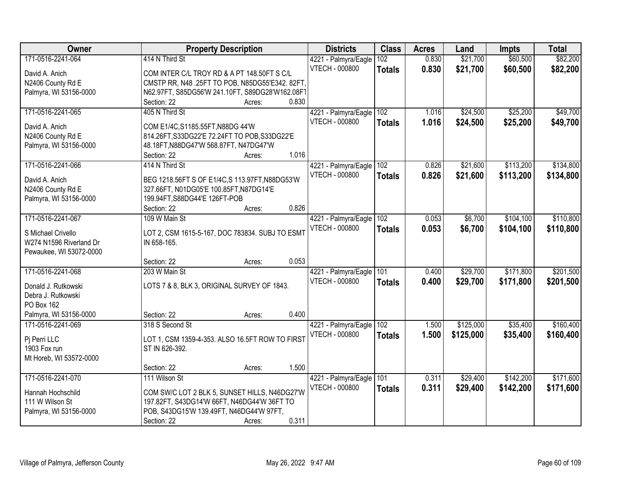| Owner                   | <b>Property Description</b>                                              | <b>Districts</b>      | <b>Class</b>  | <b>Acres</b> | Land      | <b>Impts</b> | <b>Total</b> |
|-------------------------|--------------------------------------------------------------------------|-----------------------|---------------|--------------|-----------|--------------|--------------|
| 171-0516-2241-064       | 414 N Third St                                                           | 4221 - Palmyra/Eagle  | 102           | 0.830        | \$21,700  | \$60,500     | \$82,200     |
| David A. Anich          | COM INTER C/L TROY RD & A PT 148.50FT S C/L                              | <b>VTECH - 000800</b> | <b>Totals</b> | 0.830        | \$21,700  | \$60,500     | \$82,200     |
| N2406 County Rd E       | CMSTP RR, N48 .25FT TO POB, N85DG55'E342. 82FT,                          |                       |               |              |           |              |              |
| Palmyra, WI 53156-0000  | N62.97FT, S85DG56'W 241.10FT, S89DG28'W162.08F1                          |                       |               |              |           |              |              |
|                         | 0.830<br>Section: 22<br>Acres:                                           |                       |               |              |           |              |              |
| 171-0516-2241-065       | 405 N Third St                                                           | 4221 - Palmyra/Eagle  | 102           | 1.016        | \$24,500  | \$25,200     | \$49,700     |
|                         |                                                                          | VTECH - 000800        | <b>Totals</b> | 1.016        | \$24,500  | \$25,200     | \$49,700     |
| David A. Anich          | COM E1/4C, S1185.55FT, N88DG 44'W                                        |                       |               |              |           |              |              |
| N2406 County Rd E       | 814.26FT, S33DG22'E 72.24FT TO POB, S33DG22'E                            |                       |               |              |           |              |              |
| Palmyra, WI 53156-0000  | 48.18FT, N88DG47'W 568.87FT, N47DG47'W<br>1.016<br>Section: 22<br>Acres: |                       |               |              |           |              |              |
| 171-0516-2241-066       | 414 N Third St                                                           | 4221 - Palmyra/Eagle  | 102           | 0.826        | \$21,600  | \$113,200    | \$134,800    |
|                         |                                                                          | <b>VTECH - 000800</b> |               |              |           |              |              |
| David A. Anich          | BEG 1218.56FT S OF E1/4C, S 113.97FT, N88DG53'W                          |                       | <b>Totals</b> | 0.826        | \$21,600  | \$113,200    | \$134,800    |
| N2406 County Rd E       | 327.66FT, N01DG05'E 100.85FT, N87DG14'E                                  |                       |               |              |           |              |              |
| Palmyra, WI 53156-0000  | 199.94FT, S88DG44'E 126FT-POB                                            |                       |               |              |           |              |              |
|                         | 0.826<br>Section: 22<br>Acres:                                           |                       |               |              |           |              |              |
| 171-0516-2241-067       | 109 W Main St                                                            | 4221 - Palmyra/Eagle  | 102           | 0.053        | \$6,700   | \$104,100    | \$110,800    |
| S Michael Crivello      | LOT 2, CSM 1615-5-167, DOC 783834. SUBJ TO ESMT                          | <b>VTECH - 000800</b> | <b>Totals</b> | 0.053        | \$6,700   | \$104,100    | \$110,800    |
| W274 N1596 Riverland Dr | IN 658-165.                                                              |                       |               |              |           |              |              |
| Pewaukee, WI 53072-0000 |                                                                          |                       |               |              |           |              |              |
|                         | 0.053<br>Section: 22<br>Acres:                                           |                       |               |              |           |              |              |
| 171-0516-2241-068       | 203 W Main St                                                            | 4221 - Palmyra/Eagle  | 101           | 0.400        | \$29,700  | \$171,800    | \$201,500    |
|                         |                                                                          | <b>VTECH - 000800</b> | <b>Totals</b> | 0.400        | \$29,700  | \$171,800    | \$201,500    |
| Donald J. Rutkowski     | LOTS 7 & 8, BLK 3, ORIGINAL SURVEY OF 1843.                              |                       |               |              |           |              |              |
| Debra J. Rutkowski      |                                                                          |                       |               |              |           |              |              |
| PO Box 162              |                                                                          |                       |               |              |           |              |              |
| Palmyra, WI 53156-0000  | 0.400<br>Section: 22<br>Acres:                                           |                       |               |              |           |              |              |
| 171-0516-2241-069       | 318 S Second St                                                          | 4221 - Palmyra/Eagle  | 102           | 1.500        | \$125,000 | \$35,400     | \$160,400    |
| Pj Perri LLC            | LOT 1, CSM 1359-4-353. ALSO 16.5FT ROW TO FIRST                          | VTECH - 000800        | <b>Totals</b> | 1.500        | \$125,000 | \$35,400     | \$160,400    |
| 1903 Fox run            | ST IN 626-392.                                                           |                       |               |              |           |              |              |
| Mt Horeb, WI 53572-0000 |                                                                          |                       |               |              |           |              |              |
|                         | 1.500<br>Section: 22<br>Acres:                                           |                       |               |              |           |              |              |
| 171-0516-2241-070       | 111 Wilson St                                                            | 4221 - Palmyra/Eagle  | 101           | 0.311        | \$29,400  | \$142,200    | \$171,600    |
|                         |                                                                          | <b>VTECH - 000800</b> | <b>Totals</b> | 0.311        | \$29,400  | \$142,200    | \$171,600    |
| Hannah Hochschild       | COM SW/C LOT 2 BLK 5, SUNSET HILLS, N46DG27'W                            |                       |               |              |           |              |              |
| 111 W Wilson St         | 197.82FT, S43DG14'W 66FT, N46DG44'W 36FT TO                              |                       |               |              |           |              |              |
| Palmyra, WI 53156-0000  | POB, S43DG15'W 139.49FT, N46DG44'W 97FT,                                 |                       |               |              |           |              |              |
|                         | 0.311<br>Section: 22<br>Acres:                                           |                       |               |              |           |              |              |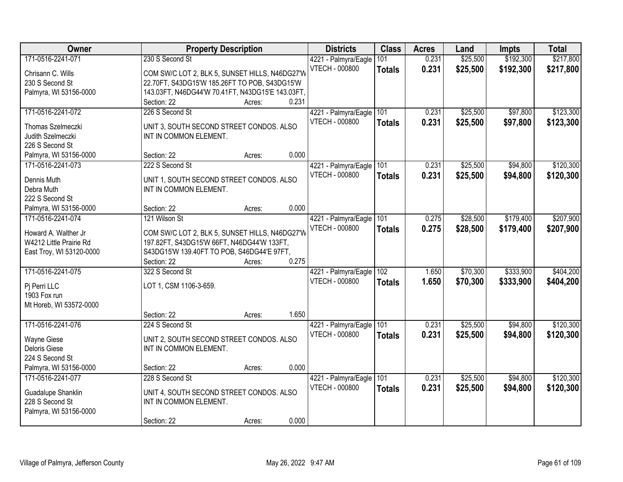| Owner                    | <b>Property Description</b>                      |       | <b>Districts</b>      | <b>Class</b>  | <b>Acres</b> | Land     | <b>Impts</b> | <b>Total</b> |
|--------------------------|--------------------------------------------------|-------|-----------------------|---------------|--------------|----------|--------------|--------------|
| 171-0516-2241-071        | 230 S Second St                                  |       | 4221 - Palmyra/Eagle  | 101           | 0.231        | \$25,500 | \$192,300    | \$217,800    |
| Chrisann C. Wills        | COM SW/C LOT 2, BLK 5, SUNSET HILLS, N46DG27'W   |       | <b>VTECH - 000800</b> | <b>Totals</b> | 0.231        | \$25,500 | \$192,300    | \$217,800    |
| 230 S Second St          | 22.70FT, S43DG15'W 185.26FT TO POB, S43DG15'W    |       |                       |               |              |          |              |              |
| Palmyra, WI 53156-0000   | 143.03FT, N46DG44'W 70.41FT, N43DG15'E 143.03FT, |       |                       |               |              |          |              |              |
|                          | Section: 22<br>Acres:                            | 0.231 |                       |               |              |          |              |              |
| 171-0516-2241-072        | 226 S Second St                                  |       | 4221 - Palmyra/Eagle  | 101           | 0.231        | \$25,500 | \$97,800     | \$123,300    |
| Thomas Szelmeczki        | UNIT 3, SOUTH SECOND STREET CONDOS. ALSO         |       | <b>VTECH - 000800</b> | <b>Totals</b> | 0.231        | \$25,500 | \$97,800     | \$123,300    |
| Judith Szelmeczki        | INT IN COMMON ELEMENT.                           |       |                       |               |              |          |              |              |
| 226 S Second St          |                                                  |       |                       |               |              |          |              |              |
| Palmyra, WI 53156-0000   | Section: 22<br>Acres:                            | 0.000 |                       |               |              |          |              |              |
| 171-0516-2241-073        | 222 S Second St                                  |       | 4221 - Palmyra/Eagle  | 101           | 0.231        | \$25,500 | \$94,800     | \$120,300    |
|                          |                                                  |       | <b>VTECH - 000800</b> | <b>Totals</b> | 0.231        | \$25,500 | \$94,800     | \$120,300    |
| Dennis Muth              | UNIT 1, SOUTH SECOND STREET CONDOS. ALSO         |       |                       |               |              |          |              |              |
| Debra Muth               | INT IN COMMON ELEMENT.                           |       |                       |               |              |          |              |              |
| 222 S Second St          |                                                  |       |                       |               |              |          |              |              |
| Palmyra, WI 53156-0000   | Section: 22<br>Acres:                            | 0.000 |                       |               |              |          |              |              |
| 171-0516-2241-074        | 121 Wilson St                                    |       | 4221 - Palmyra/Eagle  | 101           | 0.275        | \$28,500 | \$179,400    | \$207,900    |
| Howard A. Walther Jr     | COM SW/C LOT 2, BLK 5, SUNSET HILLS, N46DG27'W   |       | <b>VTECH - 000800</b> | <b>Totals</b> | 0.275        | \$28,500 | \$179,400    | \$207,900    |
| W4212 Little Prairie Rd  | 197.82FT, S43DG15'W 66FT, N46DG44'W 133FT,       |       |                       |               |              |          |              |              |
| East Troy, WI 53120-0000 | S43DG15'W 139.40FT TO POB, S46DG44'E 97FT,       |       |                       |               |              |          |              |              |
|                          | Section: 22<br>Acres:                            | 0.275 |                       |               |              |          |              |              |
| 171-0516-2241-075        | 322 S Second St                                  |       | 4221 - Palmyra/Eagle  | 102           | 1.650        | \$70,300 | \$333,900    | \$404,200    |
| Pj Perri LLC             | LOT 1, CSM 1106-3-659.                           |       | <b>VTECH - 000800</b> | <b>Totals</b> | 1.650        | \$70,300 | \$333,900    | \$404,200    |
| 1903 Fox run             |                                                  |       |                       |               |              |          |              |              |
| Mt Horeb, WI 53572-0000  |                                                  |       |                       |               |              |          |              |              |
|                          | Section: 22<br>Acres:                            | 1.650 |                       |               |              |          |              |              |
| 171-0516-2241-076        | 224 S Second St                                  |       | 4221 - Palmyra/Eagle  | 101           | 0.231        | \$25,500 | \$94,800     | \$120,300    |
| Wayne Giese              | UNIT 2, SOUTH SECOND STREET CONDOS. ALSO         |       | <b>VTECH - 000800</b> | <b>Totals</b> | 0.231        | \$25,500 | \$94,800     | \$120,300    |
| Deloris Giese            | INT IN COMMON ELEMENT.                           |       |                       |               |              |          |              |              |
| 224 S Second St          |                                                  |       |                       |               |              |          |              |              |
| Palmyra, WI 53156-0000   | Section: 22<br>Acres:                            | 0.000 |                       |               |              |          |              |              |
| 171-0516-2241-077        | 228 S Second St                                  |       | 4221 - Palmyra/Eagle  | 101           | 0.231        | \$25,500 | \$94,800     | \$120,300    |
|                          |                                                  |       | <b>VTECH - 000800</b> | <b>Totals</b> | 0.231        | \$25,500 | \$94,800     | \$120,300    |
| Guadalupe Shanklin       | UNIT 4, SOUTH SECOND STREET CONDOS. ALSO         |       |                       |               |              |          |              |              |
| 228 S Second St          | INT IN COMMON ELEMENT.                           |       |                       |               |              |          |              |              |
| Palmyra, WI 53156-0000   |                                                  |       |                       |               |              |          |              |              |
|                          | Section: 22<br>Acres:                            | 0.000 |                       |               |              |          |              |              |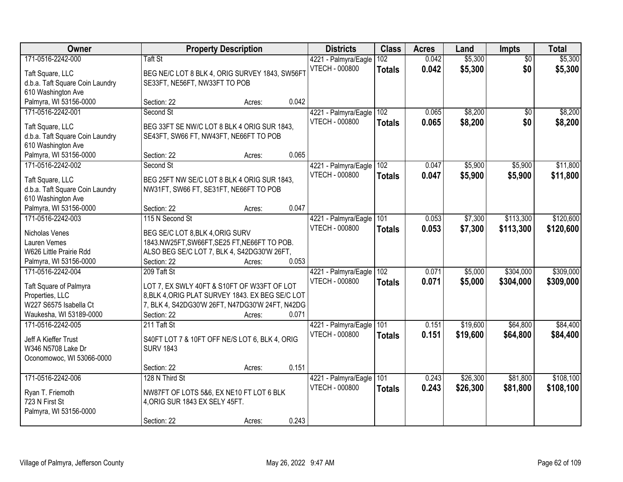| Owner                                               |                                  | <b>Property Description</b>                                                           |       | <b>Districts</b>                              | <b>Class</b>  | <b>Acres</b> | Land     | <b>Impts</b>    | <b>Total</b> |
|-----------------------------------------------------|----------------------------------|---------------------------------------------------------------------------------------|-------|-----------------------------------------------|---------------|--------------|----------|-----------------|--------------|
| 171-0516-2242-000                                   | Taft St                          |                                                                                       |       | 4221 - Palmyra/Eagle                          | 102           | 0.042        | \$5,300  | $\overline{50}$ | \$5,300      |
| Taft Square, LLC                                    |                                  | BEG NE/C LOT 8 BLK 4, ORIG SURVEY 1843, SW56FT                                        |       | <b>VTECH - 000800</b>                         | <b>Totals</b> | 0.042        | \$5,300  | \$0             | \$5,300      |
| d.b.a. Taft Square Coin Laundry                     | SE33FT, NE56FT, NW33FT TO POB    |                                                                                       |       |                                               |               |              |          |                 |              |
| 610 Washington Ave                                  |                                  |                                                                                       |       |                                               |               |              |          |                 |              |
| Palmyra, WI 53156-0000                              | Section: 22                      | Acres:                                                                                | 0.042 |                                               |               |              |          |                 |              |
| 171-0516-2242-001                                   | Second St                        |                                                                                       |       | 4221 - Palmyra/Eagle                          | 102           | 0.065        | \$8,200  | \$0             | \$8,200      |
| Taft Square, LLC                                    |                                  | BEG 33FT SE NW/C LOT 8 BLK 4 ORIG SUR 1843,                                           |       | <b>VTECH - 000800</b>                         | <b>Totals</b> | 0.065        | \$8,200  | \$0             | \$8,200      |
| d.b.a. Taft Square Coin Laundry                     |                                  | SE43FT, SW66 FT, NW43FT, NE66FT TO POB                                                |       |                                               |               |              |          |                 |              |
| 610 Washington Ave                                  |                                  |                                                                                       |       |                                               |               |              |          |                 |              |
| Palmyra, WI 53156-0000                              | Section: 22                      | Acres:                                                                                | 0.065 |                                               |               |              |          |                 |              |
| 171-0516-2242-002                                   | Second St                        |                                                                                       |       | 4221 - Palmyra/Eagle                          | 102           | 0.047        | \$5,900  | \$5,900         | \$11,800     |
|                                                     |                                  |                                                                                       |       | <b>VTECH - 000800</b>                         | <b>Totals</b> | 0.047        | \$5,900  | \$5,900         | \$11,800     |
| Taft Square, LLC<br>d.b.a. Taft Square Coin Laundry |                                  | BEG 25FT NW SE/C LOT 8 BLK 4 ORIG SUR 1843,<br>NW31FT, SW66 FT, SE31FT, NE66FT TO POB |       |                                               |               |              |          |                 |              |
| 610 Washington Ave                                  |                                  |                                                                                       |       |                                               |               |              |          |                 |              |
| Palmyra, WI 53156-0000                              | Section: 22                      | Acres:                                                                                | 0.047 |                                               |               |              |          |                 |              |
| 171-0516-2242-003                                   | 115 N Second St                  |                                                                                       |       | 4221 - Palmyra/Eagle                          | 101           | 0.053        | \$7,300  | \$113,300       | \$120,600    |
|                                                     |                                  |                                                                                       |       | <b>VTECH - 000800</b>                         | <b>Totals</b> | 0.053        | \$7,300  | \$113,300       | \$120,600    |
| Nicholas Venes                                      | BEG SE/C LOT 8, BLK 4, ORIG SURV |                                                                                       |       |                                               |               |              |          |                 |              |
| Lauren Vemes                                        |                                  | 1843.NW25FT,SW66FT,SE25 FT,NE66FT TO POB.                                             |       |                                               |               |              |          |                 |              |
| W626 Little Prairie Rdd                             |                                  | ALSO BEG SE/C LOT 7, BLK 4, S42DG30'W 26FT,                                           | 0.053 |                                               |               |              |          |                 |              |
| Palmyra, WI 53156-0000<br>171-0516-2242-004         | Section: 22<br>209 Taft St       | Acres:                                                                                |       |                                               | 102           | 0.071        | \$5,000  | \$304,000       | \$309,000    |
|                                                     |                                  |                                                                                       |       | 4221 - Palmyra/Eagle<br><b>VTECH - 000800</b> |               |              |          |                 |              |
| Taft Square of Palmyra                              |                                  | LOT 7, EX SWLY 40FT & S10FT OF W33FT OF LOT                                           |       |                                               | <b>Totals</b> | 0.071        | \$5,000  | \$304,000       | \$309,000    |
| Properties, LLC                                     |                                  | 8, BLK 4, ORIG PLAT SURVEY 1843. EX BEG SE/C LOT                                      |       |                                               |               |              |          |                 |              |
| W227 S6575 Isabella Ct                              |                                  | 7, BLK 4, S42DG30'W 26FT, N47DG30'W 24FT, N42DG                                       |       |                                               |               |              |          |                 |              |
| Waukesha, WI 53189-0000                             | Section: 22                      | Acres:                                                                                | 0.071 |                                               |               |              |          |                 |              |
| 171-0516-2242-005                                   | 211 Taft St                      |                                                                                       |       | 4221 - Palmyra/Eagle                          | 101           | 0.151        | \$19,600 | \$64,800        | \$84,400     |
| Jeff A Kieffer Trust                                |                                  | S40FT LOT 7 & 10FT OFF NE/S LOT 6, BLK 4, ORIG                                        |       | <b>VTECH - 000800</b>                         | <b>Totals</b> | 0.151        | \$19,600 | \$64,800        | \$84,400     |
| W346 N5708 Lake Dr                                  | <b>SURV 1843</b>                 |                                                                                       |       |                                               |               |              |          |                 |              |
| Oconomowoc, WI 53066-0000                           |                                  |                                                                                       |       |                                               |               |              |          |                 |              |
|                                                     | Section: 22                      | Acres:                                                                                | 0.151 |                                               |               |              |          |                 |              |
| 171-0516-2242-006                                   | 128 N Third St                   |                                                                                       |       | 4221 - Palmyra/Eagle                          | 101           | 0.243        | \$26,300 | \$81,800        | \$108,100    |
| Ryan T. Friemoth                                    |                                  | NW87FT OF LOTS 5&6, EX NE10 FT LOT 6 BLK                                              |       | VTECH - 000800                                | <b>Totals</b> | 0.243        | \$26,300 | \$81,800        | \$108,100    |
| 723 N First St                                      | 4, ORIG SUR 1843 EX SELY 45FT.   |                                                                                       |       |                                               |               |              |          |                 |              |
| Palmyra, WI 53156-0000                              |                                  |                                                                                       |       |                                               |               |              |          |                 |              |
|                                                     | Section: 22                      | Acres:                                                                                | 0.243 |                                               |               |              |          |                 |              |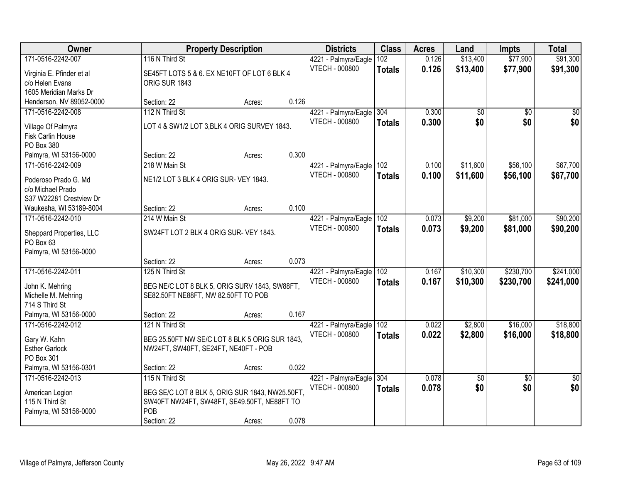| Owner                     | <b>Property Description</b>                     |        |       | <b>Districts</b>         | <b>Class</b>  | <b>Acres</b> | Land            | <b>Impts</b>    | <b>Total</b>    |
|---------------------------|-------------------------------------------------|--------|-------|--------------------------|---------------|--------------|-----------------|-----------------|-----------------|
| 171-0516-2242-007         | 116 N Third St                                  |        |       | 4221 - Palmyra/Eagle     | 102           | 0.126        | \$13,400        | \$77,900        | \$91,300        |
| Virginia E. Pfinder et al | SE45FT LOTS 5 & 6. EX NE10FT OF LOT 6 BLK 4     |        |       | VTECH - 000800           | <b>Totals</b> | 0.126        | \$13,400        | \$77,900        | \$91,300        |
| c/o Helen Evans           | ORIG SUR 1843                                   |        |       |                          |               |              |                 |                 |                 |
| 1605 Meridian Marks Dr    |                                                 |        |       |                          |               |              |                 |                 |                 |
| Henderson, NV 89052-0000  | Section: 22                                     | Acres: | 0.126 |                          |               |              |                 |                 |                 |
| 171-0516-2242-008         | 112 N Third St                                  |        |       | 4221 - Palmyra/Eagle     | 304           | 0.300        | \$0             | \$0             | \$0             |
| Village Of Palmyra        | LOT 4 & SW1/2 LOT 3, BLK 4 ORIG SURVEY 1843.    |        |       | <b>VTECH - 000800</b>    | <b>Totals</b> | 0.300        | \$0             | \$0             | \$0             |
| <b>Fisk Carlin House</b>  |                                                 |        |       |                          |               |              |                 |                 |                 |
| PO Box 380                |                                                 |        |       |                          |               |              |                 |                 |                 |
| Palmyra, WI 53156-0000    | Section: 22                                     | Acres: | 0.300 |                          |               |              |                 |                 |                 |
| 171-0516-2242-009         | 218 W Main St                                   |        |       | 4221 - Palmyra/Eagle 102 |               | 0.100        | \$11,600        | \$56,100        | \$67,700        |
| Poderoso Prado G. Md      | NE1/2 LOT 3 BLK 4 ORIG SUR- VEY 1843.           |        |       | <b>VTECH - 000800</b>    | <b>Totals</b> | 0.100        | \$11,600        | \$56,100        | \$67,700        |
| c/o Michael Prado         |                                                 |        |       |                          |               |              |                 |                 |                 |
| S37 W22281 Crestview Dr   |                                                 |        |       |                          |               |              |                 |                 |                 |
| Waukesha, WI 53189-8004   | Section: 22                                     | Acres: | 0.100 |                          |               |              |                 |                 |                 |
| 171-0516-2242-010         | 214 W Main St                                   |        |       | 4221 - Palmyra/Eagle     | 102           | 0.073        | \$9,200         | \$81,000        | \$90,200        |
| Sheppard Properties, LLC  | SW24FT LOT 2 BLK 4 ORIG SUR- VEY 1843.          |        |       | <b>VTECH - 000800</b>    | <b>Totals</b> | 0.073        | \$9,200         | \$81,000        | \$90,200        |
| PO Box 63                 |                                                 |        |       |                          |               |              |                 |                 |                 |
| Palmyra, WI 53156-0000    |                                                 |        |       |                          |               |              |                 |                 |                 |
|                           | Section: 22                                     | Acres: | 0.073 |                          |               |              |                 |                 |                 |
| 171-0516-2242-011         | 125 N Third St                                  |        |       | 4221 - Palmyra/Eagle     | 102           | 0.167        | \$10,300        | \$230,700       | \$241,000       |
| John K. Mehring           | BEG NE/C LOT 8 BLK 5, ORIG SURV 1843, SW88FT,   |        |       | <b>VTECH - 000800</b>    | <b>Totals</b> | 0.167        | \$10,300        | \$230,700       | \$241,000       |
| Michelle M. Mehring       | SE82.50FT NE88FT, NW 82.50FT TO POB             |        |       |                          |               |              |                 |                 |                 |
| 714 S Third St            |                                                 |        |       |                          |               |              |                 |                 |                 |
| Palmyra, WI 53156-0000    | Section: 22                                     | Acres: | 0.167 |                          |               |              |                 |                 |                 |
| 171-0516-2242-012         | 121 N Third St                                  |        |       | 4221 - Palmyra/Eagle     | 102           | 0.022        | \$2,800         | \$16,000        | \$18,800        |
| Gary W. Kahn              | BEG 25.50FT NW SE/C LOT 8 BLK 5 ORIG SUR 1843.  |        |       | <b>VTECH - 000800</b>    | <b>Totals</b> | 0.022        | \$2,800         | \$16,000        | \$18,800        |
| <b>Esther Garlock</b>     | NW24FT, SW40FT, SE24FT, NE40FT - POB            |        |       |                          |               |              |                 |                 |                 |
| PO Box 301                |                                                 |        |       |                          |               |              |                 |                 |                 |
| Palmyra, WI 53156-0301    | Section: 22                                     | Acres: | 0.022 |                          |               |              |                 |                 |                 |
| 171-0516-2242-013         | 115 N Third St                                  |        |       | 4221 - Palmyra/Eagle     | 304           | 0.078        | $\overline{50}$ | $\overline{30}$ | $\overline{50}$ |
| American Legion           | BEG SE/C LOT 8 BLK 5, ORIG SUR 1843, NW25.50FT, |        |       | <b>VTECH - 000800</b>    | <b>Totals</b> | 0.078        | \$0             | \$0             | \$0             |
| 115 N Third St            | SW40FT NW24FT, SW48FT, SE49.50FT, NE88FT TO     |        |       |                          |               |              |                 |                 |                 |
| Palmyra, WI 53156-0000    | POB                                             |        |       |                          |               |              |                 |                 |                 |
|                           | Section: 22                                     | Acres: | 0.078 |                          |               |              |                 |                 |                 |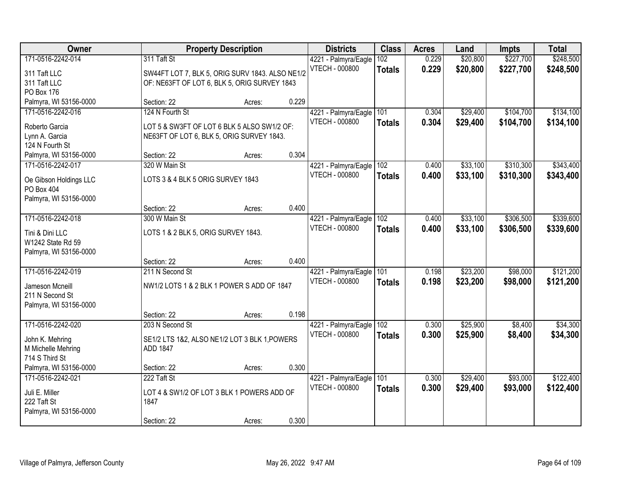| Owner                  |                                                 | <b>Property Description</b> |       | <b>Districts</b>      | <b>Class</b>  | <b>Acres</b> | Land     | <b>Impts</b> | <b>Total</b> |
|------------------------|-------------------------------------------------|-----------------------------|-------|-----------------------|---------------|--------------|----------|--------------|--------------|
| 171-0516-2242-014      | 311 Taft St                                     |                             |       | 4221 - Palmyra/Eagle  | 102           | 0.229        | \$20,800 | \$227,700    | \$248,500    |
| 311 Taft LLC           | SW44FT LOT 7, BLK 5, ORIG SURV 1843. ALSO NE1/2 |                             |       | <b>VTECH - 000800</b> | <b>Totals</b> | 0.229        | \$20,800 | \$227,700    | \$248,500    |
| 311 Taft LLC           | OF: NE63FT OF LOT 6, BLK 5, ORIG SURVEY 1843    |                             |       |                       |               |              |          |              |              |
| PO Box 176             |                                                 |                             |       |                       |               |              |          |              |              |
| Palmyra, WI 53156-0000 | Section: 22                                     | Acres:                      | 0.229 |                       |               |              |          |              |              |
| 171-0516-2242-016      | 124 N Fourth St                                 |                             |       | 4221 - Palmyra/Eagle  | 101           | 0.304        | \$29,400 | \$104,700    | \$134,100    |
| Roberto Garcia         | LOT 5 & SW3FT OF LOT 6 BLK 5 ALSO SW1/2 OF:     |                             |       | <b>VTECH - 000800</b> | <b>Totals</b> | 0.304        | \$29,400 | \$104,700    | \$134,100    |
| Lynn A. Garcia         | NE63FT OF LOT 6, BLK 5, ORIG SURVEY 1843.       |                             |       |                       |               |              |          |              |              |
| 124 N Fourth St        |                                                 |                             |       |                       |               |              |          |              |              |
| Palmyra, WI 53156-0000 | Section: 22                                     | Acres:                      | 0.304 |                       |               |              |          |              |              |
| 171-0516-2242-017      | 320 W Main St                                   |                             |       | 4221 - Palmyra/Eagle  | 102           | 0.400        | \$33,100 | \$310,300    | \$343,400    |
| Oe Gibson Holdings LLC | LOTS 3 & 4 BLK 5 ORIG SURVEY 1843               |                             |       | <b>VTECH - 000800</b> | <b>Totals</b> | 0.400        | \$33,100 | \$310,300    | \$343,400    |
| PO Box 404             |                                                 |                             |       |                       |               |              |          |              |              |
| Palmyra, WI 53156-0000 |                                                 |                             |       |                       |               |              |          |              |              |
|                        | Section: 22                                     | Acres:                      | 0.400 |                       |               |              |          |              |              |
| 171-0516-2242-018      | 300 W Main St                                   |                             |       | 4221 - Palmyra/Eagle  | 102           | 0.400        | \$33,100 | \$306,500    | \$339,600    |
| Tini & Dini LLC        | LOTS 1 & 2 BLK 5, ORIG SURVEY 1843.             |                             |       | <b>VTECH - 000800</b> | <b>Totals</b> | 0.400        | \$33,100 | \$306,500    | \$339,600    |
| W1242 State Rd 59      |                                                 |                             |       |                       |               |              |          |              |              |
| Palmyra, WI 53156-0000 |                                                 |                             |       |                       |               |              |          |              |              |
|                        | Section: 22                                     | Acres:                      | 0.400 |                       |               |              |          |              |              |
| 171-0516-2242-019      | 211 N Second St                                 |                             |       | 4221 - Palmyra/Eagle  | 101           | 0.198        | \$23,200 | \$98,000     | \$121,200    |
| Jameson Mcneill        | NW1/2 LOTS 1 & 2 BLK 1 POWER S ADD OF 1847      |                             |       | <b>VTECH - 000800</b> | <b>Totals</b> | 0.198        | \$23,200 | \$98,000     | \$121,200    |
| 211 N Second St        |                                                 |                             |       |                       |               |              |          |              |              |
| Palmyra, WI 53156-0000 |                                                 |                             |       |                       |               |              |          |              |              |
|                        | Section: 22                                     | Acres:                      | 0.198 |                       |               |              |          |              |              |
| 171-0516-2242-020      | 203 N Second St                                 |                             |       | 4221 - Palmyra/Eagle  | 102           | 0.300        | \$25,900 | \$8,400      | \$34,300     |
| John K. Mehring        | SE1/2 LTS 1&2, ALSO NE1/2 LOT 3 BLK 1, POWERS   |                             |       | <b>VTECH - 000800</b> | <b>Totals</b> | 0.300        | \$25,900 | \$8,400      | \$34,300     |
| M Michelle Mehring     | ADD 1847                                        |                             |       |                       |               |              |          |              |              |
| 714 S Third St         |                                                 |                             |       |                       |               |              |          |              |              |
| Palmyra, WI 53156-0000 | Section: 22                                     | Acres:                      | 0.300 |                       |               |              |          |              |              |
| 171-0516-2242-021      | 222 Taft St                                     |                             |       | 4221 - Palmyra/Eagle  | 101           | 0.300        | \$29,400 | \$93,000     | \$122,400    |
| Juli E. Miller         | LOT 4 & SW1/2 OF LOT 3 BLK 1 POWERS ADD OF      |                             |       | <b>VTECH - 000800</b> | <b>Totals</b> | 0.300        | \$29,400 | \$93,000     | \$122,400    |
| 222 Taft St            | 1847                                            |                             |       |                       |               |              |          |              |              |
| Palmyra, WI 53156-0000 |                                                 |                             |       |                       |               |              |          |              |              |
|                        | Section: 22                                     | Acres:                      | 0.300 |                       |               |              |          |              |              |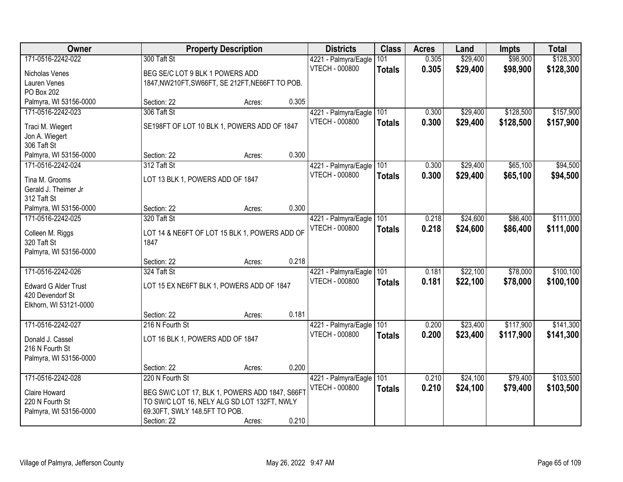| Owner                                      |                                                       | <b>Property Description</b> |       | <b>Districts</b>      | <b>Class</b>  | <b>Acres</b> | Land     | <b>Impts</b> | <b>Total</b> |
|--------------------------------------------|-------------------------------------------------------|-----------------------------|-------|-----------------------|---------------|--------------|----------|--------------|--------------|
| 171-0516-2242-022                          | 300 Taft St                                           |                             |       | 4221 - Palmyra/Eagle  | 101           | 0.305        | \$29,400 | \$98,900     | \$128,300    |
| Nicholas Venes                             | BEG SE/C LOT 9 BLK 1 POWERS ADD                       |                             |       | VTECH - 000800        | <b>Totals</b> | 0.305        | \$29,400 | \$98,900     | \$128,300    |
| Lauren Venes                               | 1847, NW210FT, SW66FT, SE 212FT, NE66FT TO POB.       |                             |       |                       |               |              |          |              |              |
| PO Box 202                                 |                                                       |                             |       |                       |               |              |          |              |              |
| Palmyra, WI 53156-0000                     | Section: 22                                           | Acres:                      | 0.305 |                       |               |              |          |              |              |
| 171-0516-2242-023                          | 306 Taft St                                           |                             |       | 4221 - Palmyra/Eagle  | 101           | 0.300        | \$29,400 | \$128,500    | \$157,900    |
| Traci M. Wiegert                           | SE198FT OF LOT 10 BLK 1, POWERS ADD OF 1847           |                             |       | <b>VTECH - 000800</b> | <b>Totals</b> | 0.300        | \$29,400 | \$128,500    | \$157,900    |
| Jon A. Wiegert                             |                                                       |                             |       |                       |               |              |          |              |              |
| 306 Taft St                                |                                                       |                             |       |                       |               |              |          |              |              |
| Palmyra, WI 53156-0000                     | Section: 22                                           | Acres:                      | 0.300 |                       |               |              |          |              |              |
| 171-0516-2242-024                          | 312 Taft St                                           |                             |       | 4221 - Palmyra/Eagle  | 101           | 0.300        | \$29,400 | \$65,100     | \$94,500     |
| Tina M. Grooms                             | LOT 13 BLK 1, POWERS ADD OF 1847                      |                             |       | VTECH - 000800        | <b>Totals</b> | 0.300        | \$29,400 | \$65,100     | \$94,500     |
| Gerald J. Theimer Jr                       |                                                       |                             |       |                       |               |              |          |              |              |
| 312 Taft St                                |                                                       |                             |       |                       |               |              |          |              |              |
| Palmyra, WI 53156-0000                     | Section: 22                                           | Acres:                      | 0.300 |                       |               |              |          |              |              |
| 171-0516-2242-025                          | 320 Taft St                                           |                             |       | 4221 - Palmyra/Eagle  | 101           | 0.218        | \$24,600 | \$86,400     | \$111,000    |
|                                            |                                                       |                             |       | VTECH - 000800        | <b>Totals</b> | 0.218        | \$24,600 | \$86,400     | \$111,000    |
| Colleen M. Riggs<br>320 Taft St            | LOT 14 & NE6FT OF LOT 15 BLK 1, POWERS ADD OF<br>1847 |                             |       |                       |               |              |          |              |              |
| Palmyra, WI 53156-0000                     |                                                       |                             |       |                       |               |              |          |              |              |
|                                            | Section: 22                                           | Acres:                      | 0.218 |                       |               |              |          |              |              |
| 171-0516-2242-026                          | 324 Taft St                                           |                             |       | 4221 - Palmyra/Eagle  | 101           | 0.181        | \$22,100 | \$78,000     | \$100, 100   |
|                                            |                                                       |                             |       | VTECH - 000800        | <b>Totals</b> | 0.181        | \$22,100 | \$78,000     | \$100,100    |
| <b>Edward G Alder Trust</b>                | LOT 15 EX NE6FT BLK 1, POWERS ADD OF 1847             |                             |       |                       |               |              |          |              |              |
| 420 Devendorf St<br>Elkhorn, WI 53121-0000 |                                                       |                             |       |                       |               |              |          |              |              |
|                                            | Section: 22                                           | Acres:                      | 0.181 |                       |               |              |          |              |              |
| 171-0516-2242-027                          | 216 N Fourth St                                       |                             |       | 4221 - Palmyra/Eagle  | 101           | 0.200        | \$23,400 | \$117,900    | \$141,300    |
|                                            |                                                       |                             |       | <b>VTECH - 000800</b> | <b>Totals</b> | 0.200        | \$23,400 | \$117,900    | \$141,300    |
| Donald J. Cassel                           | LOT 16 BLK 1, POWERS ADD OF 1847                      |                             |       |                       |               |              |          |              |              |
| 216 N Fourth St                            |                                                       |                             |       |                       |               |              |          |              |              |
| Palmyra, WI 53156-0000                     | Section: 22                                           | Acres:                      | 0.200 |                       |               |              |          |              |              |
| 171-0516-2242-028                          | 220 N Fourth St                                       |                             |       | 4221 - Palmyra/Eagle  | 101           | 0.210        | \$24,100 | \$79,400     | \$103,500    |
|                                            |                                                       |                             |       | <b>VTECH - 000800</b> | <b>Totals</b> | 0.210        | \$24,100 | \$79,400     | \$103,500    |
| Claire Howard                              | BEG SW/C LOT 17, BLK 1, POWERS ADD 1847, S66FT        |                             |       |                       |               |              |          |              |              |
| 220 N Fourth St                            | TO SW/C LOT 16, NELY ALG SD LOT 132FT, NWLY           |                             |       |                       |               |              |          |              |              |
| Palmyra, WI 53156-0000                     | 69.30FT, SWLY 148.5FT TO POB.                         |                             |       |                       |               |              |          |              |              |
|                                            | Section: 22                                           | Acres:                      | 0.210 |                       |               |              |          |              |              |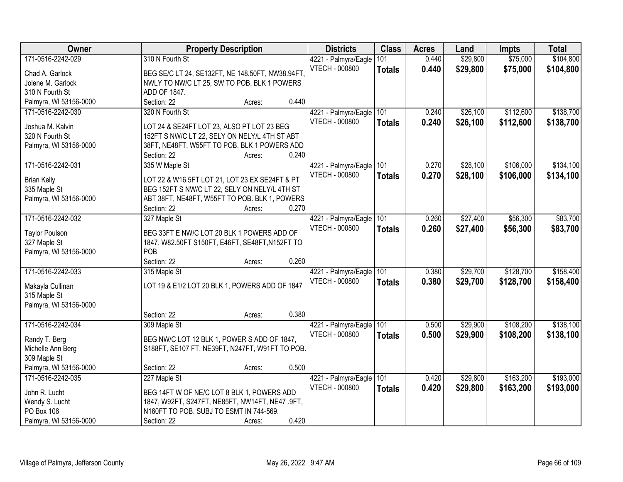| Owner                              | <b>Property Description</b>                                                                    | <b>Districts</b>                              | <b>Class</b>  | <b>Acres</b> | Land     | <b>Impts</b> | <b>Total</b> |
|------------------------------------|------------------------------------------------------------------------------------------------|-----------------------------------------------|---------------|--------------|----------|--------------|--------------|
| 171-0516-2242-029                  | 310 N Fourth St                                                                                | 4221 - Palmyra/Eagle                          | 101           | 0.440        | \$29,800 | \$75,000     | \$104,800    |
| Chad A. Garlock                    | BEG SE/C LT 24, SE132FT, NE 148.50FT, NW38.94FT.                                               | <b>VTECH - 000800</b>                         | <b>Totals</b> | 0.440        | \$29,800 | \$75,000     | \$104,800    |
| Jolene M. Garlock                  | NWLY TO NW/C LT 25, SW TO POB, BLK 1 POWERS                                                    |                                               |               |              |          |              |              |
| 310 N Fourth St                    | ADD OF 1847.                                                                                   |                                               |               |              |          |              |              |
| Palmyra, WI 53156-0000             | 0.440<br>Section: 22<br>Acres:                                                                 |                                               |               |              |          |              |              |
| 171-0516-2242-030                  | 320 N Fourth St                                                                                | 4221 - Palmyra/Eagle                          | 101           | 0.240        | \$26,100 | \$112,600    | \$138,700    |
|                                    |                                                                                                | <b>VTECH - 000800</b>                         | <b>Totals</b> | 0.240        | \$26,100 | \$112,600    | \$138,700    |
| Joshua M. Kalvin                   | LOT 24 & SE24FT LOT 23, ALSO PT LOT 23 BEG                                                     |                                               |               |              |          |              |              |
| 320 N Fourth St                    | 152FT S NW/C LT 22, SELY ON NELY/L 4TH ST ABT                                                  |                                               |               |              |          |              |              |
| Palmyra, WI 53156-0000             | 38FT, NE48FT, W55FT TO POB. BLK 1 POWERS ADD                                                   |                                               |               |              |          |              |              |
|                                    | Section: 22<br>0.240<br>Acres:                                                                 |                                               |               |              |          |              |              |
| 171-0516-2242-031                  | 335 W Maple St                                                                                 | 4221 - Palmyra/Eagle 101                      |               | 0.270        | \$28,100 | \$106,000    | \$134,100    |
| <b>Brian Kelly</b>                 | LOT 22 & W16.5FT LOT 21, LOT 23 EX SE24FT & PT                                                 | <b>VTECH - 000800</b>                         | <b>Totals</b> | 0.270        | \$28,100 | \$106,000    | \$134,100    |
| 335 Maple St                       | BEG 152FT S NW/C LT 22, SELY ON NELY/L 4TH ST                                                  |                                               |               |              |          |              |              |
| Palmyra, WI 53156-0000             | ABT 38FT, NE48FT, W55FT TO POB. BLK 1, POWERS                                                  |                                               |               |              |          |              |              |
|                                    | 0.270<br>Section: 22<br>Acres:                                                                 |                                               |               |              |          |              |              |
| 171-0516-2242-032                  | 327 Maple St                                                                                   | 4221 - Palmyra/Eagle                          | 101           | 0.260        | \$27,400 | \$56,300     | \$83,700     |
|                                    |                                                                                                | <b>VTECH - 000800</b>                         | <b>Totals</b> | 0.260        | \$27,400 | \$56,300     | \$83,700     |
| <b>Taylor Poulson</b>              | BEG 33FT E NW/C LOT 20 BLK 1 POWERS ADD OF                                                     |                                               |               |              |          |              |              |
| 327 Maple St                       | 1847. W82.50FT S150FT, E46FT, SE48FT, N152FT TO                                                |                                               |               |              |          |              |              |
| Palmyra, WI 53156-0000             | POB                                                                                            |                                               |               |              |          |              |              |
|                                    | 0.260<br>Section: 22<br>Acres:                                                                 |                                               |               |              |          |              |              |
| 171-0516-2242-033                  | 315 Maple St                                                                                   | 4221 - Palmyra/Eagle                          | 101           | 0.380        | \$29,700 | \$128,700    | \$158,400    |
| Makayla Cullinan                   | LOT 19 & E1/2 LOT 20 BLK 1, POWERS ADD OF 1847                                                 | VTECH - 000800                                | <b>Totals</b> | 0.380        | \$29,700 | \$128,700    | \$158,400    |
| 315 Maple St                       |                                                                                                |                                               |               |              |          |              |              |
| Palmyra, WI 53156-0000             |                                                                                                |                                               |               |              |          |              |              |
|                                    | 0.380<br>Section: 22<br>Acres:                                                                 |                                               |               |              |          |              |              |
| 171-0516-2242-034                  | 309 Maple St                                                                                   | 4221 - Palmyra/Eagle                          | 101           | 0.500        | \$29,900 | \$108,200    | \$138,100    |
|                                    |                                                                                                | <b>VTECH - 000800</b>                         | <b>Totals</b> | 0.500        | \$29,900 | \$108,200    | \$138,100    |
| Randy T. Berg<br>Michelle Ann Berg | BEG NW/C LOT 12 BLK 1, POWER S ADD OF 1847,<br>S188FT, SE107 FT, NE39FT, N247FT, W91FT TO POB. |                                               |               |              |          |              |              |
| 309 Maple St                       |                                                                                                |                                               |               |              |          |              |              |
| Palmyra, WI 53156-0000             | 0.500<br>Section: 22<br>Acres:                                                                 |                                               |               |              |          |              |              |
| 171-0516-2242-035                  | 227 Maple St                                                                                   |                                               | 101           | 0.420        | \$29,800 | \$163,200    | \$193,000    |
|                                    |                                                                                                | 4221 - Palmyra/Eagle<br><b>VTECH - 000800</b> |               |              |          |              |              |
| John R. Lucht                      | BEG 14FT W OF NE/C LOT 8 BLK 1, POWERS ADD                                                     |                                               | <b>Totals</b> | 0.420        | \$29,800 | \$163,200    | \$193,000    |
| Wendy S. Lucht                     | 1847, W92FT, S247FT, NE85FT, NW14FT, NE47 .9FT,                                                |                                               |               |              |          |              |              |
| PO Box 106                         | N160FT TO POB. SUBJ TO ESMT IN 744-569.                                                        |                                               |               |              |          |              |              |
| Palmyra, WI 53156-0000             | 0.420<br>Section: 22<br>Acres:                                                                 |                                               |               |              |          |              |              |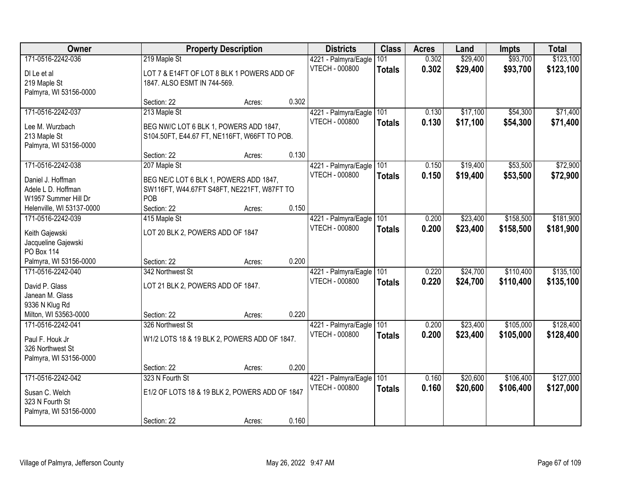| Owner                                                                                             |                                                                                                        | <b>Property Description</b> |       | <b>Districts</b>                                  | <b>Class</b>         | <b>Acres</b>   | Land                 | <b>Impts</b>           | <b>Total</b>           |
|---------------------------------------------------------------------------------------------------|--------------------------------------------------------------------------------------------------------|-----------------------------|-------|---------------------------------------------------|----------------------|----------------|----------------------|------------------------|------------------------|
| 171-0516-2242-036<br>DI Le et al<br>219 Maple St<br>Palmyra, WI 53156-0000                        | 219 Maple St<br>LOT 7 & E14FT OF LOT 8 BLK 1 POWERS ADD OF<br>1847. ALSO ESMT IN 744-569.              |                             |       | 4221 - Palmyra/Eagle<br>VTECH - 000800            | 101<br><b>Totals</b> | 0.302<br>0.302 | \$29,400<br>\$29,400 | \$93,700<br>\$93,700   | \$123,100<br>\$123,100 |
|                                                                                                   | Section: 22                                                                                            | Acres:                      | 0.302 |                                                   |                      |                |                      |                        |                        |
| 171-0516-2242-037<br>Lee M. Wurzbach<br>213 Maple St<br>Palmyra, WI 53156-0000                    | 213 Maple St<br>BEG NW/C LOT 6 BLK 1, POWERS ADD 1847,<br>S104.50FT, E44.67 FT, NE116FT, W66FT TO POB. |                             |       | 4221 - Palmyra/Eagle<br><b>VTECH - 000800</b>     | 101<br><b>Totals</b> | 0.130<br>0.130 | \$17,100<br>\$17,100 | \$54,300<br>\$54,300   | \$71,400<br>\$71,400   |
|                                                                                                   | Section: 22                                                                                            | Acres:                      | 0.130 |                                                   |                      |                |                      |                        |                        |
| 171-0516-2242-038                                                                                 | 207 Maple St                                                                                           |                             |       | 4221 - Palmyra/Eagle                              | 101                  | 0.150          | \$19,400             | \$53,500               | \$72,900               |
| Daniel J. Hoffman<br>Adele L D. Hoffman<br>W1957 Summer Hill Dr                                   | BEG NE/C LOT 6 BLK 1, POWERS ADD 1847,<br>SW116FT, W44.67FT S48FT, NE221FT, W87FT TO<br>POB            |                             |       | <b>VTECH - 000800</b>                             | <b>Totals</b>        | 0.150          | \$19,400             | \$53,500               | \$72,900               |
| Helenville, WI 53137-0000                                                                         | Section: 22                                                                                            | Acres:                      | 0.150 |                                                   |                      |                |                      |                        |                        |
| 171-0516-2242-039<br>Keith Gajewski<br>Jacqueline Gajewski<br><b>PO Box 114</b>                   | 415 Maple St<br>LOT 20 BLK 2, POWERS ADD OF 1847                                                       |                             |       | 4221 - Palmyra/Eagle<br><b>VTECH - 000800</b>     | 101<br><b>Totals</b> | 0.200<br>0.200 | \$23,400<br>\$23,400 | \$158,500<br>\$158,500 | \$181,900<br>\$181,900 |
| Palmyra, WI 53156-0000                                                                            | Section: 22                                                                                            | Acres:                      | 0.200 |                                                   |                      |                |                      |                        |                        |
| 171-0516-2242-040<br>David P. Glass<br>Janean M. Glass<br>9336 N Klug Rd<br>Milton, WI 53563-0000 | 342 Northwest St<br>LOT 21 BLK 2, POWERS ADD OF 1847.<br>Section: 22                                   | Acres:                      | 0.220 | 4221 - Palmyra/Eagle 101<br><b>VTECH - 000800</b> | <b>Totals</b>        | 0.220<br>0.220 | \$24,700<br>\$24,700 | \$110,400<br>\$110,400 | \$135,100<br>\$135,100 |
| 171-0516-2242-041                                                                                 | 326 Northwest St                                                                                       |                             |       | 4221 - Palmyra/Eagle                              | 101                  | 0.200          | \$23,400             | \$105,000              | \$128,400              |
| Paul F. Houk Jr<br>326 Northwest St<br>Palmyra, WI 53156-0000                                     | W1/2 LOTS 18 & 19 BLK 2, POWERS ADD OF 1847.                                                           |                             |       | <b>VTECH - 000800</b>                             | <b>Totals</b>        | 0.200          | \$23,400             | \$105,000              | \$128,400              |
|                                                                                                   | Section: 22                                                                                            | Acres:                      | 0.200 |                                                   |                      |                |                      |                        |                        |
| 171-0516-2242-042<br>Susan C. Welch<br>323 N Fourth St<br>Palmyra, WI 53156-0000                  | 323 N Fourth St<br>E1/2 OF LOTS 18 & 19 BLK 2, POWERS ADD OF 1847<br>Section: 22                       | Acres:                      | 0.160 | 4221 - Palmyra/Eagle<br><b>VTECH - 000800</b>     | 101<br><b>Totals</b> | 0.160<br>0.160 | \$20,600<br>\$20,600 | \$106,400<br>\$106,400 | \$127,000<br>\$127,000 |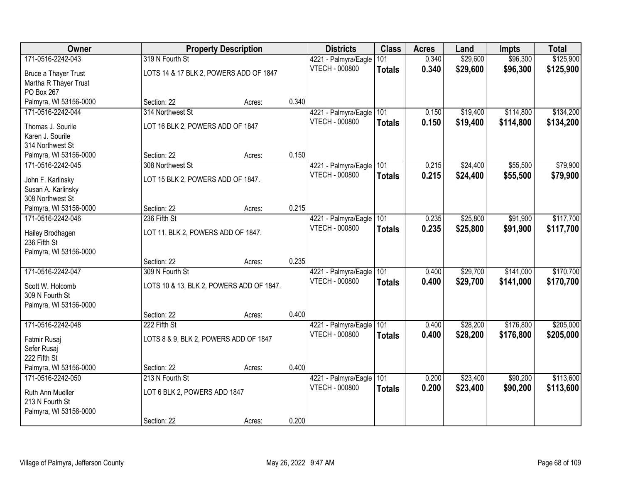| Owner                       |                                          | <b>Property Description</b> |       | <b>Districts</b>      | <b>Class</b>  | <b>Acres</b> | Land     | <b>Impts</b> | <b>Total</b> |
|-----------------------------|------------------------------------------|-----------------------------|-------|-----------------------|---------------|--------------|----------|--------------|--------------|
| 171-0516-2242-043           | 319 N Fourth St                          |                             |       | 4221 - Palmyra/Eagle  | 101           | 0.340        | \$29,600 | \$96,300     | \$125,900    |
| <b>Bruce a Thayer Trust</b> | LOTS 14 & 17 BLK 2, POWERS ADD OF 1847   |                             |       | VTECH - 000800        | <b>Totals</b> | 0.340        | \$29,600 | \$96,300     | \$125,900    |
| Martha R Thayer Trust       |                                          |                             |       |                       |               |              |          |              |              |
| PO Box 267                  |                                          |                             |       |                       |               |              |          |              |              |
| Palmyra, WI 53156-0000      | Section: 22                              | Acres:                      | 0.340 |                       |               |              |          |              |              |
| 171-0516-2242-044           | 314 Northwest St                         |                             |       | 4221 - Palmyra/Eagle  | 101           | 0.150        | \$19,400 | \$114,800    | \$134,200    |
| Thomas J. Sourile           | LOT 16 BLK 2, POWERS ADD OF 1847         |                             |       | <b>VTECH - 000800</b> | <b>Totals</b> | 0.150        | \$19,400 | \$114,800    | \$134,200    |
| Karen J. Sourile            |                                          |                             |       |                       |               |              |          |              |              |
| 314 Northwest St            |                                          |                             |       |                       |               |              |          |              |              |
| Palmyra, WI 53156-0000      | Section: 22                              | Acres:                      | 0.150 |                       |               |              |          |              |              |
| 171-0516-2242-045           | 308 Northwest St                         |                             |       | 4221 - Palmyra/Eagle  | 101           | 0.215        | \$24,400 | \$55,500     | \$79,900     |
| John F. Karlinsky           | LOT 15 BLK 2, POWERS ADD OF 1847.        |                             |       | VTECH - 000800        | <b>Totals</b> | 0.215        | \$24,400 | \$55,500     | \$79,900     |
| Susan A. Karlinsky          |                                          |                             |       |                       |               |              |          |              |              |
| 308 Northwest St            |                                          |                             |       |                       |               |              |          |              |              |
| Palmyra, WI 53156-0000      | Section: 22                              | Acres:                      | 0.215 |                       |               |              |          |              |              |
| 171-0516-2242-046           | 236 Fifth St                             |                             |       | 4221 - Palmyra/Eagle  | 101           | 0.235        | \$25,800 | \$91,900     | \$117,700    |
| Hailey Brodhagen            | LOT 11, BLK 2, POWERS ADD OF 1847.       |                             |       | <b>VTECH - 000800</b> | <b>Totals</b> | 0.235        | \$25,800 | \$91,900     | \$117,700    |
| 236 Fifth St                |                                          |                             |       |                       |               |              |          |              |              |
| Palmyra, WI 53156-0000      |                                          |                             |       |                       |               |              |          |              |              |
|                             | Section: 22                              | Acres:                      | 0.235 |                       |               |              |          |              |              |
| 171-0516-2242-047           | 309 N Fourth St                          |                             |       | 4221 - Palmyra/Eagle  | 101           | 0.400        | \$29,700 | \$141,000    | \$170,700    |
| Scott W. Holcomb            | LOTS 10 & 13, BLK 2, POWERS ADD OF 1847. |                             |       | <b>VTECH - 000800</b> | <b>Totals</b> | 0.400        | \$29,700 | \$141,000    | \$170,700    |
| 309 N Fourth St             |                                          |                             |       |                       |               |              |          |              |              |
| Palmyra, WI 53156-0000      |                                          |                             |       |                       |               |              |          |              |              |
|                             | Section: 22                              | Acres:                      | 0.400 |                       |               |              |          |              |              |
| 171-0516-2242-048           | 222 Fifth St                             |                             |       | 4221 - Palmyra/Eagle  | 101           | 0.400        | \$28,200 | \$176,800    | \$205,000    |
| Fatmir Rusaj                | LOTS 8 & 9, BLK 2, POWERS ADD OF 1847    |                             |       | <b>VTECH - 000800</b> | <b>Totals</b> | 0.400        | \$28,200 | \$176,800    | \$205,000    |
| Sefer Rusaj                 |                                          |                             |       |                       |               |              |          |              |              |
| 222 Fifth St                |                                          |                             |       |                       |               |              |          |              |              |
| Palmyra, WI 53156-0000      | Section: 22                              | Acres:                      | 0.400 |                       |               |              |          |              |              |
| 171-0516-2242-050           | 213 N Fourth St                          |                             |       | 4221 - Palmyra/Eagle  | 101           | 0.200        | \$23,400 | \$90,200     | \$113,600    |
| Ruth Ann Mueller            | LOT 6 BLK 2, POWERS ADD 1847             |                             |       | VTECH - 000800        | <b>Totals</b> | 0.200        | \$23,400 | \$90,200     | \$113,600    |
| 213 N Fourth St             |                                          |                             |       |                       |               |              |          |              |              |
| Palmyra, WI 53156-0000      |                                          |                             |       |                       |               |              |          |              |              |
|                             | Section: 22                              | Acres:                      | 0.200 |                       |               |              |          |              |              |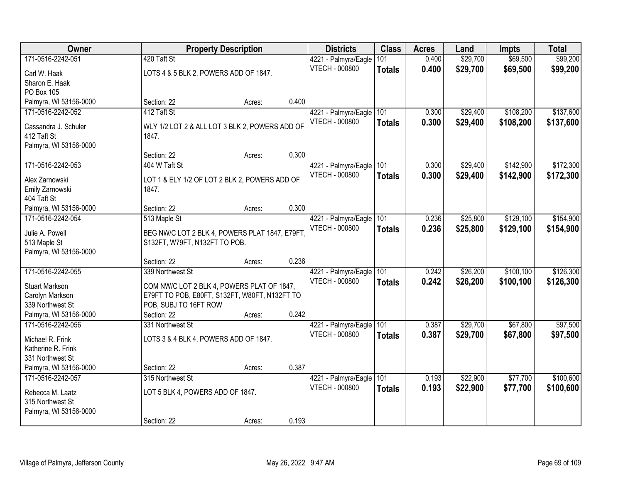| Owner                                 |                                                                                             | <b>Property Description</b> |       | <b>Districts</b>      | <b>Class</b>  | <b>Acres</b> | Land     | <b>Impts</b> | <b>Total</b> |
|---------------------------------------|---------------------------------------------------------------------------------------------|-----------------------------|-------|-----------------------|---------------|--------------|----------|--------------|--------------|
| 171-0516-2242-051                     | 420 Taft St                                                                                 |                             |       | 4221 - Palmyra/Eagle  | 101           | 0.400        | \$29,700 | \$69,500     | \$99,200     |
| Carl W. Haak                          | LOTS 4 & 5 BLK 2, POWERS ADD OF 1847.                                                       |                             |       | VTECH - 000800        | <b>Totals</b> | 0.400        | \$29,700 | \$69,500     | \$99,200     |
| Sharon E. Haak                        |                                                                                             |                             |       |                       |               |              |          |              |              |
| PO Box 105                            |                                                                                             |                             |       |                       |               |              |          |              |              |
| Palmyra, WI 53156-0000                | Section: 22                                                                                 | Acres:                      | 0.400 |                       |               |              |          |              |              |
| 171-0516-2242-052                     | 412 Taft St                                                                                 |                             |       | 4221 - Palmyra/Eagle  | 101           | 0.300        | \$29,400 | \$108,200    | \$137,600    |
|                                       |                                                                                             |                             |       | <b>VTECH - 000800</b> | <b>Totals</b> | 0.300        | \$29,400 | \$108,200    | \$137,600    |
| Cassandra J. Schuler                  | WLY 1/2 LOT 2 & ALL LOT 3 BLK 2, POWERS ADD OF                                              |                             |       |                       |               |              |          |              |              |
| 412 Taft St<br>Palmyra, WI 53156-0000 | 1847.                                                                                       |                             |       |                       |               |              |          |              |              |
|                                       | Section: 22                                                                                 | Acres:                      | 0.300 |                       |               |              |          |              |              |
| 171-0516-2242-053                     | 404 W Taft St                                                                               |                             |       | 4221 - Palmyra/Eagle  | 101           | 0.300        | \$29,400 | \$142,900    | \$172,300    |
|                                       |                                                                                             |                             |       | <b>VTECH - 000800</b> |               | 0.300        | \$29,400 | \$142,900    | \$172,300    |
| Alex Zarnowski                        | LOT 1 & ELY 1/2 OF LOT 2 BLK 2, POWERS ADD OF                                               |                             |       |                       | <b>Totals</b> |              |          |              |              |
| Emily Zarnowski                       | 1847.                                                                                       |                             |       |                       |               |              |          |              |              |
| 404 Taft St                           |                                                                                             |                             |       |                       |               |              |          |              |              |
| Palmyra, WI 53156-0000                | Section: 22                                                                                 | Acres:                      | 0.300 |                       |               |              |          |              |              |
| 171-0516-2242-054                     | 513 Maple St                                                                                |                             |       | 4221 - Palmyra/Eagle  | 101           | 0.236        | \$25,800 | \$129,100    | \$154,900    |
| Julie A. Powell                       | BEG NW/C LOT 2 BLK 4, POWERS PLAT 1847, E79FT                                               |                             |       | <b>VTECH - 000800</b> | <b>Totals</b> | 0.236        | \$25,800 | \$129,100    | \$154,900    |
| 513 Maple St                          | S132FT, W79FT, N132FT TO POB.                                                               |                             |       |                       |               |              |          |              |              |
| Palmyra, WI 53156-0000                |                                                                                             |                             |       |                       |               |              |          |              |              |
|                                       | Section: 22                                                                                 | Acres:                      | 0.236 |                       |               |              |          |              |              |
| 171-0516-2242-055                     | 339 Northwest St                                                                            |                             |       | 4221 - Palmyra/Eagle  | 101           | 0.242        | \$26,200 | \$100,100    | \$126,300    |
| <b>Stuart Markson</b>                 |                                                                                             |                             |       | <b>VTECH - 000800</b> | <b>Totals</b> | 0.242        | \$26,200 | \$100,100    | \$126,300    |
| Carolyn Markson                       | COM NW/C LOT 2 BLK 4, POWERS PLAT OF 1847,<br>E79FT TO POB, E80FT, S132FT, W80FT, N132FT TO |                             |       |                       |               |              |          |              |              |
| 339 Northwest St                      | POB, SUBJ TO 16FT ROW                                                                       |                             |       |                       |               |              |          |              |              |
| Palmyra, WI 53156-0000                | Section: 22                                                                                 | Acres:                      | 0.242 |                       |               |              |          |              |              |
| 171-0516-2242-056                     | 331 Northwest St                                                                            |                             |       | 4221 - Palmyra/Eagle  | 101           | 0.387        | \$29,700 | \$67,800     | \$97,500     |
|                                       |                                                                                             |                             |       | <b>VTECH - 000800</b> | <b>Totals</b> | 0.387        | \$29,700 | \$67,800     | \$97,500     |
| Michael R. Frink                      | LOTS 3 & 4 BLK 4, POWERS ADD OF 1847.                                                       |                             |       |                       |               |              |          |              |              |
| Katherine R. Frink                    |                                                                                             |                             |       |                       |               |              |          |              |              |
| 331 Northwest St                      |                                                                                             |                             |       |                       |               |              |          |              |              |
| Palmyra, WI 53156-0000                | Section: 22                                                                                 | Acres:                      | 0.387 |                       |               |              |          |              |              |
| 171-0516-2242-057                     | 315 Northwest St                                                                            |                             |       | 4221 - Palmyra/Eagle  | 101           | 0.193        | \$22,900 | \$77,700     | \$100,600    |
| Rebecca M. Laatz                      | LOT 5 BLK 4, POWERS ADD OF 1847.                                                            |                             |       | <b>VTECH - 000800</b> | <b>Totals</b> | 0.193        | \$22,900 | \$77,700     | \$100,600    |
| 315 Northwest St                      |                                                                                             |                             |       |                       |               |              |          |              |              |
| Palmyra, WI 53156-0000                |                                                                                             |                             |       |                       |               |              |          |              |              |
|                                       | Section: 22                                                                                 | Acres:                      | 0.193 |                       |               |              |          |              |              |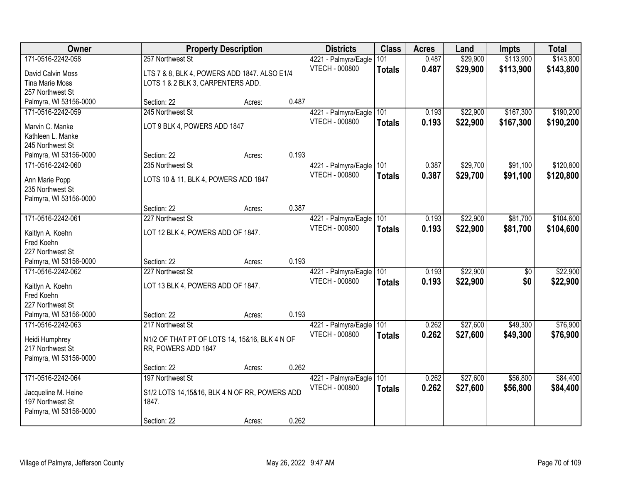| Owner                  | <b>Property Description</b>                   |                 | <b>Districts</b>      | <b>Class</b>  | <b>Acres</b> | Land     | <b>Impts</b> | <b>Total</b> |
|------------------------|-----------------------------------------------|-----------------|-----------------------|---------------|--------------|----------|--------------|--------------|
| 171-0516-2242-058      | 257 Northwest St                              |                 | 4221 - Palmyra/Eagle  | 101           | 0.487        | \$29,900 | \$113,900    | \$143,800    |
| David Calvin Moss      | LTS 7 & 8, BLK 4, POWERS ADD 1847. ALSO E1/4  |                 | VTECH - 000800        | <b>Totals</b> | 0.487        | \$29,900 | \$113,900    | \$143,800    |
| <b>Tina Marie Moss</b> | LOTS 1 & 2 BLK 3, CARPENTERS ADD.             |                 |                       |               |              |          |              |              |
| 257 Northwest St       |                                               |                 |                       |               |              |          |              |              |
| Palmyra, WI 53156-0000 | Section: 22                                   | 0.487<br>Acres: |                       |               |              |          |              |              |
| 171-0516-2242-059      | 245 Northwest St                              |                 | 4221 - Palmyra/Eagle  | 101           | 0.193        | \$22,900 | \$167,300    | \$190,200    |
| Marvin C. Manke        | LOT 9 BLK 4, POWERS ADD 1847                  |                 | <b>VTECH - 000800</b> | <b>Totals</b> | 0.193        | \$22,900 | \$167,300    | \$190,200    |
| Kathleen L. Manke      |                                               |                 |                       |               |              |          |              |              |
| 245 Northwest St       |                                               |                 |                       |               |              |          |              |              |
| Palmyra, WI 53156-0000 | Section: 22                                   | 0.193<br>Acres: |                       |               |              |          |              |              |
| 171-0516-2242-060      | 235 Northwest St                              |                 | 4221 - Palmyra/Eagle  | 101           | 0.387        | \$29,700 | \$91,100     | \$120,800    |
| Ann Marie Popp         | LOTS 10 & 11, BLK 4, POWERS ADD 1847          |                 | VTECH - 000800        | <b>Totals</b> | 0.387        | \$29,700 | \$91,100     | \$120,800    |
| 235 Northwest St       |                                               |                 |                       |               |              |          |              |              |
| Palmyra, WI 53156-0000 |                                               |                 |                       |               |              |          |              |              |
|                        | Section: 22                                   | 0.387<br>Acres: |                       |               |              |          |              |              |
| 171-0516-2242-061      | 227 Northwest St                              |                 | 4221 - Palmyra/Eagle  | 101           | 0.193        | \$22,900 | \$81,700     | \$104,600    |
| Kaitlyn A. Koehn       | LOT 12 BLK 4, POWERS ADD OF 1847.             |                 | <b>VTECH - 000800</b> | <b>Totals</b> | 0.193        | \$22,900 | \$81,700     | \$104,600    |
| Fred Koehn             |                                               |                 |                       |               |              |          |              |              |
| 227 Northwest St       |                                               |                 |                       |               |              |          |              |              |
| Palmyra, WI 53156-0000 | Section: 22                                   | 0.193<br>Acres: |                       |               |              |          |              |              |
| 171-0516-2242-062      | 227 Northwest St                              |                 | 4221 - Palmyra/Eagle  | 101           | 0.193        | \$22,900 | \$0          | \$22,900     |
| Kaitlyn A. Koehn       | LOT 13 BLK 4, POWERS ADD OF 1847.             |                 | VTECH - 000800        | <b>Totals</b> | 0.193        | \$22,900 | \$0          | \$22,900     |
| Fred Koehn             |                                               |                 |                       |               |              |          |              |              |
| 227 Northwest St       |                                               |                 |                       |               |              |          |              |              |
| Palmyra, WI 53156-0000 | Section: 22                                   | 0.193<br>Acres: |                       |               |              |          |              |              |
| 171-0516-2242-063      | 217 Northwest St                              |                 | 4221 - Palmyra/Eagle  | 101           | 0.262        | \$27,600 | \$49,300     | \$76,900     |
| Heidi Humphrey         | N1/2 OF THAT PT OF LOTS 14, 15&16, BLK 4 N OF |                 | <b>VTECH - 000800</b> | <b>Totals</b> | 0.262        | \$27,600 | \$49,300     | \$76,900     |
| 217 Northwest St       | RR, POWERS ADD 1847                           |                 |                       |               |              |          |              |              |
| Palmyra, WI 53156-0000 |                                               |                 |                       |               |              |          |              |              |
|                        | Section: 22                                   | 0.262<br>Acres: |                       |               |              |          |              |              |
| 171-0516-2242-064      | 197 Northwest St                              |                 | 4221 - Palmyra/Eagle  | 101           | 0.262        | \$27,600 | \$56,800     | \$84,400     |
| Jacqueline M. Heine    | S1/2 LOTS 14,15&16, BLK 4 N OF RR, POWERS ADD |                 | <b>VTECH - 000800</b> | <b>Totals</b> | 0.262        | \$27,600 | \$56,800     | \$84,400     |
| 197 Northwest St       | 1847.                                         |                 |                       |               |              |          |              |              |
| Palmyra, WI 53156-0000 |                                               |                 |                       |               |              |          |              |              |
|                        | Section: 22                                   | 0.262<br>Acres: |                       |               |              |          |              |              |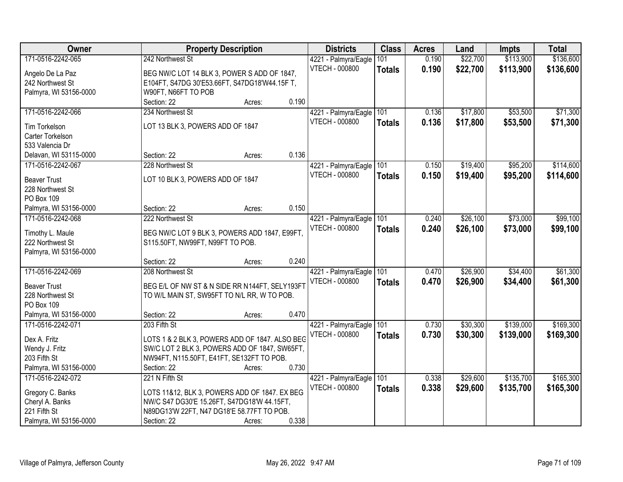| Owner                           | <b>Property Description</b>                                                               | <b>Districts</b>                              | <b>Class</b>  | <b>Acres</b> | Land     | <b>Impts</b> | <b>Total</b> |
|---------------------------------|-------------------------------------------------------------------------------------------|-----------------------------------------------|---------------|--------------|----------|--------------|--------------|
| 171-0516-2242-065               | 242 Northwest St                                                                          | 4221 - Palmyra/Eagle                          | 101           | 0.190        | \$22,700 | \$113,900    | \$136,600    |
| Angelo De La Paz                | BEG NW/C LOT 14 BLK 3, POWER S ADD OF 1847,                                               | VTECH - 000800                                | <b>Totals</b> | 0.190        | \$22,700 | \$113,900    | \$136,600    |
| 242 Northwest St                | E104FT, S47DG 30'E53.66FT, S47DG18'W44.15F T,                                             |                                               |               |              |          |              |              |
| Palmyra, WI 53156-0000          | W90FT, N66FT TO POB                                                                       |                                               |               |              |          |              |              |
|                                 | 0.190<br>Section: 22<br>Acres:                                                            |                                               |               |              |          |              |              |
| 171-0516-2242-066               | 234 Northwest St                                                                          | 4221 - Palmyra/Eagle                          | 101           | 0.136        | \$17,800 | \$53,500     | \$71,300     |
|                                 |                                                                                           | <b>VTECH - 000800</b>                         | <b>Totals</b> | 0.136        | \$17,800 | \$53,500     | \$71,300     |
| Tim Torkelson                   | LOT 13 BLK 3, POWERS ADD OF 1847                                                          |                                               |               |              |          |              |              |
| Carter Torkelson                |                                                                                           |                                               |               |              |          |              |              |
| 533 Valencia Dr                 |                                                                                           |                                               |               |              |          |              |              |
| Delavan, WI 53115-0000          | 0.136<br>Section: 22<br>Acres:                                                            |                                               |               |              |          |              |              |
| 171-0516-2242-067               | 228 Northwest St                                                                          | 4221 - Palmyra/Eagle 101                      |               | 0.150        | \$19,400 | \$95,200     | \$114,600    |
| <b>Beaver Trust</b>             | LOT 10 BLK 3, POWERS ADD OF 1847                                                          | <b>VTECH - 000800</b>                         | <b>Totals</b> | 0.150        | \$19,400 | \$95,200     | \$114,600    |
| 228 Northwest St                |                                                                                           |                                               |               |              |          |              |              |
| PO Box 109                      |                                                                                           |                                               |               |              |          |              |              |
| Palmyra, WI 53156-0000          | 0.150<br>Section: 22<br>Acres:                                                            |                                               |               |              |          |              |              |
| 171-0516-2242-068               | 222 Northwest St                                                                          | 4221 - Palmyra/Eagle                          | 101           | 0.240        | \$26,100 | \$73,000     | \$99,100     |
|                                 |                                                                                           | <b>VTECH - 000800</b>                         |               | 0.240        | \$26,100 | \$73,000     |              |
| Timothy L. Maule                | BEG NW/C LOT 9 BLK 3, POWERS ADD 1847, E99FT,                                             |                                               | <b>Totals</b> |              |          |              | \$99,100     |
| 222 Northwest St                | S115.50FT, NW99FT, N99FT TO POB.                                                          |                                               |               |              |          |              |              |
| Palmyra, WI 53156-0000          |                                                                                           |                                               |               |              |          |              |              |
|                                 | 0.240<br>Section: 22<br>Acres:                                                            |                                               |               |              |          |              |              |
| 171-0516-2242-069               | 208 Northwest St                                                                          | 4221 - Palmyra/Eagle                          | 101           | 0.470        | \$26,900 | \$34,400     | \$61,300     |
| <b>Beaver Trust</b>             | BEG E/L OF NW ST & N SIDE RR N144FT, SELY193FT                                            | <b>VTECH - 000800</b>                         | <b>Totals</b> | 0.470        | \$26,900 | \$34,400     | \$61,300     |
| 228 Northwest St                | TO W/L MAIN ST, SW95FT TO N/L RR, W TO POB.                                               |                                               |               |              |          |              |              |
| PO Box 109                      |                                                                                           |                                               |               |              |          |              |              |
| Palmyra, WI 53156-0000          | 0.470<br>Section: 22<br>Acres:                                                            |                                               |               |              |          |              |              |
| 171-0516-2242-071               | 203 Fifth St                                                                              |                                               | 101           | 0.730        | \$30,300 | \$139,000    | \$169,300    |
|                                 |                                                                                           | 4221 - Palmyra/Eagle<br><b>VTECH - 000800</b> |               |              |          |              |              |
| Dex A. Fritz                    | LOTS 1 & 2 BLK 3, POWERS ADD OF 1847. ALSO BEG                                            |                                               | <b>Totals</b> | 0.730        | \$30,300 | \$139,000    | \$169,300    |
| Wendy J. Fritz                  | SW/C LOT 2 BLK 3, POWERS ADD OF 1847, SW65FT,                                             |                                               |               |              |          |              |              |
| 203 Fifth St                    | NW94FT, N115.50FT, E41FT, SE132FT TO POB.                                                 |                                               |               |              |          |              |              |
| Palmyra, WI 53156-0000          | 0.730<br>Section: 22<br>Acres:                                                            |                                               |               |              |          |              |              |
| 171-0516-2242-072               | 221 N Fifth St                                                                            | 4221 - Palmyra/Eagle                          | 101           | 0.338        | \$29,600 | \$135,700    | \$165,300    |
| Gregory C. Banks                | LOTS 11&12, BLK 3, POWERS ADD OF 1847. EX BEG                                             | VTECH - 000800                                | <b>Totals</b> | 0.338        | \$29,600 | \$135,700    | \$165,300    |
|                                 |                                                                                           |                                               |               |              |          |              |              |
| Cheryl A. Banks<br>221 Fifth St | NW/C S47 DG30'E 15.26FT, S47DG18'W 44.15FT,<br>N89DG13'W 22FT, N47 DG18'E 58.77FT TO POB. |                                               |               |              |          |              |              |
|                                 | 0.338                                                                                     |                                               |               |              |          |              |              |
| Palmyra, WI 53156-0000          | Section: 22<br>Acres:                                                                     |                                               |               |              |          |              |              |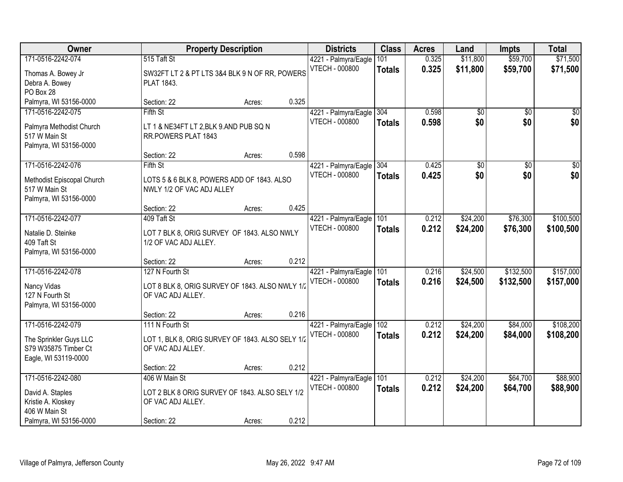| Owner                                                                                                  |                                                                                                     | <b>Property Description</b> |       | <b>Districts</b>                                  | <b>Class</b>         | <b>Acres</b>   | Land                   | <b>Impts</b>           | <b>Total</b>           |
|--------------------------------------------------------------------------------------------------------|-----------------------------------------------------------------------------------------------------|-----------------------------|-------|---------------------------------------------------|----------------------|----------------|------------------------|------------------------|------------------------|
| 171-0516-2242-074<br>Thomas A. Bowey Jr<br>Debra A. Bowey                                              | 515 Taft St<br>SW32FT LT 2 & PT LTS 3&4 BLK 9 N OF RR, POWERS<br>PLAT 1843.                         |                             |       | 4221 - Palmyra/Eagle<br><b>VTECH - 000800</b>     | 101<br><b>Totals</b> | 0.325<br>0.325 | \$11,800<br>\$11,800   | \$59,700<br>\$59,700   | \$71,500<br>\$71,500   |
| PO Box 28<br>Palmyra, WI 53156-0000                                                                    | Section: 22                                                                                         | Acres:                      | 0.325 |                                                   |                      |                |                        |                        |                        |
| 171-0516-2242-075<br>Palmyra Methodist Church<br>517 W Main St<br>Palmyra, WI 53156-0000               | Fifth St<br>LT 1 & NE34FT LT 2, BLK 9.AND PUB SQ N<br>RR.POWERS PLAT 1843                           |                             |       | 4221 - Palmyra/Eagle<br><b>VTECH - 000800</b>     | 304<br><b>Totals</b> | 0.598<br>0.598 | $\overline{50}$<br>\$0 | $\overline{50}$<br>\$0 | $\overline{30}$<br>\$0 |
|                                                                                                        | Section: 22                                                                                         | Acres:                      | 0.598 |                                                   |                      |                |                        |                        |                        |
| 171-0516-2242-076<br>Methodist Episcopal Church<br>517 W Main St<br>Palmyra, WI 53156-0000             | Fifth St<br>LOTS 5 & 6 BLK 8, POWERS ADD OF 1843. ALSO<br>NWLY 1/2 OF VAC ADJ ALLEY                 |                             |       | 4221 - Palmyra/Eagle 304<br>VTECH - 000800        | <b>Totals</b>        | 0.425<br>0.425 | \$0<br>\$0             | \$0<br>\$0             | \$0<br>\$0             |
|                                                                                                        | Section: 22                                                                                         | Acres:                      | 0.425 |                                                   |                      |                |                        |                        |                        |
| 171-0516-2242-077<br>Natalie D. Steinke<br>409 Taft St<br>Palmyra, WI 53156-0000                       | 409 Taft St<br>LOT 7 BLK 8, ORIG SURVEY OF 1843. ALSO NWLY<br>1/2 OF VAC ADJ ALLEY.                 |                             |       | 4221 - Palmyra/Eagle<br><b>VTECH - 000800</b>     | 101<br><b>Totals</b> | 0.212<br>0.212 | \$24,200<br>\$24,200   | \$76,300<br>\$76,300   | \$100,500<br>\$100,500 |
|                                                                                                        | Section: 22                                                                                         | Acres:                      | 0.212 |                                                   |                      |                |                        |                        |                        |
| 171-0516-2242-078<br>Nancy Vidas<br>127 N Fourth St<br>Palmyra, WI 53156-0000                          | 127 N Fourth St<br>LOT 8 BLK 8, ORIG SURVEY OF 1843. ALSO NWLY 1/2<br>OF VAC ADJ ALLEY.             |                             |       | 4221 - Palmyra/Eagle 101<br><b>VTECH - 000800</b> | Totals               | 0.216<br>0.216 | \$24,500<br>\$24,500   | \$132,500<br>\$132,500 | \$157,000<br>\$157,000 |
|                                                                                                        | Section: 22                                                                                         | Acres:                      | 0.216 |                                                   |                      |                |                        |                        |                        |
| 171-0516-2242-079<br>The Sprinkler Guys LLC<br>S79 W35875 Timber Ct<br>Eagle, WI 53119-0000            | 111 N Fourth St<br>LOT 1, BLK 8, ORIG SURVEY OF 1843. ALSO SELY 1/2<br>OF VAC ADJ ALLEY.            |                             |       | 4221 - Palmyra/Eagle<br><b>VTECH - 000800</b>     | 102<br><b>Totals</b> | 0.212<br>0.212 | \$24,200<br>\$24,200   | \$84,000<br>\$84,000   | \$108,200<br>\$108,200 |
|                                                                                                        | Section: 22                                                                                         | Acres:                      | 0.212 |                                                   |                      |                |                        |                        |                        |
| 171-0516-2242-080<br>David A. Staples<br>Kristie A. Kloskey<br>406 W Main St<br>Palmyra, WI 53156-0000 | 406 W Main St<br>LOT 2 BLK 8 ORIG SURVEY OF 1843. ALSO SELY 1/2<br>OF VAC ADJ ALLEY.<br>Section: 22 | Acres:                      | 0.212 | 4221 - Palmyra/Eagle<br>VTECH - 000800            | 101<br>Totals        | 0.212<br>0.212 | \$24,200<br>\$24,200   | \$64,700<br>\$64,700   | \$88,900<br>\$88,900   |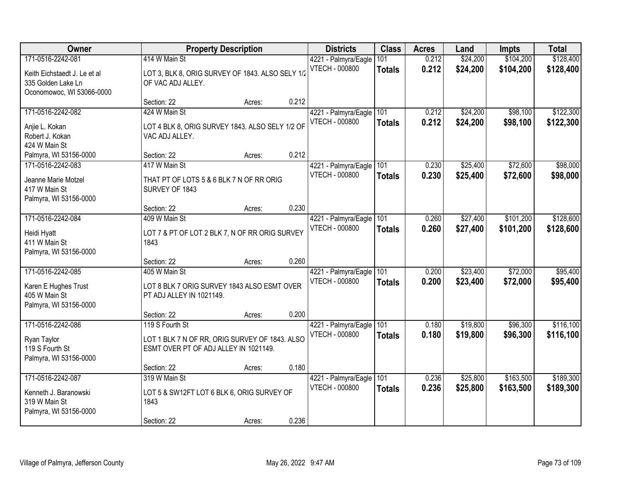| Owner                                                                                                |                                                                                                            | <b>Property Description</b> |       | <b>Districts</b>                              | <b>Class</b>         | <b>Acres</b>   | Land                 | <b>Impts</b>           | <b>Total</b>           |
|------------------------------------------------------------------------------------------------------|------------------------------------------------------------------------------------------------------------|-----------------------------|-------|-----------------------------------------------|----------------------|----------------|----------------------|------------------------|------------------------|
| 171-0516-2242-081<br>Keith Eichstaedt J. Le et al<br>335 Golden Lake Ln<br>Oconomowoc, WI 53066-0000 | 414 W Main St<br>LOT 3, BLK 8, ORIG SURVEY OF 1843. ALSO SELY 1/2<br>OF VAC ADJ ALLEY.                     |                             |       | 4221 - Palmyra/Eagle<br>VTECH - 000800        | 101<br><b>Totals</b> | 0.212<br>0.212 | \$24,200<br>\$24,200 | \$104,200<br>\$104,200 | \$128,400<br>\$128,400 |
|                                                                                                      | Section: 22                                                                                                | Acres:                      | 0.212 |                                               |                      |                |                      |                        |                        |
| 171-0516-2242-082<br>Anjie L. Kokan<br>Robert J. Kokan<br>424 W Main St<br>Palmyra, WI 53156-0000    | 424 W Main St<br>LOT 4 BLK 8, ORIG SURVEY 1843. ALSO SELY 1/2 OF<br>VAC ADJ ALLEY.<br>Section: 22          | Acres:                      | 0.212 | 4221 - Palmyra/Eagle<br><b>VTECH - 000800</b> | 101<br><b>Totals</b> | 0.212<br>0.212 | \$24,200<br>\$24,200 | \$98,100<br>\$98,100   | \$122,300<br>\$122,300 |
| 171-0516-2242-083                                                                                    | 417 W Main St                                                                                              |                             |       | 4221 - Palmyra/Eagle                          | 101                  | 0.230          | \$25,400             | \$72,600               | \$98,000               |
| Jeanne Marie Motzel<br>417 W Main St<br>Palmyra, WI 53156-0000                                       | THAT PT OF LOTS 5 & 6 BLK 7 N OF RR ORIG<br>SURVEY OF 1843                                                 |                             |       | <b>VTECH - 000800</b>                         | <b>Totals</b>        | 0.230          | \$25,400             | \$72,600               | \$98,000               |
|                                                                                                      | Section: 22                                                                                                | Acres:                      | 0.230 |                                               |                      |                |                      |                        |                        |
| 171-0516-2242-084<br>Heidi Hyatt<br>411 W Main St                                                    | 409 W Main St<br>LOT 7 & PT OF LOT 2 BLK 7, N OF RR ORIG SURVEY<br>1843                                    |                             |       | 4221 - Palmyra/Eagle<br>VTECH - 000800        | 101<br><b>Totals</b> | 0.260<br>0.260 | \$27,400<br>\$27,400 | \$101,200<br>\$101,200 | \$128,600<br>\$128,600 |
| Palmyra, WI 53156-0000                                                                               |                                                                                                            |                             | 0.260 |                                               |                      |                |                      |                        |                        |
| 171-0516-2242-085<br>Karen E Hughes Trust<br>405 W Main St<br>Palmyra, WI 53156-0000                 | Section: 22<br>405 W Main St<br>LOT 8 BLK 7 ORIG SURVEY 1843 ALSO ESMT OVER<br>PT ADJ ALLEY IN 1021149.    | Acres:                      |       | 4221 - Palmyra/Eagle<br><b>VTECH - 000800</b> | 101<br><b>Totals</b> | 0.200<br>0.200 | \$23,400<br>\$23,400 | \$72,000<br>\$72,000   | \$95,400<br>\$95,400   |
|                                                                                                      | Section: 22                                                                                                | Acres:                      | 0.200 |                                               |                      |                |                      |                        |                        |
| 171-0516-2242-086<br>Ryan Taylor<br>119 S Fourth St<br>Palmyra, WI 53156-0000                        | 119 S Fourth St<br>LOT 1 BLK 7 N OF RR, ORIG SURVEY OF 1843. ALSO<br>ESMT OVER PT OF ADJ ALLEY IN 1021149. |                             |       | 4221 - Palmyra/Eagle<br><b>VTECH - 000800</b> | 101<br><b>Totals</b> | 0.180<br>0.180 | \$19,800<br>\$19,800 | \$96,300<br>\$96,300   | \$116,100<br>\$116,100 |
|                                                                                                      | Section: 22                                                                                                | Acres:                      | 0.180 |                                               |                      |                |                      |                        |                        |
| 171-0516-2242-087<br>Kenneth J. Baranowski<br>319 W Main St<br>Palmyra, WI 53156-0000                | 319 W Main St<br>LOT 5 & SW12FT LOT 6 BLK 6, ORIG SURVEY OF<br>1843                                        |                             |       | 4221 - Palmyra/Eagle<br>VTECH - 000800        | 101<br><b>Totals</b> | 0.236<br>0.236 | \$25,800<br>\$25,800 | \$163,500<br>\$163,500 | \$189,300<br>\$189,300 |
|                                                                                                      | Section: 22                                                                                                | Acres:                      | 0.236 |                                               |                      |                |                      |                        |                        |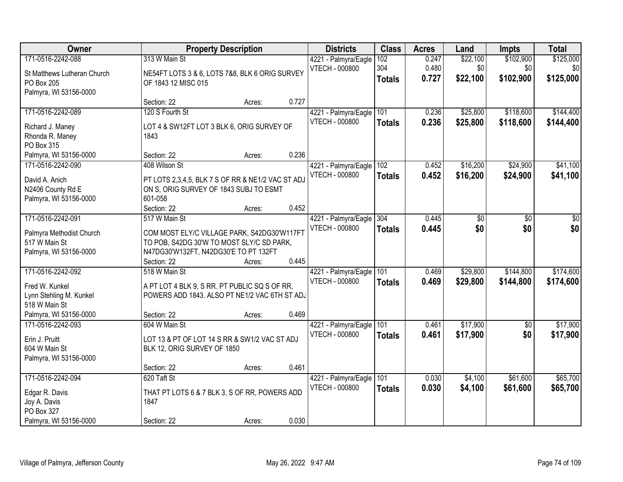| Owner                                                         |                                                                                                        | <b>Property Description</b> |       | <b>Districts</b>                              | <b>Class</b>  | <b>Acres</b>   | Land            | <b>Impts</b>     | <b>Total</b>     |
|---------------------------------------------------------------|--------------------------------------------------------------------------------------------------------|-----------------------------|-------|-----------------------------------------------|---------------|----------------|-----------------|------------------|------------------|
| 171-0516-2242-088                                             | 313 W Main St                                                                                          |                             |       | 4221 - Palmyra/Eagle<br><b>VTECH - 000800</b> | 102<br>304    | 0.247<br>0.480 | \$22,100<br>\$0 | \$102,900<br>\$0 | \$125,000<br>\$0 |
| St Matthews Lutheran Church<br>PO Box 205                     | NE54FT LOTS 3 & 6, LOTS 7&8, BLK 6 ORIG SURVEY<br>OF 1843 12 MISC 015                                  |                             |       |                                               | <b>Totals</b> | 0.727          | \$22,100        | \$102,900        | \$125,000        |
| Palmyra, WI 53156-0000                                        | Section: 22                                                                                            | Acres:                      | 0.727 |                                               |               |                |                 |                  |                  |
| 171-0516-2242-089                                             | 120 S Fourth St                                                                                        |                             |       | 4221 - Palmyra/Eagle                          | 101           | 0.236          | \$25,800        | \$118,600        | \$144,400        |
| Richard J. Maney<br>Rhonda R. Maney<br>PO Box 315             | LOT 4 & SW12FT LOT 3 BLK 6, ORIG SURVEY OF<br>1843                                                     |                             |       | VTECH - 000800                                | <b>Totals</b> | 0.236          | \$25,800        | \$118,600        | \$144,400        |
| Palmyra, WI 53156-0000                                        | Section: 22                                                                                            | Acres:                      | 0.236 |                                               |               |                |                 |                  |                  |
| 171-0516-2242-090                                             | 408 Wilson St                                                                                          |                             |       | 4221 - Palmyra/Eagle                          | 102           | 0.452          | \$16,200        | \$24,900         | \$41,100         |
| David A. Anich<br>N2406 County Rd E<br>Palmyra, WI 53156-0000 | PT LOTS 2,3,4,5, BLK 7 S OF RR & NE1/2 VAC ST ADJ<br>ON S, ORIG SURVEY OF 1843 SUBJ TO ESMT<br>601-058 |                             |       | <b>VTECH - 000800</b>                         | <b>Totals</b> | 0.452          | \$16,200        | \$24,900         | \$41,100         |
|                                                               | Section: 22                                                                                            | Acres:                      | 0.452 |                                               |               |                |                 |                  |                  |
| 171-0516-2242-091                                             | 517 W Main St                                                                                          |                             |       | 4221 - Palmyra/Eagle                          | 304           | 0.445          | \$0             | \$0              | $\sqrt{6}$       |
| Palmyra Methodist Church<br>517 W Main St                     | COM MOST ELY/C VILLAGE PARK, S42DG30'W117FT                                                            |                             |       | <b>VTECH - 000800</b>                         | <b>Totals</b> | 0.445          | \$0             | \$0              | \$0              |
| Palmyra, WI 53156-0000                                        | TO POB, S42DG 30'W TO MOST SLY/C SD PARK,<br>N47DG30'W132FT, N42DG30'E TO PT 132FT                     |                             |       |                                               |               |                |                 |                  |                  |
|                                                               | Section: 22                                                                                            | Acres:                      | 0.445 |                                               |               |                |                 |                  |                  |
| 171-0516-2242-092                                             | 518 W Main St                                                                                          |                             |       | 4221 - Palmyra/Eagle                          | 101           | 0.469          | \$29,800        | \$144,800        | \$174,600        |
| Fred W. Kunkel                                                | A PT LOT 4 BLK 9, S RR. PT PUBLIC SQ S OF RR,                                                          |                             |       | <b>VTECH - 000800</b>                         | <b>Totals</b> | 0.469          | \$29,800        | \$144,800        | \$174,600        |
| Lynn Stehling M. Kunkel                                       | POWERS ADD 1843. ALSO PT NE1/2 VAC 6TH ST ADJ                                                          |                             |       |                                               |               |                |                 |                  |                  |
| 518 W Main St                                                 |                                                                                                        |                             |       |                                               |               |                |                 |                  |                  |
| Palmyra, WI 53156-0000                                        | Section: 22                                                                                            | Acres:                      | 0.469 |                                               |               |                |                 |                  |                  |
| 171-0516-2242-093                                             | 604 W Main St                                                                                          |                             |       | 4221 - Palmyra/Eagle                          | 101           | 0.461          | \$17,900        | $\overline{50}$  | \$17,900         |
| Erin J. Pruitt                                                | LOT 13 & PT OF LOT 14 S RR & SW1/2 VAC ST ADJ                                                          |                             |       | <b>VTECH - 000800</b>                         | <b>Totals</b> | 0.461          | \$17,900        | \$0              | \$17,900         |
| 604 W Main St                                                 | BLK 12, ORIG SURVEY OF 1850                                                                            |                             |       |                                               |               |                |                 |                  |                  |
| Palmyra, WI 53156-0000                                        |                                                                                                        |                             |       |                                               |               |                |                 |                  |                  |
|                                                               | Section: 22                                                                                            | Acres:                      | 0.461 |                                               |               |                |                 |                  |                  |
| 171-0516-2242-094                                             | 620 Taft St                                                                                            |                             |       | 4221 - Palmyra/Eagle                          | 101           | 0.030          | \$4,100         | \$61,600         | \$65,700         |
| Edgar R. Davis                                                | THAT PT LOTS 6 & 7 BLK 3, S OF RR, POWERS ADD                                                          |                             |       | <b>VTECH - 000800</b>                         | <b>Totals</b> | 0.030          | \$4,100         | \$61,600         | \$65,700         |
| Joy A. Davis                                                  | 1847                                                                                                   |                             |       |                                               |               |                |                 |                  |                  |
| PO Box 327                                                    |                                                                                                        |                             |       |                                               |               |                |                 |                  |                  |
| Palmyra, WI 53156-0000                                        | Section: 22                                                                                            | Acres:                      | 0.030 |                                               |               |                |                 |                  |                  |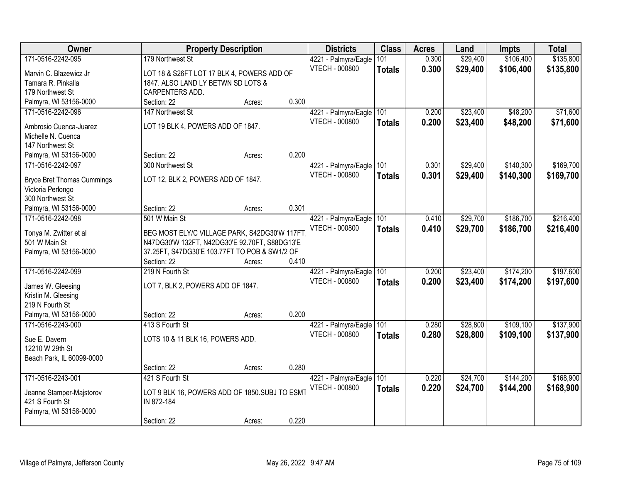| Owner                             |                                               | <b>Property Description</b> |       | <b>Districts</b>         | <b>Class</b>  | <b>Acres</b> | Land     | <b>Impts</b> | <b>Total</b> |
|-----------------------------------|-----------------------------------------------|-----------------------------|-------|--------------------------|---------------|--------------|----------|--------------|--------------|
| 171-0516-2242-095                 | 179 Northwest St                              |                             |       | 4221 - Palmyra/Eagle     | 101           | 0.300        | \$29,400 | \$106,400    | \$135,800    |
| Marvin C. Blazewicz Jr            | LOT 18 & S26FT LOT 17 BLK 4, POWERS ADD OF    |                             |       | VTECH - 000800           | <b>Totals</b> | 0.300        | \$29,400 | \$106,400    | \$135,800    |
| Tamara R. Pinkalla                | 1847. ALSO LAND LY BETWN SD LOTS &            |                             |       |                          |               |              |          |              |              |
| 179 Northwest St                  | CARPENTERS ADD.                               |                             |       |                          |               |              |          |              |              |
| Palmyra, WI 53156-0000            | Section: 22                                   | Acres:                      | 0.300 |                          |               |              |          |              |              |
| 171-0516-2242-096                 | 147 Northwest St                              |                             |       | 4221 - Palmyra/Eagle     | 101           | 0.200        | \$23,400 | \$48,200     | \$71,600     |
|                                   |                                               |                             |       | <b>VTECH - 000800</b>    | <b>Totals</b> | 0.200        | \$23,400 | \$48,200     | \$71,600     |
| Ambrosio Cuenca-Juarez            | LOT 19 BLK 4, POWERS ADD OF 1847.             |                             |       |                          |               |              |          |              |              |
| Michelle N. Cuenca                |                                               |                             |       |                          |               |              |          |              |              |
| 147 Northwest St                  |                                               |                             |       |                          |               |              |          |              |              |
| Palmyra, WI 53156-0000            | Section: 22                                   | Acres:                      | 0.200 |                          |               |              |          |              |              |
| 171-0516-2242-097                 | 300 Northwest St                              |                             |       | 4221 - Palmyra/Eagle 101 |               | 0.301        | \$29,400 | \$140,300    | \$169,700    |
| <b>Bryce Bret Thomas Cummings</b> | LOT 12, BLK 2, POWERS ADD OF 1847.            |                             |       | <b>VTECH - 000800</b>    | <b>Totals</b> | 0.301        | \$29,400 | \$140,300    | \$169,700    |
| Victoria Perlongo                 |                                               |                             |       |                          |               |              |          |              |              |
| 300 Northwest St                  |                                               |                             |       |                          |               |              |          |              |              |
| Palmyra, WI 53156-0000            | Section: 22                                   | Acres:                      | 0.301 |                          |               |              |          |              |              |
| 171-0516-2242-098                 | 501 W Main St                                 |                             |       | 4221 - Palmyra/Eagle     | 101           | 0.410        | \$29,700 | \$186,700    | \$216,400    |
|                                   |                                               |                             |       | VTECH - 000800           | <b>Totals</b> | 0.410        | \$29,700 | \$186,700    | \$216,400    |
| Tonya M. Zwitter et al            | BEG MOST ELY/C VILLAGE PARK, S42DG30'W 117FT  |                             |       |                          |               |              |          |              |              |
| 501 W Main St                     | N47DG30'W 132FT, N42DG30'E 92.70FT, S88DG13'E |                             |       |                          |               |              |          |              |              |
| Palmyra, WI 53156-0000            | 37.25FT, S47DG30'E 103.77FT TO POB & SW1/2 OF |                             |       |                          |               |              |          |              |              |
|                                   | Section: 22                                   | Acres:                      | 0.410 |                          |               |              |          |              |              |
| 171-0516-2242-099                 | 219 N Fourth St                               |                             |       | 4221 - Palmyra/Eagle     | 101           | 0.200        | \$23,400 | \$174,200    | \$197,600    |
| James W. Gleesing                 | LOT 7, BLK 2, POWERS ADD OF 1847.             |                             |       | <b>VTECH - 000800</b>    | <b>Totals</b> | 0.200        | \$23,400 | \$174,200    | \$197,600    |
| Kristin M. Gleesing               |                                               |                             |       |                          |               |              |          |              |              |
| 219 N Fourth St                   |                                               |                             |       |                          |               |              |          |              |              |
| Palmyra, WI 53156-0000            | Section: 22                                   | Acres:                      | 0.200 |                          |               |              |          |              |              |
| 171-0516-2243-000                 | 413 S Fourth St                               |                             |       | 4221 - Palmyra/Eagle     | 101           | 0.280        | \$28,800 | \$109,100    | \$137,900    |
|                                   |                                               |                             |       | VTECH - 000800           | <b>Totals</b> | 0.280        | \$28,800 | \$109,100    | \$137,900    |
| Sue E. Davern                     | LOTS 10 & 11 BLK 16, POWERS ADD.              |                             |       |                          |               |              |          |              |              |
| 12210 W 29th St                   |                                               |                             |       |                          |               |              |          |              |              |
| Beach Park, IL 60099-0000         |                                               |                             |       |                          |               |              |          |              |              |
|                                   | Section: 22                                   | Acres:                      | 0.280 |                          |               |              |          |              |              |
| 171-0516-2243-001                 | 421 S Fourth St                               |                             |       | 4221 - Palmyra/Eagle     | 101           | 0.220        | \$24,700 | \$144,200    | \$168,900    |
| Jeanne Stamper-Majstorov          | LOT 9 BLK 16, POWERS ADD OF 1850.SUBJ TO ESMT |                             |       | <b>VTECH - 000800</b>    | <b>Totals</b> | 0.220        | \$24,700 | \$144,200    | \$168,900    |
| 421 S Fourth St                   | IN 872-184                                    |                             |       |                          |               |              |          |              |              |
| Palmyra, WI 53156-0000            |                                               |                             |       |                          |               |              |          |              |              |
|                                   | Section: 22                                   | Acres:                      | 0.220 |                          |               |              |          |              |              |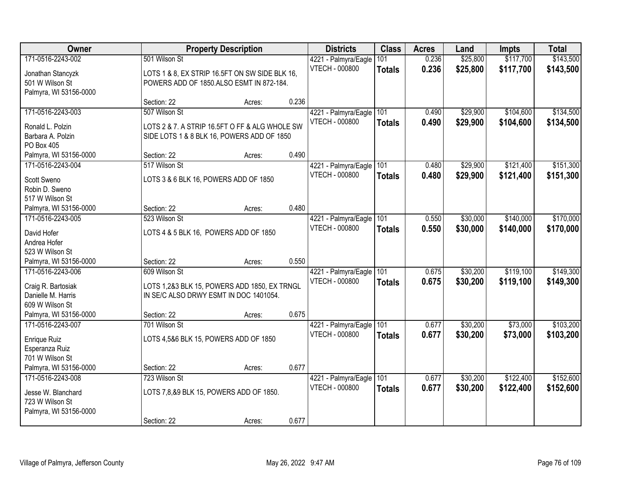| 171-0516-2243-002<br>501 Wilson St<br>\$25,800<br>\$117,700<br>\$143,500<br>101<br>0.236<br>4221 - Palmyra/Eagle<br>VTECH - 000800<br>0.236<br>\$25,800<br>\$117,700<br>\$143,500<br><b>Totals</b><br>LOTS 1 & 8, EX STRIP 16.5FT ON SW SIDE BLK 16,<br>Jonathan Stancyzk<br>501 W Wilson St<br>POWERS ADD OF 1850.ALSO ESMT IN 872-184.<br>Palmyra, WI 53156-0000<br>0.236<br>Section: 22<br>Acres:<br>507 Wilson St<br>\$104,600<br>171-0516-2243-003<br>4221 - Palmyra/Eagle<br>101<br>\$29,900<br>0.490<br><b>VTECH - 000800</b><br>0.490<br>\$29,900<br>\$104,600<br>\$134,500<br><b>Totals</b><br>LOTS 2 & 7. A STRIP 16.5FT O FF & ALG WHOLE SW<br>Ronald L. Polzin<br>Barbara A. Polzin<br>SIDE LOTS 1 & 8 BLK 16, POWERS ADD OF 1850<br>PO Box 405<br>0.490<br>Palmyra, WI 53156-0000<br>Section: 22<br>Acres:<br>\$121,400<br>171-0516-2243-004<br>4221 - Palmyra/Eagle 101<br>\$29,900<br>517 Wilson St<br>0.480<br><b>VTECH - 000800</b><br>\$29,900<br>\$121,400<br>0.480<br><b>Totals</b><br>Scott Sweno<br>LOTS 3 & 6 BLK 16, POWERS ADD OF 1850<br>Robin D. Sweno<br>517 W Wilson St<br>0.480<br>Palmyra, WI 53156-0000<br>Section: 22<br>Acres:<br>\$30,000<br>\$140,000<br>4221 - Palmyra/Eagle<br>101<br>171-0516-2243-005<br>523 Wilson St<br>0.550<br><b>VTECH - 000800</b><br>0.550<br>\$30,000<br>\$140,000<br>\$170,000<br><b>Totals</b><br>LOTS 4 & 5 BLK 16, POWERS ADD OF 1850<br>David Hofer<br>Andrea Hofer<br>523 W Wilson St<br>0.550<br>Palmyra, WI 53156-0000<br>Section: 22<br>Acres:<br>609 Wilson St<br>\$119,100<br>171-0516-2243-006<br>101<br>0.675<br>\$30,200<br>4221 - Palmyra/Eagle<br>VTECH - 000800<br>0.675<br>\$30,200<br>\$119,100<br><b>Totals</b><br>Craig R. Bartosiak<br>LOTS 1,2&3 BLK 15, POWERS ADD 1850, EX TRNGL<br>Danielle M. Harris<br>IN SE/C ALSO DRWY ESMT IN DOC 1401054.<br>609 W Wilson St<br>0.675<br>Palmyra, WI 53156-0000<br>Section: 22<br>Acres:<br>\$30,200<br>\$73,000<br>171-0516-2243-007<br>701 Wilson St<br>101<br>0.677<br>4221 - Palmyra/Eagle<br><b>VTECH - 000800</b><br>0.677<br>\$30,200<br>\$73,000<br>\$103,200<br><b>Totals</b><br>LOTS 4,5&6 BLK 15, POWERS ADD OF 1850<br>Enrique Ruiz<br>Esperanza Ruiz<br>701 W Wilson St | Owner | <b>Property Description</b> | <b>Districts</b> | <b>Class</b> | <b>Acres</b> | Land | <b>Impts</b> | <b>Total</b> |
|----------------------------------------------------------------------------------------------------------------------------------------------------------------------------------------------------------------------------------------------------------------------------------------------------------------------------------------------------------------------------------------------------------------------------------------------------------------------------------------------------------------------------------------------------------------------------------------------------------------------------------------------------------------------------------------------------------------------------------------------------------------------------------------------------------------------------------------------------------------------------------------------------------------------------------------------------------------------------------------------------------------------------------------------------------------------------------------------------------------------------------------------------------------------------------------------------------------------------------------------------------------------------------------------------------------------------------------------------------------------------------------------------------------------------------------------------------------------------------------------------------------------------------------------------------------------------------------------------------------------------------------------------------------------------------------------------------------------------------------------------------------------------------------------------------------------------------------------------------------------------------------------------------------------------------------------------------------------------------------------------------------------------------------------------------------------------------------------------------------------------------------------------------------------------------------------------------------------|-------|-----------------------------|------------------|--------------|--------------|------|--------------|--------------|
|                                                                                                                                                                                                                                                                                                                                                                                                                                                                                                                                                                                                                                                                                                                                                                                                                                                                                                                                                                                                                                                                                                                                                                                                                                                                                                                                                                                                                                                                                                                                                                                                                                                                                                                                                                                                                                                                                                                                                                                                                                                                                                                                                                                                                      |       |                             |                  |              |              |      |              |              |
|                                                                                                                                                                                                                                                                                                                                                                                                                                                                                                                                                                                                                                                                                                                                                                                                                                                                                                                                                                                                                                                                                                                                                                                                                                                                                                                                                                                                                                                                                                                                                                                                                                                                                                                                                                                                                                                                                                                                                                                                                                                                                                                                                                                                                      |       |                             |                  |              |              |      |              |              |
| \$134,500<br>\$151,300<br>\$151,300<br>\$170,000<br>\$149,300<br>\$149,300<br>\$103,200                                                                                                                                                                                                                                                                                                                                                                                                                                                                                                                                                                                                                                                                                                                                                                                                                                                                                                                                                                                                                                                                                                                                                                                                                                                                                                                                                                                                                                                                                                                                                                                                                                                                                                                                                                                                                                                                                                                                                                                                                                                                                                                              |       |                             |                  |              |              |      |              |              |
|                                                                                                                                                                                                                                                                                                                                                                                                                                                                                                                                                                                                                                                                                                                                                                                                                                                                                                                                                                                                                                                                                                                                                                                                                                                                                                                                                                                                                                                                                                                                                                                                                                                                                                                                                                                                                                                                                                                                                                                                                                                                                                                                                                                                                      |       |                             |                  |              |              |      |              |              |
|                                                                                                                                                                                                                                                                                                                                                                                                                                                                                                                                                                                                                                                                                                                                                                                                                                                                                                                                                                                                                                                                                                                                                                                                                                                                                                                                                                                                                                                                                                                                                                                                                                                                                                                                                                                                                                                                                                                                                                                                                                                                                                                                                                                                                      |       |                             |                  |              |              |      |              |              |
|                                                                                                                                                                                                                                                                                                                                                                                                                                                                                                                                                                                                                                                                                                                                                                                                                                                                                                                                                                                                                                                                                                                                                                                                                                                                                                                                                                                                                                                                                                                                                                                                                                                                                                                                                                                                                                                                                                                                                                                                                                                                                                                                                                                                                      |       |                             |                  |              |              |      |              |              |
|                                                                                                                                                                                                                                                                                                                                                                                                                                                                                                                                                                                                                                                                                                                                                                                                                                                                                                                                                                                                                                                                                                                                                                                                                                                                                                                                                                                                                                                                                                                                                                                                                                                                                                                                                                                                                                                                                                                                                                                                                                                                                                                                                                                                                      |       |                             |                  |              |              |      |              |              |
|                                                                                                                                                                                                                                                                                                                                                                                                                                                                                                                                                                                                                                                                                                                                                                                                                                                                                                                                                                                                                                                                                                                                                                                                                                                                                                                                                                                                                                                                                                                                                                                                                                                                                                                                                                                                                                                                                                                                                                                                                                                                                                                                                                                                                      |       |                             |                  |              |              |      |              |              |
|                                                                                                                                                                                                                                                                                                                                                                                                                                                                                                                                                                                                                                                                                                                                                                                                                                                                                                                                                                                                                                                                                                                                                                                                                                                                                                                                                                                                                                                                                                                                                                                                                                                                                                                                                                                                                                                                                                                                                                                                                                                                                                                                                                                                                      |       |                             |                  |              |              |      |              |              |
|                                                                                                                                                                                                                                                                                                                                                                                                                                                                                                                                                                                                                                                                                                                                                                                                                                                                                                                                                                                                                                                                                                                                                                                                                                                                                                                                                                                                                                                                                                                                                                                                                                                                                                                                                                                                                                                                                                                                                                                                                                                                                                                                                                                                                      |       |                             |                  |              |              |      |              |              |
|                                                                                                                                                                                                                                                                                                                                                                                                                                                                                                                                                                                                                                                                                                                                                                                                                                                                                                                                                                                                                                                                                                                                                                                                                                                                                                                                                                                                                                                                                                                                                                                                                                                                                                                                                                                                                                                                                                                                                                                                                                                                                                                                                                                                                      |       |                             |                  |              |              |      |              |              |
|                                                                                                                                                                                                                                                                                                                                                                                                                                                                                                                                                                                                                                                                                                                                                                                                                                                                                                                                                                                                                                                                                                                                                                                                                                                                                                                                                                                                                                                                                                                                                                                                                                                                                                                                                                                                                                                                                                                                                                                                                                                                                                                                                                                                                      |       |                             |                  |              |              |      |              |              |
|                                                                                                                                                                                                                                                                                                                                                                                                                                                                                                                                                                                                                                                                                                                                                                                                                                                                                                                                                                                                                                                                                                                                                                                                                                                                                                                                                                                                                                                                                                                                                                                                                                                                                                                                                                                                                                                                                                                                                                                                                                                                                                                                                                                                                      |       |                             |                  |              |              |      |              |              |
|                                                                                                                                                                                                                                                                                                                                                                                                                                                                                                                                                                                                                                                                                                                                                                                                                                                                                                                                                                                                                                                                                                                                                                                                                                                                                                                                                                                                                                                                                                                                                                                                                                                                                                                                                                                                                                                                                                                                                                                                                                                                                                                                                                                                                      |       |                             |                  |              |              |      |              |              |
|                                                                                                                                                                                                                                                                                                                                                                                                                                                                                                                                                                                                                                                                                                                                                                                                                                                                                                                                                                                                                                                                                                                                                                                                                                                                                                                                                                                                                                                                                                                                                                                                                                                                                                                                                                                                                                                                                                                                                                                                                                                                                                                                                                                                                      |       |                             |                  |              |              |      |              |              |
|                                                                                                                                                                                                                                                                                                                                                                                                                                                                                                                                                                                                                                                                                                                                                                                                                                                                                                                                                                                                                                                                                                                                                                                                                                                                                                                                                                                                                                                                                                                                                                                                                                                                                                                                                                                                                                                                                                                                                                                                                                                                                                                                                                                                                      |       |                             |                  |              |              |      |              |              |
|                                                                                                                                                                                                                                                                                                                                                                                                                                                                                                                                                                                                                                                                                                                                                                                                                                                                                                                                                                                                                                                                                                                                                                                                                                                                                                                                                                                                                                                                                                                                                                                                                                                                                                                                                                                                                                                                                                                                                                                                                                                                                                                                                                                                                      |       |                             |                  |              |              |      |              |              |
|                                                                                                                                                                                                                                                                                                                                                                                                                                                                                                                                                                                                                                                                                                                                                                                                                                                                                                                                                                                                                                                                                                                                                                                                                                                                                                                                                                                                                                                                                                                                                                                                                                                                                                                                                                                                                                                                                                                                                                                                                                                                                                                                                                                                                      |       |                             |                  |              |              |      |              |              |
|                                                                                                                                                                                                                                                                                                                                                                                                                                                                                                                                                                                                                                                                                                                                                                                                                                                                                                                                                                                                                                                                                                                                                                                                                                                                                                                                                                                                                                                                                                                                                                                                                                                                                                                                                                                                                                                                                                                                                                                                                                                                                                                                                                                                                      |       |                             |                  |              |              |      |              |              |
|                                                                                                                                                                                                                                                                                                                                                                                                                                                                                                                                                                                                                                                                                                                                                                                                                                                                                                                                                                                                                                                                                                                                                                                                                                                                                                                                                                                                                                                                                                                                                                                                                                                                                                                                                                                                                                                                                                                                                                                                                                                                                                                                                                                                                      |       |                             |                  |              |              |      |              |              |
|                                                                                                                                                                                                                                                                                                                                                                                                                                                                                                                                                                                                                                                                                                                                                                                                                                                                                                                                                                                                                                                                                                                                                                                                                                                                                                                                                                                                                                                                                                                                                                                                                                                                                                                                                                                                                                                                                                                                                                                                                                                                                                                                                                                                                      |       |                             |                  |              |              |      |              |              |
|                                                                                                                                                                                                                                                                                                                                                                                                                                                                                                                                                                                                                                                                                                                                                                                                                                                                                                                                                                                                                                                                                                                                                                                                                                                                                                                                                                                                                                                                                                                                                                                                                                                                                                                                                                                                                                                                                                                                                                                                                                                                                                                                                                                                                      |       |                             |                  |              |              |      |              |              |
|                                                                                                                                                                                                                                                                                                                                                                                                                                                                                                                                                                                                                                                                                                                                                                                                                                                                                                                                                                                                                                                                                                                                                                                                                                                                                                                                                                                                                                                                                                                                                                                                                                                                                                                                                                                                                                                                                                                                                                                                                                                                                                                                                                                                                      |       |                             |                  |              |              |      |              |              |
|                                                                                                                                                                                                                                                                                                                                                                                                                                                                                                                                                                                                                                                                                                                                                                                                                                                                                                                                                                                                                                                                                                                                                                                                                                                                                                                                                                                                                                                                                                                                                                                                                                                                                                                                                                                                                                                                                                                                                                                                                                                                                                                                                                                                                      |       |                             |                  |              |              |      |              |              |
|                                                                                                                                                                                                                                                                                                                                                                                                                                                                                                                                                                                                                                                                                                                                                                                                                                                                                                                                                                                                                                                                                                                                                                                                                                                                                                                                                                                                                                                                                                                                                                                                                                                                                                                                                                                                                                                                                                                                                                                                                                                                                                                                                                                                                      |       |                             |                  |              |              |      |              |              |
|                                                                                                                                                                                                                                                                                                                                                                                                                                                                                                                                                                                                                                                                                                                                                                                                                                                                                                                                                                                                                                                                                                                                                                                                                                                                                                                                                                                                                                                                                                                                                                                                                                                                                                                                                                                                                                                                                                                                                                                                                                                                                                                                                                                                                      |       |                             |                  |              |              |      |              |              |
|                                                                                                                                                                                                                                                                                                                                                                                                                                                                                                                                                                                                                                                                                                                                                                                                                                                                                                                                                                                                                                                                                                                                                                                                                                                                                                                                                                                                                                                                                                                                                                                                                                                                                                                                                                                                                                                                                                                                                                                                                                                                                                                                                                                                                      |       |                             |                  |              |              |      |              |              |
|                                                                                                                                                                                                                                                                                                                                                                                                                                                                                                                                                                                                                                                                                                                                                                                                                                                                                                                                                                                                                                                                                                                                                                                                                                                                                                                                                                                                                                                                                                                                                                                                                                                                                                                                                                                                                                                                                                                                                                                                                                                                                                                                                                                                                      |       |                             |                  |              |              |      |              |              |
|                                                                                                                                                                                                                                                                                                                                                                                                                                                                                                                                                                                                                                                                                                                                                                                                                                                                                                                                                                                                                                                                                                                                                                                                                                                                                                                                                                                                                                                                                                                                                                                                                                                                                                                                                                                                                                                                                                                                                                                                                                                                                                                                                                                                                      |       |                             |                  |              |              |      |              |              |
| 0.677<br>Palmyra, WI 53156-0000<br>Section: 22<br>Acres:                                                                                                                                                                                                                                                                                                                                                                                                                                                                                                                                                                                                                                                                                                                                                                                                                                                                                                                                                                                                                                                                                                                                                                                                                                                                                                                                                                                                                                                                                                                                                                                                                                                                                                                                                                                                                                                                                                                                                                                                                                                                                                                                                             |       |                             |                  |              |              |      |              |              |
| 723 Wilson St<br>\$30,200<br>\$122,400<br>\$152,600<br>171-0516-2243-008<br>4221 - Palmyra/Eagle<br>101<br>0.677                                                                                                                                                                                                                                                                                                                                                                                                                                                                                                                                                                                                                                                                                                                                                                                                                                                                                                                                                                                                                                                                                                                                                                                                                                                                                                                                                                                                                                                                                                                                                                                                                                                                                                                                                                                                                                                                                                                                                                                                                                                                                                     |       |                             |                  |              |              |      |              |              |
| VTECH - 000800<br>0.677<br>\$30,200<br>\$122,400<br>\$152,600<br><b>Totals</b>                                                                                                                                                                                                                                                                                                                                                                                                                                                                                                                                                                                                                                                                                                                                                                                                                                                                                                                                                                                                                                                                                                                                                                                                                                                                                                                                                                                                                                                                                                                                                                                                                                                                                                                                                                                                                                                                                                                                                                                                                                                                                                                                       |       |                             |                  |              |              |      |              |              |
| LOTS 7,8,&9 BLK 15, POWERS ADD OF 1850.<br>Jesse W. Blanchard                                                                                                                                                                                                                                                                                                                                                                                                                                                                                                                                                                                                                                                                                                                                                                                                                                                                                                                                                                                                                                                                                                                                                                                                                                                                                                                                                                                                                                                                                                                                                                                                                                                                                                                                                                                                                                                                                                                                                                                                                                                                                                                                                        |       |                             |                  |              |              |      |              |              |
| 723 W Wilson St<br>Palmyra, WI 53156-0000                                                                                                                                                                                                                                                                                                                                                                                                                                                                                                                                                                                                                                                                                                                                                                                                                                                                                                                                                                                                                                                                                                                                                                                                                                                                                                                                                                                                                                                                                                                                                                                                                                                                                                                                                                                                                                                                                                                                                                                                                                                                                                                                                                            |       |                             |                  |              |              |      |              |              |
| 0.677<br>Section: 22<br>Acres:                                                                                                                                                                                                                                                                                                                                                                                                                                                                                                                                                                                                                                                                                                                                                                                                                                                                                                                                                                                                                                                                                                                                                                                                                                                                                                                                                                                                                                                                                                                                                                                                                                                                                                                                                                                                                                                                                                                                                                                                                                                                                                                                                                                       |       |                             |                  |              |              |      |              |              |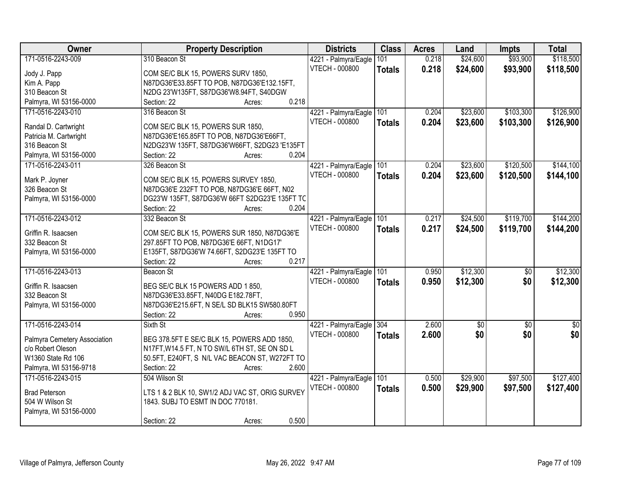| Owner                        | <b>Property Description</b>                            | <b>Districts</b>         | <b>Class</b>  | <b>Acres</b> | Land        | <b>Impts</b>    | <b>Total</b>    |
|------------------------------|--------------------------------------------------------|--------------------------|---------------|--------------|-------------|-----------------|-----------------|
| 171-0516-2243-009            | 310 Beacon St                                          | 4221 - Palmyra/Eagle     | 101           | 0.218        | \$24,600    | \$93,900        | \$118,500       |
| Jody J. Papp                 | COM SE/C BLK 15, POWERS SURV 1850,                     | VTECH - 000800           | <b>Totals</b> | 0.218        | \$24,600    | \$93,900        | \$118,500       |
| Kim A. Papp                  | N87DG36'E33.85FT TO POB, N87DG36'E132.15FT,            |                          |               |              |             |                 |                 |
| 310 Beacon St                | N2DG 23'W135FT, S87DG36'W8.94FT, S40DGW                |                          |               |              |             |                 |                 |
| Palmyra, WI 53156-0000       | 0.218<br>Section: 22<br>Acres:                         |                          |               |              |             |                 |                 |
| 171-0516-2243-010            | 316 Beacon St                                          | 4221 - Palmyra/Eagle     | 101           | 0.204        | \$23,600    | \$103,300       | \$126,900       |
|                              |                                                        | VTECH - 000800           | <b>Totals</b> | 0.204        | \$23,600    | \$103,300       | \$126,900       |
| Randal D. Cartwright         | COM SE/C BLK 15, POWERS SUR 1850,                      |                          |               |              |             |                 |                 |
| Patricia M. Cartwright       | N87DG36'E165.85FT TO POB, N87DG36'E66FT,               |                          |               |              |             |                 |                 |
| 316 Beacon St                | N2DG23'W 135FT, S87DG36'W66FT, S2DG23 'E135FT<br>0.204 |                          |               |              |             |                 |                 |
| Palmyra, WI 53156-0000       | Section: 22<br>Acres:                                  |                          |               |              |             |                 |                 |
| 171-0516-2243-011            | 326 Beacon St                                          | 4221 - Palmyra/Eagle     | 101           | 0.204        | \$23,600    | \$120,500       | \$144,100       |
| Mark P. Joyner               | COM SE/C BLK 15, POWERS SURVEY 1850,                   | <b>VTECH - 000800</b>    | <b>Totals</b> | 0.204        | \$23,600    | \$120,500       | \$144,100       |
| 326 Beacon St                | N87DG36'E 232FT TO POB, N87DG36'E 66FT, N02            |                          |               |              |             |                 |                 |
| Palmyra, WI 53156-0000       | DG23'W 135FT, S87DG36'W 66FT S2DG23'E 135FT TC         |                          |               |              |             |                 |                 |
|                              | Section: 22<br>0.204<br>Acres:                         |                          |               |              |             |                 |                 |
| 171-0516-2243-012            | 332 Beacon St                                          | 4221 - Palmyra/Eagle     | 101           | 0.217        | \$24,500    | \$119,700       | \$144,200       |
| Griffin R. Isaacsen          | COM SE/C BLK 15, POWERS SUR 1850, N87DG36'E            | <b>VTECH - 000800</b>    | <b>Totals</b> | 0.217        | \$24,500    | \$119,700       | \$144,200       |
| 332 Beacon St                | 297.85FT TO POB, N87DG36'E 66FT, N1DG17'               |                          |               |              |             |                 |                 |
| Palmyra, WI 53156-0000       | E135FT, S87DG36'W 74.66FT, S2DG23'E 135FT TO           |                          |               |              |             |                 |                 |
|                              | 0.217<br>Section: 22<br>Acres:                         |                          |               |              |             |                 |                 |
| 171-0516-2243-013            | Beacon St                                              | 4221 - Palmyra/Eagle     | 101           | 0.950        | \$12,300    | $\overline{50}$ | \$12,300        |
|                              |                                                        | <b>VTECH - 000800</b>    |               | 0.950        | \$12,300    | \$0             | \$12,300        |
| Griffin R. Isaacsen          | BEG SE/C BLK 15 POWERS ADD 1 850,                      |                          | <b>Totals</b> |              |             |                 |                 |
| 332 Beacon St                | N87DG36'E33.85FT, N40DG E182.78FT,                     |                          |               |              |             |                 |                 |
| Palmyra, WI 53156-0000       | N87DG36'E215.6FT, N SE/L SD BLK15 SW580.80FT           |                          |               |              |             |                 |                 |
|                              | Section: 22<br>0.950<br>Acres:                         |                          |               |              |             |                 |                 |
| 171-0516-2243-014            | Sixth St                                               | 4221 - Palmyra/Eagle 304 |               | 2.600        | $\sqrt{50}$ | $\overline{50}$ | $\overline{50}$ |
| Palmyra Cemetery Association | BEG 378.5FT E SE/C BLK 15, POWERS ADD 1850,            | VTECH - 000800           | <b>Totals</b> | 2.600        | \$0         | \$0             | \$0             |
| c/o Robert Oleson            | N17FT, W14.5 FT, N TO SW/L 6TH ST, SE ON SD L          |                          |               |              |             |                 |                 |
| W1360 State Rd 106           | 50.5FT, E240FT, S N/L VAC BEACON ST, W272FT TO         |                          |               |              |             |                 |                 |
| Palmyra, WI 53156-9718       | 2.600<br>Section: 22<br>Acres:                         |                          |               |              |             |                 |                 |
| 171-0516-2243-015            | 504 Wilson St                                          | 4221 - Palmyra/Eagle     | 101           | 0.500        | \$29,900    | \$97,500        | \$127,400       |
|                              |                                                        | <b>VTECH - 000800</b>    | <b>Totals</b> | 0.500        | \$29,900    | \$97,500        | \$127,400       |
| <b>Brad Peterson</b>         | LTS 1 & 2 BLK 10, SW1/2 ADJ VAC ST, ORIG SURVEY        |                          |               |              |             |                 |                 |
| 504 W Wilson St              | 1843. SUBJ TO ESMT IN DOC 770181.                      |                          |               |              |             |                 |                 |
| Palmyra, WI 53156-0000       |                                                        |                          |               |              |             |                 |                 |
|                              | 0.500<br>Section: 22<br>Acres:                         |                          |               |              |             |                 |                 |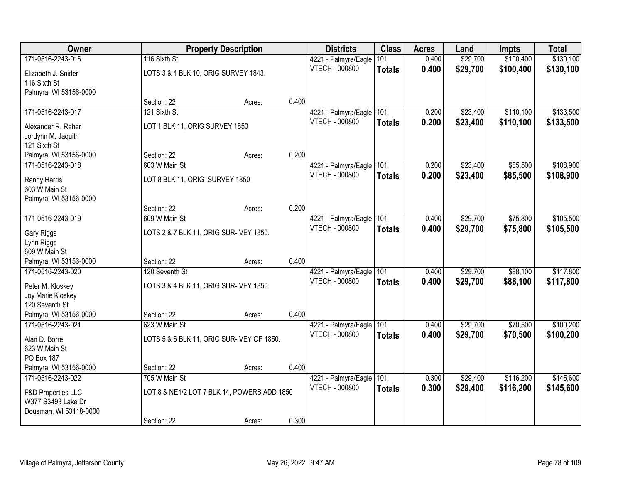| Owner                                   |                                             | <b>Property Description</b> |       | <b>Districts</b>                              | <b>Class</b>  | <b>Acres</b> | Land     | <b>Impts</b> | <b>Total</b> |
|-----------------------------------------|---------------------------------------------|-----------------------------|-------|-----------------------------------------------|---------------|--------------|----------|--------------|--------------|
| 171-0516-2243-016                       | 116 Sixth St                                |                             |       | 4221 - Palmyra/Eagle                          | 101           | 0.400        | \$29,700 | \$100,400    | \$130,100    |
| Elizabeth J. Snider                     | LOTS 3 & 4 BLK 10, ORIG SURVEY 1843.        |                             |       | <b>VTECH - 000800</b>                         | <b>Totals</b> | 0.400        | \$29,700 | \$100,400    | \$130,100    |
| 116 Sixth St                            |                                             |                             |       |                                               |               |              |          |              |              |
| Palmyra, WI 53156-0000                  |                                             |                             |       |                                               |               |              |          |              |              |
|                                         | Section: 22                                 | Acres:                      | 0.400 |                                               |               |              |          |              |              |
| 171-0516-2243-017                       | 121 Sixth St                                |                             |       | 4221 - Palmyra/Eagle                          | 101           | 0.200        | \$23,400 | \$110,100    | \$133,500    |
| Alexander R. Reher                      | LOT 1 BLK 11, ORIG SURVEY 1850              |                             |       | VTECH - 000800                                | <b>Totals</b> | 0.200        | \$23,400 | \$110,100    | \$133,500    |
| Jordynn M. Jaquith                      |                                             |                             |       |                                               |               |              |          |              |              |
| 121 Sixth St                            |                                             |                             |       |                                               |               |              |          |              |              |
| Palmyra, WI 53156-0000                  | Section: 22                                 | Acres:                      | 0.200 |                                               |               |              |          |              |              |
| 171-0516-2243-018                       | 603 W Main St                               |                             |       | 4221 - Palmyra/Eagle                          | 101           | 0.200        | \$23,400 | \$85,500     | \$108,900    |
| Randy Harris                            | LOT 8 BLK 11, ORIG SURVEY 1850              |                             |       | <b>VTECH - 000800</b>                         | <b>Totals</b> | 0.200        | \$23,400 | \$85,500     | \$108,900    |
| 603 W Main St                           |                                             |                             |       |                                               |               |              |          |              |              |
| Palmyra, WI 53156-0000                  |                                             |                             |       |                                               |               |              |          |              |              |
| 171-0516-2243-019                       | Section: 22<br>609 W Main St                | Acres:                      | 0.200 |                                               | 101           | 0.400        | \$29,700 | \$75,800     | \$105,500    |
|                                         |                                             |                             |       | 4221 - Palmyra/Eagle<br><b>VTECH - 000800</b> |               | 0.400        | \$29,700 | \$75,800     |              |
| Gary Riggs                              | LOTS 2 & 7 BLK 11, ORIG SUR- VEY 1850.      |                             |       |                                               | <b>Totals</b> |              |          |              | \$105,500    |
| Lynn Riggs                              |                                             |                             |       |                                               |               |              |          |              |              |
| 609 W Main St<br>Palmyra, WI 53156-0000 | Section: 22                                 |                             | 0.400 |                                               |               |              |          |              |              |
| 171-0516-2243-020                       | 120 Seventh St                              | Acres:                      |       | 4221 - Palmyra/Eagle                          | 101           | 0.400        | \$29,700 | \$88,100     | \$117,800    |
|                                         |                                             |                             |       | <b>VTECH - 000800</b>                         | <b>Totals</b> | 0.400        | \$29,700 | \$88,100     | \$117,800    |
| Peter M. Kloskey                        | LOTS 3 & 4 BLK 11, ORIG SUR- VEY 1850       |                             |       |                                               |               |              |          |              |              |
| Joy Marie Kloskey<br>120 Seventh St     |                                             |                             |       |                                               |               |              |          |              |              |
| Palmyra, WI 53156-0000                  | Section: 22                                 | Acres:                      | 0.400 |                                               |               |              |          |              |              |
| 171-0516-2243-021                       | 623 W Main St                               |                             |       | 4221 - Palmyra/Eagle                          | 101           | 0.400        | \$29,700 | \$70,500     | \$100,200    |
|                                         |                                             |                             |       | VTECH - 000800                                | <b>Totals</b> | 0.400        | \$29,700 | \$70,500     | \$100,200    |
| Alan D. Borre<br>623 W Main St          | LOTS 5 & 6 BLK 11, ORIG SUR- VEY OF 1850.   |                             |       |                                               |               |              |          |              |              |
| PO Box 187                              |                                             |                             |       |                                               |               |              |          |              |              |
| Palmyra, WI 53156-0000                  | Section: 22                                 | Acres:                      | 0.400 |                                               |               |              |          |              |              |
| 171-0516-2243-022                       | 705 W Main St                               |                             |       | 4221 - Palmyra/Eagle                          | 101           | 0.300        | \$29,400 | \$116,200    | \$145,600    |
| <b>F&amp;D Properties LLC</b>           | LOT 8 & NE1/2 LOT 7 BLK 14, POWERS ADD 1850 |                             |       | VTECH - 000800                                | <b>Totals</b> | 0.300        | \$29,400 | \$116,200    | \$145,600    |
| W377 S3493 Lake Dr                      |                                             |                             |       |                                               |               |              |          |              |              |
| Dousman, WI 53118-0000                  |                                             |                             |       |                                               |               |              |          |              |              |
|                                         | Section: 22                                 | Acres:                      | 0.300 |                                               |               |              |          |              |              |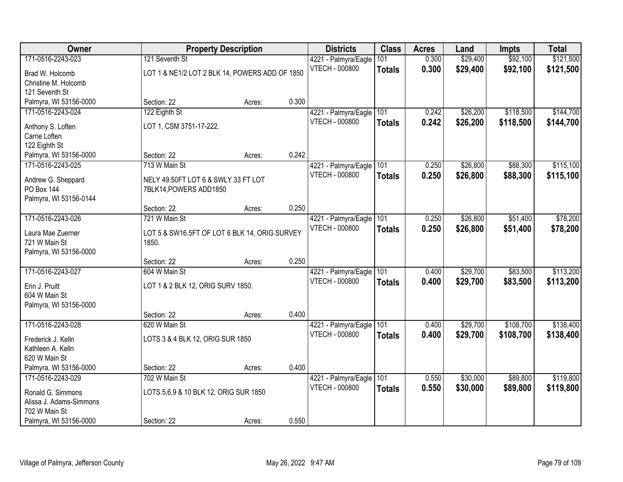| Owner                   |                                                | <b>Property Description</b> |       | <b>Districts</b>      | <b>Class</b>  | <b>Acres</b> | Land     | <b>Impts</b> | <b>Total</b> |
|-------------------------|------------------------------------------------|-----------------------------|-------|-----------------------|---------------|--------------|----------|--------------|--------------|
| 171-0516-2243-023       | 121 Seventh St                                 |                             |       | 4221 - Palmyra/Eagle  | 101           | 0.300        | \$29,400 | \$92,100     | \$121,500    |
| Brad W. Holcomb         | LOT 1 & NE1/2 LOT 2 BLK 14, POWERS ADD OF 1850 |                             |       | <b>VTECH - 000800</b> | <b>Totals</b> | 0.300        | \$29,400 | \$92,100     | \$121,500    |
| Christine M. Holcomb    |                                                |                             |       |                       |               |              |          |              |              |
| 121 Seventh St          |                                                |                             |       |                       |               |              |          |              |              |
| Palmyra, WI 53156-0000  | Section: 22                                    | Acres:                      | 0.300 |                       |               |              |          |              |              |
| 171-0516-2243-024       | 122 Eighth St                                  |                             |       | 4221 - Palmyra/Eagle  | 101           | 0.242        | \$26,200 | \$118,500    | \$144,700    |
| Anthony S. Loften       | LOT 1, CSM 3751-17-222.                        |                             |       | <b>VTECH - 000800</b> | <b>Totals</b> | 0.242        | \$26,200 | \$118,500    | \$144,700    |
| Carrie Loften           |                                                |                             |       |                       |               |              |          |              |              |
| 122 Eighth St           |                                                |                             |       |                       |               |              |          |              |              |
| Palmyra, WI 53156-0000  | Section: 22                                    | Acres:                      | 0.242 |                       |               |              |          |              |              |
| 171-0516-2243-025       | 713 W Main St                                  |                             |       | 4221 - Palmyra/Eagle  | 101           | 0.250        | \$26,800 | \$88,300     | \$115,100    |
| Andrew G. Sheppard      | NELY 49.50FT LOT 6 & SWLY 33 FT LOT            |                             |       | <b>VTECH - 000800</b> | <b>Totals</b> | 0.250        | \$26,800 | \$88,300     | \$115,100    |
| <b>PO Box 144</b>       | 7BLK14, POWERS ADD1850                         |                             |       |                       |               |              |          |              |              |
| Palmyra, WI 53156-0144  |                                                |                             |       |                       |               |              |          |              |              |
|                         | Section: 22                                    | Acres:                      | 0.250 |                       |               |              |          |              |              |
| 171-0516-2243-026       | 721 W Main St                                  |                             |       | 4221 - Palmyra/Eagle  | 101           | 0.250        | \$26,800 | \$51,400     | \$78,200     |
| Laura Mae Zuerner       | LOT 5 & SW16.5FT OF LOT 6 BLK 14, ORIG SURVEY  |                             |       | <b>VTECH - 000800</b> | <b>Totals</b> | 0.250        | \$26,800 | \$51,400     | \$78,200     |
| 721 W Main St           | 1850.                                          |                             |       |                       |               |              |          |              |              |
| Palmyra, WI 53156-0000  |                                                |                             |       |                       |               |              |          |              |              |
|                         | Section: 22                                    | Acres:                      | 0.250 |                       |               |              |          |              |              |
| 171-0516-2243-027       | 604 W Main St                                  |                             |       | 4221 - Palmyra/Eagle  | 101           | 0.400        | \$29,700 | \$83,500     | \$113,200    |
| Erin J. Pruitt          | LOT 1 & 2 BLK 12, ORIG SURV 1850.              |                             |       | <b>VTECH - 000800</b> | <b>Totals</b> | 0.400        | \$29,700 | \$83,500     | \$113,200    |
| 604 W Main St           |                                                |                             |       |                       |               |              |          |              |              |
| Palmyra, WI 53156-0000  |                                                |                             |       |                       |               |              |          |              |              |
|                         | Section: 22                                    | Acres:                      | 0.400 |                       |               |              |          |              |              |
| 171-0516-2243-028       | 620 W Main St                                  |                             |       | 4221 - Palmyra/Eagle  | 101           | 0.400        | \$29,700 | \$108,700    | \$138,400    |
| Frederick J. Kelln      | LOTS 3 & 4 BLK 12, ORIG SUR 1850               |                             |       | <b>VTECH - 000800</b> | <b>Totals</b> | 0.400        | \$29,700 | \$108,700    | \$138,400    |
| Kathleen A. Kelln       |                                                |                             |       |                       |               |              |          |              |              |
| 620 W Main St           |                                                |                             |       |                       |               |              |          |              |              |
| Palmyra, WI 53156-0000  | Section: 22                                    | Acres:                      | 0.400 |                       |               |              |          |              |              |
| 171-0516-2243-029       | 702 W Main St                                  |                             |       | 4221 - Palmyra/Eagle  | 101           | 0.550        | \$30,000 | \$89,800     | \$119,800    |
| Ronald G. Simmons       | LOTS 5,6,9 & 10 BLK 12, ORIG SUR 1850          |                             |       | <b>VTECH - 000800</b> | <b>Totals</b> | 0.550        | \$30,000 | \$89,800     | \$119,800    |
| Alissa J. Adams-Simmons |                                                |                             |       |                       |               |              |          |              |              |
| 702 W Main St           |                                                |                             |       |                       |               |              |          |              |              |
| Palmyra, WI 53156-0000  | Section: 22                                    | Acres:                      | 0.550 |                       |               |              |          |              |              |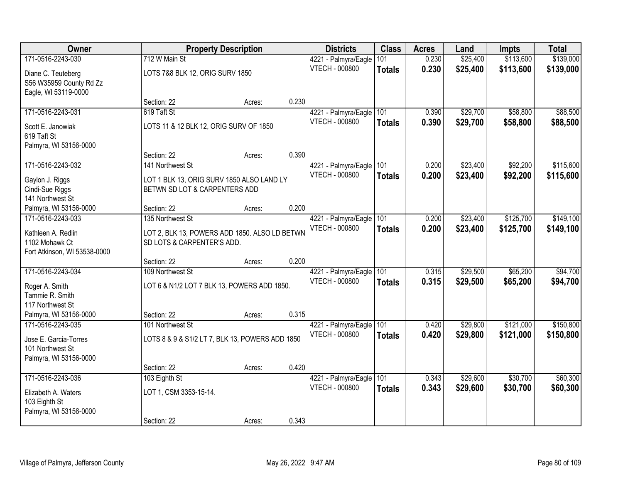| Owner                        |                                                 | <b>Property Description</b> |       | <b>Districts</b>         | <b>Class</b>  | <b>Acres</b> | Land     | <b>Impts</b> | <b>Total</b> |
|------------------------------|-------------------------------------------------|-----------------------------|-------|--------------------------|---------------|--------------|----------|--------------|--------------|
| 171-0516-2243-030            | 712 W Main St                                   |                             |       | 4221 - Palmyra/Eagle     | 101           | 0.230        | \$25,400 | \$113,600    | \$139,000    |
| Diane C. Teuteberg           | LOTS 7&8 BLK 12, ORIG SURV 1850                 |                             |       | <b>VTECH - 000800</b>    | <b>Totals</b> | 0.230        | \$25,400 | \$113,600    | \$139,000    |
| S56 W35959 County Rd Zz      |                                                 |                             |       |                          |               |              |          |              |              |
| Eagle, WI 53119-0000         |                                                 |                             |       |                          |               |              |          |              |              |
|                              | Section: 22                                     | Acres:                      | 0.230 |                          |               |              |          |              |              |
| 171-0516-2243-031            | 619 Taft St                                     |                             |       | 4221 - Palmyra/Eagle     | 101           | 0.390        | \$29,700 | \$58,800     | \$88,500     |
| Scott E. Janowiak            | LOTS 11 & 12 BLK 12, ORIG SURV OF 1850          |                             |       | <b>VTECH - 000800</b>    | <b>Totals</b> | 0.390        | \$29,700 | \$58,800     | \$88,500     |
| 619 Taft St                  |                                                 |                             |       |                          |               |              |          |              |              |
| Palmyra, WI 53156-0000       |                                                 |                             |       |                          |               |              |          |              |              |
|                              | Section: 22                                     | Acres:                      | 0.390 |                          |               |              |          |              |              |
| 171-0516-2243-032            | 141 Northwest St                                |                             |       | 4221 - Palmyra/Eagle     | 101           | 0.200        | \$23,400 | \$92,200     | \$115,600    |
| Gaylon J. Riggs              | LOT 1 BLK 13, ORIG SURV 1850 ALSO LAND LY       |                             |       | VTECH - 000800           | <b>Totals</b> | 0.200        | \$23,400 | \$92,200     | \$115,600    |
| Cindi-Sue Riggs              | BETWN SD LOT & CARPENTERS ADD                   |                             |       |                          |               |              |          |              |              |
| 141 Northwest St             |                                                 |                             |       |                          |               |              |          |              |              |
| Palmyra, WI 53156-0000       | Section: 22                                     | Acres:                      | 0.200 |                          |               |              |          |              |              |
| 171-0516-2243-033            | 135 Northwest St                                |                             |       | 4221 - Palmyra/Eagle     | 101           | 0.200        | \$23,400 | \$125,700    | \$149,100    |
| Kathleen A. Redlin           | LOT 2, BLK 13, POWERS ADD 1850. ALSO LD BETWN   |                             |       | VTECH - 000800           | <b>Totals</b> | 0.200        | \$23,400 | \$125,700    | \$149,100    |
| 1102 Mohawk Ct               | SD LOTS & CARPENTER'S ADD.                      |                             |       |                          |               |              |          |              |              |
| Fort Atkinson, WI 53538-0000 |                                                 |                             |       |                          |               |              |          |              |              |
|                              | Section: 22                                     | Acres:                      | 0.200 |                          |               |              |          |              |              |
| 171-0516-2243-034            | 109 Northwest St                                |                             |       | 4221 - Palmyra/Eagle 101 |               | 0.315        | \$29,500 | \$65,200     | \$94,700     |
| Roger A. Smith               | LOT 6 & N1/2 LOT 7 BLK 13, POWERS ADD 1850.     |                             |       | <b>VTECH - 000800</b>    | <b>Totals</b> | 0.315        | \$29,500 | \$65,200     | \$94,700     |
| Tammie R. Smith              |                                                 |                             |       |                          |               |              |          |              |              |
| 117 Northwest St             |                                                 |                             |       |                          |               |              |          |              |              |
| Palmyra, WI 53156-0000       | Section: 22                                     | Acres:                      | 0.315 |                          |               |              |          |              |              |
| 171-0516-2243-035            | 101 Northwest St                                |                             |       | 4221 - Palmyra/Eagle     | 101           | 0.420        | \$29,800 | \$121,000    | \$150,800    |
| Jose E. Garcia-Torres        | LOTS 8 & 9 & S1/2 LT 7, BLK 13, POWERS ADD 1850 |                             |       | VTECH - 000800           | <b>Totals</b> | 0.420        | \$29,800 | \$121,000    | \$150,800    |
| 101 Northwest St             |                                                 |                             |       |                          |               |              |          |              |              |
| Palmyra, WI 53156-0000       |                                                 |                             |       |                          |               |              |          |              |              |
|                              | Section: 22                                     | Acres:                      | 0.420 |                          |               |              |          |              |              |
| 171-0516-2243-036            | 103 Eighth St                                   |                             |       | 4221 - Palmyra/Eagle     | 101           | 0.343        | \$29,600 | \$30,700     | \$60,300     |
| Elizabeth A. Waters          | LOT 1, CSM 3353-15-14.                          |                             |       | <b>VTECH - 000800</b>    | <b>Totals</b> | 0.343        | \$29,600 | \$30,700     | \$60,300     |
| 103 Eighth St                |                                                 |                             |       |                          |               |              |          |              |              |
| Palmyra, WI 53156-0000       |                                                 |                             |       |                          |               |              |          |              |              |
|                              | Section: 22                                     | Acres:                      | 0.343 |                          |               |              |          |              |              |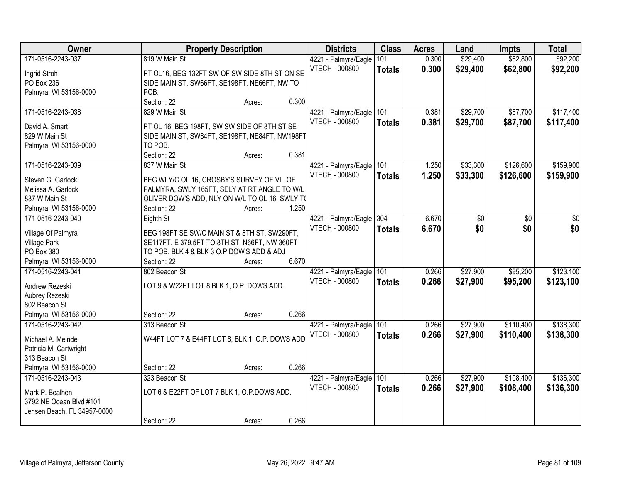| Owner                       | <b>Property Description</b>                     | <b>Districts</b>      | <b>Class</b>  | <b>Acres</b> | Land     | <b>Impts</b> | <b>Total</b> |
|-----------------------------|-------------------------------------------------|-----------------------|---------------|--------------|----------|--------------|--------------|
| 171-0516-2243-037           | 819 W Main St                                   | 4221 - Palmyra/Eagle  | 101           | 0.300        | \$29,400 | \$62,800     | \$92,200     |
| Ingrid Stroh                | PT OL16, BEG 132FT SW OF SW SIDE 8TH ST ON SE   | VTECH - 000800        | <b>Totals</b> | 0.300        | \$29,400 | \$62,800     | \$92,200     |
| PO Box 236                  | SIDE MAIN ST, SW66FT, SE198FT, NE66FT, NW TO    |                       |               |              |          |              |              |
| Palmyra, WI 53156-0000      | POB.                                            |                       |               |              |          |              |              |
|                             | Section: 22<br>0.300<br>Acres:                  |                       |               |              |          |              |              |
| 171-0516-2243-038           | 829 W Main St                                   | 4221 - Palmyra/Eagle  | 101           | 0.381        | \$29,700 | \$87,700     | \$117,400    |
|                             |                                                 | <b>VTECH - 000800</b> | <b>Totals</b> | 0.381        | \$29,700 | \$87,700     | \$117,400    |
| David A. Smart              | PT OL 16, BEG 198FT, SW SW SIDE OF 8TH ST SE    |                       |               |              |          |              |              |
| 829 W Main St               | SIDE MAIN ST, SW84FT, SE198FT, NE84FT, NW198FT  |                       |               |              |          |              |              |
| Palmyra, WI 53156-0000      | TO POB.                                         |                       |               |              |          |              |              |
|                             | Section: 22<br>0.381<br>Acres:                  |                       |               |              |          |              |              |
| 171-0516-2243-039           | 837 W Main St                                   | 4221 - Palmyra/Eagle  | 101           | 1.250        | \$33,300 | \$126,600    | \$159,900    |
| Steven G. Garlock           | BEG WLY/C OL 16, CROSBY'S SURVEY OF VIL OF      | <b>VTECH - 000800</b> | <b>Totals</b> | 1.250        | \$33,300 | \$126,600    | \$159,900    |
| Melissa A. Garlock          | PALMYRA, SWLY 165FT, SELY AT RT ANGLE TO W/L    |                       |               |              |          |              |              |
| 837 W Main St               | OLIVER DOW'S ADD, NLY ON W/L TO OL 16, SWLY TO  |                       |               |              |          |              |              |
| Palmyra, WI 53156-0000      | Section: 22<br>1.250<br>Acres:                  |                       |               |              |          |              |              |
| 171-0516-2243-040           | Eighth St                                       | 4221 - Palmyra/Eagle  | 304           | 6.670        | \$0      | \$0          | \$0          |
|                             |                                                 | <b>VTECH - 000800</b> | <b>Totals</b> | 6.670        | \$0      | \$0          | \$0          |
| Village Of Palmyra          | BEG 198FT SE SW/C MAIN ST & 8TH ST, SW290FT,    |                       |               |              |          |              |              |
| <b>Village Park</b>         | SE117FT, E 379.5FT TO 8TH ST, N66FT, NW 360FT   |                       |               |              |          |              |              |
| PO Box 380                  | TO POB. BLK 4 & BLK 3 O.P.DOW'S ADD & ADJ       |                       |               |              |          |              |              |
| Palmyra, WI 53156-0000      | 6.670<br>Section: 22<br>Acres:                  |                       |               |              |          |              |              |
| 171-0516-2243-041           | 802 Beacon St                                   | 4221 - Palmyra/Eagle  | 101           | 0.266        | \$27,900 | \$95,200     | \$123,100    |
| Andrew Rezeski              | LOT 9 & W22FT LOT 8 BLK 1, O.P. DOWS ADD.       | <b>VTECH - 000800</b> | <b>Totals</b> | 0.266        | \$27,900 | \$95,200     | \$123,100    |
| Aubrey Rezeski              |                                                 |                       |               |              |          |              |              |
| 802 Beacon St               |                                                 |                       |               |              |          |              |              |
| Palmyra, WI 53156-0000      | 0.266<br>Section: 22<br>Acres:                  |                       |               |              |          |              |              |
| 171-0516-2243-042           | 313 Beacon St                                   | 4221 - Palmyra/Eagle  | 101           | 0.266        | \$27,900 | \$110,400    | \$138,300    |
|                             |                                                 | <b>VTECH - 000800</b> |               | 0.266        | \$27,900 | \$110,400    | \$138,300    |
| Michael A. Meindel          | W44FT LOT 7 & E44FT LOT 8, BLK 1, O.P. DOWS ADD |                       | <b>Totals</b> |              |          |              |              |
| Patricia M. Cartwright      |                                                 |                       |               |              |          |              |              |
| 313 Beacon St               |                                                 |                       |               |              |          |              |              |
| Palmyra, WI 53156-0000      | 0.266<br>Section: 22<br>Acres:                  |                       |               |              |          |              |              |
| 171-0516-2243-043           | 323 Beacon St                                   | 4221 - Palmyra/Eagle  | 101           | 0.266        | \$27,900 | \$108,400    | \$136,300    |
| Mark P. Bealhen             | LOT 6 & E22FT OF LOT 7 BLK 1, O.P.DOWS ADD.     | VTECH - 000800        | <b>Totals</b> | 0.266        | \$27,900 | \$108,400    | \$136,300    |
| 3792 NE Ocean Blvd #101     |                                                 |                       |               |              |          |              |              |
| Jensen Beach, FL 34957-0000 |                                                 |                       |               |              |          |              |              |
|                             | 0.266<br>Section: 22                            |                       |               |              |          |              |              |
|                             | Acres:                                          |                       |               |              |          |              |              |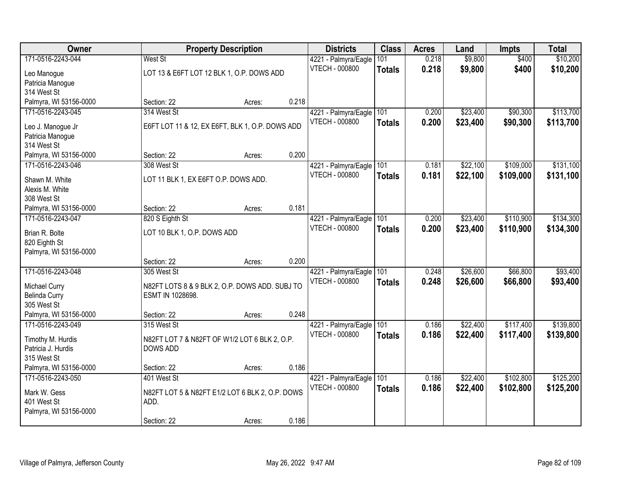| Owner                               |                                                 | <b>Property Description</b> |       | <b>Districts</b>         | <b>Class</b>  | <b>Acres</b> | Land     | <b>Impts</b> | <b>Total</b> |
|-------------------------------------|-------------------------------------------------|-----------------------------|-------|--------------------------|---------------|--------------|----------|--------------|--------------|
| 171-0516-2243-044                   | West St                                         |                             |       | 4221 - Palmyra/Eagle     | 101           | 0.218        | \$9,800  | \$400        | \$10,200     |
| Leo Manogue                         | LOT 13 & E6FT LOT 12 BLK 1, O.P. DOWS ADD       |                             |       | <b>VTECH - 000800</b>    | <b>Totals</b> | 0.218        | \$9,800  | \$400        | \$10,200     |
| Patricia Manogue                    |                                                 |                             |       |                          |               |              |          |              |              |
| 314 West St                         |                                                 |                             |       |                          |               |              |          |              |              |
| Palmyra, WI 53156-0000              | Section: 22                                     | Acres:                      | 0.218 |                          |               |              |          |              |              |
| 171-0516-2243-045                   | 314 West St                                     |                             |       | 4221 - Palmyra/Eagle     | 101           | 0.200        | \$23,400 | \$90,300     | \$113,700    |
| Leo J. Manogue Jr                   | E6FT LOT 11 & 12, EX E6FT, BLK 1, O.P. DOWS ADD |                             |       | <b>VTECH - 000800</b>    | <b>Totals</b> | 0.200        | \$23,400 | \$90,300     | \$113,700    |
| Patricia Manogue                    |                                                 |                             |       |                          |               |              |          |              |              |
| 314 West St                         |                                                 |                             |       |                          |               |              |          |              |              |
| Palmyra, WI 53156-0000              | Section: 22                                     | Acres:                      | 0.200 |                          |               |              |          |              |              |
| 171-0516-2243-046                   | 308 West St                                     |                             |       | 4221 - Palmyra/Eagle 101 |               | 0.181        | \$22,100 | \$109,000    | \$131,100    |
| Shawn M. White                      | LOT 11 BLK 1, EX E6FT O.P. DOWS ADD.            |                             |       | <b>VTECH - 000800</b>    | <b>Totals</b> | 0.181        | \$22,100 | \$109,000    | \$131,100    |
| Alexis M. White                     |                                                 |                             |       |                          |               |              |          |              |              |
| 308 West St                         |                                                 |                             |       |                          |               |              |          |              |              |
| Palmyra, WI 53156-0000              | Section: 22                                     | Acres:                      | 0.181 |                          |               |              |          |              |              |
| 171-0516-2243-047                   | 820 S Eighth St                                 |                             |       | 4221 - Palmyra/Eagle     | 101           | 0.200        | \$23,400 | \$110,900    | \$134,300    |
|                                     |                                                 |                             |       | <b>VTECH - 000800</b>    | <b>Totals</b> | 0.200        | \$23,400 | \$110,900    | \$134,300    |
| Brian R. Bolte<br>820 Eighth St     | LOT 10 BLK 1, O.P. DOWS ADD                     |                             |       |                          |               |              |          |              |              |
| Palmyra, WI 53156-0000              |                                                 |                             |       |                          |               |              |          |              |              |
|                                     | Section: 22                                     | Acres:                      | 0.200 |                          |               |              |          |              |              |
| 171-0516-2243-048                   | 305 West St                                     |                             |       | 4221 - Palmyra/Eagle 101 |               | 0.248        | \$26,600 | \$66,800     | \$93,400     |
|                                     |                                                 |                             |       | <b>VTECH - 000800</b>    | <b>Totals</b> | 0.248        | \$26,600 | \$66,800     | \$93,400     |
| Michael Curry                       | N82FT LOTS 8 & 9 BLK 2, O.P. DOWS ADD. SUBJ TO  |                             |       |                          |               |              |          |              |              |
| <b>Belinda Curry</b><br>305 West St | ESMT IN 1028698.                                |                             |       |                          |               |              |          |              |              |
| Palmyra, WI 53156-0000              | Section: 22                                     | Acres:                      | 0.248 |                          |               |              |          |              |              |
| 171-0516-2243-049                   | 315 West St                                     |                             |       | 4221 - Palmyra/Eagle     | 101           | 0.186        | \$22,400 | \$117,400    | \$139,800    |
|                                     |                                                 |                             |       | <b>VTECH - 000800</b>    | <b>Totals</b> | 0.186        | \$22,400 | \$117,400    | \$139,800    |
| Timothy M. Hurdis                   | N82FT LOT 7 & N82FT OF W1/2 LOT 6 BLK 2, O.P.   |                             |       |                          |               |              |          |              |              |
| Patricia J. Hurdis<br>315 West St   | <b>DOWS ADD</b>                                 |                             |       |                          |               |              |          |              |              |
| Palmyra, WI 53156-0000              | Section: 22                                     | Acres:                      | 0.186 |                          |               |              |          |              |              |
| 171-0516-2243-050                   | 401 West St                                     |                             |       | 4221 - Palmyra/Eagle     | 101           | 0.186        | \$22,400 | \$102,800    | \$125,200    |
|                                     |                                                 |                             |       | <b>VTECH - 000800</b>    | <b>Totals</b> | 0.186        | \$22,400 | \$102,800    | \$125,200    |
| Mark W. Gess                        | N82FT LOT 5 & N82FT E1/2 LOT 6 BLK 2, O.P. DOWS |                             |       |                          |               |              |          |              |              |
| 401 West St                         | ADD.                                            |                             |       |                          |               |              |          |              |              |
| Palmyra, WI 53156-0000              |                                                 |                             |       |                          |               |              |          |              |              |
|                                     | Section: 22                                     | Acres:                      | 0.186 |                          |               |              |          |              |              |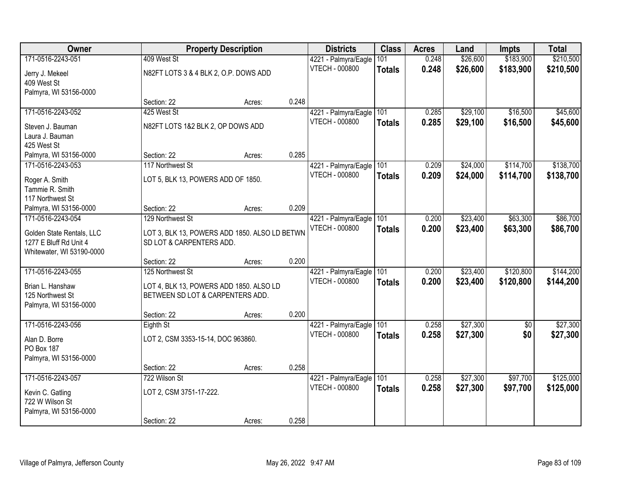| Owner                     |                                               | <b>Property Description</b> |       | <b>Districts</b>         | <b>Class</b>  | <b>Acres</b> | Land     | <b>Impts</b> | <b>Total</b> |
|---------------------------|-----------------------------------------------|-----------------------------|-------|--------------------------|---------------|--------------|----------|--------------|--------------|
| 171-0516-2243-051         | 409 West St                                   |                             |       | 4221 - Palmyra/Eagle     | 101           | 0.248        | \$26,600 | \$183,900    | \$210,500    |
| Jerry J. Mekeel           | N82FT LOTS 3 & 4 BLK 2, O.P. DOWS ADD         |                             |       | <b>VTECH - 000800</b>    | <b>Totals</b> | 0.248        | \$26,600 | \$183,900    | \$210,500    |
| 409 West St               |                                               |                             |       |                          |               |              |          |              |              |
| Palmyra, WI 53156-0000    |                                               |                             |       |                          |               |              |          |              |              |
|                           | Section: 22                                   | Acres:                      | 0.248 |                          |               |              |          |              |              |
| 171-0516-2243-052         | 425 West St                                   |                             |       | 4221 - Palmyra/Eagle     | 101           | 0.285        | \$29,100 | \$16,500     | \$45,600     |
| Steven J. Bauman          | N82FT LOTS 1&2 BLK 2, OP DOWS ADD             |                             |       | <b>VTECH - 000800</b>    | <b>Totals</b> | 0.285        | \$29,100 | \$16,500     | \$45,600     |
| Laura J. Bauman           |                                               |                             |       |                          |               |              |          |              |              |
| 425 West St               |                                               |                             |       |                          |               |              |          |              |              |
| Palmyra, WI 53156-0000    | Section: 22                                   | Acres:                      | 0.285 |                          |               |              |          |              |              |
| 171-0516-2243-053         | 117 Northwest St                              |                             |       | 4221 - Palmyra/Eagle     | 101           | 0.209        | \$24,000 | \$114,700    | \$138,700    |
| Roger A. Smith            | LOT 5, BLK 13, POWERS ADD OF 1850.            |                             |       | <b>VTECH - 000800</b>    | <b>Totals</b> | 0.209        | \$24,000 | \$114,700    | \$138,700    |
| Tammie R. Smith           |                                               |                             |       |                          |               |              |          |              |              |
| 117 Northwest St          |                                               |                             |       |                          |               |              |          |              |              |
| Palmyra, WI 53156-0000    | Section: 22                                   | Acres:                      | 0.209 |                          |               |              |          |              |              |
| 171-0516-2243-054         | 129 Northwest St                              |                             |       | 4221 - Palmyra/Eagle     | 101           | 0.200        | \$23,400 | \$63,300     | \$86,700     |
| Golden State Rentals, LLC | LOT 3, BLK 13, POWERS ADD 1850. ALSO LD BETWN |                             |       | <b>VTECH - 000800</b>    | <b>Totals</b> | 0.200        | \$23,400 | \$63,300     | \$86,700     |
| 1277 E Bluff Rd Unit 4    | SD LOT & CARPENTERS ADD.                      |                             |       |                          |               |              |          |              |              |
| Whitewater, WI 53190-0000 |                                               |                             |       |                          |               |              |          |              |              |
|                           | Section: 22                                   | Acres:                      | 0.200 |                          |               |              |          |              |              |
| 171-0516-2243-055         | 125 Northwest St                              |                             |       | 4221 - Palmyra/Eagle 101 |               | 0.200        | \$23,400 | \$120,800    | \$144,200    |
| Brian L. Hanshaw          | LOT 4, BLK 13, POWERS ADD 1850. ALSO LD       |                             |       | <b>VTECH - 000800</b>    | <b>Totals</b> | 0.200        | \$23,400 | \$120,800    | \$144,200    |
| 125 Northwest St          | BETWEEN SD LOT & CARPENTERS ADD.              |                             |       |                          |               |              |          |              |              |
| Palmyra, WI 53156-0000    |                                               |                             |       |                          |               |              |          |              |              |
|                           | Section: 22                                   | Acres:                      | 0.200 |                          |               |              |          |              |              |
| 171-0516-2243-056         | Eighth St                                     |                             |       | 4221 - Palmyra/Eagle     | 101           | 0.258        | \$27,300 | $\sqrt{6}$   | \$27,300     |
| Alan D. Borre             | LOT 2, CSM 3353-15-14, DOC 963860.            |                             |       | VTECH - 000800           | <b>Totals</b> | 0.258        | \$27,300 | \$0          | \$27,300     |
| PO Box 187                |                                               |                             |       |                          |               |              |          |              |              |
| Palmyra, WI 53156-0000    |                                               |                             |       |                          |               |              |          |              |              |
|                           | Section: 22                                   | Acres:                      | 0.258 |                          |               |              |          |              |              |
| 171-0516-2243-057         | 722 Wilson St                                 |                             |       | 4221 - Palmyra/Eagle     | 101           | 0.258        | \$27,300 | \$97,700     | \$125,000    |
| Kevin C. Gatling          | LOT 2, CSM 3751-17-222.                       |                             |       | <b>VTECH - 000800</b>    | <b>Totals</b> | 0.258        | \$27,300 | \$97,700     | \$125,000    |
| 722 W Wilson St           |                                               |                             |       |                          |               |              |          |              |              |
| Palmyra, WI 53156-0000    |                                               |                             |       |                          |               |              |          |              |              |
|                           | Section: 22                                   | Acres:                      | 0.258 |                          |               |              |          |              |              |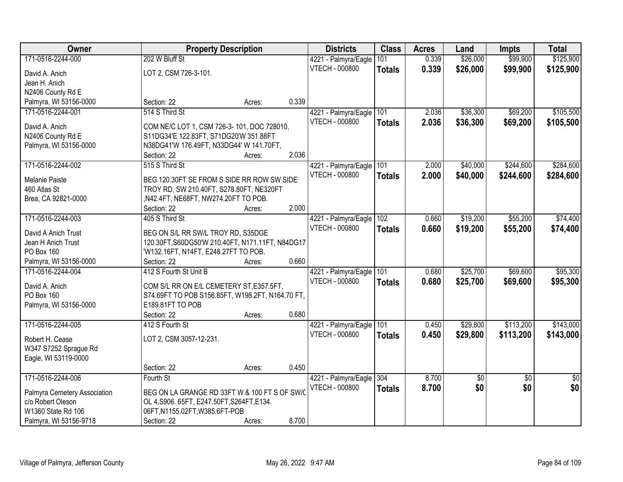| Owner                        | <b>Property Description</b>                      |        | <b>Districts</b>         | <b>Class</b>  | <b>Acres</b> | Land            | <b>Impts</b>    | <b>Total</b>    |
|------------------------------|--------------------------------------------------|--------|--------------------------|---------------|--------------|-----------------|-----------------|-----------------|
| 171-0516-2244-000            | 202 W Bluff St                                   |        | 4221 - Palmyra/Eagle     | 101           | 0.339        | \$26,000        | \$99,900        | \$125,900       |
| David A. Anich               | LOT 2, CSM 726-3-101.                            |        | VTECH - 000800           | <b>Totals</b> | 0.339        | \$26,000        | \$99,900        | \$125,900       |
| Jean H. Anich                |                                                  |        |                          |               |              |                 |                 |                 |
| N2406 County Rd E            |                                                  |        |                          |               |              |                 |                 |                 |
| Palmyra, WI 53156-0000       | Section: 22                                      | Acres: | 0.339                    |               |              |                 |                 |                 |
| 171-0516-2244-001            | 514 S Third St                                   |        | 4221 - Palmyra/Eagle     | 101           | 2.036        | \$36,300        | \$69,200        | \$105,500       |
|                              |                                                  |        | <b>VTECH - 000800</b>    | <b>Totals</b> | 2.036        | \$36,300        | \$69,200        | \$105,500       |
| David A. Anich               | COM NE/C LOT 1, CSM 726-3-101, DOC 728010,       |        |                          |               |              |                 |                 |                 |
| N2406 County Rd E            | S11DG34'E 122.83FT, S71DG20'W 351.88FT           |        |                          |               |              |                 |                 |                 |
| Palmyra, WI 53156-0000       | N38DG41'W 176.49FT, N33DG44' W 141.70FT,         |        |                          |               |              |                 |                 |                 |
|                              | Section: 22                                      | Acres: | 2.036                    |               |              |                 |                 |                 |
| 171-0516-2244-002            | 515 S Third St                                   |        | 4221 - Palmyra/Eagle 101 |               | 2.000        | \$40,000        | \$244,600       | \$284,600       |
| Melanie Paiste               | BEG 120.30FT SE FROM S SIDE RR ROW SW SIDE       |        | VTECH - 000800           | <b>Totals</b> | 2.000        | \$40,000        | \$244,600       | \$284,600       |
| 460 Atlas St                 | TROY RD, SW 210.40FT, S278.80FT, NE320FT         |        |                          |               |              |                 |                 |                 |
| Brea, CA 92821-0000          | ,N42.4FT, NE68FT, NW274.20FT TO POB.             |        |                          |               |              |                 |                 |                 |
|                              | Section: 22                                      | Acres: | 2.000                    |               |              |                 |                 |                 |
| 171-0516-2244-003            | 405 S Third St                                   |        | 4221 - Palmyra/Eagle     | 102           | 0.660        | \$19,200        | \$55,200        | \$74,400        |
|                              |                                                  |        | VTECH - 000800           | <b>Totals</b> | 0.660        | \$19,200        | \$55,200        | \$74,400        |
| David A Anich Trust          | BEG ON S/L RR SW/L TROY RD, S35DGE               |        |                          |               |              |                 |                 |                 |
| Jean H Anich Trust           | 120.30FT, S60DG50'W 210.40FT, N171.11FT, N84DG17 |        |                          |               |              |                 |                 |                 |
| PO Box 160                   | 'W132.16FT, N14FT, E248.27FT TO POB.             |        |                          |               |              |                 |                 |                 |
| Palmyra, WI 53156-0000       | Section: 22                                      | Acres: | 0.660                    |               |              |                 |                 |                 |
| 171-0516-2244-004            | 412 S Fourth St Unit B                           |        | 4221 - Palmyra/Eagle     | 101           | 0.680        | \$25,700        | \$69,600        | \$95,300        |
| David A. Anich               | COM S/L RR ON E/L CEMETERY ST, E357.5FT,         |        | VTECH - 000800           | <b>Totals</b> | 0.680        | \$25,700        | \$69,600        | \$95,300        |
| PO Box 160                   | S74.69FT TO POB S156.85FT, W198.2FT, N164.70 FT, |        |                          |               |              |                 |                 |                 |
| Palmyra, WI 53156-0000       | E189.81FT TO POB                                 |        |                          |               |              |                 |                 |                 |
|                              | Section: 22                                      | Acres: | 0.680                    |               |              |                 |                 |                 |
| 171-0516-2244-005            | 412 S Fourth St                                  |        | 4221 - Palmyra/Eagle     | 101           | 0.450        | \$29,800        | \$113,200       | \$143,000       |
|                              |                                                  |        | <b>VTECH - 000800</b>    | <b>Totals</b> | 0.450        | \$29,800        | \$113,200       | \$143,000       |
| Robert H. Cease              | LOT 2, CSM 3057-12-231.                          |        |                          |               |              |                 |                 |                 |
| W347 S7252 Sprague Rd        |                                                  |        |                          |               |              |                 |                 |                 |
| Eagle, WI 53119-0000         |                                                  |        | 0.450                    |               |              |                 |                 |                 |
|                              | Section: 22                                      | Acres: |                          |               |              |                 |                 |                 |
| 171-0516-2244-006            | Fourth St                                        |        | 4221 - Palmyra/Eagle     | 304           | 8.700        | $\overline{50}$ | $\overline{50}$ | $\overline{50}$ |
| Palmyra Cemetery Association | BEG ON LA GRANGE RD 33FT W & 100 FT S OF SW/C    |        | <b>VTECH - 000800</b>    | <b>Totals</b> | 8.700        | \$0             | \$0             | \$0             |
| c/o Robert Oleson            | OL 4, S906. 65FT, E247.50FT, S264FT, E134.       |        |                          |               |              |                 |                 |                 |
| W1360 State Rd 106           | 06FT,N1155.02FT,W385.6FT-POB                     |        |                          |               |              |                 |                 |                 |
| Palmyra, WI 53156-9718       | Section: 22                                      | Acres: | 8.700                    |               |              |                 |                 |                 |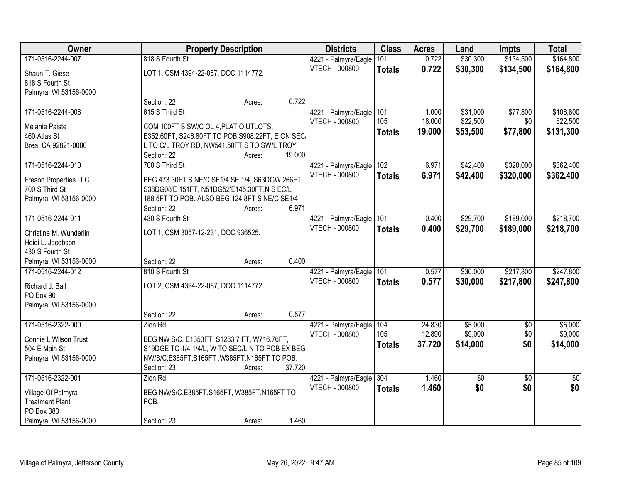| Owner                  |                                       | <b>Property Description</b>                       |                       | <b>Class</b>  | <b>Acres</b> | Land        | <b>Impts</b>    | <b>Total</b>    |
|------------------------|---------------------------------------|---------------------------------------------------|-----------------------|---------------|--------------|-------------|-----------------|-----------------|
| 171-0516-2244-007      | 818 S Fourth St                       |                                                   | 4221 - Palmyra/Eagle  | 101           | 0.722        | \$30,300    | \$134,500       | \$164,800       |
| Shaun T. Giese         | LOT 1, CSM 4394-22-087, DOC 1114772.  |                                                   | VTECH - 000800        | <b>Totals</b> | 0.722        | \$30,300    | \$134,500       | \$164,800       |
| 818 S Fourth St        |                                       |                                                   |                       |               |              |             |                 |                 |
| Palmyra, WI 53156-0000 |                                       |                                                   |                       |               |              |             |                 |                 |
|                        | Section: 22                           | Acres:                                            | 0.722                 |               |              |             |                 |                 |
| 171-0516-2244-008      | 615 S Third St                        |                                                   | 4221 - Palmyra/Eagle  | 101           | 1.000        | \$31,000    | \$77,800        | \$108,800       |
| Melanie Paiste         | COM 100FT S SW/C OL 4, PLAT O UTLOTS. |                                                   | VTECH - 000800        | 105           | 18.000       | \$22,500    | \$0             | \$22,500        |
| 460 Atlas St           |                                       | E352.60FT, S246.80FT TO POB, S908.22FT, E ON SEC. |                       | <b>Totals</b> | 19.000       | \$53,500    | \$77,800        | \$131,300       |
| Brea, CA 92821-0000    |                                       | L TO C/L TROY RD, NW541.50FT S TO SW/L TROY       |                       |               |              |             |                 |                 |
|                        | Section: 22                           | Acres:                                            | 19.000                |               |              |             |                 |                 |
| 171-0516-2244-010      | 700 S Third St                        |                                                   | 4221 - Palmyra/Eagle  | 102           | 6.971        | \$42,400    | \$320,000       | \$362,400       |
| Freson Properties LLC  |                                       | BEG 473.30FT S NE/C SE1/4 SE 1/4, S63DGW 266FT,   | <b>VTECH - 000800</b> | <b>Totals</b> | 6.971        | \$42,400    | \$320,000       | \$362,400       |
| 700 S Third St         |                                       | S38DG08'E 151FT, N51DG52'E145.30FT, N S EC/L      |                       |               |              |             |                 |                 |
| Palmyra, WI 53156-0000 |                                       | 188.5FT TO POB. ALSO BEG 124.8FT S NE/C SE1/4     |                       |               |              |             |                 |                 |
|                        | Section: 22                           | Acres:                                            | 6.971                 |               |              |             |                 |                 |
| 171-0516-2244-011      | 430 S Fourth St                       |                                                   | 4221 - Palmyra/Eagle  | 101           | 0.400        | \$29,700    | \$189,000       | \$218,700       |
| Christine M. Wunderlin | LOT 1, CSM 3057-12-231, DOC 936525.   |                                                   | VTECH - 000800        | <b>Totals</b> | 0.400        | \$29,700    | \$189,000       | \$218,700       |
| Heidi L. Jacobson      |                                       |                                                   |                       |               |              |             |                 |                 |
| 430 S Fourth St        |                                       |                                                   |                       |               |              |             |                 |                 |
| Palmyra, WI 53156-0000 | Section: 22                           | Acres:                                            | 0.400                 |               |              |             |                 |                 |
| 171-0516-2244-012      | 810 S Fourth St                       |                                                   | 4221 - Palmyra/Eagle  | 101           | 0.577        | \$30,000    | \$217,800       | \$247,800       |
| Richard J. Ball        | LOT 2, CSM 4394-22-087, DOC 1114772.  |                                                   | VTECH - 000800        | <b>Totals</b> | 0.577        | \$30,000    | \$217,800       | \$247,800       |
| PO Box 90              |                                       |                                                   |                       |               |              |             |                 |                 |
| Palmyra, WI 53156-0000 |                                       |                                                   |                       |               |              |             |                 |                 |
|                        | Section: 22                           | Acres:                                            | 0.577                 |               |              |             |                 |                 |
| 171-0516-2322-000      | Zion Rd                               |                                                   | 4221 - Palmyra/Eagle  | 104           | 24.830       | \$5,000     | $\overline{50}$ | \$5,000         |
| Connie L Wilson Trust  |                                       | BEG NW S/C, E1353FT, S1283.7 FT, W716.76FT,       | VTECH - 000800        | 105           | 12.890       | \$9,000     | \$0             | \$9,000         |
| 504 E Main St          |                                       | S19DGE TO 1/4 1/4/L, W TO SEC/L N TO POB EX BEG   |                       | <b>Totals</b> | 37.720       | \$14,000    | \$0             | \$14,000        |
| Palmyra, WI 53156-0000 |                                       | NW/S/C,E385FT,S165FT,W385FT,N165FT TO POB.        |                       |               |              |             |                 |                 |
|                        | Section: 23                           | Acres:                                            | 37.720                |               |              |             |                 |                 |
| 171-0516-2322-001      | Zion Rd                               |                                                   | 4221 - Palmyra/Eagle  | 304           | 1.460        | $\sqrt{50}$ | $\overline{50}$ | $\overline{50}$ |
| Village Of Palmyra     |                                       | BEG NW/S/C, E385FT, S165FT, W385FT, N165FT TO     | VTECH - 000800        | <b>Totals</b> | 1.460        | \$0         | \$0             | \$0             |
| <b>Treatment Plant</b> | POB.                                  |                                                   |                       |               |              |             |                 |                 |
| PO Box 380             |                                       |                                                   |                       |               |              |             |                 |                 |
| Palmyra, WI 53156-0000 | Section: 23                           | Acres:                                            | 1.460                 |               |              |             |                 |                 |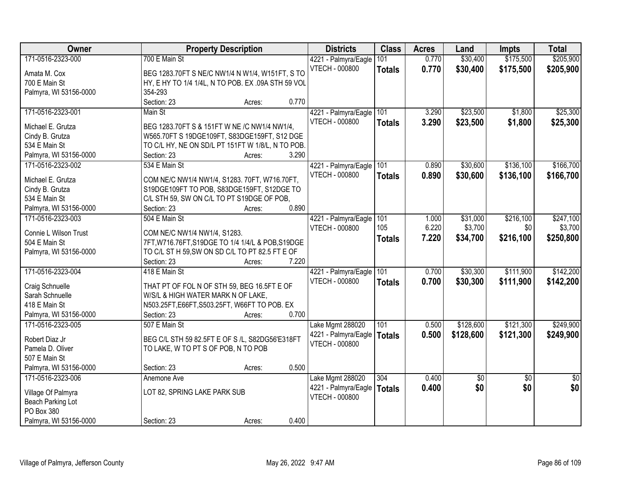| Owner                  | <b>Property Description</b>                        | <b>Districts</b>                              | <b>Class</b>  | <b>Acres</b> | Land      | <b>Impts</b>    | <b>Total</b>    |
|------------------------|----------------------------------------------------|-----------------------------------------------|---------------|--------------|-----------|-----------------|-----------------|
| 171-0516-2323-000      | 700 E Main St                                      | 4221 - Palmyra/Eagle                          | 101           | 0.770        | \$30,400  | \$175,500       | \$205,900       |
| Amata M. Cox           | BEG 1283.70FT S NE/C NW1/4 N W1/4, W151FT, S TO    | <b>VTECH - 000800</b>                         | <b>Totals</b> | 0.770        | \$30,400  | \$175,500       | \$205,900       |
| 700 E Main St          | HY, E HY TO 1/4 1/4L, N TO POB. EX .09A STH 59 VOL |                                               |               |              |           |                 |                 |
| Palmyra, WI 53156-0000 | 354-293                                            |                                               |               |              |           |                 |                 |
|                        | 0.770<br>Section: 23<br>Acres:                     |                                               |               |              |           |                 |                 |
| 171-0516-2323-001      | Main St                                            | 4221 - Palmyra/Eagle                          | 101           | 3.290        | \$23,500  | \$1,800         | \$25,300        |
|                        |                                                    | <b>VTECH - 000800</b>                         | <b>Totals</b> | 3.290        | \$23,500  | \$1,800         | \$25,300        |
| Michael E. Grutza      | BEG 1283.70FT S & 151FT W NE /C NW1/4 NW1/4,       |                                               |               |              |           |                 |                 |
| Cindy B. Grutza        | W565.70FT S 19DGE109FT, S83DGE159FT, S12 DGE       |                                               |               |              |           |                 |                 |
| 534 E Main St          | TO C/L HY, NE ON SD/L PT 151FT W 1/8/L, N TO POB.  |                                               |               |              |           |                 |                 |
| Palmyra, WI 53156-0000 | 3.290<br>Section: 23<br>Acres:                     |                                               |               |              |           |                 |                 |
| 171-0516-2323-002      | 534 E Main St                                      | 4221 - Palmyra/Eagle                          | 101           | 0.890        | \$30,600  | \$136,100       | \$166,700       |
| Michael E. Grutza      | COM NE/C NW1/4 NW1/4, S1283. 70FT, W716.70FT,      | <b>VTECH - 000800</b>                         | <b>Totals</b> | 0.890        | \$30,600  | \$136,100       | \$166,700       |
| Cindy B. Grutza        | S19DGE109FT TO POB, S83DGE159FT, S12DGE TO         |                                               |               |              |           |                 |                 |
| 534 E Main St          | C/L STH 59, SW ON C/L TO PT S19DGE OF POB,         |                                               |               |              |           |                 |                 |
| Palmyra, WI 53156-0000 | 0.890<br>Section: 23<br>Acres:                     |                                               |               |              |           |                 |                 |
| 171-0516-2323-003      | 504 E Main St                                      | 4221 - Palmyra/Eagle                          | 101           | 1.000        | \$31,000  | \$216,100       | \$247,100       |
|                        |                                                    | <b>VTECH - 000800</b>                         | 105           | 6.220        | \$3,700   | \$0             | \$3,700         |
| Connie L Wilson Trust  | COM NE/C NW1/4 NW1/4, S1283.                       |                                               | <b>Totals</b> | 7.220        | \$34,700  | \$216,100       | \$250,800       |
| 504 E Main St          | 7FT, W716.76FT, S19DGE TO 1/4 1/4/L & POB, S19DGE  |                                               |               |              |           |                 |                 |
| Palmyra, WI 53156-0000 | TO C/L ST H 59, SW ON SD C/L TO PT 82.5 FT E OF    |                                               |               |              |           |                 |                 |
|                        | 7.220<br>Section: 23<br>Acres:                     |                                               |               |              |           |                 |                 |
| 171-0516-2323-004      | 418 E Main St                                      | 4221 - Palmyra/Eagle                          | 101           | 0.700        | \$30,300  | \$111,900       | \$142,200       |
| Craig Schnuelle        | THAT PT OF FOL N OF STH 59, BEG 16.5FT E OF        | <b>VTECH - 000800</b>                         | <b>Totals</b> | 0.700        | \$30,300  | \$111,900       | \$142,200       |
| Sarah Schnuelle        | W/S/L & HIGH WATER MARK N OF LAKE,                 |                                               |               |              |           |                 |                 |
| 418 E Main St          | N503.25FT, E66FT, S503.25FT, W66FT TO POB. EX      |                                               |               |              |           |                 |                 |
| Palmyra, WI 53156-0000 | 0.700<br>Section: 23                               |                                               |               |              |           |                 |                 |
| 171-0516-2323-005      | Acres:<br>507 E Main St                            |                                               | 101           | 0.500        | \$128,600 | \$121,300       | \$249,900       |
|                        |                                                    | Lake Mgmt 288020                              |               |              |           |                 |                 |
| Robert Diaz Jr         | BEG C/L STH 59 82.5FT E OF S /L, S82DG56'E318FT    | 4221 - Palmyra/Eagle<br><b>VTECH - 000800</b> | <b>Totals</b> | 0.500        | \$128,600 | \$121,300       | \$249,900       |
| Pamela D. Oliver       | TO LAKE, W TO PT S OF POB, N TO POB                |                                               |               |              |           |                 |                 |
| 507 E Main St          |                                                    |                                               |               |              |           |                 |                 |
| Palmyra, WI 53156-0000 | 0.500<br>Section: 23<br>Acres:                     |                                               |               |              |           |                 |                 |
| 171-0516-2323-006      | Anemone Ave                                        | Lake Mgmt 288020                              | 304           | 0.400        | \$0       | $\overline{50}$ | $\overline{50}$ |
| Village Of Palmyra     | LOT 82, SPRING LAKE PARK SUB                       | 4221 - Palmyra/Eagle                          | <b>Totals</b> | 0.400        | \$0       | \$0             | \$0             |
| Beach Parking Lot      |                                                    | <b>VTECH - 000800</b>                         |               |              |           |                 |                 |
| PO Box 380             |                                                    |                                               |               |              |           |                 |                 |
| Palmyra, WI 53156-0000 | 0.400<br>Section: 23                               |                                               |               |              |           |                 |                 |
|                        | Acres:                                             |                                               |               |              |           |                 |                 |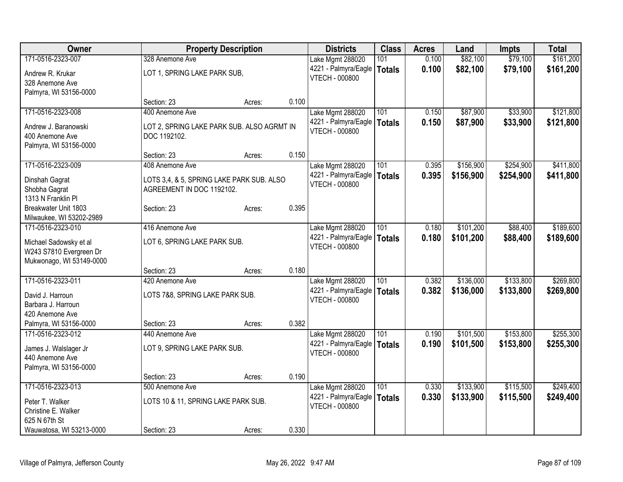| Owner                                               |                                            | <b>Property Description</b> |       | <b>Districts</b>      | <b>Class</b>  | <b>Acres</b> | Land      | <b>Impts</b> | <b>Total</b> |
|-----------------------------------------------------|--------------------------------------------|-----------------------------|-------|-----------------------|---------------|--------------|-----------|--------------|--------------|
| 171-0516-2323-007                                   | 328 Anemone Ave                            |                             |       | Lake Mgmt 288020      | 101           | 0.100        | \$82,100  | \$79,100     | \$161,200    |
| Andrew R. Krukar                                    | LOT 1, SPRING LAKE PARK SUB,               |                             |       | 4221 - Palmyra/Eagle  | <b>Totals</b> | 0.100        | \$82,100  | \$79,100     | \$161,200    |
| 328 Anemone Ave                                     |                                            |                             |       | <b>VTECH - 000800</b> |               |              |           |              |              |
| Palmyra, WI 53156-0000                              |                                            |                             |       |                       |               |              |           |              |              |
|                                                     | Section: 23                                | Acres:                      | 0.100 |                       |               |              |           |              |              |
| 171-0516-2323-008                                   | 400 Anemone Ave                            |                             |       | Lake Mgmt 288020      | 101           | 0.150        | \$87,900  | \$33,900     | \$121,800    |
| Andrew J. Baranowski                                | LOT 2, SPRING LAKE PARK SUB. ALSO AGRMT IN |                             |       | 4221 - Palmyra/Eagle  | <b>Totals</b> | 0.150        | \$87,900  | \$33,900     | \$121,800    |
| 400 Anemone Ave                                     | DOC 1192102.                               |                             |       | <b>VTECH - 000800</b> |               |              |           |              |              |
| Palmyra, WI 53156-0000                              |                                            |                             |       |                       |               |              |           |              |              |
|                                                     | Section: 23                                | Acres:                      | 0.150 |                       |               |              |           |              |              |
| 171-0516-2323-009                                   | 408 Anemone Ave                            |                             |       | Lake Mgmt 288020      | 101           | 0.395        | \$156,900 | \$254,900    | \$411,800    |
| Dinshah Gagrat                                      | LOTS 3,4, & 5, SPRING LAKE PARK SUB. ALSO  |                             |       | 4221 - Palmyra/Eagle  | <b>Totals</b> | 0.395        | \$156,900 | \$254,900    | \$411,800    |
| Shobha Gagrat                                       | AGREEMENT IN DOC 1192102.                  |                             |       | <b>VTECH - 000800</b> |               |              |           |              |              |
| 1313 N Franklin Pl                                  |                                            |                             |       |                       |               |              |           |              |              |
| Breakwater Unit 1803                                | Section: 23                                | Acres:                      | 0.395 |                       |               |              |           |              |              |
| Milwaukee, WI 53202-2989                            |                                            |                             |       |                       |               |              |           |              |              |
| 171-0516-2323-010                                   | 416 Anemone Ave                            |                             |       | Lake Mgmt 288020      | 101           | 0.180        | \$101,200 | \$88,400     | \$189,600    |
|                                                     |                                            |                             |       | 4221 - Palmyra/Eagle  | <b>Totals</b> | 0.180        | \$101,200 | \$88,400     | \$189,600    |
| Michael Sadowsky et al                              | LOT 6, SPRING LAKE PARK SUB.               |                             |       | <b>VTECH - 000800</b> |               |              |           |              |              |
| W243 S7810 Evergreen Dr<br>Mukwonago, WI 53149-0000 |                                            |                             |       |                       |               |              |           |              |              |
|                                                     | Section: 23                                | Acres:                      | 0.180 |                       |               |              |           |              |              |
| 171-0516-2323-011                                   | 420 Anemone Ave                            |                             |       | Lake Mgmt 288020      | 101           | 0.382        | \$136,000 | \$133,800    | \$269,800    |
|                                                     |                                            |                             |       | 4221 - Palmyra/Eagle  | <b>Totals</b> | 0.382        | \$136,000 | \$133,800    | \$269,800    |
| David J. Harroun                                    | LOTS 7&8, SPRING LAKE PARK SUB.            |                             |       | <b>VTECH - 000800</b> |               |              |           |              |              |
| Barbara J. Harroun                                  |                                            |                             |       |                       |               |              |           |              |              |
| 420 Anemone Ave                                     |                                            |                             |       |                       |               |              |           |              |              |
| Palmyra, WI 53156-0000                              | Section: 23                                | Acres:                      | 0.382 |                       |               |              |           |              |              |
| 171-0516-2323-012                                   | 440 Anemone Ave                            |                             |       | Lake Mgmt 288020      | 101           | 0.190        | \$101,500 | \$153,800    | \$255,300    |
| James J. Walslager Jr                               | LOT 9, SPRING LAKE PARK SUB.               |                             |       | 4221 - Palmyra/Eagle  | <b>Totals</b> | 0.190        | \$101,500 | \$153,800    | \$255,300    |
| 440 Anemone Ave                                     |                                            |                             |       | VTECH - 000800        |               |              |           |              |              |
| Palmyra, WI 53156-0000                              |                                            |                             |       |                       |               |              |           |              |              |
|                                                     | Section: 23                                | Acres:                      | 0.190 |                       |               |              |           |              |              |
| 171-0516-2323-013                                   | 500 Anemone Ave                            |                             |       | Lake Mgmt 288020      | 101           | 0.330        | \$133,900 | \$115,500    | \$249,400    |
| Peter T. Walker                                     | LOTS 10 & 11, SPRING LAKE PARK SUB.        |                             |       | 4221 - Palmyra/Eagle  | <b>Totals</b> | 0.330        | \$133,900 | \$115,500    | \$249,400    |
| Christine E. Walker                                 |                                            |                             |       | <b>VTECH - 000800</b> |               |              |           |              |              |
| 625 N 67th St                                       |                                            |                             |       |                       |               |              |           |              |              |
| Wauwatosa, WI 53213-0000                            | Section: 23                                | Acres:                      | 0.330 |                       |               |              |           |              |              |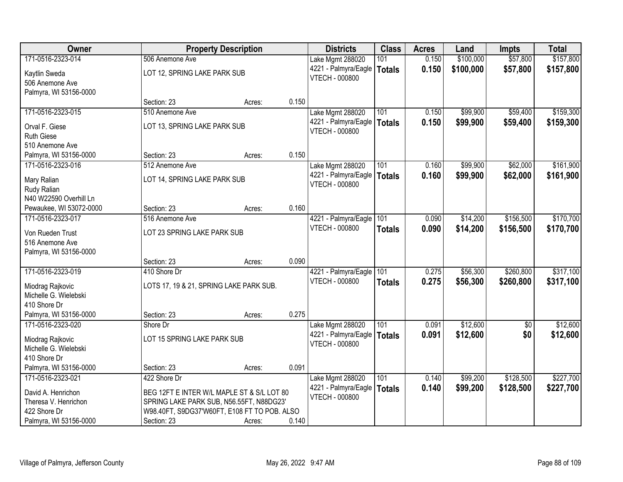| Owner                   |                                              | <b>Property Description</b> |       | <b>Districts</b>      | <b>Class</b>  | <b>Acres</b> | Land      | <b>Impts</b> | <b>Total</b> |
|-------------------------|----------------------------------------------|-----------------------------|-------|-----------------------|---------------|--------------|-----------|--------------|--------------|
| 171-0516-2323-014       | 506 Anemone Ave                              |                             |       | Lake Mgmt 288020      | 101           | 0.150        | \$100,000 | \$57,800     | \$157,800    |
| Kaytlin Sweda           | LOT 12, SPRING LAKE PARK SUB                 |                             |       | 4221 - Palmyra/Eagle  | <b>Totals</b> | 0.150        | \$100,000 | \$57,800     | \$157,800    |
| 506 Anemone Ave         |                                              |                             |       | <b>VTECH - 000800</b> |               |              |           |              |              |
| Palmyra, WI 53156-0000  |                                              |                             |       |                       |               |              |           |              |              |
|                         | Section: 23                                  | Acres:                      | 0.150 |                       |               |              |           |              |              |
| 171-0516-2323-015       | 510 Anemone Ave                              |                             |       | Lake Mgmt 288020      | 101           | 0.150        | \$99,900  | \$59,400     | \$159,300    |
| Orval F. Giese          | LOT 13, SPRING LAKE PARK SUB                 |                             |       | 4221 - Palmyra/Eagle  | Totals        | 0.150        | \$99,900  | \$59,400     | \$159,300    |
| <b>Ruth Giese</b>       |                                              |                             |       | <b>VTECH - 000800</b> |               |              |           |              |              |
| 510 Anemone Ave         |                                              |                             |       |                       |               |              |           |              |              |
| Palmyra, WI 53156-0000  | Section: 23                                  | Acres:                      | 0.150 |                       |               |              |           |              |              |
| 171-0516-2323-016       | 512 Anemone Ave                              |                             |       | Lake Mgmt 288020      | 101           | 0.160        | \$99,900  | \$62,000     | \$161,900    |
| Mary Ralian             | LOT 14, SPRING LAKE PARK SUB                 |                             |       | 4221 - Palmyra/Eagle  | Totals        | 0.160        | \$99,900  | \$62,000     | \$161,900    |
| Rudy Ralian             |                                              |                             |       | <b>VTECH - 000800</b> |               |              |           |              |              |
| N40 W22590 Overhill Ln  |                                              |                             |       |                       |               |              |           |              |              |
| Pewaukee, WI 53072-0000 | Section: 23                                  | Acres:                      | 0.160 |                       |               |              |           |              |              |
| 171-0516-2323-017       | 516 Anemone Ave                              |                             |       | 4221 - Palmyra/Eagle  | 101           | 0.090        | \$14,200  | \$156,500    | \$170,700    |
| Von Rueden Trust        | LOT 23 SPRING LAKE PARK SUB                  |                             |       | <b>VTECH - 000800</b> | <b>Totals</b> | 0.090        | \$14,200  | \$156,500    | \$170,700    |
| 516 Anemone Ave         |                                              |                             |       |                       |               |              |           |              |              |
| Palmyra, WI 53156-0000  |                                              |                             |       |                       |               |              |           |              |              |
|                         | Section: 23                                  | Acres:                      | 0.090 |                       |               |              |           |              |              |
| 171-0516-2323-019       | 410 Shore Dr                                 |                             |       | 4221 - Palmyra/Eagle  | 101           | 0.275        | \$56,300  | \$260,800    | \$317,100    |
| Miodrag Rajkovic        | LOTS 17, 19 & 21, SPRING LAKE PARK SUB.      |                             |       | VTECH - 000800        | <b>Totals</b> | 0.275        | \$56,300  | \$260,800    | \$317,100    |
| Michelle G. Wielebski   |                                              |                             |       |                       |               |              |           |              |              |
| 410 Shore Dr            |                                              |                             |       |                       |               |              |           |              |              |
| Palmyra, WI 53156-0000  | Section: 23                                  | Acres:                      | 0.275 |                       |               |              |           |              |              |
| 171-0516-2323-020       | Shore Dr                                     |                             |       | Lake Mgmt 288020      | 101           | 0.091        | \$12,600  | $\sqrt{$0}$  | \$12,600     |
| Miodrag Rajkovic        | LOT 15 SPRING LAKE PARK SUB                  |                             |       | 4221 - Palmyra/Eagle  | Totals        | 0.091        | \$12,600  | \$0          | \$12,600     |
| Michelle G. Wielebski   |                                              |                             |       | <b>VTECH - 000800</b> |               |              |           |              |              |
| 410 Shore Dr            |                                              |                             |       |                       |               |              |           |              |              |
| Palmyra, WI 53156-0000  | Section: 23                                  | Acres:                      | 0.091 |                       |               |              |           |              |              |
| 171-0516-2323-021       | 422 Shore Dr                                 |                             |       | Lake Mgmt 288020      | 101           | 0.140        | \$99,200  | \$128,500    | \$227,700    |
| David A. Henrichon      | BEG 12FT E INTER W/L MAPLE ST & S/L LOT 80   |                             |       | 4221 - Palmyra/Eagle  | <b>Totals</b> | 0.140        | \$99,200  | \$128,500    | \$227,700    |
| Theresa V. Henrichon    | SPRING LAKE PARK SUB, N56.55FT, N88DG23'     |                             |       | VTECH - 000800        |               |              |           |              |              |
| 422 Shore Dr            | W98.40FT, S9DG37'W60FT, E108 FT TO POB. ALSO |                             |       |                       |               |              |           |              |              |
| Palmyra, WI 53156-0000  | Section: 23                                  | Acres:                      | 0.140 |                       |               |              |           |              |              |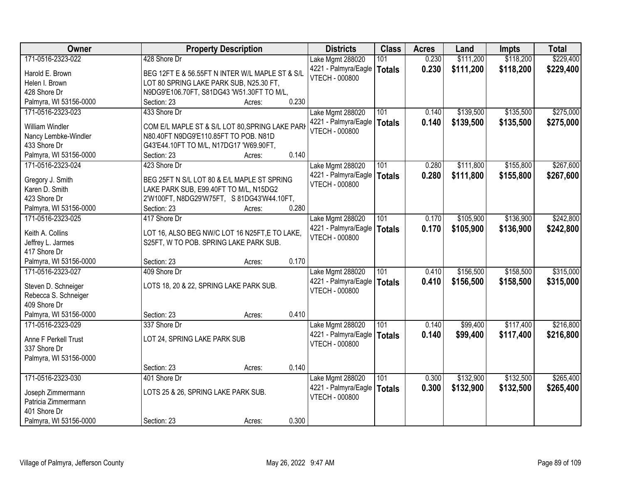| Owner                  | <b>Property Description</b>                     | <b>Districts</b>      | <b>Class</b>  | <b>Acres</b> | Land      | <b>Impts</b> | <b>Total</b> |
|------------------------|-------------------------------------------------|-----------------------|---------------|--------------|-----------|--------------|--------------|
| 171-0516-2323-022      | 428 Shore Dr                                    | Lake Mgmt 288020      | 101           | 0.230        | \$111,200 | \$118,200    | \$229,400    |
| Harold E. Brown        | BEG 12FT E & 56.55FT N INTER W/L MAPLE ST & S/L | 4221 - Palmyra/Eagle  | <b>Totals</b> | 0.230        | \$111,200 | \$118,200    | \$229,400    |
| Helen I. Brown         | LOT 80 SPRING LAKE PARK SUB, N25.30 FT,         | <b>VTECH - 000800</b> |               |              |           |              |              |
| 428 Shore Dr           | N9DG9'E106.70FT, S81DG43 'W51.30FT TO M/L,      |                       |               |              |           |              |              |
| Palmyra, WI 53156-0000 | 0.230<br>Section: 23<br>Acres:                  |                       |               |              |           |              |              |
| 171-0516-2323-023      | 433 Shore Dr                                    | Lake Mgmt 288020      | 101           | 0.140        | \$139,500 | \$135,500    | \$275,000    |
|                        |                                                 | 4221 - Palmyra/Eagle  | <b>Totals</b> | 0.140        | \$139,500 | \$135,500    | \$275,000    |
| <b>William Windler</b> | COM E/L MAPLE ST & S/L LOT 80, SPRING LAKE PARK | <b>VTECH - 000800</b> |               |              |           |              |              |
| Nancy Lembke-Windler   | N80.40FT N9DG9'E110.85FT TO POB. N81D           |                       |               |              |           |              |              |
| 433 Shore Dr           | G43'E44.10FT TO M/L, N17DG17 'W69.90FT,         |                       |               |              |           |              |              |
| Palmyra, WI 53156-0000 | 0.140<br>Section: 23<br>Acres:                  |                       |               |              |           |              |              |
| 171-0516-2323-024      | 423 Shore Dr                                    | Lake Mgmt 288020      | 101           | 0.280        | \$111,800 | \$155,800    | \$267,600    |
| Gregory J. Smith       | BEG 25FT N S/L LOT 80 & E/L MAPLE ST SPRING     | 4221 - Palmyra/Eagle  | <b>Totals</b> | 0.280        | \$111,800 | \$155,800    | \$267,600    |
| Karen D. Smith         | LAKE PARK SUB, E99.40FT TO M/L, N15DG2          | <b>VTECH - 000800</b> |               |              |           |              |              |
| 423 Shore Dr           | 2'W100FT, N8DG29'W75FT, S 81DG43'W44.10FT,      |                       |               |              |           |              |              |
| Palmyra, WI 53156-0000 | 0.280<br>Section: 23<br>Acres:                  |                       |               |              |           |              |              |
| 171-0516-2323-025      | 417 Shore Dr                                    | Lake Mgmt 288020      | 101           | 0.170        | \$105,900 | \$136,900    | \$242,800    |
|                        |                                                 | 4221 - Palmyra/Eagle  | <b>Totals</b> | 0.170        | \$105,900 | \$136,900    | \$242,800    |
| Keith A. Collins       | LOT 16, ALSO BEG NW/C LOT 16 N25FT, E TO LAKE,  | VTECH - 000800        |               |              |           |              |              |
| Jeffrey L. Jarmes      | S25FT, W TO POB. SPRING LAKE PARK SUB.          |                       |               |              |           |              |              |
| 417 Shore Dr           |                                                 |                       |               |              |           |              |              |
| Palmyra, WI 53156-0000 | 0.170<br>Section: 23<br>Acres:                  |                       |               |              |           |              |              |
| 171-0516-2323-027      | 409 Shore Dr                                    | Lake Mgmt 288020      | 101           | 0.410        | \$156,500 | \$158,500    | \$315,000    |
| Steven D. Schneiger    | LOTS 18, 20 & 22, SPRING LAKE PARK SUB.         | 4221 - Palmyra/Eagle  | <b>Totals</b> | 0.410        | \$156,500 | \$158,500    | \$315,000    |
| Rebecca S. Schneiger   |                                                 | <b>VTECH - 000800</b> |               |              |           |              |              |
| 409 Shore Dr           |                                                 |                       |               |              |           |              |              |
| Palmyra, WI 53156-0000 | 0.410<br>Section: 23<br>Acres:                  |                       |               |              |           |              |              |
| 171-0516-2323-029      | 337 Shore Dr                                    | Lake Mgmt 288020      | 101           | 0.140        | \$99,400  | \$117,400    | \$216,800    |
|                        |                                                 | 4221 - Palmyra/Eagle  |               | 0.140        | \$99,400  | \$117,400    |              |
| Anne F Perkell Trust   | LOT 24, SPRING LAKE PARK SUB                    | <b>VTECH - 000800</b> | <b>Totals</b> |              |           |              | \$216,800    |
| 337 Shore Dr           |                                                 |                       |               |              |           |              |              |
| Palmyra, WI 53156-0000 |                                                 |                       |               |              |           |              |              |
|                        | 0.140<br>Section: 23<br>Acres:                  |                       |               |              |           |              |              |
| 171-0516-2323-030      | 401 Shore Dr                                    | Lake Mgmt 288020      | 101           | 0.300        | \$132,900 | \$132,500    | \$265,400    |
| Joseph Zimmermann      | LOTS 25 & 26, SPRING LAKE PARK SUB.             | 4221 - Palmyra/Eagle  | <b>Totals</b> | 0.300        | \$132,900 | \$132,500    | \$265,400    |
| Patricia Zimmermann    |                                                 | VTECH - 000800        |               |              |           |              |              |
| 401 Shore Dr           |                                                 |                       |               |              |           |              |              |
| Palmyra, WI 53156-0000 | 0.300<br>Section: 23                            |                       |               |              |           |              |              |
|                        | Acres:                                          |                       |               |              |           |              |              |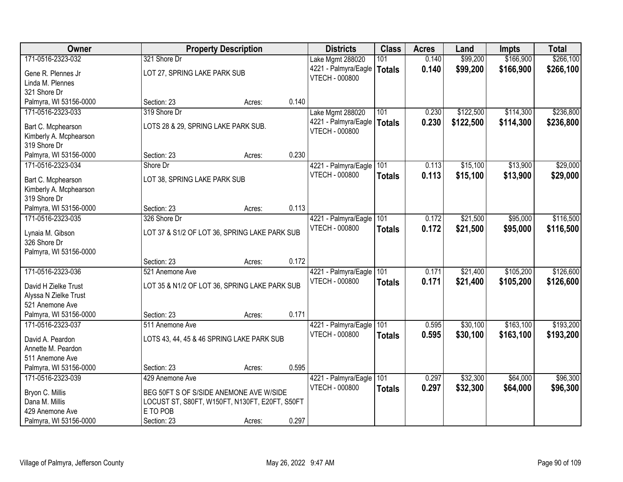| Owner                                  |                                                | <b>Property Description</b> |       | <b>Districts</b>         | <b>Class</b>  | <b>Acres</b> | Land      | <b>Impts</b> | <b>Total</b> |
|----------------------------------------|------------------------------------------------|-----------------------------|-------|--------------------------|---------------|--------------|-----------|--------------|--------------|
| 171-0516-2323-032                      | 321 Shore Dr                                   |                             |       | Lake Mgmt 288020         | 101           | 0.140        | \$99,200  | \$166,900    | \$266,100    |
| Gene R. Plennes Jr                     | LOT 27, SPRING LAKE PARK SUB                   |                             |       | 4221 - Palmyra/Eagle     | Totals        | 0.140        | \$99,200  | \$166,900    | \$266,100    |
| Linda M. Plennes                       |                                                |                             |       | <b>VTECH - 000800</b>    |               |              |           |              |              |
| 321 Shore Dr                           |                                                |                             |       |                          |               |              |           |              |              |
| Palmyra, WI 53156-0000                 | Section: 23                                    | Acres:                      | 0.140 |                          |               |              |           |              |              |
| 171-0516-2323-033                      | 319 Shore Dr                                   |                             |       | Lake Mgmt 288020         | 101           | 0.230        | \$122,500 | \$114,300    | \$236,800    |
|                                        |                                                |                             |       | 4221 - Palmyra/Eagle     | Totals        | 0.230        | \$122,500 | \$114,300    | \$236,800    |
| Bart C. Mcphearson                     | LOTS 28 & 29, SPRING LAKE PARK SUB.            |                             |       | <b>VTECH - 000800</b>    |               |              |           |              |              |
| Kimberly A. Mcphearson<br>319 Shore Dr |                                                |                             |       |                          |               |              |           |              |              |
| Palmyra, WI 53156-0000                 | Section: 23                                    | Acres:                      | 0.230 |                          |               |              |           |              |              |
| 171-0516-2323-034                      | Shore Dr                                       |                             |       | 4221 - Palmyra/Eagle 101 |               | 0.113        | \$15,100  | \$13,900     | \$29,000     |
|                                        |                                                |                             |       | <b>VTECH - 000800</b>    | <b>Totals</b> | 0.113        | \$15,100  | \$13,900     | \$29,000     |
| Bart C. Mcphearson                     | LOT 38, SPRING LAKE PARK SUB                   |                             |       |                          |               |              |           |              |              |
| Kimberly A. Mcphearson                 |                                                |                             |       |                          |               |              |           |              |              |
| 319 Shore Dr                           |                                                |                             |       |                          |               |              |           |              |              |
| Palmyra, WI 53156-0000                 | Section: 23                                    | Acres:                      | 0.113 |                          |               |              |           |              |              |
| 171-0516-2323-035                      | 326 Shore Dr                                   |                             |       | 4221 - Palmyra/Eagle     | 101           | 0.172        | \$21,500  | \$95,000     | \$116,500    |
| Lynaia M. Gibson                       | LOT 37 & S1/2 OF LOT 36, SPRING LAKE PARK SUB  |                             |       | VTECH - 000800           | <b>Totals</b> | 0.172        | \$21,500  | \$95,000     | \$116,500    |
| 326 Shore Dr                           |                                                |                             |       |                          |               |              |           |              |              |
| Palmyra, WI 53156-0000                 |                                                |                             |       |                          |               |              |           |              |              |
|                                        | Section: 23                                    | Acres:                      | 0.172 |                          |               |              |           |              |              |
| 171-0516-2323-036                      | 521 Anemone Ave                                |                             |       | 4221 - Palmyra/Eagle     | 101           | 0.171        | \$21,400  | \$105,200    | \$126,600    |
| David H Zielke Trust                   | LOT 35 & N1/2 OF LOT 36, SPRING LAKE PARK SUB  |                             |       | <b>VTECH - 000800</b>    | <b>Totals</b> | 0.171        | \$21,400  | \$105,200    | \$126,600    |
| Alyssa N Zielke Trust                  |                                                |                             |       |                          |               |              |           |              |              |
| 521 Anemone Ave                        |                                                |                             |       |                          |               |              |           |              |              |
| Palmyra, WI 53156-0000                 | Section: 23                                    | Acres:                      | 0.171 |                          |               |              |           |              |              |
| 171-0516-2323-037                      | 511 Anemone Ave                                |                             |       | 4221 - Palmyra/Eagle     | 101           | 0.595        | \$30,100  | \$163,100    | \$193,200    |
|                                        |                                                |                             |       | <b>VTECH - 000800</b>    | <b>Totals</b> | 0.595        | \$30,100  | \$163,100    | \$193,200    |
| David A. Peardon                       | LOTS 43, 44, 45 & 46 SPRING LAKE PARK SUB      |                             |       |                          |               |              |           |              |              |
| Annette M. Peardon                     |                                                |                             |       |                          |               |              |           |              |              |
| 511 Anemone Ave                        |                                                |                             |       |                          |               |              |           |              |              |
| Palmyra, WI 53156-0000                 | Section: 23                                    | Acres:                      | 0.595 |                          |               |              |           |              |              |
| 171-0516-2323-039                      | 429 Anemone Ave                                |                             |       | 4221 - Palmyra/Eagle     | 101           | 0.297        | \$32,300  | \$64,000     | \$96,300     |
| Bryon C. Millis                        | BEG 50FT S OF S/SIDE ANEMONE AVE W/SIDE        |                             |       | <b>VTECH - 000800</b>    | <b>Totals</b> | 0.297        | \$32,300  | \$64,000     | \$96,300     |
| Dana M. Millis                         | LOCUST ST, S80FT, W150FT, N130FT, E20FT, S50FT |                             |       |                          |               |              |           |              |              |
| 429 Anemone Ave                        | E TO POB                                       |                             |       |                          |               |              |           |              |              |
| Palmyra, WI 53156-0000                 | Section: 23                                    | Acres:                      | 0.297 |                          |               |              |           |              |              |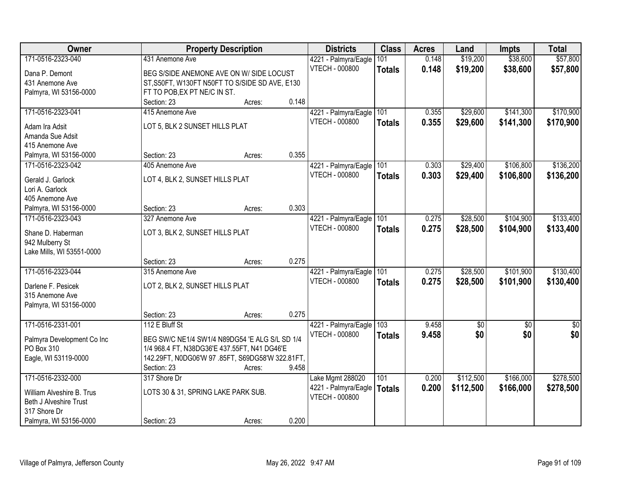| Owner                                       | <b>Property Description</b>                      | <b>Districts</b>                       | <b>Class</b>  | <b>Acres</b> | Land      | <b>Impts</b> | <b>Total</b>  |
|---------------------------------------------|--------------------------------------------------|----------------------------------------|---------------|--------------|-----------|--------------|---------------|
| 171-0516-2323-040                           | 431 Anemone Ave                                  | 4221 - Palmyra/Eagle                   | 101           | 0.148        | \$19,200  | \$38,600     | \$57,800      |
| Dana P. Demont                              | BEG S/SIDE ANEMONE AVE ON W/ SIDE LOCUST         | VTECH - 000800                         | <b>Totals</b> | 0.148        | \$19,200  | \$38,600     | \$57,800      |
| 431 Anemone Ave                             | ST, S50FT, W130FT N50FT TO S/SIDE SD AVE, E130   |                                        |               |              |           |              |               |
| Palmyra, WI 53156-0000                      | FT TO POB, EX PT NE/C IN ST.                     |                                        |               |              |           |              |               |
|                                             | 0.148<br>Section: 23<br>Acres:                   |                                        |               |              |           |              |               |
| 171-0516-2323-041                           | 415 Anemone Ave                                  | 4221 - Palmyra/Eagle                   | 101           | 0.355        | \$29,600  | \$141,300    | \$170,900     |
|                                             | LOT 5, BLK 2 SUNSET HILLS PLAT                   | VTECH - 000800                         | <b>Totals</b> | 0.355        | \$29,600  | \$141,300    | \$170,900     |
| Adam Ira Adsit                              |                                                  |                                        |               |              |           |              |               |
| Amanda Sue Adsit<br>415 Anemone Ave         |                                                  |                                        |               |              |           |              |               |
|                                             | 0.355<br>Section: 23<br>Acres:                   |                                        |               |              |           |              |               |
| Palmyra, WI 53156-0000<br>171-0516-2323-042 | 405 Anemone Ave                                  |                                        | 101           | 0.303        | \$29,400  | \$106,800    | \$136,200     |
|                                             |                                                  | 4221 - Palmyra/Eagle<br>VTECH - 000800 |               |              |           |              |               |
| Gerald J. Garlock                           | LOT 4, BLK 2, SUNSET HILLS PLAT                  |                                        | <b>Totals</b> | 0.303        | \$29,400  | \$106,800    | \$136,200     |
| Lori A. Garlock                             |                                                  |                                        |               |              |           |              |               |
| 405 Anemone Ave                             |                                                  |                                        |               |              |           |              |               |
| Palmyra, WI 53156-0000                      | 0.303<br>Section: 23<br>Acres:                   |                                        |               |              |           |              |               |
| 171-0516-2323-043                           | 327 Anemone Ave                                  | 4221 - Palmyra/Eagle                   | 101           | 0.275        | \$28,500  | \$104,900    | \$133,400     |
| Shane D. Haberman                           | LOT 3, BLK 2, SUNSET HILLS PLAT                  | <b>VTECH - 000800</b>                  | <b>Totals</b> | 0.275        | \$28,500  | \$104,900    | \$133,400     |
| 942 Mulberry St                             |                                                  |                                        |               |              |           |              |               |
| Lake Mills, WI 53551-0000                   |                                                  |                                        |               |              |           |              |               |
|                                             | 0.275<br>Section: 23<br>Acres:                   |                                        |               |              |           |              |               |
| 171-0516-2323-044                           | 315 Anemone Ave                                  | 4221 - Palmyra/Eagle                   | 101           | 0.275        | \$28,500  | \$101,900    | \$130,400     |
|                                             |                                                  | <b>VTECH - 000800</b>                  | <b>Totals</b> | 0.275        | \$28,500  | \$101,900    | \$130,400     |
| Darlene F. Pesicek                          | LOT 2, BLK 2, SUNSET HILLS PLAT                  |                                        |               |              |           |              |               |
| 315 Anemone Ave                             |                                                  |                                        |               |              |           |              |               |
| Palmyra, WI 53156-0000                      |                                                  |                                        |               |              |           |              |               |
|                                             | 0.275<br>Section: 23<br>Acres:                   |                                        |               |              |           |              |               |
| 171-0516-2331-001                           | 112 E Bluff St                                   | 4221 - Palmyra/Eagle                   | 103           | 9.458        | \$0       | \$0          | $\frac{1}{6}$ |
| Palmyra Development Co Inc                  | BEG SW/C NE1/4 SW1/4 N89DG54 'E ALG S/L SD 1/4   | <b>VTECH - 000800</b>                  | <b>Totals</b> | 9.458        | \$0       | \$0          | \$0           |
| PO Box 310                                  | 1/4 968.4 FT, N38DG36'E 437.55FT, N41 DG46'E     |                                        |               |              |           |              |               |
| Eagle, WI 53119-0000                        | 142.29FT, N0DG06'W 97 .85FT, S69DG58'W 322.81FT, |                                        |               |              |           |              |               |
|                                             | 9.458<br>Section: 23<br>Acres:                   |                                        |               |              |           |              |               |
| 171-0516-2332-000                           | 317 Shore Dr                                     | Lake Mgmt 288020                       | 101           | 0.200        | \$112,500 | \$166,000    | \$278,500     |
|                                             |                                                  | 4221 - Palmyra/Eagle                   | <b>Totals</b> | 0.200        | \$112,500 | \$166,000    | \$278,500     |
| William Alveshire B. Trus                   | LOTS 30 & 31, SPRING LAKE PARK SUB.              | VTECH - 000800                         |               |              |           |              |               |
| Beth J Alveshire Trust                      |                                                  |                                        |               |              |           |              |               |
| 317 Shore Dr                                |                                                  |                                        |               |              |           |              |               |
| Palmyra, WI 53156-0000                      | 0.200<br>Section: 23<br>Acres:                   |                                        |               |              |           |              |               |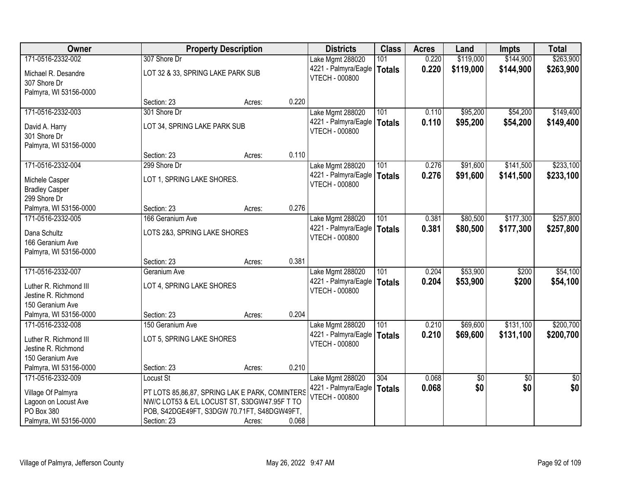| <b>Owner</b>           |                                                | <b>Property Description</b> |       | <b>Districts</b>                              | <b>Class</b>  | <b>Acres</b> | Land      | <b>Impts</b>    | <b>Total</b>    |
|------------------------|------------------------------------------------|-----------------------------|-------|-----------------------------------------------|---------------|--------------|-----------|-----------------|-----------------|
| 171-0516-2332-002      | 307 Shore Dr                                   |                             |       | Lake Mgmt 288020                              | 101           | 0.220        | \$119,000 | \$144,900       | \$263,900       |
| Michael R. Desandre    | LOT 32 & 33, SPRING LAKE PARK SUB              |                             |       | 4221 - Palmyra/Eagle                          | <b>Totals</b> | 0.220        | \$119,000 | \$144,900       | \$263,900       |
| 307 Shore Dr           |                                                |                             |       | VTECH - 000800                                |               |              |           |                 |                 |
| Palmyra, WI 53156-0000 |                                                |                             |       |                                               |               |              |           |                 |                 |
|                        | Section: 23                                    | Acres:                      | 0.220 |                                               |               |              |           |                 |                 |
| 171-0516-2332-003      | 301 Shore Dr                                   |                             |       | Lake Mgmt 288020                              | 101           | 0.110        | \$95,200  | \$54,200        | \$149,400       |
| David A. Harry         | LOT 34, SPRING LAKE PARK SUB                   |                             |       | 4221 - Palmyra/Eagle                          | <b>Totals</b> | 0.110        | \$95,200  | \$54,200        | \$149,400       |
| 301 Shore Dr           |                                                |                             |       | VTECH - 000800                                |               |              |           |                 |                 |
| Palmyra, WI 53156-0000 |                                                |                             |       |                                               |               |              |           |                 |                 |
|                        | Section: 23                                    | Acres:                      | 0.110 |                                               |               |              |           |                 |                 |
| 171-0516-2332-004      | 299 Shore Dr                                   |                             |       | Lake Mgmt 288020                              | 101           | 0.276        | \$91,600  | \$141,500       | \$233,100       |
| Michele Casper         | LOT 1, SPRING LAKE SHORES.                     |                             |       | 4221 - Palmyra/Eagle                          | <b>Totals</b> | 0.276        | \$91,600  | \$141,500       | \$233,100       |
| <b>Bradley Casper</b>  |                                                |                             |       | <b>VTECH - 000800</b>                         |               |              |           |                 |                 |
| 299 Shore Dr           |                                                |                             |       |                                               |               |              |           |                 |                 |
| Palmyra, WI 53156-0000 | Section: 23                                    | Acres:                      | 0.276 |                                               |               |              |           |                 |                 |
| 171-0516-2332-005      | 166 Geranium Ave                               |                             |       | Lake Mgmt 288020                              | 101           | 0.381        | \$80,500  | \$177,300       | \$257,800       |
| Dana Schultz           | LOTS 2&3, SPRING LAKE SHORES                   |                             |       | 4221 - Palmyra/Eagle<br><b>VTECH - 000800</b> | <b>Totals</b> | 0.381        | \$80,500  | \$177,300       | \$257,800       |
| 166 Geranium Ave       |                                                |                             |       |                                               |               |              |           |                 |                 |
| Palmyra, WI 53156-0000 |                                                |                             |       |                                               |               |              |           |                 |                 |
|                        | Section: 23                                    | Acres:                      | 0.381 |                                               |               |              |           |                 |                 |
| 171-0516-2332-007      | Geranium Ave                                   |                             |       | Lake Mgmt 288020                              | 101           | 0.204        | \$53,900  | \$200           | \$54,100        |
| Luther R. Richmond III | LOT 4, SPRING LAKE SHORES                      |                             |       | 4221 - Palmyra/Eagle<br><b>VTECH - 000800</b> | <b>Totals</b> | 0.204        | \$53,900  | \$200           | \$54,100        |
| Jestine R. Richmond    |                                                |                             |       |                                               |               |              |           |                 |                 |
| 150 Geranium Ave       |                                                |                             |       |                                               |               |              |           |                 |                 |
| Palmyra, WI 53156-0000 | Section: 23                                    | Acres:                      | 0.204 |                                               |               |              |           |                 |                 |
| 171-0516-2332-008      | 150 Geranium Ave                               |                             |       | Lake Mgmt 288020                              | 101           | 0.210        | \$69,600  | \$131,100       | \$200,700       |
| Luther R. Richmond III | LOT 5, SPRING LAKE SHORES                      |                             |       | 4221 - Palmyra/Eagle<br><b>VTECH - 000800</b> | <b>Totals</b> | 0.210        | \$69,600  | \$131,100       | \$200,700       |
| Jestine R. Richmond    |                                                |                             |       |                                               |               |              |           |                 |                 |
| 150 Geranium Ave       |                                                |                             |       |                                               |               |              |           |                 |                 |
| Palmyra, WI 53156-0000 | Section: 23                                    | Acres:                      | 0.210 |                                               |               |              |           |                 |                 |
| 171-0516-2332-009      | Locust St                                      |                             |       | Lake Mgmt 288020                              | 304           | 0.068        | \$0       | $\overline{30}$ | $\overline{50}$ |
| Village Of Palmyra     | PT LOTS 85,86,87, SPRING LAK E PARK, COMINTERS |                             |       | 4221 - Palmyra/Eagle<br>VTECH - 000800        | <b>Totals</b> | 0.068        | \$0       | \$0             | \$0             |
| Lagoon on Locust Ave   | NW/C LOT53 & E/L LOCUST ST, S3DGW47.95F T TO   |                             |       |                                               |               |              |           |                 |                 |
| PO Box 380             | POB, S42DGE49FT, S3DGW 70.71FT, S48DGW49FT,    |                             |       |                                               |               |              |           |                 |                 |
| Palmyra, WI 53156-0000 | Section: 23                                    | Acres:                      | 0.068 |                                               |               |              |           |                 |                 |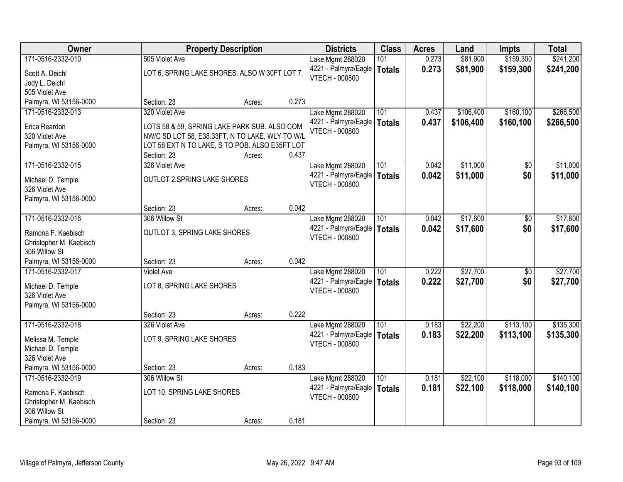| Owner                   |                                                 | <b>Property Description</b> |       | <b>Districts</b>              | <b>Class</b>  | <b>Acres</b> | Land      | <b>Impts</b> | <b>Total</b> |
|-------------------------|-------------------------------------------------|-----------------------------|-------|-------------------------------|---------------|--------------|-----------|--------------|--------------|
| 171-0516-2332-010       | 505 Violet Ave                                  |                             |       | Lake Mgmt 288020              | 101           | 0.273        | \$81,900  | \$159,300    | \$241,200    |
| Scott A. Deichl         | LOT 6, SPRING LAKE SHORES. ALSO W 30FT LOT 7.   |                             |       | 4221 - Palmyra/Eagle          | <b>Totals</b> | 0.273        | \$81,900  | \$159,300    | \$241,200    |
| Jody L. Deichl          |                                                 |                             |       | <b>VTECH - 000800</b>         |               |              |           |              |              |
| 505 Violet Ave          |                                                 |                             |       |                               |               |              |           |              |              |
| Palmyra, WI 53156-0000  | Section: 23                                     | Acres:                      | 0.273 |                               |               |              |           |              |              |
| 171-0516-2332-013       | 320 Violet Ave                                  |                             |       | Lake Mgmt 288020              | 101           | 0.437        | \$106,400 | \$160, 100   | \$266,500    |
| Erica Reardon           | LOTS 58 & 59, SPRING LAKE PARK SUB. ALSO COM    |                             |       | 4221 - Palmyra/Eagle          | <b>Totals</b> | 0.437        | \$106,400 | \$160,100    | \$266,500    |
| 320 Violet Ave          | NW/C SD LOT 58, E38.33FT, N TO LAKE, WLY TO W/L |                             |       | <b>VTECH - 000800</b>         |               |              |           |              |              |
| Palmyra, WI 53156-0000  | LOT 58 EXT N TO LAKE, S TO POB. ALSO E35FT LOT  |                             |       |                               |               |              |           |              |              |
|                         | Section: 23                                     | Acres:                      | 0.437 |                               |               |              |           |              |              |
| 171-0516-2332-015       | 326 Violet Ave                                  |                             |       | Lake Mgmt 288020              | 101           | 0.042        | \$11,000  | \$0          | \$11,000     |
| Michael D. Temple       | OUTLOT 2, SPRING LAKE SHORES                    |                             |       | 4221 - Palmyra/Eagle   Totals |               | 0.042        | \$11,000  | \$0          | \$11,000     |
| 326 Violet Ave          |                                                 |                             |       | <b>VTECH - 000800</b>         |               |              |           |              |              |
| Palmyra, WI 53156-0000  |                                                 |                             |       |                               |               |              |           |              |              |
|                         | Section: 23                                     | Acres:                      | 0.042 |                               |               |              |           |              |              |
| 171-0516-2332-016       | 306 Willow St                                   |                             |       | Lake Mgmt 288020              | 101           | 0.042        | \$17,600  | \$0          | \$17,600     |
| Ramona F. Kaebisch      | OUTLOT 3, SPRING LAKE SHORES                    |                             |       | 4221 - Palmyra/Eagle          | <b>Totals</b> | 0.042        | \$17,600  | \$0          | \$17,600     |
| Christopher M. Kaebisch |                                                 |                             |       | <b>VTECH - 000800</b>         |               |              |           |              |              |
| 306 Willow St           |                                                 |                             |       |                               |               |              |           |              |              |
| Palmyra, WI 53156-0000  | Section: 23                                     | Acres:                      | 0.042 |                               |               |              |           |              |              |
| 171-0516-2332-017       | <b>Violet Ave</b>                               |                             |       | Lake Mgmt 288020              | 101           | 0.222        | \$27,700  | \$0          | \$27,700     |
| Michael D. Temple       | LOT 8, SPRING LAKE SHORES                       |                             |       | 4221 - Palmyra/Eagle          | Totals        | 0.222        | \$27,700  | \$0          | \$27,700     |
| 326 Violet Ave          |                                                 |                             |       | VTECH - 000800                |               |              |           |              |              |
| Palmyra, WI 53156-0000  |                                                 |                             |       |                               |               |              |           |              |              |
|                         | Section: 23                                     | Acres:                      | 0.222 |                               |               |              |           |              |              |
| 171-0516-2332-018       | 326 Violet Ave                                  |                             |       | Lake Mgmt 288020              | 101           | 0.183        | \$22,200  | \$113,100    | \$135,300    |
| Melissa M. Temple       | LOT 9, SPRING LAKE SHORES                       |                             |       | 4221 - Palmyra/Eagle          | Totals        | 0.183        | \$22,200  | \$113,100    | \$135,300    |
| Michael D. Temple       |                                                 |                             |       | <b>VTECH - 000800</b>         |               |              |           |              |              |
| 326 Violet Ave          |                                                 |                             |       |                               |               |              |           |              |              |
| Palmyra, WI 53156-0000  | Section: 23                                     | Acres:                      | 0.183 |                               |               |              |           |              |              |
| 171-0516-2332-019       | 306 Willow St                                   |                             |       | Lake Mgmt 288020              | 101           | 0.181        | \$22,100  | \$118,000    | \$140,100    |
| Ramona F. Kaebisch      | LOT 10, SPRING LAKE SHORES                      |                             |       | 4221 - Palmyra/Eagle          | <b>Totals</b> | 0.181        | \$22,100  | \$118,000    | \$140,100    |
| Christopher M. Kaebisch |                                                 |                             |       | VTECH - 000800                |               |              |           |              |              |
| 306 Willow St           |                                                 |                             |       |                               |               |              |           |              |              |
| Palmyra, WI 53156-0000  | Section: 23                                     | Acres:                      | 0.181 |                               |               |              |           |              |              |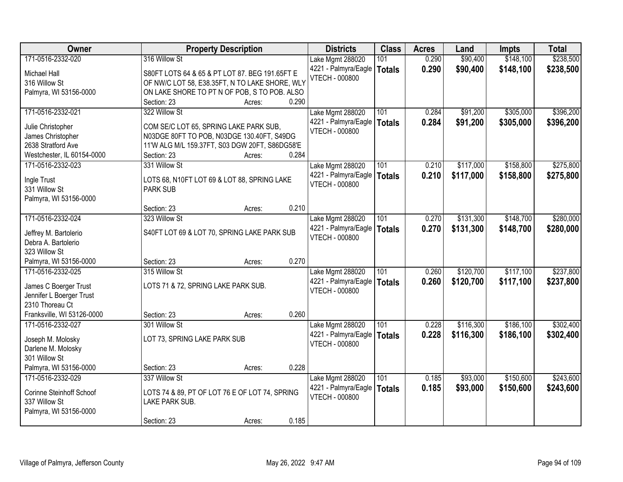| \$238,500<br>171-0516-2332-020<br>316 Willow St<br>0.290<br>\$90,400<br>\$148,100<br>101<br>Lake Mgmt 288020<br>0.290<br>\$90,400<br>\$148,100<br>\$238,500<br>4221 - Palmyra/Eagle<br><b>Totals</b><br>S80FT LOTS 64 & 65 & PT LOT 87. BEG 191.65FT E<br>Michael Hall<br><b>VTECH - 000800</b><br>316 Willow St<br>OF NW/C LOT 58, E38.35FT, N TO LAKE SHORE, WLY<br>ON LAKE SHORE TO PT N OF POB, S TO POB. ALSO<br>Palmyra, WI 53156-0000<br>0.290<br>Section: 23<br>Acres:<br>171-0516-2332-021<br>322 Willow St<br>\$91,200<br>\$305,000<br>Lake Mgmt 288020<br>101<br>0.284<br>4221 - Palmyra/Eagle<br>0.284<br>\$91,200<br>\$305,000<br><b>Totals</b><br>COM SE/C LOT 65, SPRING LAKE PARK SUB,<br>Julie Christopher<br><b>VTECH - 000800</b><br>James Christopher<br>N03DGE 80FT TO POB, N03DGE 130.40FT, S49DG<br>2638 Stratford Ave<br>11'W ALG M/L 159.37FT, S03 DGW 20FT, S86DG58'E<br>0.284<br>Westchester, IL 60154-0000<br>Section: 23<br>Acres:<br>\$158,800<br>171-0516-2332-023<br>101<br>\$117,000<br>331 Willow St<br>Lake Mgmt 288020<br>0.210<br>4221 - Palmyra/Eagle<br>0.210<br>\$117,000<br>\$158,800<br><b>Totals</b><br>LOTS 68, N10FT LOT 69 & LOT 88, SPRING LAKE<br>Ingle Trust<br><b>VTECH - 000800</b><br>331 Willow St<br><b>PARK SUB</b><br>Palmyra, WI 53156-0000<br>0.210<br>Section: 23<br>Acres:<br>171-0516-2332-024<br>\$148,700<br>323 Willow St<br>Lake Mgmt 288020<br>101<br>\$131,300<br>0.270<br>4221 - Palmyra/Eagle<br>0.270<br>\$131,300<br>\$148,700<br><b>Totals</b><br>S40FT LOT 69 & LOT 70, SPRING LAKE PARK SUB<br>Jeffrey M. Bartolerio<br><b>VTECH - 000800</b><br>Debra A. Bartolerio<br>323 Willow St<br>0.270<br>Palmyra, WI 53156-0000<br>Section: 23<br>Acres:<br>\$120,700<br>\$117,100<br>171-0516-2332-025<br>315 Willow St<br>101<br>0.260<br>Lake Mgmt 288020<br>4221 - Palmyra/Eagle<br>0.260<br>\$120,700<br>\$117,100<br><b>Totals</b><br>LOTS 71 & 72, SPRING LAKE PARK SUB.<br>James C Boerger Trust<br><b>VTECH - 000800</b><br>Jennifer L Boerger Trust<br>2310 Thoreau Ct<br>0.260<br>Franksville, WI 53126-0000<br>Section: 23<br>Acres:<br>101<br>\$186,100<br>171-0516-2332-027<br>Lake Mgmt 288020<br>0.228<br>\$116,300<br>301 Willow St<br>4221 - Palmyra/Eagle<br>0.228<br>\$116,300<br>\$186,100<br><b>Totals</b><br>LOT 73, SPRING LAKE PARK SUB<br>Joseph M. Molosky<br><b>VTECH - 000800</b><br>Darlene M. Molosky<br>301 Willow St<br>Palmyra, WI 53156-0000<br>0.228<br>Section: 23<br>Acres:<br>\$93,000<br>\$150,600<br>171-0516-2332-029<br>337 Willow St<br>Lake Mgmt 288020<br>101<br>0.185<br>0.185<br>4221 - Palmyra/Eagle<br>\$93,000<br>\$150,600<br><b>Totals</b><br>Corinne Steinhoff Schoof<br>LOTS 74 & 89, PT OF LOT 76 E OF LOT 74, SPRING | Owner         | <b>Property Description</b> |  | <b>Districts</b>      | <b>Class</b> | <b>Acres</b> | Land | <b>Impts</b> | <b>Total</b> |
|--------------------------------------------------------------------------------------------------------------------------------------------------------------------------------------------------------------------------------------------------------------------------------------------------------------------------------------------------------------------------------------------------------------------------------------------------------------------------------------------------------------------------------------------------------------------------------------------------------------------------------------------------------------------------------------------------------------------------------------------------------------------------------------------------------------------------------------------------------------------------------------------------------------------------------------------------------------------------------------------------------------------------------------------------------------------------------------------------------------------------------------------------------------------------------------------------------------------------------------------------------------------------------------------------------------------------------------------------------------------------------------------------------------------------------------------------------------------------------------------------------------------------------------------------------------------------------------------------------------------------------------------------------------------------------------------------------------------------------------------------------------------------------------------------------------------------------------------------------------------------------------------------------------------------------------------------------------------------------------------------------------------------------------------------------------------------------------------------------------------------------------------------------------------------------------------------------------------------------------------------------------------------------------------------------------------------------------------------------------------------------------------------------------------------------------------------------------------------------------------------------------------------------------------------------------------------------------------------------------------------------------------------------------------------------------------------------------------------------------------------|---------------|-----------------------------|--|-----------------------|--------------|--------------|------|--------------|--------------|
|                                                                                                                                                                                                                                                                                                                                                                                                                                                                                                                                                                                                                                                                                                                                                                                                                                                                                                                                                                                                                                                                                                                                                                                                                                                                                                                                                                                                                                                                                                                                                                                                                                                                                                                                                                                                                                                                                                                                                                                                                                                                                                                                                                                                                                                                                                                                                                                                                                                                                                                                                                                                                                                                                                                                                  |               |                             |  |                       |              |              |      |              |              |
|                                                                                                                                                                                                                                                                                                                                                                                                                                                                                                                                                                                                                                                                                                                                                                                                                                                                                                                                                                                                                                                                                                                                                                                                                                                                                                                                                                                                                                                                                                                                                                                                                                                                                                                                                                                                                                                                                                                                                                                                                                                                                                                                                                                                                                                                                                                                                                                                                                                                                                                                                                                                                                                                                                                                                  |               |                             |  |                       |              |              |      |              |              |
| \$396,200<br>\$396,200<br>\$275,800<br>\$275,800<br>\$280,000<br>\$280,000<br>\$237,800<br>\$237,800<br>\$302,400<br>\$302,400<br>\$243,600<br>\$243,600                                                                                                                                                                                                                                                                                                                                                                                                                                                                                                                                                                                                                                                                                                                                                                                                                                                                                                                                                                                                                                                                                                                                                                                                                                                                                                                                                                                                                                                                                                                                                                                                                                                                                                                                                                                                                                                                                                                                                                                                                                                                                                                                                                                                                                                                                                                                                                                                                                                                                                                                                                                         |               |                             |  |                       |              |              |      |              |              |
|                                                                                                                                                                                                                                                                                                                                                                                                                                                                                                                                                                                                                                                                                                                                                                                                                                                                                                                                                                                                                                                                                                                                                                                                                                                                                                                                                                                                                                                                                                                                                                                                                                                                                                                                                                                                                                                                                                                                                                                                                                                                                                                                                                                                                                                                                                                                                                                                                                                                                                                                                                                                                                                                                                                                                  |               |                             |  |                       |              |              |      |              |              |
|                                                                                                                                                                                                                                                                                                                                                                                                                                                                                                                                                                                                                                                                                                                                                                                                                                                                                                                                                                                                                                                                                                                                                                                                                                                                                                                                                                                                                                                                                                                                                                                                                                                                                                                                                                                                                                                                                                                                                                                                                                                                                                                                                                                                                                                                                                                                                                                                                                                                                                                                                                                                                                                                                                                                                  |               |                             |  |                       |              |              |      |              |              |
|                                                                                                                                                                                                                                                                                                                                                                                                                                                                                                                                                                                                                                                                                                                                                                                                                                                                                                                                                                                                                                                                                                                                                                                                                                                                                                                                                                                                                                                                                                                                                                                                                                                                                                                                                                                                                                                                                                                                                                                                                                                                                                                                                                                                                                                                                                                                                                                                                                                                                                                                                                                                                                                                                                                                                  |               |                             |  |                       |              |              |      |              |              |
|                                                                                                                                                                                                                                                                                                                                                                                                                                                                                                                                                                                                                                                                                                                                                                                                                                                                                                                                                                                                                                                                                                                                                                                                                                                                                                                                                                                                                                                                                                                                                                                                                                                                                                                                                                                                                                                                                                                                                                                                                                                                                                                                                                                                                                                                                                                                                                                                                                                                                                                                                                                                                                                                                                                                                  |               |                             |  |                       |              |              |      |              |              |
|                                                                                                                                                                                                                                                                                                                                                                                                                                                                                                                                                                                                                                                                                                                                                                                                                                                                                                                                                                                                                                                                                                                                                                                                                                                                                                                                                                                                                                                                                                                                                                                                                                                                                                                                                                                                                                                                                                                                                                                                                                                                                                                                                                                                                                                                                                                                                                                                                                                                                                                                                                                                                                                                                                                                                  |               |                             |  |                       |              |              |      |              |              |
|                                                                                                                                                                                                                                                                                                                                                                                                                                                                                                                                                                                                                                                                                                                                                                                                                                                                                                                                                                                                                                                                                                                                                                                                                                                                                                                                                                                                                                                                                                                                                                                                                                                                                                                                                                                                                                                                                                                                                                                                                                                                                                                                                                                                                                                                                                                                                                                                                                                                                                                                                                                                                                                                                                                                                  |               |                             |  |                       |              |              |      |              |              |
|                                                                                                                                                                                                                                                                                                                                                                                                                                                                                                                                                                                                                                                                                                                                                                                                                                                                                                                                                                                                                                                                                                                                                                                                                                                                                                                                                                                                                                                                                                                                                                                                                                                                                                                                                                                                                                                                                                                                                                                                                                                                                                                                                                                                                                                                                                                                                                                                                                                                                                                                                                                                                                                                                                                                                  |               |                             |  |                       |              |              |      |              |              |
|                                                                                                                                                                                                                                                                                                                                                                                                                                                                                                                                                                                                                                                                                                                                                                                                                                                                                                                                                                                                                                                                                                                                                                                                                                                                                                                                                                                                                                                                                                                                                                                                                                                                                                                                                                                                                                                                                                                                                                                                                                                                                                                                                                                                                                                                                                                                                                                                                                                                                                                                                                                                                                                                                                                                                  |               |                             |  |                       |              |              |      |              |              |
|                                                                                                                                                                                                                                                                                                                                                                                                                                                                                                                                                                                                                                                                                                                                                                                                                                                                                                                                                                                                                                                                                                                                                                                                                                                                                                                                                                                                                                                                                                                                                                                                                                                                                                                                                                                                                                                                                                                                                                                                                                                                                                                                                                                                                                                                                                                                                                                                                                                                                                                                                                                                                                                                                                                                                  |               |                             |  |                       |              |              |      |              |              |
|                                                                                                                                                                                                                                                                                                                                                                                                                                                                                                                                                                                                                                                                                                                                                                                                                                                                                                                                                                                                                                                                                                                                                                                                                                                                                                                                                                                                                                                                                                                                                                                                                                                                                                                                                                                                                                                                                                                                                                                                                                                                                                                                                                                                                                                                                                                                                                                                                                                                                                                                                                                                                                                                                                                                                  |               |                             |  |                       |              |              |      |              |              |
|                                                                                                                                                                                                                                                                                                                                                                                                                                                                                                                                                                                                                                                                                                                                                                                                                                                                                                                                                                                                                                                                                                                                                                                                                                                                                                                                                                                                                                                                                                                                                                                                                                                                                                                                                                                                                                                                                                                                                                                                                                                                                                                                                                                                                                                                                                                                                                                                                                                                                                                                                                                                                                                                                                                                                  |               |                             |  |                       |              |              |      |              |              |
|                                                                                                                                                                                                                                                                                                                                                                                                                                                                                                                                                                                                                                                                                                                                                                                                                                                                                                                                                                                                                                                                                                                                                                                                                                                                                                                                                                                                                                                                                                                                                                                                                                                                                                                                                                                                                                                                                                                                                                                                                                                                                                                                                                                                                                                                                                                                                                                                                                                                                                                                                                                                                                                                                                                                                  |               |                             |  |                       |              |              |      |              |              |
|                                                                                                                                                                                                                                                                                                                                                                                                                                                                                                                                                                                                                                                                                                                                                                                                                                                                                                                                                                                                                                                                                                                                                                                                                                                                                                                                                                                                                                                                                                                                                                                                                                                                                                                                                                                                                                                                                                                                                                                                                                                                                                                                                                                                                                                                                                                                                                                                                                                                                                                                                                                                                                                                                                                                                  |               |                             |  |                       |              |              |      |              |              |
|                                                                                                                                                                                                                                                                                                                                                                                                                                                                                                                                                                                                                                                                                                                                                                                                                                                                                                                                                                                                                                                                                                                                                                                                                                                                                                                                                                                                                                                                                                                                                                                                                                                                                                                                                                                                                                                                                                                                                                                                                                                                                                                                                                                                                                                                                                                                                                                                                                                                                                                                                                                                                                                                                                                                                  |               |                             |  |                       |              |              |      |              |              |
|                                                                                                                                                                                                                                                                                                                                                                                                                                                                                                                                                                                                                                                                                                                                                                                                                                                                                                                                                                                                                                                                                                                                                                                                                                                                                                                                                                                                                                                                                                                                                                                                                                                                                                                                                                                                                                                                                                                                                                                                                                                                                                                                                                                                                                                                                                                                                                                                                                                                                                                                                                                                                                                                                                                                                  |               |                             |  |                       |              |              |      |              |              |
|                                                                                                                                                                                                                                                                                                                                                                                                                                                                                                                                                                                                                                                                                                                                                                                                                                                                                                                                                                                                                                                                                                                                                                                                                                                                                                                                                                                                                                                                                                                                                                                                                                                                                                                                                                                                                                                                                                                                                                                                                                                                                                                                                                                                                                                                                                                                                                                                                                                                                                                                                                                                                                                                                                                                                  |               |                             |  |                       |              |              |      |              |              |
|                                                                                                                                                                                                                                                                                                                                                                                                                                                                                                                                                                                                                                                                                                                                                                                                                                                                                                                                                                                                                                                                                                                                                                                                                                                                                                                                                                                                                                                                                                                                                                                                                                                                                                                                                                                                                                                                                                                                                                                                                                                                                                                                                                                                                                                                                                                                                                                                                                                                                                                                                                                                                                                                                                                                                  |               |                             |  |                       |              |              |      |              |              |
|                                                                                                                                                                                                                                                                                                                                                                                                                                                                                                                                                                                                                                                                                                                                                                                                                                                                                                                                                                                                                                                                                                                                                                                                                                                                                                                                                                                                                                                                                                                                                                                                                                                                                                                                                                                                                                                                                                                                                                                                                                                                                                                                                                                                                                                                                                                                                                                                                                                                                                                                                                                                                                                                                                                                                  |               |                             |  |                       |              |              |      |              |              |
|                                                                                                                                                                                                                                                                                                                                                                                                                                                                                                                                                                                                                                                                                                                                                                                                                                                                                                                                                                                                                                                                                                                                                                                                                                                                                                                                                                                                                                                                                                                                                                                                                                                                                                                                                                                                                                                                                                                                                                                                                                                                                                                                                                                                                                                                                                                                                                                                                                                                                                                                                                                                                                                                                                                                                  |               |                             |  |                       |              |              |      |              |              |
|                                                                                                                                                                                                                                                                                                                                                                                                                                                                                                                                                                                                                                                                                                                                                                                                                                                                                                                                                                                                                                                                                                                                                                                                                                                                                                                                                                                                                                                                                                                                                                                                                                                                                                                                                                                                                                                                                                                                                                                                                                                                                                                                                                                                                                                                                                                                                                                                                                                                                                                                                                                                                                                                                                                                                  |               |                             |  |                       |              |              |      |              |              |
|                                                                                                                                                                                                                                                                                                                                                                                                                                                                                                                                                                                                                                                                                                                                                                                                                                                                                                                                                                                                                                                                                                                                                                                                                                                                                                                                                                                                                                                                                                                                                                                                                                                                                                                                                                                                                                                                                                                                                                                                                                                                                                                                                                                                                                                                                                                                                                                                                                                                                                                                                                                                                                                                                                                                                  |               |                             |  |                       |              |              |      |              |              |
|                                                                                                                                                                                                                                                                                                                                                                                                                                                                                                                                                                                                                                                                                                                                                                                                                                                                                                                                                                                                                                                                                                                                                                                                                                                                                                                                                                                                                                                                                                                                                                                                                                                                                                                                                                                                                                                                                                                                                                                                                                                                                                                                                                                                                                                                                                                                                                                                                                                                                                                                                                                                                                                                                                                                                  |               |                             |  |                       |              |              |      |              |              |
|                                                                                                                                                                                                                                                                                                                                                                                                                                                                                                                                                                                                                                                                                                                                                                                                                                                                                                                                                                                                                                                                                                                                                                                                                                                                                                                                                                                                                                                                                                                                                                                                                                                                                                                                                                                                                                                                                                                                                                                                                                                                                                                                                                                                                                                                                                                                                                                                                                                                                                                                                                                                                                                                                                                                                  |               |                             |  |                       |              |              |      |              |              |
|                                                                                                                                                                                                                                                                                                                                                                                                                                                                                                                                                                                                                                                                                                                                                                                                                                                                                                                                                                                                                                                                                                                                                                                                                                                                                                                                                                                                                                                                                                                                                                                                                                                                                                                                                                                                                                                                                                                                                                                                                                                                                                                                                                                                                                                                                                                                                                                                                                                                                                                                                                                                                                                                                                                                                  |               |                             |  |                       |              |              |      |              |              |
|                                                                                                                                                                                                                                                                                                                                                                                                                                                                                                                                                                                                                                                                                                                                                                                                                                                                                                                                                                                                                                                                                                                                                                                                                                                                                                                                                                                                                                                                                                                                                                                                                                                                                                                                                                                                                                                                                                                                                                                                                                                                                                                                                                                                                                                                                                                                                                                                                                                                                                                                                                                                                                                                                                                                                  |               |                             |  |                       |              |              |      |              |              |
|                                                                                                                                                                                                                                                                                                                                                                                                                                                                                                                                                                                                                                                                                                                                                                                                                                                                                                                                                                                                                                                                                                                                                                                                                                                                                                                                                                                                                                                                                                                                                                                                                                                                                                                                                                                                                                                                                                                                                                                                                                                                                                                                                                                                                                                                                                                                                                                                                                                                                                                                                                                                                                                                                                                                                  |               |                             |  |                       |              |              |      |              |              |
|                                                                                                                                                                                                                                                                                                                                                                                                                                                                                                                                                                                                                                                                                                                                                                                                                                                                                                                                                                                                                                                                                                                                                                                                                                                                                                                                                                                                                                                                                                                                                                                                                                                                                                                                                                                                                                                                                                                                                                                                                                                                                                                                                                                                                                                                                                                                                                                                                                                                                                                                                                                                                                                                                                                                                  |               |                             |  |                       |              |              |      |              |              |
|                                                                                                                                                                                                                                                                                                                                                                                                                                                                                                                                                                                                                                                                                                                                                                                                                                                                                                                                                                                                                                                                                                                                                                                                                                                                                                                                                                                                                                                                                                                                                                                                                                                                                                                                                                                                                                                                                                                                                                                                                                                                                                                                                                                                                                                                                                                                                                                                                                                                                                                                                                                                                                                                                                                                                  |               |                             |  |                       |              |              |      |              |              |
|                                                                                                                                                                                                                                                                                                                                                                                                                                                                                                                                                                                                                                                                                                                                                                                                                                                                                                                                                                                                                                                                                                                                                                                                                                                                                                                                                                                                                                                                                                                                                                                                                                                                                                                                                                                                                                                                                                                                                                                                                                                                                                                                                                                                                                                                                                                                                                                                                                                                                                                                                                                                                                                                                                                                                  |               |                             |  |                       |              |              |      |              |              |
|                                                                                                                                                                                                                                                                                                                                                                                                                                                                                                                                                                                                                                                                                                                                                                                                                                                                                                                                                                                                                                                                                                                                                                                                                                                                                                                                                                                                                                                                                                                                                                                                                                                                                                                                                                                                                                                                                                                                                                                                                                                                                                                                                                                                                                                                                                                                                                                                                                                                                                                                                                                                                                                                                                                                                  |               |                             |  |                       |              |              |      |              |              |
|                                                                                                                                                                                                                                                                                                                                                                                                                                                                                                                                                                                                                                                                                                                                                                                                                                                                                                                                                                                                                                                                                                                                                                                                                                                                                                                                                                                                                                                                                                                                                                                                                                                                                                                                                                                                                                                                                                                                                                                                                                                                                                                                                                                                                                                                                                                                                                                                                                                                                                                                                                                                                                                                                                                                                  |               |                             |  |                       |              |              |      |              |              |
|                                                                                                                                                                                                                                                                                                                                                                                                                                                                                                                                                                                                                                                                                                                                                                                                                                                                                                                                                                                                                                                                                                                                                                                                                                                                                                                                                                                                                                                                                                                                                                                                                                                                                                                                                                                                                                                                                                                                                                                                                                                                                                                                                                                                                                                                                                                                                                                                                                                                                                                                                                                                                                                                                                                                                  | 337 Willow St | LAKE PARK SUB.              |  | <b>VTECH - 000800</b> |              |              |      |              |              |
| Palmyra, WI 53156-0000                                                                                                                                                                                                                                                                                                                                                                                                                                                                                                                                                                                                                                                                                                                                                                                                                                                                                                                                                                                                                                                                                                                                                                                                                                                                                                                                                                                                                                                                                                                                                                                                                                                                                                                                                                                                                                                                                                                                                                                                                                                                                                                                                                                                                                                                                                                                                                                                                                                                                                                                                                                                                                                                                                                           |               |                             |  |                       |              |              |      |              |              |
| 0.185<br>Section: 23<br>Acres:                                                                                                                                                                                                                                                                                                                                                                                                                                                                                                                                                                                                                                                                                                                                                                                                                                                                                                                                                                                                                                                                                                                                                                                                                                                                                                                                                                                                                                                                                                                                                                                                                                                                                                                                                                                                                                                                                                                                                                                                                                                                                                                                                                                                                                                                                                                                                                                                                                                                                                                                                                                                                                                                                                                   |               |                             |  |                       |              |              |      |              |              |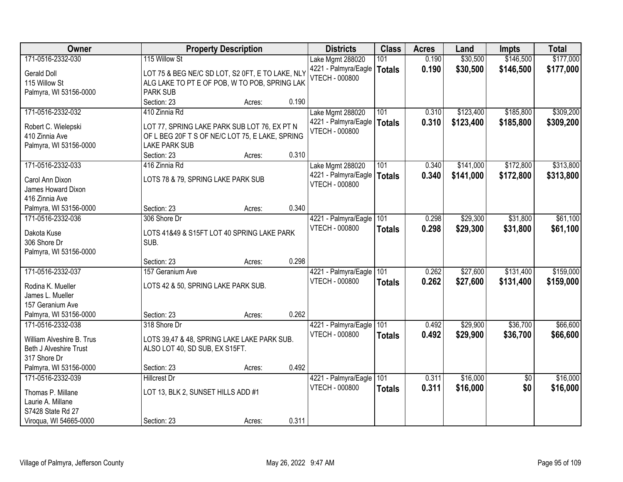| 171-0516-2332-030<br>\$177,000<br>115 Willow St<br>0.190<br>\$30,500<br>\$146,500<br>Lake Mgmt 288020<br>101<br>0.190<br>\$30,500<br>\$146,500<br>4221 - Palmyra/Eagle<br>\$177,000<br><b>Totals</b><br>Gerald Doll<br>LOT 75 & BEG NE/C SD LOT, S2 0FT, E TO LAKE, NLY<br><b>VTECH - 000800</b><br>115 Willow St<br>ALG LAKE TO PT E OF POB, W TO POB, SPRING LAK<br><b>PARK SUB</b><br>Palmyra, WI 53156-0000<br>0.190<br>Section: 23<br>Acres:<br>\$309,200<br>171-0516-2332-032<br>410 Zinnia Rd<br>101<br>\$123,400<br>\$185,800<br>Lake Mgmt 288020<br>0.310<br>0.310<br>\$123,400<br>\$185,800<br>4221 - Palmyra/Eagle<br>\$309,200<br><b>Totals</b><br>LOT 77, SPRING LAKE PARK SUB LOT 76, EX PT N<br>Robert C. Wielepski<br><b>VTECH - 000800</b><br>410 Zinnia Ave<br>OF L BEG 20F T S OF NE/C LOT 75, E LAKE, SPRING<br>Palmyra, WI 53156-0000<br><b>LAKE PARK SUB</b><br>Section: 23<br>0.310<br>Acres:<br>171-0516-2332-033<br>\$141,000<br>\$172,800<br>416 Zinnia Rd<br>Lake Mgmt 288020<br>101<br>0.340<br>4221 - Palmyra/Eagle<br>0.340<br>\$141,000<br>\$172,800<br>Totals<br>Carol Ann Dixon<br>LOTS 78 & 79, SPRING LAKE PARK SUB<br><b>VTECH - 000800</b><br>James Howard Dixon<br>416 Zinnia Ave<br>0.340<br>Palmyra, WI 53156-0000<br>Section: 23<br>Acres:<br>\$29,300<br>\$31,800<br>306 Shore Dr<br>4221 - Palmyra/Eagle<br>101<br>171-0516-2332-036<br>0.298<br><b>VTECH - 000800</b><br>0.298<br>\$29,300<br>\$31,800<br><b>Totals</b><br>Dakota Kuse<br>LOTS 41&49 & S15FT LOT 40 SPRING LAKE PARK<br>306 Shore Dr<br>SUB.<br>Palmyra, WI 53156-0000<br>0.298<br>Section: 23<br>Acres:<br>171-0516-2332-037<br>\$27,600<br>\$131,400<br>157 Geranium Ave<br>101<br>0.262<br>4221 - Palmyra/Eagle<br><b>VTECH - 000800</b><br>0.262<br>\$27,600<br>\$131,400<br><b>Totals</b><br>Rodina K. Mueller<br>LOTS 42 & 50, SPRING LAKE PARK SUB.<br>James L. Mueller<br>157 Geranium Ave<br>Palmyra, WI 53156-0000<br>0.262<br>Section: 23<br>Acres:<br>\$36,700<br>171-0516-2332-038<br>101<br>\$29,900<br>318 Shore Dr<br>4221 - Palmyra/Eagle<br>0.492<br><b>VTECH - 000800</b><br>\$29,900<br>0.492<br>\$36,700<br>\$66,600<br><b>Totals</b><br>William Alveshire B. Trus<br>LOTS 39,47 & 48, SPRING LAKE LAKE PARK SUB.<br>ALSO LOT 40, SD SUB, EX S15FT.<br><b>Beth J Alveshire Trust</b><br>317 Shore Dr<br>0.492<br>Palmyra, WI 53156-0000<br>Section: 23<br>Acres:<br>\$16,000<br>171-0516-2332-039<br>101<br>0.311<br>$\overline{50}$<br><b>Hillcrest Dr</b><br>4221 - Palmyra/Eagle<br>\$0<br>VTECH - 000800<br>0.311<br>\$16,000<br>\$16,000<br><b>Totals</b><br>LOT 13, BLK 2, SUNSET HILLS ADD #1<br>Thomas P. Millane<br>Laurie A. Millane<br>S7428 State Rd 27 | Owner                  | <b>Property Description</b>    | <b>Districts</b> | <b>Class</b> | <b>Acres</b> | Land | <b>Impts</b> | <b>Total</b> |
|------------------------------------------------------------------------------------------------------------------------------------------------------------------------------------------------------------------------------------------------------------------------------------------------------------------------------------------------------------------------------------------------------------------------------------------------------------------------------------------------------------------------------------------------------------------------------------------------------------------------------------------------------------------------------------------------------------------------------------------------------------------------------------------------------------------------------------------------------------------------------------------------------------------------------------------------------------------------------------------------------------------------------------------------------------------------------------------------------------------------------------------------------------------------------------------------------------------------------------------------------------------------------------------------------------------------------------------------------------------------------------------------------------------------------------------------------------------------------------------------------------------------------------------------------------------------------------------------------------------------------------------------------------------------------------------------------------------------------------------------------------------------------------------------------------------------------------------------------------------------------------------------------------------------------------------------------------------------------------------------------------------------------------------------------------------------------------------------------------------------------------------------------------------------------------------------------------------------------------------------------------------------------------------------------------------------------------------------------------------------------------------------------------------------------------------------------------------------------------------------------------------------------------------------------------------------------------------------------------------------------------------------------------------------------------------------------|------------------------|--------------------------------|------------------|--------------|--------------|------|--------------|--------------|
|                                                                                                                                                                                                                                                                                                                                                                                                                                                                                                                                                                                                                                                                                                                                                                                                                                                                                                                                                                                                                                                                                                                                                                                                                                                                                                                                                                                                                                                                                                                                                                                                                                                                                                                                                                                                                                                                                                                                                                                                                                                                                                                                                                                                                                                                                                                                                                                                                                                                                                                                                                                                                                                                                                      |                        |                                |                  |              |              |      |              |              |
|                                                                                                                                                                                                                                                                                                                                                                                                                                                                                                                                                                                                                                                                                                                                                                                                                                                                                                                                                                                                                                                                                                                                                                                                                                                                                                                                                                                                                                                                                                                                                                                                                                                                                                                                                                                                                                                                                                                                                                                                                                                                                                                                                                                                                                                                                                                                                                                                                                                                                                                                                                                                                                                                                                      |                        |                                |                  |              |              |      |              |              |
| \$313,800<br>\$159,000<br>\$159,000<br>\$66,600                                                                                                                                                                                                                                                                                                                                                                                                                                                                                                                                                                                                                                                                                                                                                                                                                                                                                                                                                                                                                                                                                                                                                                                                                                                                                                                                                                                                                                                                                                                                                                                                                                                                                                                                                                                                                                                                                                                                                                                                                                                                                                                                                                                                                                                                                                                                                                                                                                                                                                                                                                                                                                                      |                        |                                |                  |              |              |      |              |              |
|                                                                                                                                                                                                                                                                                                                                                                                                                                                                                                                                                                                                                                                                                                                                                                                                                                                                                                                                                                                                                                                                                                                                                                                                                                                                                                                                                                                                                                                                                                                                                                                                                                                                                                                                                                                                                                                                                                                                                                                                                                                                                                                                                                                                                                                                                                                                                                                                                                                                                                                                                                                                                                                                                                      |                        |                                |                  |              |              |      |              |              |
|                                                                                                                                                                                                                                                                                                                                                                                                                                                                                                                                                                                                                                                                                                                                                                                                                                                                                                                                                                                                                                                                                                                                                                                                                                                                                                                                                                                                                                                                                                                                                                                                                                                                                                                                                                                                                                                                                                                                                                                                                                                                                                                                                                                                                                                                                                                                                                                                                                                                                                                                                                                                                                                                                                      |                        |                                |                  |              |              |      |              |              |
| \$313,800<br>\$61,100<br>\$61,100<br>\$16,000                                                                                                                                                                                                                                                                                                                                                                                                                                                                                                                                                                                                                                                                                                                                                                                                                                                                                                                                                                                                                                                                                                                                                                                                                                                                                                                                                                                                                                                                                                                                                                                                                                                                                                                                                                                                                                                                                                                                                                                                                                                                                                                                                                                                                                                                                                                                                                                                                                                                                                                                                                                                                                                        |                        |                                |                  |              |              |      |              |              |
|                                                                                                                                                                                                                                                                                                                                                                                                                                                                                                                                                                                                                                                                                                                                                                                                                                                                                                                                                                                                                                                                                                                                                                                                                                                                                                                                                                                                                                                                                                                                                                                                                                                                                                                                                                                                                                                                                                                                                                                                                                                                                                                                                                                                                                                                                                                                                                                                                                                                                                                                                                                                                                                                                                      |                        |                                |                  |              |              |      |              |              |
|                                                                                                                                                                                                                                                                                                                                                                                                                                                                                                                                                                                                                                                                                                                                                                                                                                                                                                                                                                                                                                                                                                                                                                                                                                                                                                                                                                                                                                                                                                                                                                                                                                                                                                                                                                                                                                                                                                                                                                                                                                                                                                                                                                                                                                                                                                                                                                                                                                                                                                                                                                                                                                                                                                      |                        |                                |                  |              |              |      |              |              |
|                                                                                                                                                                                                                                                                                                                                                                                                                                                                                                                                                                                                                                                                                                                                                                                                                                                                                                                                                                                                                                                                                                                                                                                                                                                                                                                                                                                                                                                                                                                                                                                                                                                                                                                                                                                                                                                                                                                                                                                                                                                                                                                                                                                                                                                                                                                                                                                                                                                                                                                                                                                                                                                                                                      |                        |                                |                  |              |              |      |              |              |
|                                                                                                                                                                                                                                                                                                                                                                                                                                                                                                                                                                                                                                                                                                                                                                                                                                                                                                                                                                                                                                                                                                                                                                                                                                                                                                                                                                                                                                                                                                                                                                                                                                                                                                                                                                                                                                                                                                                                                                                                                                                                                                                                                                                                                                                                                                                                                                                                                                                                                                                                                                                                                                                                                                      |                        |                                |                  |              |              |      |              |              |
|                                                                                                                                                                                                                                                                                                                                                                                                                                                                                                                                                                                                                                                                                                                                                                                                                                                                                                                                                                                                                                                                                                                                                                                                                                                                                                                                                                                                                                                                                                                                                                                                                                                                                                                                                                                                                                                                                                                                                                                                                                                                                                                                                                                                                                                                                                                                                                                                                                                                                                                                                                                                                                                                                                      |                        |                                |                  |              |              |      |              |              |
|                                                                                                                                                                                                                                                                                                                                                                                                                                                                                                                                                                                                                                                                                                                                                                                                                                                                                                                                                                                                                                                                                                                                                                                                                                                                                                                                                                                                                                                                                                                                                                                                                                                                                                                                                                                                                                                                                                                                                                                                                                                                                                                                                                                                                                                                                                                                                                                                                                                                                                                                                                                                                                                                                                      |                        |                                |                  |              |              |      |              |              |
|                                                                                                                                                                                                                                                                                                                                                                                                                                                                                                                                                                                                                                                                                                                                                                                                                                                                                                                                                                                                                                                                                                                                                                                                                                                                                                                                                                                                                                                                                                                                                                                                                                                                                                                                                                                                                                                                                                                                                                                                                                                                                                                                                                                                                                                                                                                                                                                                                                                                                                                                                                                                                                                                                                      |                        |                                |                  |              |              |      |              |              |
|                                                                                                                                                                                                                                                                                                                                                                                                                                                                                                                                                                                                                                                                                                                                                                                                                                                                                                                                                                                                                                                                                                                                                                                                                                                                                                                                                                                                                                                                                                                                                                                                                                                                                                                                                                                                                                                                                                                                                                                                                                                                                                                                                                                                                                                                                                                                                                                                                                                                                                                                                                                                                                                                                                      |                        |                                |                  |              |              |      |              |              |
|                                                                                                                                                                                                                                                                                                                                                                                                                                                                                                                                                                                                                                                                                                                                                                                                                                                                                                                                                                                                                                                                                                                                                                                                                                                                                                                                                                                                                                                                                                                                                                                                                                                                                                                                                                                                                                                                                                                                                                                                                                                                                                                                                                                                                                                                                                                                                                                                                                                                                                                                                                                                                                                                                                      |                        |                                |                  |              |              |      |              |              |
|                                                                                                                                                                                                                                                                                                                                                                                                                                                                                                                                                                                                                                                                                                                                                                                                                                                                                                                                                                                                                                                                                                                                                                                                                                                                                                                                                                                                                                                                                                                                                                                                                                                                                                                                                                                                                                                                                                                                                                                                                                                                                                                                                                                                                                                                                                                                                                                                                                                                                                                                                                                                                                                                                                      |                        |                                |                  |              |              |      |              |              |
|                                                                                                                                                                                                                                                                                                                                                                                                                                                                                                                                                                                                                                                                                                                                                                                                                                                                                                                                                                                                                                                                                                                                                                                                                                                                                                                                                                                                                                                                                                                                                                                                                                                                                                                                                                                                                                                                                                                                                                                                                                                                                                                                                                                                                                                                                                                                                                                                                                                                                                                                                                                                                                                                                                      |                        |                                |                  |              |              |      |              |              |
|                                                                                                                                                                                                                                                                                                                                                                                                                                                                                                                                                                                                                                                                                                                                                                                                                                                                                                                                                                                                                                                                                                                                                                                                                                                                                                                                                                                                                                                                                                                                                                                                                                                                                                                                                                                                                                                                                                                                                                                                                                                                                                                                                                                                                                                                                                                                                                                                                                                                                                                                                                                                                                                                                                      |                        |                                |                  |              |              |      |              |              |
|                                                                                                                                                                                                                                                                                                                                                                                                                                                                                                                                                                                                                                                                                                                                                                                                                                                                                                                                                                                                                                                                                                                                                                                                                                                                                                                                                                                                                                                                                                                                                                                                                                                                                                                                                                                                                                                                                                                                                                                                                                                                                                                                                                                                                                                                                                                                                                                                                                                                                                                                                                                                                                                                                                      |                        |                                |                  |              |              |      |              |              |
|                                                                                                                                                                                                                                                                                                                                                                                                                                                                                                                                                                                                                                                                                                                                                                                                                                                                                                                                                                                                                                                                                                                                                                                                                                                                                                                                                                                                                                                                                                                                                                                                                                                                                                                                                                                                                                                                                                                                                                                                                                                                                                                                                                                                                                                                                                                                                                                                                                                                                                                                                                                                                                                                                                      |                        |                                |                  |              |              |      |              |              |
|                                                                                                                                                                                                                                                                                                                                                                                                                                                                                                                                                                                                                                                                                                                                                                                                                                                                                                                                                                                                                                                                                                                                                                                                                                                                                                                                                                                                                                                                                                                                                                                                                                                                                                                                                                                                                                                                                                                                                                                                                                                                                                                                                                                                                                                                                                                                                                                                                                                                                                                                                                                                                                                                                                      |                        |                                |                  |              |              |      |              |              |
|                                                                                                                                                                                                                                                                                                                                                                                                                                                                                                                                                                                                                                                                                                                                                                                                                                                                                                                                                                                                                                                                                                                                                                                                                                                                                                                                                                                                                                                                                                                                                                                                                                                                                                                                                                                                                                                                                                                                                                                                                                                                                                                                                                                                                                                                                                                                                                                                                                                                                                                                                                                                                                                                                                      |                        |                                |                  |              |              |      |              |              |
|                                                                                                                                                                                                                                                                                                                                                                                                                                                                                                                                                                                                                                                                                                                                                                                                                                                                                                                                                                                                                                                                                                                                                                                                                                                                                                                                                                                                                                                                                                                                                                                                                                                                                                                                                                                                                                                                                                                                                                                                                                                                                                                                                                                                                                                                                                                                                                                                                                                                                                                                                                                                                                                                                                      |                        |                                |                  |              |              |      |              |              |
|                                                                                                                                                                                                                                                                                                                                                                                                                                                                                                                                                                                                                                                                                                                                                                                                                                                                                                                                                                                                                                                                                                                                                                                                                                                                                                                                                                                                                                                                                                                                                                                                                                                                                                                                                                                                                                                                                                                                                                                                                                                                                                                                                                                                                                                                                                                                                                                                                                                                                                                                                                                                                                                                                                      |                        |                                |                  |              |              |      |              |              |
|                                                                                                                                                                                                                                                                                                                                                                                                                                                                                                                                                                                                                                                                                                                                                                                                                                                                                                                                                                                                                                                                                                                                                                                                                                                                                                                                                                                                                                                                                                                                                                                                                                                                                                                                                                                                                                                                                                                                                                                                                                                                                                                                                                                                                                                                                                                                                                                                                                                                                                                                                                                                                                                                                                      |                        |                                |                  |              |              |      |              |              |
|                                                                                                                                                                                                                                                                                                                                                                                                                                                                                                                                                                                                                                                                                                                                                                                                                                                                                                                                                                                                                                                                                                                                                                                                                                                                                                                                                                                                                                                                                                                                                                                                                                                                                                                                                                                                                                                                                                                                                                                                                                                                                                                                                                                                                                                                                                                                                                                                                                                                                                                                                                                                                                                                                                      |                        |                                |                  |              |              |      |              |              |
|                                                                                                                                                                                                                                                                                                                                                                                                                                                                                                                                                                                                                                                                                                                                                                                                                                                                                                                                                                                                                                                                                                                                                                                                                                                                                                                                                                                                                                                                                                                                                                                                                                                                                                                                                                                                                                                                                                                                                                                                                                                                                                                                                                                                                                                                                                                                                                                                                                                                                                                                                                                                                                                                                                      |                        |                                |                  |              |              |      |              |              |
|                                                                                                                                                                                                                                                                                                                                                                                                                                                                                                                                                                                                                                                                                                                                                                                                                                                                                                                                                                                                                                                                                                                                                                                                                                                                                                                                                                                                                                                                                                                                                                                                                                                                                                                                                                                                                                                                                                                                                                                                                                                                                                                                                                                                                                                                                                                                                                                                                                                                                                                                                                                                                                                                                                      |                        |                                |                  |              |              |      |              |              |
|                                                                                                                                                                                                                                                                                                                                                                                                                                                                                                                                                                                                                                                                                                                                                                                                                                                                                                                                                                                                                                                                                                                                                                                                                                                                                                                                                                                                                                                                                                                                                                                                                                                                                                                                                                                                                                                                                                                                                                                                                                                                                                                                                                                                                                                                                                                                                                                                                                                                                                                                                                                                                                                                                                      |                        |                                |                  |              |              |      |              |              |
|                                                                                                                                                                                                                                                                                                                                                                                                                                                                                                                                                                                                                                                                                                                                                                                                                                                                                                                                                                                                                                                                                                                                                                                                                                                                                                                                                                                                                                                                                                                                                                                                                                                                                                                                                                                                                                                                                                                                                                                                                                                                                                                                                                                                                                                                                                                                                                                                                                                                                                                                                                                                                                                                                                      |                        |                                |                  |              |              |      |              |              |
|                                                                                                                                                                                                                                                                                                                                                                                                                                                                                                                                                                                                                                                                                                                                                                                                                                                                                                                                                                                                                                                                                                                                                                                                                                                                                                                                                                                                                                                                                                                                                                                                                                                                                                                                                                                                                                                                                                                                                                                                                                                                                                                                                                                                                                                                                                                                                                                                                                                                                                                                                                                                                                                                                                      |                        |                                |                  |              |              |      |              |              |
|                                                                                                                                                                                                                                                                                                                                                                                                                                                                                                                                                                                                                                                                                                                                                                                                                                                                                                                                                                                                                                                                                                                                                                                                                                                                                                                                                                                                                                                                                                                                                                                                                                                                                                                                                                                                                                                                                                                                                                                                                                                                                                                                                                                                                                                                                                                                                                                                                                                                                                                                                                                                                                                                                                      |                        |                                |                  |              |              |      |              |              |
|                                                                                                                                                                                                                                                                                                                                                                                                                                                                                                                                                                                                                                                                                                                                                                                                                                                                                                                                                                                                                                                                                                                                                                                                                                                                                                                                                                                                                                                                                                                                                                                                                                                                                                                                                                                                                                                                                                                                                                                                                                                                                                                                                                                                                                                                                                                                                                                                                                                                                                                                                                                                                                                                                                      |                        |                                |                  |              |              |      |              |              |
|                                                                                                                                                                                                                                                                                                                                                                                                                                                                                                                                                                                                                                                                                                                                                                                                                                                                                                                                                                                                                                                                                                                                                                                                                                                                                                                                                                                                                                                                                                                                                                                                                                                                                                                                                                                                                                                                                                                                                                                                                                                                                                                                                                                                                                                                                                                                                                                                                                                                                                                                                                                                                                                                                                      |                        |                                |                  |              |              |      |              |              |
|                                                                                                                                                                                                                                                                                                                                                                                                                                                                                                                                                                                                                                                                                                                                                                                                                                                                                                                                                                                                                                                                                                                                                                                                                                                                                                                                                                                                                                                                                                                                                                                                                                                                                                                                                                                                                                                                                                                                                                                                                                                                                                                                                                                                                                                                                                                                                                                                                                                                                                                                                                                                                                                                                                      |                        |                                |                  |              |              |      |              |              |
|                                                                                                                                                                                                                                                                                                                                                                                                                                                                                                                                                                                                                                                                                                                                                                                                                                                                                                                                                                                                                                                                                                                                                                                                                                                                                                                                                                                                                                                                                                                                                                                                                                                                                                                                                                                                                                                                                                                                                                                                                                                                                                                                                                                                                                                                                                                                                                                                                                                                                                                                                                                                                                                                                                      | Viroqua, WI 54665-0000 | 0.311<br>Section: 23<br>Acres: |                  |              |              |      |              |              |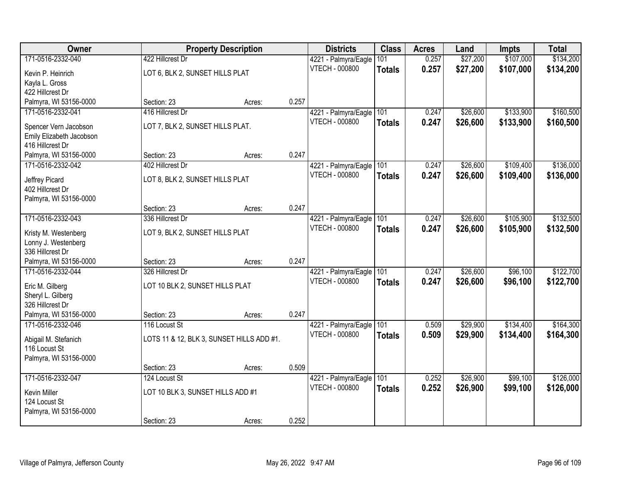| Owner                    |                                           | <b>Property Description</b> |       | <b>Districts</b>         | <b>Class</b>  | <b>Acres</b> | Land     | <b>Impts</b> | <b>Total</b> |
|--------------------------|-------------------------------------------|-----------------------------|-------|--------------------------|---------------|--------------|----------|--------------|--------------|
| 171-0516-2332-040        | 422 Hillcrest Dr                          |                             |       | 4221 - Palmyra/Eagle     | 101           | 0.257        | \$27,200 | \$107,000    | \$134,200    |
| Kevin P. Heinrich        | LOT 6, BLK 2, SUNSET HILLS PLAT           |                             |       | <b>VTECH - 000800</b>    | <b>Totals</b> | 0.257        | \$27,200 | \$107,000    | \$134,200    |
| Kayla L. Gross           |                                           |                             |       |                          |               |              |          |              |              |
| 422 Hillcrest Dr         |                                           |                             |       |                          |               |              |          |              |              |
| Palmyra, WI 53156-0000   | Section: 23                               | Acres:                      | 0.257 |                          |               |              |          |              |              |
| 171-0516-2332-041        | 416 Hillcrest Dr                          |                             |       | 4221 - Palmyra/Eagle     | 101           | 0.247        | \$26,600 | \$133,900    | \$160,500    |
| Spencer Vern Jacobson    | LOT 7, BLK 2, SUNSET HILLS PLAT.          |                             |       | <b>VTECH - 000800</b>    | <b>Totals</b> | 0.247        | \$26,600 | \$133,900    | \$160,500    |
| Emily Elizabeth Jacobson |                                           |                             |       |                          |               |              |          |              |              |
| 416 Hillcrest Dr         |                                           |                             |       |                          |               |              |          |              |              |
| Palmyra, WI 53156-0000   | Section: 23                               | Acres:                      | 0.247 |                          |               |              |          |              |              |
| 171-0516-2332-042        | 402 Hillcrest Dr                          |                             |       | 4221 - Palmyra/Eagle     | 101           | 0.247        | \$26,600 | \$109,400    | \$136,000    |
| Jeffrey Picard           | LOT 8, BLK 2, SUNSET HILLS PLAT           |                             |       | VTECH - 000800           | <b>Totals</b> | 0.247        | \$26,600 | \$109,400    | \$136,000    |
| 402 Hillcrest Dr         |                                           |                             |       |                          |               |              |          |              |              |
| Palmyra, WI 53156-0000   |                                           |                             |       |                          |               |              |          |              |              |
|                          | Section: 23                               | Acres:                      | 0.247 |                          |               |              |          |              |              |
| 171-0516-2332-043        | 336 Hillcrest Dr                          |                             |       | 4221 - Palmyra/Eagle     | 101           | 0.247        | \$26,600 | \$105,900    | \$132,500    |
| Kristy M. Westenberg     | LOT 9, BLK 2, SUNSET HILLS PLAT           |                             |       | <b>VTECH - 000800</b>    | <b>Totals</b> | 0.247        | \$26,600 | \$105,900    | \$132,500    |
| Lonny J. Westenberg      |                                           |                             |       |                          |               |              |          |              |              |
| 336 Hillcrest Dr         |                                           |                             |       |                          |               |              |          |              |              |
| Palmyra, WI 53156-0000   | Section: 23                               | Acres:                      | 0.247 |                          |               |              |          |              |              |
| 171-0516-2332-044        | 326 Hillcrest Dr                          |                             |       | 4221 - Palmyra/Eagle 101 |               | 0.247        | \$26,600 | \$96,100     | \$122,700    |
| Eric M. Gilberg          | LOT 10 BLK 2, SUNSET HILLS PLAT           |                             |       | VTECH - 000800           | <b>Totals</b> | 0.247        | \$26,600 | \$96,100     | \$122,700    |
| Sheryl L. Gilberg        |                                           |                             |       |                          |               |              |          |              |              |
| 326 Hillcrest Dr         |                                           |                             |       |                          |               |              |          |              |              |
| Palmyra, WI 53156-0000   | Section: 23                               | Acres:                      | 0.247 |                          |               |              |          |              |              |
| 171-0516-2332-046        | 116 Locust St                             |                             |       | 4221 - Palmyra/Eagle     | 101           | 0.509        | \$29,900 | \$134,400    | \$164,300    |
| Abigail M. Stefanich     | LOTS 11 & 12, BLK 3, SUNSET HILLS ADD #1. |                             |       | VTECH - 000800           | <b>Totals</b> | 0.509        | \$29,900 | \$134,400    | \$164,300    |
| 116 Locust St            |                                           |                             |       |                          |               |              |          |              |              |
| Palmyra, WI 53156-0000   |                                           |                             |       |                          |               |              |          |              |              |
|                          | Section: 23                               | Acres:                      | 0.509 |                          |               |              |          |              |              |
| 171-0516-2332-047        | 124 Locust St                             |                             |       | 4221 - Palmyra/Eagle     | 101           | 0.252        | \$26,900 | \$99,100     | \$126,000    |
| Kevin Miller             | LOT 10 BLK 3, SUNSET HILLS ADD #1         |                             |       | <b>VTECH - 000800</b>    | <b>Totals</b> | 0.252        | \$26,900 | \$99,100     | \$126,000    |
| 124 Locust St            |                                           |                             |       |                          |               |              |          |              |              |
| Palmyra, WI 53156-0000   |                                           |                             |       |                          |               |              |          |              |              |
|                          | Section: 23                               | Acres:                      | 0.252 |                          |               |              |          |              |              |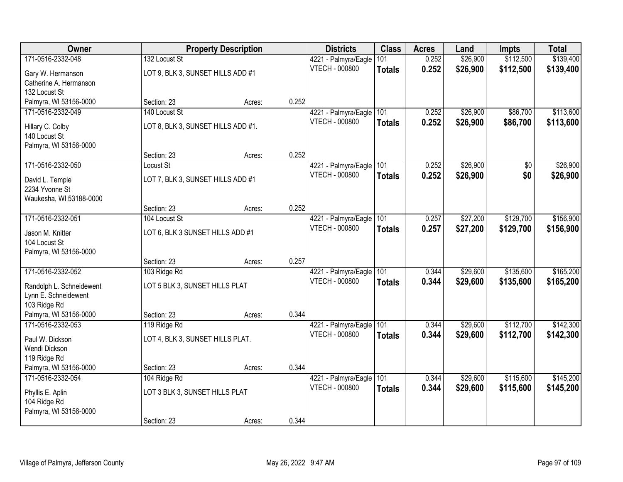| Owner                                            |                                    | <b>Property Description</b> |       | <b>Districts</b>                              | <b>Class</b>  | <b>Acres</b> | Land     | <b>Impts</b> | <b>Total</b> |
|--------------------------------------------------|------------------------------------|-----------------------------|-------|-----------------------------------------------|---------------|--------------|----------|--------------|--------------|
| 171-0516-2332-048                                | 132 Locust St                      |                             |       | 4221 - Palmyra/Eagle                          | 101           | 0.252        | \$26,900 | \$112,500    | \$139,400    |
| Gary W. Hermanson                                | LOT 9, BLK 3, SUNSET HILLS ADD #1  |                             |       | VTECH - 000800                                | <b>Totals</b> | 0.252        | \$26,900 | \$112,500    | \$139,400    |
| Catherine A. Hermanson                           |                                    |                             |       |                                               |               |              |          |              |              |
| 132 Locust St                                    |                                    |                             |       |                                               |               |              |          |              |              |
| Palmyra, WI 53156-0000                           | Section: 23                        | Acres:                      | 0.252 |                                               |               |              |          |              |              |
| 171-0516-2332-049                                | 140 Locust St                      |                             |       | 4221 - Palmyra/Eagle                          | 101           | 0.252        | \$26,900 | \$86,700     | \$113,600    |
| Hillary C. Colby                                 | LOT 8, BLK 3, SUNSET HILLS ADD #1. |                             |       | <b>VTECH - 000800</b>                         | <b>Totals</b> | 0.252        | \$26,900 | \$86,700     | \$113,600    |
| 140 Locust St                                    |                                    |                             |       |                                               |               |              |          |              |              |
| Palmyra, WI 53156-0000                           |                                    |                             |       |                                               |               |              |          |              |              |
|                                                  | Section: 23                        | Acres:                      | 0.252 |                                               |               |              |          |              |              |
| 171-0516-2332-050                                | Locust St                          |                             |       | 4221 - Palmyra/Eagle<br><b>VTECH - 000800</b> | 101           | 0.252        | \$26,900 | \$0<br>\$0   | \$26,900     |
| David L. Temple                                  | LOT 7, BLK 3, SUNSET HILLS ADD #1  |                             |       |                                               | <b>Totals</b> | 0.252        | \$26,900 |              | \$26,900     |
| 2234 Yvonne St                                   |                                    |                             |       |                                               |               |              |          |              |              |
| Waukesha, WI 53188-0000                          | Section: 23                        |                             | 0.252 |                                               |               |              |          |              |              |
| 171-0516-2332-051                                | 104 Locust St                      | Acres:                      |       | 4221 - Palmyra/Eagle                          | 101           | 0.257        | \$27,200 | \$129,700    | \$156,900    |
|                                                  |                                    |                             |       | <b>VTECH - 000800</b>                         | <b>Totals</b> | 0.257        | \$27,200 | \$129,700    | \$156,900    |
| Jason M. Knitter                                 | LOT 6, BLK 3 SUNSET HILLS ADD #1   |                             |       |                                               |               |              |          |              |              |
| 104 Locust St<br>Palmyra, WI 53156-0000          |                                    |                             |       |                                               |               |              |          |              |              |
|                                                  | Section: 23                        | Acres:                      | 0.257 |                                               |               |              |          |              |              |
| 171-0516-2332-052                                | 103 Ridge Rd                       |                             |       | 4221 - Palmyra/Eagle                          | 101           | 0.344        | \$29,600 | \$135,600    | \$165,200    |
|                                                  |                                    |                             |       | <b>VTECH - 000800</b>                         | <b>Totals</b> | 0.344        | \$29,600 | \$135,600    | \$165,200    |
| Randolph L. Schneidewent<br>Lynn E. Schneidewent | LOT 5 BLK 3, SUNSET HILLS PLAT     |                             |       |                                               |               |              |          |              |              |
| 103 Ridge Rd                                     |                                    |                             |       |                                               |               |              |          |              |              |
| Palmyra, WI 53156-0000                           | Section: 23                        | Acres:                      | 0.344 |                                               |               |              |          |              |              |
| 171-0516-2332-053                                | 119 Ridge Rd                       |                             |       | 4221 - Palmyra/Eagle                          | 101           | 0.344        | \$29,600 | \$112,700    | \$142,300    |
| Paul W. Dickson                                  | LOT 4, BLK 3, SUNSET HILLS PLAT.   |                             |       | <b>VTECH - 000800</b>                         | <b>Totals</b> | 0.344        | \$29,600 | \$112,700    | \$142,300    |
| Wendi Dickson                                    |                                    |                             |       |                                               |               |              |          |              |              |
| 119 Ridge Rd                                     |                                    |                             |       |                                               |               |              |          |              |              |
| Palmyra, WI 53156-0000                           | Section: 23                        | Acres:                      | 0.344 |                                               |               |              |          |              |              |
| 171-0516-2332-054                                | 104 Ridge Rd                       |                             |       | 4221 - Palmyra/Eagle                          | 101           | 0.344        | \$29,600 | \$115,600    | \$145,200    |
| Phyllis E. Aplin                                 | LOT 3 BLK 3, SUNSET HILLS PLAT     |                             |       | VTECH - 000800                                | <b>Totals</b> | 0.344        | \$29,600 | \$115,600    | \$145,200    |
| 104 Ridge Rd                                     |                                    |                             |       |                                               |               |              |          |              |              |
| Palmyra, WI 53156-0000                           |                                    |                             |       |                                               |               |              |          |              |              |
|                                                  | Section: 23                        | Acres:                      | 0.344 |                                               |               |              |          |              |              |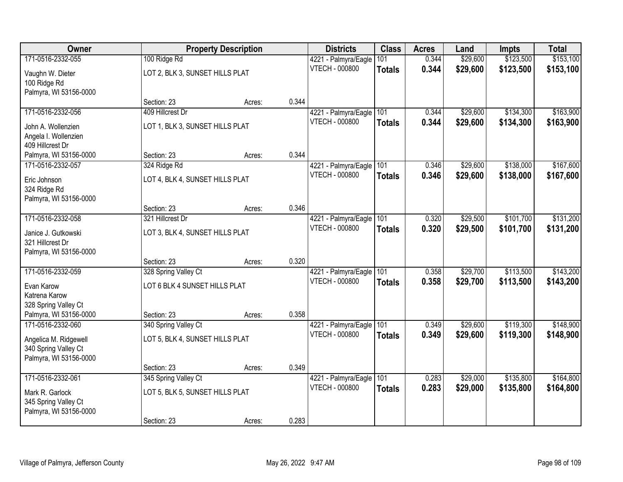| Owner                                       |                                 | <b>Property Description</b> |       | <b>Districts</b>                              | <b>Class</b>         | <b>Acres</b>   | Land                 | <b>Impts</b> | <b>Total</b> |
|---------------------------------------------|---------------------------------|-----------------------------|-------|-----------------------------------------------|----------------------|----------------|----------------------|--------------|--------------|
| 171-0516-2332-055                           | 100 Ridge Rd                    |                             |       | 4221 - Palmyra/Eagle                          | 101                  | 0.344          | \$29,600             | \$123,500    | \$153,100    |
| Vaughn W. Dieter                            | LOT 2, BLK 3, SUNSET HILLS PLAT |                             |       | <b>VTECH - 000800</b>                         | <b>Totals</b>        | 0.344          | \$29,600             | \$123,500    | \$153,100    |
| 100 Ridge Rd                                |                                 |                             |       |                                               |                      |                |                      |              |              |
| Palmyra, WI 53156-0000                      |                                 |                             |       |                                               |                      |                |                      |              |              |
|                                             | Section: 23                     | Acres:                      | 0.344 |                                               |                      |                |                      |              |              |
| 171-0516-2332-056                           | 409 Hillcrest Dr                |                             |       | 4221 - Palmyra/Eagle                          | 101                  | 0.344          | \$29,600             | \$134,300    | \$163,900    |
| John A. Wollenzien                          | LOT 1, BLK 3, SUNSET HILLS PLAT |                             |       | <b>VTECH - 000800</b>                         | <b>Totals</b>        | 0.344          | \$29,600             | \$134,300    | \$163,900    |
| Angela I. Wollenzien                        |                                 |                             |       |                                               |                      |                |                      |              |              |
| 409 Hillcrest Dr                            |                                 |                             |       |                                               |                      |                |                      |              |              |
| Palmyra, WI 53156-0000                      | Section: 23                     | Acres:                      | 0.344 |                                               |                      |                |                      |              |              |
| 171-0516-2332-057                           | 324 Ridge Rd                    |                             |       | 4221 - Palmyra/Eagle                          | 101                  | 0.346          | \$29,600             | \$138,000    | \$167,600    |
| Eric Johnson                                | LOT 4, BLK 4, SUNSET HILLS PLAT |                             |       | <b>VTECH - 000800</b>                         | <b>Totals</b>        | 0.346          | \$29,600             | \$138,000    | \$167,600    |
| 324 Ridge Rd                                |                                 |                             |       |                                               |                      |                |                      |              |              |
| Palmyra, WI 53156-0000                      |                                 |                             |       |                                               |                      |                |                      |              |              |
|                                             | Section: 23                     | Acres:                      | 0.346 |                                               |                      |                |                      |              |              |
| 171-0516-2332-058                           | 321 Hillcrest Dr                |                             |       | 4221 - Palmyra/Eagle                          | 101                  | 0.320          | \$29,500             | \$101,700    | \$131,200    |
| Janice J. Gutkowski                         | LOT 3, BLK 4, SUNSET HILLS PLAT |                             |       | <b>VTECH - 000800</b>                         | <b>Totals</b>        | 0.320          | \$29,500             | \$101,700    | \$131,200    |
| 321 Hillcrest Dr                            |                                 |                             |       |                                               |                      |                |                      |              |              |
| Palmyra, WI 53156-0000                      |                                 |                             |       |                                               |                      |                |                      |              |              |
|                                             | Section: 23                     | Acres:                      | 0.320 |                                               |                      |                |                      |              |              |
| 171-0516-2332-059                           | 328 Spring Valley Ct            |                             |       | 4221 - Palmyra/Eagle<br><b>VTECH - 000800</b> | 101                  | 0.358<br>0.358 | \$29,700<br>\$29,700 | \$113,500    | \$143,200    |
| Evan Karow                                  | LOT 6 BLK 4 SUNSET HILLS PLAT   |                             |       |                                               | <b>Totals</b>        |                |                      | \$113,500    | \$143,200    |
| Katrena Karow                               |                                 |                             |       |                                               |                      |                |                      |              |              |
| 328 Spring Valley Ct                        |                                 |                             |       |                                               |                      |                |                      |              |              |
| Palmyra, WI 53156-0000<br>171-0516-2332-060 | Section: 23                     | Acres:                      | 0.358 |                                               |                      | 0.349          | \$29,600             | \$119,300    | \$148,900    |
|                                             | 340 Spring Valley Ct            |                             |       | 4221 - Palmyra/Eagle<br><b>VTECH - 000800</b> | 101<br><b>Totals</b> | 0.349          | \$29,600             | \$119,300    | \$148,900    |
| Angelica M. Ridgewell                       | LOT 5, BLK 4, SUNSET HILLS PLAT |                             |       |                                               |                      |                |                      |              |              |
| 340 Spring Valley Ct                        |                                 |                             |       |                                               |                      |                |                      |              |              |
| Palmyra, WI 53156-0000                      | Section: 23                     |                             | 0.349 |                                               |                      |                |                      |              |              |
| 171-0516-2332-061                           | 345 Spring Valley Ct            | Acres:                      |       | 4221 - Palmyra/Eagle                          | 101                  | 0.283          | \$29,000             | \$135,800    | \$164,800    |
|                                             |                                 |                             |       | VTECH - 000800                                | <b>Totals</b>        | 0.283          | \$29,000             | \$135,800    | \$164,800    |
| Mark R. Garlock                             | LOT 5, BLK 5, SUNSET HILLS PLAT |                             |       |                                               |                      |                |                      |              |              |
| 345 Spring Valley Ct                        |                                 |                             |       |                                               |                      |                |                      |              |              |
| Palmyra, WI 53156-0000                      | Section: 23                     | Acres:                      | 0.283 |                                               |                      |                |                      |              |              |
|                                             |                                 |                             |       |                                               |                      |                |                      |              |              |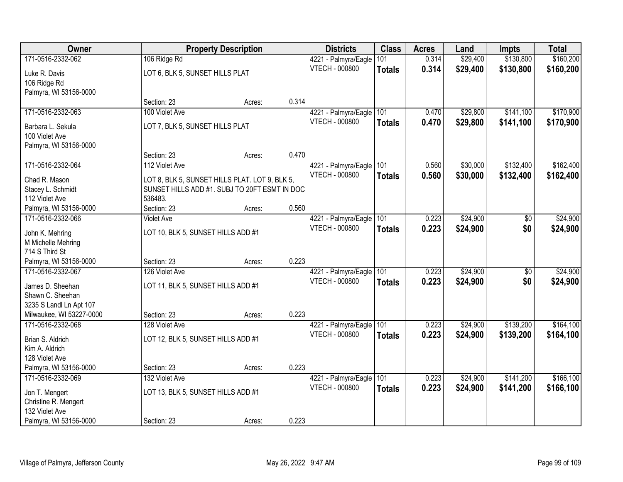| Owner                    |                                                | <b>Property Description</b> |       | <b>Districts</b>      | <b>Class</b>  | <b>Acres</b> | Land     | <b>Impts</b> | <b>Total</b> |
|--------------------------|------------------------------------------------|-----------------------------|-------|-----------------------|---------------|--------------|----------|--------------|--------------|
| 171-0516-2332-062        | 106 Ridge Rd                                   |                             |       | 4221 - Palmyra/Eagle  | 101           | 0.314        | \$29,400 | \$130,800    | \$160,200    |
| Luke R. Davis            | LOT 6, BLK 5, SUNSET HILLS PLAT                |                             |       | VTECH - 000800        | <b>Totals</b> | 0.314        | \$29,400 | \$130,800    | \$160,200    |
| 106 Ridge Rd             |                                                |                             |       |                       |               |              |          |              |              |
| Palmyra, WI 53156-0000   |                                                |                             |       |                       |               |              |          |              |              |
|                          | Section: 23                                    | Acres:                      | 0.314 |                       |               |              |          |              |              |
| 171-0516-2332-063        | 100 Violet Ave                                 |                             |       | 4221 - Palmyra/Eagle  | 101           | 0.470        | \$29,800 | \$141,100    | \$170,900    |
| Barbara L. Sekula        | LOT 7, BLK 5, SUNSET HILLS PLAT                |                             |       | <b>VTECH - 000800</b> | <b>Totals</b> | 0.470        | \$29,800 | \$141,100    | \$170,900    |
| 100 Violet Ave           |                                                |                             |       |                       |               |              |          |              |              |
| Palmyra, WI 53156-0000   |                                                |                             |       |                       |               |              |          |              |              |
|                          | Section: 23                                    | Acres:                      | 0.470 |                       |               |              |          |              |              |
| 171-0516-2332-064        | 112 Violet Ave                                 |                             |       | 4221 - Palmyra/Eagle  | 101           | 0.560        | \$30,000 | \$132,400    | \$162,400    |
| Chad R. Mason            | LOT 8, BLK 5, SUNSET HILLS PLAT. LOT 9, BLK 5, |                             |       | <b>VTECH - 000800</b> | <b>Totals</b> | 0.560        | \$30,000 | \$132,400    | \$162,400    |
| Stacey L. Schmidt        | SUNSET HILLS ADD #1. SUBJ TO 20FT ESMT IN DOC  |                             |       |                       |               |              |          |              |              |
| 112 Violet Ave           | 536483.                                        |                             |       |                       |               |              |          |              |              |
| Palmyra, WI 53156-0000   | Section: 23                                    | Acres:                      | 0.560 |                       |               |              |          |              |              |
| 171-0516-2332-066        | <b>Violet Ave</b>                              |                             |       | 4221 - Palmyra/Eagle  | 101           | 0.223        | \$24,900 | \$0          | \$24,900     |
| John K. Mehring          | LOT 10, BLK 5, SUNSET HILLS ADD #1             |                             |       | <b>VTECH - 000800</b> | <b>Totals</b> | 0.223        | \$24,900 | \$0          | \$24,900     |
| M Michelle Mehring       |                                                |                             |       |                       |               |              |          |              |              |
| 714 S Third St           |                                                |                             |       |                       |               |              |          |              |              |
| Palmyra, WI 53156-0000   | Section: 23                                    | Acres:                      | 0.223 |                       |               |              |          |              |              |
| 171-0516-2332-067        | 126 Violet Ave                                 |                             |       | 4221 - Palmyra/Eagle  | 101           | 0.223        | \$24,900 | \$0          | \$24,900     |
| James D. Sheehan         | LOT 11, BLK 5, SUNSET HILLS ADD #1             |                             |       | <b>VTECH - 000800</b> | <b>Totals</b> | 0.223        | \$24,900 | \$0          | \$24,900     |
| Shawn C. Sheehan         |                                                |                             |       |                       |               |              |          |              |              |
| 3235 S Landl Ln Apt 107  |                                                |                             |       |                       |               |              |          |              |              |
| Milwaukee, WI 53227-0000 | Section: 23                                    | Acres:                      | 0.223 |                       |               |              |          |              |              |
| 171-0516-2332-068        | 128 Violet Ave                                 |                             |       | 4221 - Palmyra/Eagle  | 101           | 0.223        | \$24,900 | \$139,200    | \$164,100    |
| Brian S. Aldrich         | LOT 12, BLK 5, SUNSET HILLS ADD #1             |                             |       | <b>VTECH - 000800</b> | <b>Totals</b> | 0.223        | \$24,900 | \$139,200    | \$164,100    |
| Kim A. Aldrich           |                                                |                             |       |                       |               |              |          |              |              |
| 128 Violet Ave           |                                                |                             |       |                       |               |              |          |              |              |
| Palmyra, WI 53156-0000   | Section: 23                                    | Acres:                      | 0.223 |                       |               |              |          |              |              |
| 171-0516-2332-069        | 132 Violet Ave                                 |                             |       | 4221 - Palmyra/Eagle  | 101           | 0.223        | \$24,900 | \$141,200    | \$166,100    |
| Jon T. Mengert           | LOT 13, BLK 5, SUNSET HILLS ADD #1             |                             |       | VTECH - 000800        | <b>Totals</b> | 0.223        | \$24,900 | \$141,200    | \$166,100    |
| Christine R. Mengert     |                                                |                             |       |                       |               |              |          |              |              |
| 132 Violet Ave           |                                                |                             |       |                       |               |              |          |              |              |
| Palmyra, WI 53156-0000   | Section: 23                                    | Acres:                      | 0.223 |                       |               |              |          |              |              |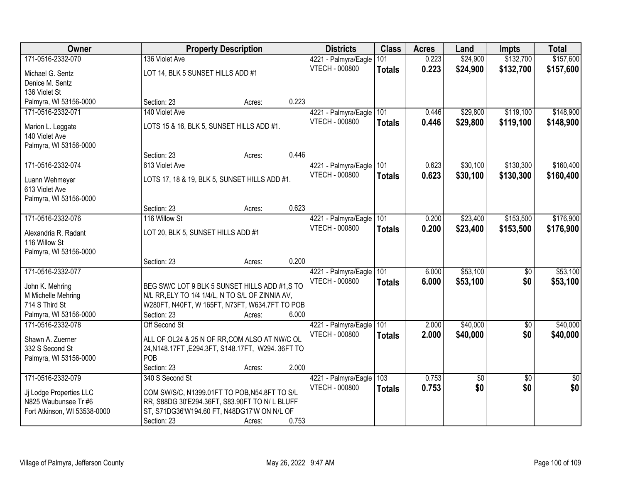| Owner                                           |                                                  | <b>Property Description</b> |       | <b>Districts</b>      | <b>Class</b>  | <b>Acres</b> | Land     | <b>Impts</b>    | <b>Total</b>    |
|-------------------------------------------------|--------------------------------------------------|-----------------------------|-------|-----------------------|---------------|--------------|----------|-----------------|-----------------|
| 171-0516-2332-070                               | 136 Violet Ave                                   |                             |       | 4221 - Palmyra/Eagle  | 101           | 0.223        | \$24,900 | \$132,700       | \$157,600       |
| Michael G. Sentz                                | LOT 14, BLK 5 SUNSET HILLS ADD #1                |                             |       | VTECH - 000800        | <b>Totals</b> | 0.223        | \$24,900 | \$132,700       | \$157,600       |
| Denice M. Sentz                                 |                                                  |                             |       |                       |               |              |          |                 |                 |
| 136 Violet St                                   |                                                  |                             |       |                       |               |              |          |                 |                 |
| Palmyra, WI 53156-0000                          | Section: 23                                      | Acres:                      | 0.223 |                       |               |              |          |                 |                 |
| 171-0516-2332-071                               | 140 Violet Ave                                   |                             |       | 4221 - Palmyra/Eagle  | 101           | 0.446        | \$29,800 | \$119,100       | \$148,900       |
| Marion L. Leggate                               | LOTS 15 & 16, BLK 5, SUNSET HILLS ADD #1.        |                             |       | <b>VTECH - 000800</b> | <b>Totals</b> | 0.446        | \$29,800 | \$119,100       | \$148,900       |
| 140 Violet Ave                                  |                                                  |                             |       |                       |               |              |          |                 |                 |
| Palmyra, WI 53156-0000                          |                                                  |                             |       |                       |               |              |          |                 |                 |
|                                                 | Section: 23                                      | Acres:                      | 0.446 |                       |               |              |          |                 |                 |
| 171-0516-2332-074                               | 613 Violet Ave                                   |                             |       | 4221 - Palmyra/Eagle  | 101           | 0.623        | \$30,100 | \$130,300       | \$160,400       |
| Luann Wehmeyer                                  | LOTS 17, 18 & 19, BLK 5, SUNSET HILLS ADD #1.    |                             |       | VTECH - 000800        | <b>Totals</b> | 0.623        | \$30,100 | \$130,300       | \$160,400       |
| 613 Violet Ave                                  |                                                  |                             |       |                       |               |              |          |                 |                 |
| Palmyra, WI 53156-0000                          |                                                  |                             |       |                       |               |              |          |                 |                 |
|                                                 | Section: 23                                      | Acres:                      | 0.623 |                       |               |              |          |                 |                 |
| 171-0516-2332-076                               | 116 Willow St                                    |                             |       | 4221 - Palmyra/Eagle  | 101           | 0.200        | \$23,400 | \$153,500       | \$176,900       |
| Alexandria R. Radant                            | LOT 20, BLK 5, SUNSET HILLS ADD #1               |                             |       | <b>VTECH - 000800</b> | <b>Totals</b> | 0.200        | \$23,400 | \$153,500       | \$176,900       |
| 116 Willow St                                   |                                                  |                             |       |                       |               |              |          |                 |                 |
| Palmyra, WI 53156-0000                          |                                                  |                             |       |                       |               |              |          |                 |                 |
|                                                 | Section: 23                                      | Acres:                      | 0.200 |                       |               |              |          |                 |                 |
| 171-0516-2332-077                               |                                                  |                             |       | 4221 - Palmyra/Eagle  | 101           | 6.000        | \$53,100 | $\overline{50}$ | \$53,100        |
| John K. Mehring                                 | BEG SW/C LOT 9 BLK 5 SUNSET HILLS ADD #1,S TO    |                             |       | <b>VTECH - 000800</b> | <b>Totals</b> | 6.000        | \$53,100 | \$0             | \$53,100        |
| M Michelle Mehring                              | N/L RR, ELY TO 1/4 1/4/L, N TO S/L OF ZINNIA AV, |                             |       |                       |               |              |          |                 |                 |
| 714 S Third St                                  | W280FT, N40FT, W 165FT, N73FT, W634.7FT TO POB   |                             |       |                       |               |              |          |                 |                 |
| Palmyra, WI 53156-0000                          | Section: 23                                      | Acres:                      | 6.000 |                       |               |              |          |                 |                 |
| 171-0516-2332-078                               | Off Second St                                    |                             |       | 4221 - Palmyra/Eagle  | 101           | 2.000        | \$40,000 | $\overline{50}$ | \$40,000        |
| Shawn A. Zuerner                                | ALL OF OL24 & 25 N OF RR, COM ALSO AT NW/C OL    |                             |       | <b>VTECH - 000800</b> | <b>Totals</b> | 2.000        | \$40,000 | \$0             | \$40,000        |
| 332 S Second St                                 | 24, N148.17FT, E294.3FT, S148.17FT, W294.36FT TO |                             |       |                       |               |              |          |                 |                 |
| Palmyra, WI 53156-0000                          | POB                                              |                             |       |                       |               |              |          |                 |                 |
|                                                 | Section: 23                                      | Acres:                      | 2.000 |                       |               |              |          |                 |                 |
| 171-0516-2332-079                               | 340 S Second St                                  |                             |       | 4221 - Palmyra/Eagle  | 103           | 0.753        | \$0      | $\overline{50}$ | $\overline{50}$ |
|                                                 | COM SW/S/C, N1399.01FT TO POB, N54.8FT TO S/L    |                             |       | VTECH - 000800        | <b>Totals</b> | 0.753        | \$0      | \$0             | \$0             |
| Jj Lodge Properties LLC<br>N825 Waubunsee Tr #6 | RR, S88DG 30'E294.36FT, S83.90FT TO N/L BLUFF    |                             |       |                       |               |              |          |                 |                 |
| Fort Atkinson, WI 53538-0000                    | ST, S71DG36'W194.60 FT, N48DG17'W ON N/L OF      |                             |       |                       |               |              |          |                 |                 |
|                                                 | Section: 23                                      | Acres:                      | 0.753 |                       |               |              |          |                 |                 |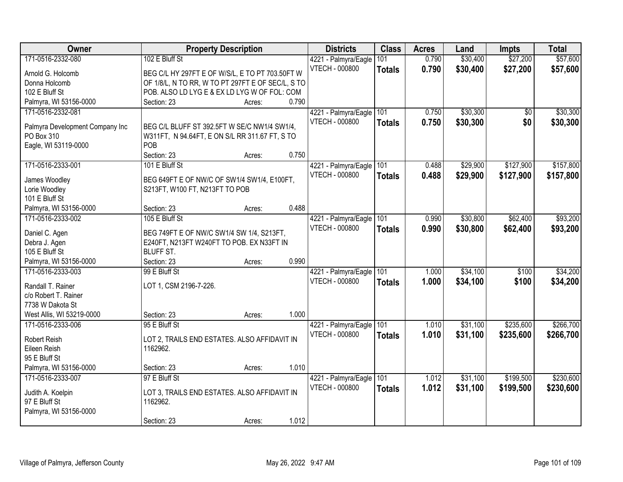| Owner                           | <b>Property Description</b>                                                            | <b>Districts</b>         | <b>Class</b>  | <b>Acres</b> | Land     | <b>Impts</b> | <b>Total</b> |
|---------------------------------|----------------------------------------------------------------------------------------|--------------------------|---------------|--------------|----------|--------------|--------------|
| 171-0516-2332-080               | 102 E Bluff St                                                                         | 4221 - Palmyra/Eagle     | 101           | 0.790        | \$30,400 | \$27,200     | \$57,600     |
| Arnold G. Holcomb               | BEG C/L HY 297FT E OF W/S/L, E TO PT 703.50FT W                                        | <b>VTECH - 000800</b>    | <b>Totals</b> | 0.790        | \$30,400 | \$27,200     | \$57,600     |
| Donna Holcomb                   | OF 1/8/L, N TO RR, W TO PT 297FT E OF SEC/L, S TO                                      |                          |               |              |          |              |              |
| 102 E Bluff St                  | POB. ALSO LD LYG E & EX LD LYG W OF FOL: COM                                           |                          |               |              |          |              |              |
| Palmyra, WI 53156-0000          | 0.790<br>Section: 23<br>Acres:                                                         |                          |               |              |          |              |              |
| 171-0516-2332-081               |                                                                                        | 4221 - Palmyra/Eagle     | 101           | 0.750        | \$30,300 | \$0          | \$30,300     |
|                                 |                                                                                        | <b>VTECH - 000800</b>    | <b>Totals</b> | 0.750        | \$30,300 | \$0          | \$30,300     |
| Palmyra Development Company Inc | BEG C/L BLUFF ST 392.5FT W SE/C NW1/4 SW1/4,                                           |                          |               |              |          |              |              |
| PO Box 310                      | W311FT, N 94.64FT, E ON S/L RR 311.67 FT, S TO                                         |                          |               |              |          |              |              |
| Eagle, WI 53119-0000            | POB                                                                                    |                          |               |              |          |              |              |
|                                 | Section: 23<br>0.750<br>Acres:                                                         |                          |               |              |          |              |              |
| 171-0516-2333-001               | 101 E Bluff St                                                                         | 4221 - Palmyra/Eagle 101 |               | 0.488        | \$29,900 | \$127,900    | \$157,800    |
| James Woodley                   | BEG 649FT E OF NW/C OF SW1/4 SW1/4, E100FT,                                            | <b>VTECH - 000800</b>    | <b>Totals</b> | 0.488        | \$29,900 | \$127,900    | \$157,800    |
| Lorie Woodley                   | S213FT, W100 FT, N213FT TO POB                                                         |                          |               |              |          |              |              |
| 101 E Bluff St                  |                                                                                        |                          |               |              |          |              |              |
| Palmyra, WI 53156-0000          | 0.488<br>Section: 23<br>Acres:                                                         |                          |               |              |          |              |              |
| 171-0516-2333-002               | 105 E Bluff St                                                                         | 4221 - Palmyra/Eagle     | 101           | 0.990        | \$30,800 | \$62,400     | \$93,200     |
|                                 |                                                                                        | <b>VTECH - 000800</b>    | <b>Totals</b> | 0.990        | \$30,800 | \$62,400     | \$93,200     |
| Daniel C. Agen<br>Debra J. Agen | BEG 749FT E OF NW/C SW1/4 SW 1/4, S213FT,<br>E240FT, N213FT W240FT TO POB. EX N33FT IN |                          |               |              |          |              |              |
| 105 E Bluff St                  | <b>BLUFF ST.</b>                                                                       |                          |               |              |          |              |              |
| Palmyra, WI 53156-0000          | 0.990<br>Section: 23<br>Acres:                                                         |                          |               |              |          |              |              |
| 171-0516-2333-003               | 99 E Bluff St                                                                          | 4221 - Palmyra/Eagle     | 101           | 1.000        | \$34,100 | \$100        | \$34,200     |
|                                 |                                                                                        | VTECH - 000800           | <b>Totals</b> | 1.000        | \$34,100 | \$100        | \$34,200     |
| Randall T. Rainer               | LOT 1, CSM 2196-7-226.                                                                 |                          |               |              |          |              |              |
| c/o Robert T. Rainer            |                                                                                        |                          |               |              |          |              |              |
| 7738 W Dakota St                |                                                                                        |                          |               |              |          |              |              |
| West Allis, WI 53219-0000       | 1.000<br>Section: 23<br>Acres:                                                         |                          |               |              |          |              |              |
| 171-0516-2333-006               | 95 E Bluff St                                                                          | 4221 - Palmyra/Eagle     | 101           | 1.010        | \$31,100 | \$235,600    | \$266,700    |
| Robert Reish                    | LOT 2, TRAILS END ESTATES. ALSO AFFIDAVIT IN                                           | VTECH - 000800           | <b>Totals</b> | 1.010        | \$31,100 | \$235,600    | \$266,700    |
| Eileen Reish                    | 1162962.                                                                               |                          |               |              |          |              |              |
| 95 E Bluff St                   |                                                                                        |                          |               |              |          |              |              |
| Palmyra, WI 53156-0000          | 1.010<br>Section: 23<br>Acres:                                                         |                          |               |              |          |              |              |
| 171-0516-2333-007               | 97 E Bluff St                                                                          | 4221 - Palmyra/Eagle     | 101           | 1.012        | \$31,100 | \$199,500    | \$230,600    |
|                                 |                                                                                        | VTECH - 000800           | <b>Totals</b> | 1.012        | \$31,100 | \$199,500    | \$230,600    |
| Judith A. Koelpin               | LOT 3, TRAILS END ESTATES. ALSO AFFIDAVIT IN                                           |                          |               |              |          |              |              |
| 97 E Bluff St                   | 1162962.                                                                               |                          |               |              |          |              |              |
| Palmyra, WI 53156-0000          | 1.012<br>Section: 23                                                                   |                          |               |              |          |              |              |
|                                 | Acres:                                                                                 |                          |               |              |          |              |              |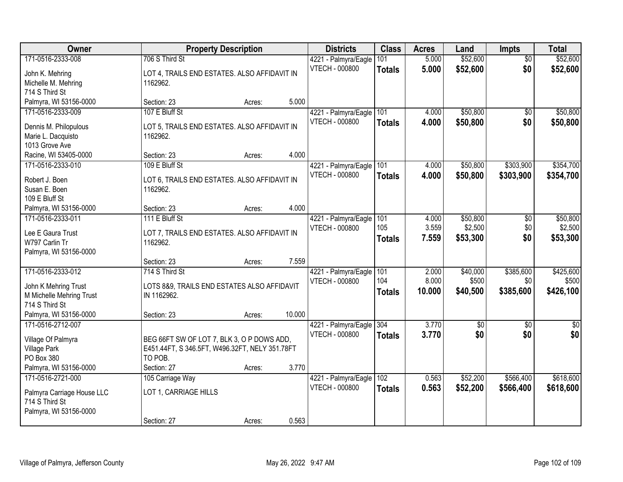| Owner                                    | <b>Property Description</b>                    |        |        | <b>Districts</b>                       | <b>Class</b>  | <b>Acres</b> | Land     | <b>Impts</b>    | <b>Total</b>  |
|------------------------------------------|------------------------------------------------|--------|--------|----------------------------------------|---------------|--------------|----------|-----------------|---------------|
| 171-0516-2333-008                        | 706 S Third St                                 |        |        | 4221 - Palmyra/Eagle                   | 101           | 5.000        | \$52,600 | $\overline{50}$ | \$52,600      |
| John K. Mehring                          | LOT 4, TRAILS END ESTATES. ALSO AFFIDAVIT IN   |        |        | VTECH - 000800                         | <b>Totals</b> | 5.000        | \$52,600 | \$0             | \$52,600      |
| Michelle M. Mehring                      | 1162962.                                       |        |        |                                        |               |              |          |                 |               |
| 714 S Third St                           |                                                |        |        |                                        |               |              |          |                 |               |
| Palmyra, WI 53156-0000                   | Section: 23                                    | Acres: | 5.000  |                                        |               |              |          |                 |               |
| 171-0516-2333-009                        | 107 E Bluff St                                 |        |        | 4221 - Palmyra/Eagle                   | 101           | 4.000        | \$50,800 | \$0             | \$50,800      |
| Dennis M. Philopulous                    | LOT 5, TRAILS END ESTATES. ALSO AFFIDAVIT IN   |        |        | VTECH - 000800                         | <b>Totals</b> | 4.000        | \$50,800 | \$0             | \$50,800      |
| Marie L. Dacquisto                       | 1162962.                                       |        |        |                                        |               |              |          |                 |               |
| 1013 Grove Ave                           |                                                |        |        |                                        |               |              |          |                 |               |
| Racine, WI 53405-0000                    | Section: 23                                    | Acres: | 4.000  |                                        |               |              |          |                 |               |
| 171-0516-2333-010                        | 109 E Bluff St                                 |        |        | 4221 - Palmyra/Eagle                   | 101           | 4.000        | \$50,800 | \$303,900       | \$354,700     |
| Robert J. Boen                           | LOT 6, TRAILS END ESTATES. ALSO AFFIDAVIT IN   |        |        | VTECH - 000800                         | <b>Totals</b> | 4.000        | \$50,800 | \$303,900       | \$354,700     |
| Susan E. Boen                            | 1162962.                                       |        |        |                                        |               |              |          |                 |               |
| 109 E Bluff St                           |                                                |        |        |                                        |               |              |          |                 |               |
| Palmyra, WI 53156-0000                   | Section: 23                                    | Acres: | 4.000  |                                        |               |              |          |                 |               |
| 171-0516-2333-011                        | 111 E Bluff St                                 |        |        | 4221 - Palmyra/Eagle                   | 101           | 4.000        | \$50,800 | \$0             | \$50,800      |
| Lee E Gaura Trust                        | LOT 7, TRAILS END ESTATES. ALSO AFFIDAVIT IN   |        |        | <b>VTECH - 000800</b>                  | 105           | 3.559        | \$2,500  | \$0             | \$2,500       |
| W797 Carlin Tr                           | 1162962.                                       |        |        |                                        | <b>Totals</b> | 7.559        | \$53,300 | \$0             | \$53,300      |
| Palmyra, WI 53156-0000                   |                                                |        |        |                                        |               |              |          |                 |               |
|                                          | Section: 23                                    | Acres: | 7.559  |                                        |               |              |          |                 |               |
| 171-0516-2333-012                        | 714 S Third St                                 |        |        | 4221 - Palmyra/Eagle                   | 101           | 2.000        | \$40,000 | \$385,600       | \$425,600     |
|                                          |                                                |        |        | <b>VTECH - 000800</b>                  | 104           | 8.000        | \$500    | \$0             | \$500         |
| John K Mehring Trust                     | LOTS 8&9, TRAILS END ESTATES ALSO AFFIDAVIT    |        |        |                                        | <b>Totals</b> | 10.000       | \$40,500 | \$385,600       | \$426,100     |
| M Michelle Mehring Trust                 | IN 1162962.                                    |        |        |                                        |               |              |          |                 |               |
| 714 S Third St<br>Palmyra, WI 53156-0000 | Section: 23                                    |        | 10.000 |                                        |               |              |          |                 |               |
| 171-0516-2712-007                        |                                                | Acres: |        |                                        | 304           | 3.770        | \$0      | \$0             | $\frac{1}{6}$ |
|                                          |                                                |        |        | 4221 - Palmyra/Eagle<br>VTECH - 000800 |               | 3.770        | \$0      | \$0             | \$0           |
| Village Of Palmyra                       | BEG 66FT SW OF LOT 7, BLK 3, O P DOWS ADD,     |        |        |                                        | <b>Totals</b> |              |          |                 |               |
| <b>Village Park</b>                      | E451.44FT, S 346.5FT, W496.32FT, NELY 351.78FT |        |        |                                        |               |              |          |                 |               |
| PO Box 380                               | TO POB.                                        |        |        |                                        |               |              |          |                 |               |
| Palmyra, WI 53156-0000                   | Section: 27                                    | Acres: | 3.770  |                                        |               |              |          |                 |               |
| 171-0516-2721-000                        | 105 Carriage Way                               |        |        | 4221 - Palmyra/Eagle                   | 102           | 0.563        | \$52,200 | \$566,400       | \$618,600     |
| Palmyra Carriage House LLC               | LOT 1, CARRIAGE HILLS                          |        |        | VTECH - 000800                         | <b>Totals</b> | 0.563        | \$52,200 | \$566,400       | \$618,600     |
| 714 S Third St                           |                                                |        |        |                                        |               |              |          |                 |               |
| Palmyra, WI 53156-0000                   |                                                |        |        |                                        |               |              |          |                 |               |
|                                          | Section: 27                                    | Acres: | 0.563  |                                        |               |              |          |                 |               |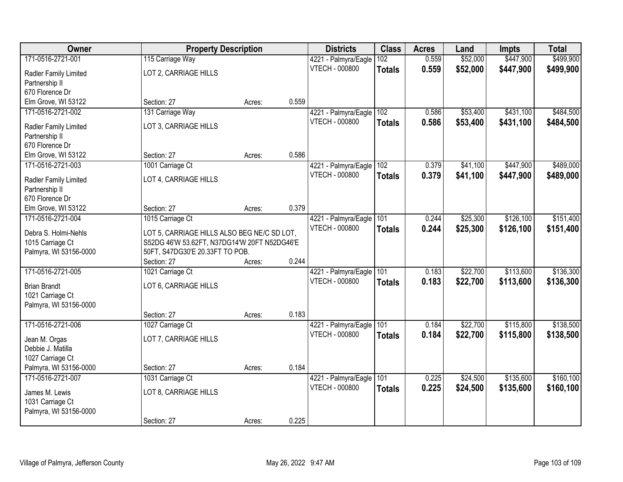| Owner                                   | <b>Property Description</b>                  |        |       | <b>Districts</b>                       | <b>Class</b>  | <b>Acres</b> | Land     | <b>Impts</b> | <b>Total</b> |
|-----------------------------------------|----------------------------------------------|--------|-------|----------------------------------------|---------------|--------------|----------|--------------|--------------|
| 171-0516-2721-001                       | 115 Carriage Way                             |        |       | 4221 - Palmyra/Eagle                   | 102           | 0.559        | \$52,000 | \$447,900    | \$499,900    |
| Radler Family Limited                   | LOT 2, CARRIAGE HILLS                        |        |       | VTECH - 000800                         | <b>Totals</b> | 0.559        | \$52,000 | \$447,900    | \$499,900    |
| Partnership II                          |                                              |        |       |                                        |               |              |          |              |              |
| 670 Florence Dr                         |                                              |        |       |                                        |               |              |          |              |              |
| Elm Grove, WI 53122                     | Section: 27                                  | Acres: | 0.559 |                                        |               |              |          |              |              |
| 171-0516-2721-002                       | 131 Carriage Way                             |        |       | 4221 - Palmyra/Eagle                   | 102           | 0.586        | \$53,400 | \$431,100    | \$484,500    |
| Radler Family Limited                   | LOT 3, CARRIAGE HILLS                        |        |       | VTECH - 000800                         | <b>Totals</b> | 0.586        | \$53,400 | \$431,100    | \$484,500    |
| Partnership II                          |                                              |        |       |                                        |               |              |          |              |              |
| 670 Florence Dr                         |                                              |        |       |                                        |               |              |          |              |              |
| Elm Grove, WI 53122                     | Section: 27                                  | Acres: | 0.586 |                                        |               |              |          |              |              |
| 171-0516-2721-003                       | 1001 Carriage Ct                             |        |       | 4221 - Palmyra/Eagle                   | 102           | 0.379        | \$41,100 | \$447,900    | \$489,000    |
|                                         |                                              |        |       | <b>VTECH - 000800</b>                  | <b>Totals</b> | 0.379        | \$41,100 | \$447,900    | \$489,000    |
| Radler Family Limited<br>Partnership II | LOT 4, CARRIAGE HILLS                        |        |       |                                        |               |              |          |              |              |
| 670 Florence Dr                         |                                              |        |       |                                        |               |              |          |              |              |
| Elm Grove, WI 53122                     | Section: 27                                  | Acres: | 0.379 |                                        |               |              |          |              |              |
| 171-0516-2721-004                       | 1015 Carriage Ct                             |        |       | 4221 - Palmyra/Eagle                   | 101           | 0.244        | \$25,300 | \$126,100    | \$151,400    |
|                                         |                                              |        |       | <b>VTECH - 000800</b>                  | <b>Totals</b> | 0.244        | \$25,300 | \$126,100    | \$151,400    |
| Debra S. Holmi-Nehls                    | LOT 5, CARRIAGE HILLS ALSO BEG NE/C SD LOT,  |        |       |                                        |               |              |          |              |              |
| 1015 Carriage Ct                        | S52DG 46'W 53.62FT, N37DG14'W 20FT N52DG46'E |        |       |                                        |               |              |          |              |              |
| Palmyra, WI 53156-0000                  | 50FT, S47DG30'E 20.33FT TO POB.              |        | 0.244 |                                        |               |              |          |              |              |
| 171-0516-2721-005                       | Section: 27<br>1021 Carriage Ct              | Acres: |       |                                        | 101           | 0.183        | \$22,700 | \$113,600    | \$136,300    |
|                                         |                                              |        |       | 4221 - Palmyra/Eagle<br>VTECH - 000800 |               |              |          |              |              |
| <b>Brian Brandt</b>                     | LOT 6, CARRIAGE HILLS                        |        |       |                                        | <b>Totals</b> | 0.183        | \$22,700 | \$113,600    | \$136,300    |
| 1021 Carriage Ct                        |                                              |        |       |                                        |               |              |          |              |              |
| Palmyra, WI 53156-0000                  |                                              |        |       |                                        |               |              |          |              |              |
|                                         | Section: 27                                  | Acres: | 0.183 |                                        |               |              |          |              |              |
| 171-0516-2721-006                       | 1027 Carriage Ct                             |        |       | 4221 - Palmyra/Eagle                   | 101           | 0.184        | \$22,700 | \$115,800    | \$138,500    |
| Jean M. Orgas                           | LOT 7, CARRIAGE HILLS                        |        |       | <b>VTECH - 000800</b>                  | <b>Totals</b> | 0.184        | \$22,700 | \$115,800    | \$138,500    |
| Debbie J. Matilla                       |                                              |        |       |                                        |               |              |          |              |              |
| 1027 Carriage Ct                        |                                              |        |       |                                        |               |              |          |              |              |
| Palmyra, WI 53156-0000                  | Section: 27                                  | Acres: | 0.184 |                                        |               |              |          |              |              |
| 171-0516-2721-007                       | 1031 Carriage Ct                             |        |       | 4221 - Palmyra/Eagle                   | 101           | 0.225        | \$24,500 | \$135,600    | \$160, 100   |
| James M. Lewis                          | LOT 8, CARRIAGE HILLS                        |        |       | <b>VTECH - 000800</b>                  | <b>Totals</b> | 0.225        | \$24,500 | \$135,600    | \$160,100    |
| 1031 Carriage Ct                        |                                              |        |       |                                        |               |              |          |              |              |
| Palmyra, WI 53156-0000                  |                                              |        |       |                                        |               |              |          |              |              |
|                                         | Section: 27                                  | Acres: | 0.225 |                                        |               |              |          |              |              |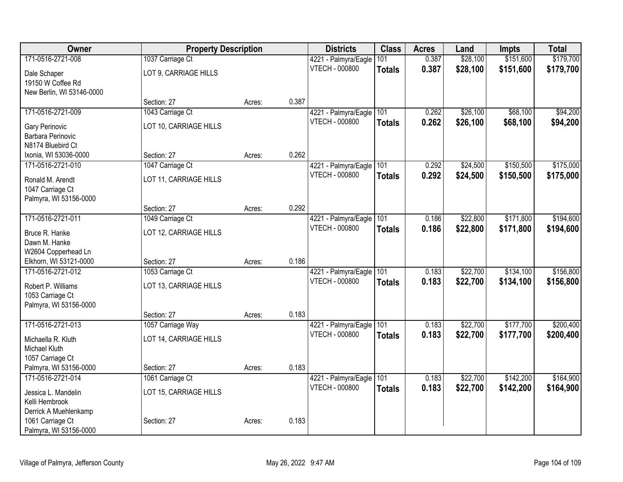| Owner                     | <b>Property Description</b> |        |       | <b>Districts</b>      | <b>Class</b>  | <b>Acres</b> | Land     | Impts     | <b>Total</b> |
|---------------------------|-----------------------------|--------|-------|-----------------------|---------------|--------------|----------|-----------|--------------|
| 171-0516-2721-008         | 1037 Carriage Ct            |        |       | 4221 - Palmyra/Eagle  | 101           | 0.387        | \$28,100 | \$151,600 | \$179,700    |
| Dale Schaper              | LOT 9, CARRIAGE HILLS       |        |       | VTECH - 000800        | <b>Totals</b> | 0.387        | \$28,100 | \$151,600 | \$179,700    |
| 19150 W Coffee Rd         |                             |        |       |                       |               |              |          |           |              |
| New Berlin, WI 53146-0000 |                             |        |       |                       |               |              |          |           |              |
|                           | Section: 27                 | Acres: | 0.387 |                       |               |              |          |           |              |
| 171-0516-2721-009         | 1043 Carriage Ct            |        |       | 4221 - Palmyra/Eagle  | 101           | 0.262        | \$26,100 | \$68,100  | \$94,200     |
| Gary Perinovic            | LOT 10, CARRIAGE HILLS      |        |       | <b>VTECH - 000800</b> | <b>Totals</b> | 0.262        | \$26,100 | \$68,100  | \$94,200     |
| Barbara Perinovic         |                             |        |       |                       |               |              |          |           |              |
| N8174 Bluebird Ct         |                             |        |       |                       |               |              |          |           |              |
| Ixonia, WI 53036-0000     | Section: 27                 | Acres: | 0.262 |                       |               |              |          |           |              |
| 171-0516-2721-010         | 1047 Carriage Ct            |        |       | 4221 - Palmyra/Eagle  | 101           | 0.292        | \$24,500 | \$150,500 | \$175,000    |
| Ronald M. Arendt          | LOT 11, CARRIAGE HILLS      |        |       | <b>VTECH - 000800</b> | <b>Totals</b> | 0.292        | \$24,500 | \$150,500 | \$175,000    |
| 1047 Carriage Ct          |                             |        |       |                       |               |              |          |           |              |
| Palmyra, WI 53156-0000    |                             |        |       |                       |               |              |          |           |              |
|                           | Section: 27                 | Acres: | 0.292 |                       |               |              |          |           |              |
| 171-0516-2721-011         | 1049 Carriage Ct            |        |       | 4221 - Palmyra/Eagle  | 101           | 0.186        | \$22,800 | \$171,800 | \$194,600    |
| Bruce R. Hanke            | LOT 12, CARRIAGE HILLS      |        |       | <b>VTECH - 000800</b> | <b>Totals</b> | 0.186        | \$22,800 | \$171,800 | \$194,600    |
| Dawn M. Hanke             |                             |        |       |                       |               |              |          |           |              |
| W2604 Copperhead Ln       |                             |        |       |                       |               |              |          |           |              |
| Elkhorn, WI 53121-0000    | Section: 27                 | Acres: | 0.186 |                       |               |              |          |           |              |
| 171-0516-2721-012         | 1053 Carriage Ct            |        |       | 4221 - Palmyra/Eagle  | 101           | 0.183        | \$22,700 | \$134,100 | \$156,800    |
| Robert P. Williams        | LOT 13, CARRIAGE HILLS      |        |       | VTECH - 000800        | <b>Totals</b> | 0.183        | \$22,700 | \$134,100 | \$156,800    |
| 1053 Carriage Ct          |                             |        |       |                       |               |              |          |           |              |
| Palmyra, WI 53156-0000    |                             |        |       |                       |               |              |          |           |              |
|                           | Section: 27                 | Acres: | 0.183 |                       |               |              |          |           |              |
| 171-0516-2721-013         | 1057 Carriage Way           |        |       | 4221 - Palmyra/Eagle  | 101           | 0.183        | \$22,700 | \$177,700 | \$200,400    |
| Michaella R. Kluth        | LOT 14, CARRIAGE HILLS      |        |       | <b>VTECH - 000800</b> | <b>Totals</b> | 0.183        | \$22,700 | \$177,700 | \$200,400    |
| Michael Kluth             |                             |        |       |                       |               |              |          |           |              |
| 1057 Carriage Ct          |                             |        |       |                       |               |              |          |           |              |
| Palmyra, WI 53156-0000    | Section: 27                 | Acres: | 0.183 |                       |               |              |          |           |              |
| 171-0516-2721-014         | 1061 Carriage Ct            |        |       | 4221 - Palmyra/Eagle  | 101           | 0.183        | \$22,700 | \$142,200 | \$164,900    |
| Jessica L. Mandelin       | LOT 15, CARRIAGE HILLS      |        |       | <b>VTECH - 000800</b> | <b>Totals</b> | 0.183        | \$22,700 | \$142,200 | \$164,900    |
| Kelli Hembrook            |                             |        |       |                       |               |              |          |           |              |
| Derrick A Muehlenkamp     |                             |        |       |                       |               |              |          |           |              |
| 1061 Carriage Ct          | Section: 27                 | Acres: | 0.183 |                       |               |              |          |           |              |
| Palmyra, WI 53156-0000    |                             |        |       |                       |               |              |          |           |              |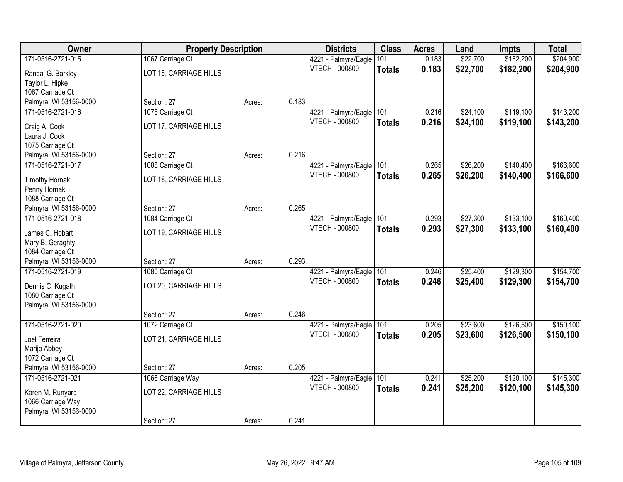| Owner                  | <b>Property Description</b> |        |       | <b>Districts</b>      | <b>Class</b>  | <b>Acres</b> | Land     | <b>Impts</b> | <b>Total</b> |
|------------------------|-----------------------------|--------|-------|-----------------------|---------------|--------------|----------|--------------|--------------|
| 171-0516-2721-015      | 1067 Carriage Ct            |        |       | 4221 - Palmyra/Eagle  | 101           | 0.183        | \$22,700 | \$182,200    | \$204,900    |
| Randal G. Barkley      | LOT 16, CARRIAGE HILLS      |        |       | <b>VTECH - 000800</b> | <b>Totals</b> | 0.183        | \$22,700 | \$182,200    | \$204,900    |
| Taylor L. Hipke        |                             |        |       |                       |               |              |          |              |              |
| 1067 Carriage Ct       |                             |        |       |                       |               |              |          |              |              |
| Palmyra, WI 53156-0000 | Section: 27                 | Acres: | 0.183 |                       |               |              |          |              |              |
| 171-0516-2721-016      | 1075 Carriage Ct            |        |       | 4221 - Palmyra/Eagle  | 101           | 0.216        | \$24,100 | \$119,100    | \$143,200    |
| Craig A. Cook          | LOT 17, CARRIAGE HILLS      |        |       | VTECH - 000800        | <b>Totals</b> | 0.216        | \$24,100 | \$119,100    | \$143,200    |
| Laura J. Cook          |                             |        |       |                       |               |              |          |              |              |
| 1075 Carriage Ct       |                             |        |       |                       |               |              |          |              |              |
| Palmyra, WI 53156-0000 | Section: 27                 | Acres: | 0.216 |                       |               |              |          |              |              |
| 171-0516-2721-017      | 1088 Carriage Ct            |        |       | 4221 - Palmyra/Eagle  | 101           | 0.265        | \$26,200 | \$140,400    | \$166,600    |
| <b>Timothy Hornak</b>  | LOT 18, CARRIAGE HILLS      |        |       | <b>VTECH - 000800</b> | <b>Totals</b> | 0.265        | \$26,200 | \$140,400    | \$166,600    |
| Penny Hornak           |                             |        |       |                       |               |              |          |              |              |
| 1088 Carriage Ct       |                             |        |       |                       |               |              |          |              |              |
| Palmyra, WI 53156-0000 | Section: 27                 | Acres: | 0.265 |                       |               |              |          |              |              |
| 171-0516-2721-018      | 1084 Carriage Ct            |        |       | 4221 - Palmyra/Eagle  | 101           | 0.293        | \$27,300 | \$133,100    | \$160,400    |
| James C. Hobart        | LOT 19, CARRIAGE HILLS      |        |       | <b>VTECH - 000800</b> | <b>Totals</b> | 0.293        | \$27,300 | \$133,100    | \$160,400    |
| Mary B. Geraghty       |                             |        |       |                       |               |              |          |              |              |
| 1084 Carriage Ct       |                             |        |       |                       |               |              |          |              |              |
| Palmyra, WI 53156-0000 | Section: 27                 | Acres: | 0.293 |                       |               |              |          |              |              |
| 171-0516-2721-019      | 1080 Carriage Ct            |        |       | 4221 - Palmyra/Eagle  | 101           | 0.246        | \$25,400 | \$129,300    | \$154,700    |
| Dennis C. Kugath       | LOT 20, CARRIAGE HILLS      |        |       | <b>VTECH - 000800</b> | <b>Totals</b> | 0.246        | \$25,400 | \$129,300    | \$154,700    |
| 1080 Carriage Ct       |                             |        |       |                       |               |              |          |              |              |
| Palmyra, WI 53156-0000 |                             |        |       |                       |               |              |          |              |              |
|                        | Section: 27                 | Acres: | 0.246 |                       |               |              |          |              |              |
| 171-0516-2721-020      | 1072 Carriage Ct            |        |       | 4221 - Palmyra/Eagle  | 101           | 0.205        | \$23,600 | \$126,500    | \$150,100    |
| Joel Ferreira          | LOT 21, CARRIAGE HILLS      |        |       | <b>VTECH - 000800</b> | <b>Totals</b> | 0.205        | \$23,600 | \$126,500    | \$150,100    |
| Marijo Abbey           |                             |        |       |                       |               |              |          |              |              |
| 1072 Carriage Ct       |                             |        |       |                       |               |              |          |              |              |
| Palmyra, WI 53156-0000 | Section: 27                 | Acres: | 0.205 |                       |               |              |          |              |              |
| 171-0516-2721-021      | 1066 Carriage Way           |        |       | 4221 - Palmyra/Eagle  | 101           | 0.241        | \$25,200 | \$120,100    | \$145,300    |
| Karen M. Runyard       | LOT 22, CARRIAGE HILLS      |        |       | <b>VTECH - 000800</b> | <b>Totals</b> | 0.241        | \$25,200 | \$120,100    | \$145,300    |
| 1066 Carriage Way      |                             |        |       |                       |               |              |          |              |              |
| Palmyra, WI 53156-0000 |                             |        |       |                       |               |              |          |              |              |
|                        | Section: 27                 | Acres: | 0.241 |                       |               |              |          |              |              |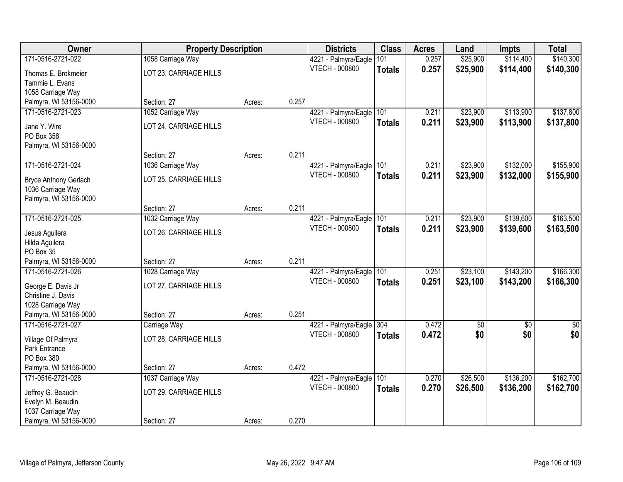| Owner                        | <b>Property Description</b> |        |       | <b>Districts</b>         | <b>Class</b>  | <b>Acres</b> | Land       | <b>Impts</b> | <b>Total</b>  |
|------------------------------|-----------------------------|--------|-------|--------------------------|---------------|--------------|------------|--------------|---------------|
| 171-0516-2721-022            | 1058 Carriage Way           |        |       | 4221 - Palmyra/Eagle     | 101           | 0.257        | \$25,900   | \$114,400    | \$140,300     |
| Thomas E. Brokmeier          | LOT 23, CARRIAGE HILLS      |        |       | <b>VTECH - 000800</b>    | <b>Totals</b> | 0.257        | \$25,900   | \$114,400    | \$140,300     |
| Tammie L. Evans              |                             |        |       |                          |               |              |            |              |               |
| 1058 Carriage Way            |                             |        |       |                          |               |              |            |              |               |
| Palmyra, WI 53156-0000       | Section: 27                 | Acres: | 0.257 |                          |               |              |            |              |               |
| 171-0516-2721-023            | 1052 Carriage Way           |        |       | 4221 - Palmyra/Eagle     | 101           | 0.211        | \$23,900   | \$113,900    | \$137,800     |
| Jane Y. Wire                 | LOT 24, CARRIAGE HILLS      |        |       | <b>VTECH - 000800</b>    | <b>Totals</b> | 0.211        | \$23,900   | \$113,900    | \$137,800     |
| PO Box 356                   |                             |        |       |                          |               |              |            |              |               |
| Palmyra, WI 53156-0000       |                             |        |       |                          |               |              |            |              |               |
|                              | Section: 27                 | Acres: | 0.211 |                          |               |              |            |              |               |
| 171-0516-2721-024            | 1036 Carriage Way           |        |       | 4221 - Palmyra/Eagle     | 101           | 0.211        | \$23,900   | \$132,000    | \$155,900     |
| <b>Bryce Anthony Gerlach</b> | LOT 25, CARRIAGE HILLS      |        |       | <b>VTECH - 000800</b>    | <b>Totals</b> | 0.211        | \$23,900   | \$132,000    | \$155,900     |
| 1036 Carriage Way            |                             |        |       |                          |               |              |            |              |               |
| Palmyra, WI 53156-0000       |                             |        |       |                          |               |              |            |              |               |
|                              | Section: 27                 | Acres: | 0.211 |                          |               |              |            |              |               |
| 171-0516-2721-025            | 1032 Carriage Way           |        |       | 4221 - Palmyra/Eagle     | 101           | 0.211        | \$23,900   | \$139,600    | \$163,500     |
| Jesus Aguilera               | LOT 26, CARRIAGE HILLS      |        |       | <b>VTECH - 000800</b>    | <b>Totals</b> | 0.211        | \$23,900   | \$139,600    | \$163,500     |
| Hilda Aguilera               |                             |        |       |                          |               |              |            |              |               |
| PO Box 35                    |                             |        |       |                          |               |              |            |              |               |
| Palmyra, WI 53156-0000       | Section: 27                 | Acres: | 0.211 |                          |               |              |            |              |               |
| 171-0516-2721-026            | 1028 Carriage Way           |        |       | 4221 - Palmyra/Eagle     | 101           | 0.251        | \$23,100   | \$143,200    | \$166,300     |
| George E. Davis Jr           | LOT 27, CARRIAGE HILLS      |        |       | <b>VTECH - 000800</b>    | <b>Totals</b> | 0.251        | \$23,100   | \$143,200    | \$166,300     |
| Christine J. Davis           |                             |        |       |                          |               |              |            |              |               |
| 1028 Carriage Way            |                             |        |       |                          |               |              |            |              |               |
| Palmyra, WI 53156-0000       | Section: 27                 | Acres: | 0.251 |                          |               |              |            |              |               |
| 171-0516-2721-027            | Carriage Way                |        |       | 4221 - Palmyra/Eagle 304 |               | 0.472        | $\sqrt{6}$ | $\sqrt{6}$   | $\frac{1}{6}$ |
| Village Of Palmyra           | LOT 28, CARRIAGE HILLS      |        |       | <b>VTECH - 000800</b>    | <b>Totals</b> | 0.472        | \$0        | \$0          | \$0           |
| Park Entrance                |                             |        |       |                          |               |              |            |              |               |
| PO Box 380                   |                             |        |       |                          |               |              |            |              |               |
| Palmyra, WI 53156-0000       | Section: 27                 | Acres: | 0.472 |                          |               |              |            |              |               |
| 171-0516-2721-028            | 1037 Carriage Way           |        |       | 4221 - Palmyra/Eagle     | 101           | 0.270        | \$26,500   | \$136,200    | \$162,700     |
| Jeffrey G. Beaudin           | LOT 29, CARRIAGE HILLS      |        |       | <b>VTECH - 000800</b>    | <b>Totals</b> | 0.270        | \$26,500   | \$136,200    | \$162,700     |
| Evelyn M. Beaudin            |                             |        |       |                          |               |              |            |              |               |
| 1037 Carriage Way            |                             |        |       |                          |               |              |            |              |               |
| Palmyra, WI 53156-0000       | Section: 27                 | Acres: | 0.270 |                          |               |              |            |              |               |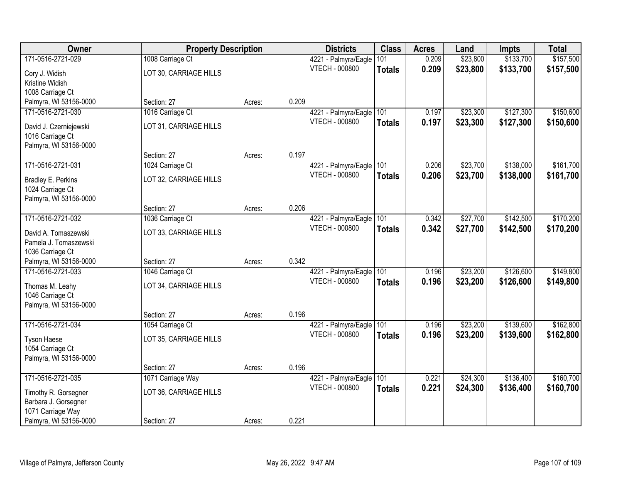| Owner                  | <b>Property Description</b> |        |       | <b>Districts</b>      | <b>Class</b>  | <b>Acres</b> | Land     | <b>Impts</b> | <b>Total</b> |
|------------------------|-----------------------------|--------|-------|-----------------------|---------------|--------------|----------|--------------|--------------|
| 171-0516-2721-029      | 1008 Carriage Ct            |        |       | 4221 - Palmyra/Eagle  | 101           | 0.209        | \$23,800 | \$133,700    | \$157,500    |
| Cory J. Widish         | LOT 30, CARRIAGE HILLS      |        |       | <b>VTECH - 000800</b> | <b>Totals</b> | 0.209        | \$23,800 | \$133,700    | \$157,500    |
| Kristine Widish        |                             |        |       |                       |               |              |          |              |              |
| 1008 Carriage Ct       |                             |        |       |                       |               |              |          |              |              |
| Palmyra, WI 53156-0000 | Section: 27                 | Acres: | 0.209 |                       |               |              |          |              |              |
| 171-0516-2721-030      | 1016 Carriage Ct            |        |       | 4221 - Palmyra/Eagle  | 101           | 0.197        | \$23,300 | \$127,300    | \$150,600    |
| David J. Czerniejewski | LOT 31, CARRIAGE HILLS      |        |       | <b>VTECH - 000800</b> | <b>Totals</b> | 0.197        | \$23,300 | \$127,300    | \$150,600    |
| 1016 Carriage Ct       |                             |        |       |                       |               |              |          |              |              |
| Palmyra, WI 53156-0000 |                             |        |       |                       |               |              |          |              |              |
|                        | Section: 27                 | Acres: | 0.197 |                       |               |              |          |              |              |
| 171-0516-2721-031      | 1024 Carriage Ct            |        |       | 4221 - Palmyra/Eagle  | 101           | 0.206        | \$23,700 | \$138,000    | \$161,700    |
| Bradley E. Perkins     | LOT 32, CARRIAGE HILLS      |        |       | <b>VTECH - 000800</b> | <b>Totals</b> | 0.206        | \$23,700 | \$138,000    | \$161,700    |
| 1024 Carriage Ct       |                             |        |       |                       |               |              |          |              |              |
| Palmyra, WI 53156-0000 |                             |        |       |                       |               |              |          |              |              |
|                        | Section: 27                 | Acres: | 0.206 |                       |               |              |          |              |              |
| 171-0516-2721-032      | 1036 Carriage Ct            |        |       | 4221 - Palmyra/Eagle  | 101           | 0.342        | \$27,700 | \$142,500    | \$170,200    |
| David A. Tomaszewski   | LOT 33, CARRIAGE HILLS      |        |       | <b>VTECH - 000800</b> | <b>Totals</b> | 0.342        | \$27,700 | \$142,500    | \$170,200    |
| Pamela J. Tomaszewski  |                             |        |       |                       |               |              |          |              |              |
| 1036 Carriage Ct       |                             |        |       |                       |               |              |          |              |              |
| Palmyra, WI 53156-0000 | Section: 27                 | Acres: | 0.342 |                       |               |              |          |              |              |
| 171-0516-2721-033      | 1046 Carriage Ct            |        |       | 4221 - Palmyra/Eagle  | 101           | 0.196        | \$23,200 | \$126,600    | \$149,800    |
| Thomas M. Leahy        | LOT 34, CARRIAGE HILLS      |        |       | <b>VTECH - 000800</b> | <b>Totals</b> | 0.196        | \$23,200 | \$126,600    | \$149,800    |
| 1046 Carriage Ct       |                             |        |       |                       |               |              |          |              |              |
| Palmyra, WI 53156-0000 |                             |        |       |                       |               |              |          |              |              |
|                        | Section: 27                 | Acres: | 0.196 |                       |               |              |          |              |              |
| 171-0516-2721-034      | 1054 Carriage Ct            |        |       | 4221 - Palmyra/Eagle  | 101           | 0.196        | \$23,200 | \$139,600    | \$162,800    |
| <b>Tyson Haese</b>     | LOT 35, CARRIAGE HILLS      |        |       | <b>VTECH - 000800</b> | <b>Totals</b> | 0.196        | \$23,200 | \$139,600    | \$162,800    |
| 1054 Carriage Ct       |                             |        |       |                       |               |              |          |              |              |
| Palmyra, WI 53156-0000 |                             |        |       |                       |               |              |          |              |              |
|                        | Section: 27                 | Acres: | 0.196 |                       |               |              |          |              |              |
| 171-0516-2721-035      | 1071 Carriage Way           |        |       | 4221 - Palmyra/Eagle  | 101           | 0.221        | \$24,300 | \$136,400    | \$160,700    |
| Timothy R. Gorsegner   | LOT 36, CARRIAGE HILLS      |        |       | <b>VTECH - 000800</b> | <b>Totals</b> | 0.221        | \$24,300 | \$136,400    | \$160,700    |
| Barbara J. Gorsegner   |                             |        |       |                       |               |              |          |              |              |
| 1071 Carriage Way      |                             |        |       |                       |               |              |          |              |              |
| Palmyra, WI 53156-0000 | Section: 27                 | Acres: | 0.221 |                       |               |              |          |              |              |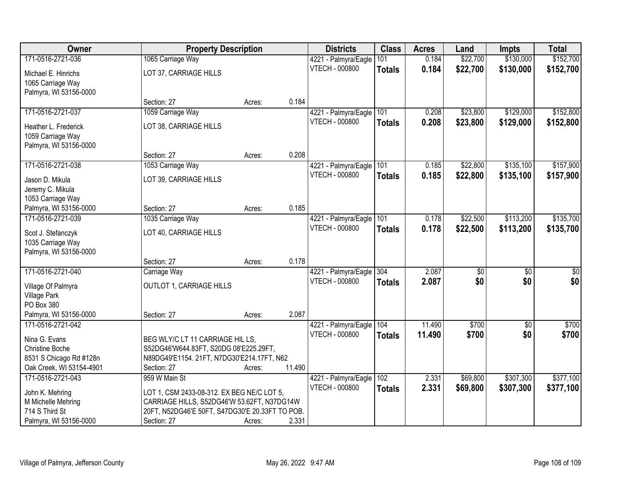| Owner                    | <b>Property Description</b>                     |        |        | <b>Districts</b>         | <b>Class</b>  | <b>Acres</b> | Land     | <b>Impts</b> | <b>Total</b>    |
|--------------------------|-------------------------------------------------|--------|--------|--------------------------|---------------|--------------|----------|--------------|-----------------|
| 171-0516-2721-036        | 1065 Carriage Way                               |        |        | 4221 - Palmyra/Eagle     | 101           | 0.184        | \$22,700 | \$130,000    | \$152,700       |
| Michael E. Hinrichs      | LOT 37, CARRIAGE HILLS                          |        |        | <b>VTECH - 000800</b>    | <b>Totals</b> | 0.184        | \$22,700 | \$130,000    | \$152,700       |
| 1065 Carriage Way        |                                                 |        |        |                          |               |              |          |              |                 |
| Palmyra, WI 53156-0000   |                                                 |        |        |                          |               |              |          |              |                 |
|                          | Section: 27                                     | Acres: | 0.184  |                          |               |              |          |              |                 |
| 171-0516-2721-037        | 1059 Carriage Way                               |        |        | 4221 - Palmyra/Eagle     | 101           | 0.208        | \$23,800 | \$129,000    | \$152,800       |
| Heather L. Frederick     | LOT 38, CARRIAGE HILLS                          |        |        | <b>VTECH - 000800</b>    | <b>Totals</b> | 0.208        | \$23,800 | \$129,000    | \$152,800       |
| 1059 Carriage Way        |                                                 |        |        |                          |               |              |          |              |                 |
| Palmyra, WI 53156-0000   |                                                 |        |        |                          |               |              |          |              |                 |
|                          | Section: 27                                     | Acres: | 0.208  |                          |               |              |          |              |                 |
| 171-0516-2721-038        | 1053 Carriage Way                               |        |        | 4221 - Palmyra/Eagle 101 |               | 0.185        | \$22,800 | \$135,100    | \$157,900       |
| Jason D. Mikula          | LOT 39, CARRIAGE HILLS                          |        |        | <b>VTECH - 000800</b>    | <b>Totals</b> | 0.185        | \$22,800 | \$135,100    | \$157,900       |
| Jeremy C. Mikula         |                                                 |        |        |                          |               |              |          |              |                 |
| 1053 Carriage Way        |                                                 |        |        |                          |               |              |          |              |                 |
| Palmyra, WI 53156-0000   | Section: 27                                     | Acres: | 0.185  |                          |               |              |          |              |                 |
| 171-0516-2721-039        | 1035 Carriage Way                               |        |        | 4221 - Palmyra/Eagle     | 101           | 0.178        | \$22,500 | \$113,200    | \$135,700       |
| Scot J. Stefanczyk       | LOT 40, CARRIAGE HILLS                          |        |        | <b>VTECH - 000800</b>    | <b>Totals</b> | 0.178        | \$22,500 | \$113,200    | \$135,700       |
| 1035 Carriage Way        |                                                 |        |        |                          |               |              |          |              |                 |
| Palmyra, WI 53156-0000   |                                                 |        |        |                          |               |              |          |              |                 |
|                          | Section: 27                                     | Acres: | 0.178  |                          |               |              |          |              |                 |
| 171-0516-2721-040        | Carriage Way                                    |        |        | 4221 - Palmyra/Eagle     | 304           | 2.087        | \$0      | \$0          | $\overline{50}$ |
| Village Of Palmyra       | OUTLOT 1, CARRIAGE HILLS                        |        |        | <b>VTECH - 000800</b>    | <b>Totals</b> | 2.087        | \$0      | \$0          | \$0             |
| <b>Village Park</b>      |                                                 |        |        |                          |               |              |          |              |                 |
| PO Box 380               |                                                 |        |        |                          |               |              |          |              |                 |
| Palmyra, WI 53156-0000   | Section: 27                                     | Acres: | 2.087  |                          |               |              |          |              |                 |
| 171-0516-2721-042        |                                                 |        |        | 4221 - Palmyra/Eagle     | 104           | 11.490       | \$700    | \$0          | \$700           |
| Nina G. Evans            | BEG WLY/C LT 11 CARRIAGE HIL LS,                |        |        | <b>VTECH - 000800</b>    | <b>Totals</b> | 11.490       | \$700    | \$0          | \$700           |
| <b>Christine Boche</b>   | S52DG46'W644.83FT, S20DG 08'E225.29FT,          |        |        |                          |               |              |          |              |                 |
| 8531 S Chicago Rd #128n  | N89DG49'E1154. 21FT, N7DG30'E214.17FT, N62      |        |        |                          |               |              |          |              |                 |
| Oak Creek, WI 53154-4901 | Section: 27                                     | Acres: | 11.490 |                          |               |              |          |              |                 |
| 171-0516-2721-043        | 959 W Main St                                   |        |        | 4221 - Palmyra/Eagle     | 102           | 2.331        | \$69,800 | \$307,300    | \$377,100       |
| John K. Mehring          | LOT 1, CSM 2433-08-312. EX BEG NE/C LOT 5,      |        |        | <b>VTECH - 000800</b>    | <b>Totals</b> | 2.331        | \$69,800 | \$307,300    | \$377,100       |
| M Michelle Mehring       | CARRIAGE HILLS, S52DG46'W 53.62FT, N37DG14W     |        |        |                          |               |              |          |              |                 |
| 714 S Third St           | 20FT, N52DG46'E 50FT, S47DG30'E 20.33FT TO POB. |        |        |                          |               |              |          |              |                 |
| Palmyra, WI 53156-0000   | Section: 27                                     | Acres: | 2.331  |                          |               |              |          |              |                 |